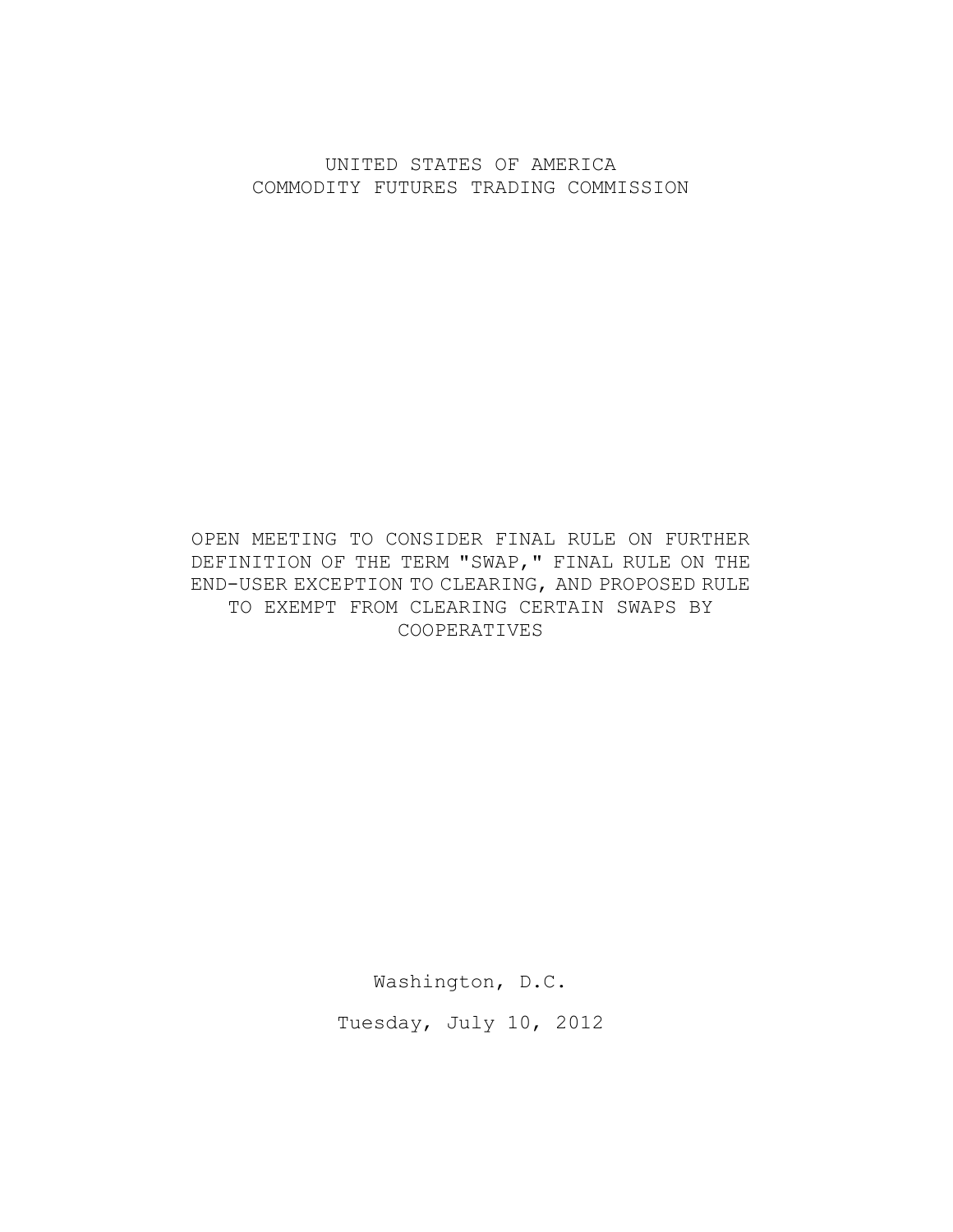UNITED STATES OF AMERICA COMMODITY FUTURES TRADING COMMISSION

## OPEN MEETING TO CONSIDER FINAL RULE ON FURTHER DEFINITION OF THE TERM "SWAP," FINAL RULE ON THE END-USER EXCEPTION TO CLEARING, AND PROPOSED RULE TO EXEMPT FROM CLEARING CERTAIN SWAPS BY COOPERATIVES

Washington, D.C.

Tuesday, July 10, 2012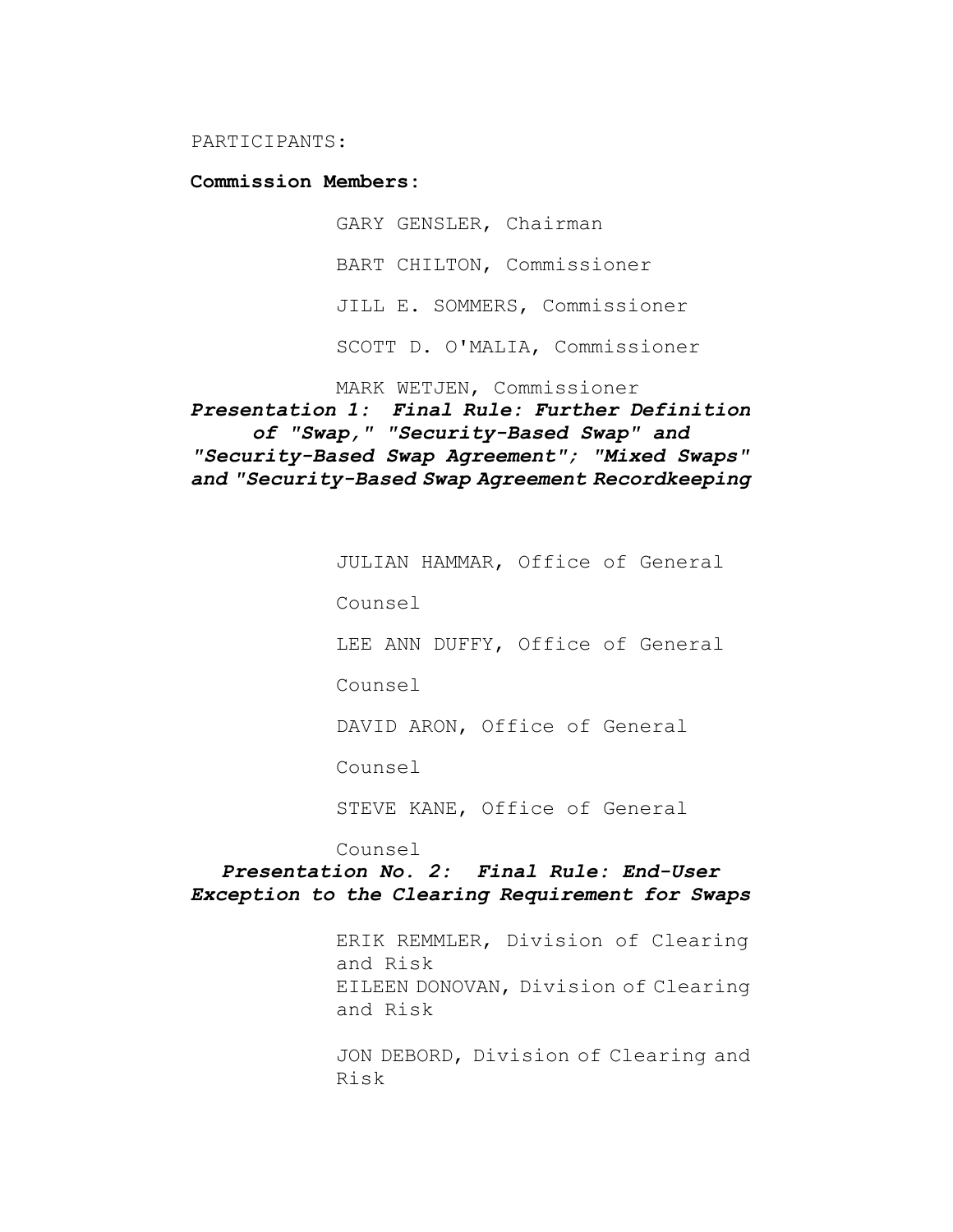PARTICIPANTS:

**Commission Members:**

GARY GENSLER, Chairman BART CHILTON, Commissioner JILL E. SOMMERS, Commissioner SCOTT D. O'MALIA, Commissioner

MARK WETJEN, Commissioner

*Presentation 1: Final Rule: Further Definition of "Swap," "Security-Based Swap" and "Security-Based Swap Agreement"; "Mixed Swaps" and "Security-Based Swap Agreement Recordkeeping*

JULIAN HAMMAR, Office of General

Counsel

LEE ANN DUFFY, Office of General

Counsel

DAVID ARON, Office of General

Counsel

STEVE KANE, Office of General

Counsel

*Presentation No. 2: Final Rule: End-User Exception to the Clearing Requirement for Swaps*

> ERIK REMMLER, Division of Clearing and Risk EILEEN DONOVAN, Division of Clearing and Risk

> JON DEBORD, Division of Clearing and Risk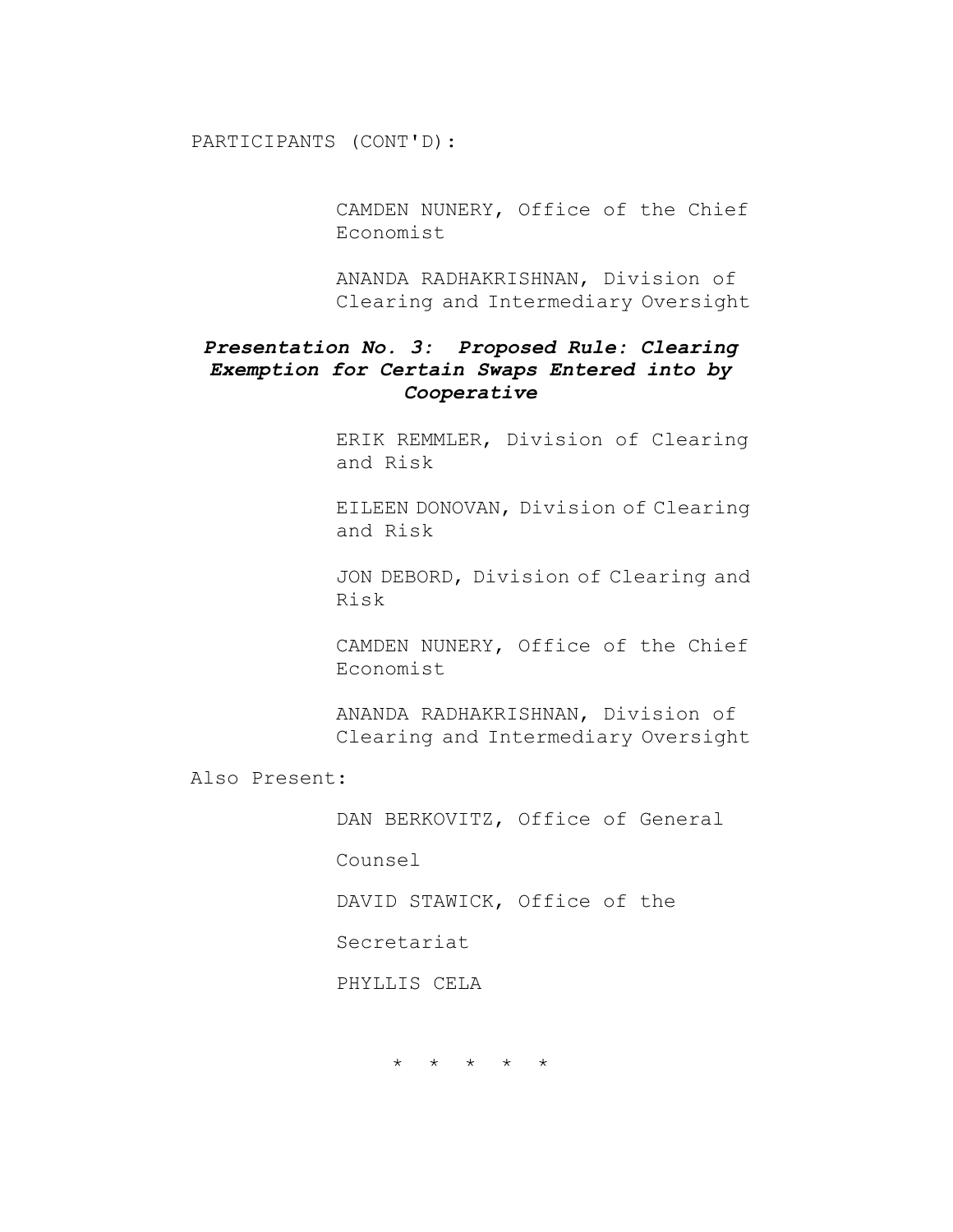PARTICIPANTS (CONT'D):

CAMDEN NUNERY, Office of the Chief Economist

ANANDA RADHAKRISHNAN, Division of Clearing and Intermediary Oversight

## *Presentation No. 3: Proposed Rule: Clearing Exemption for Certain Swaps Entered into by Cooperative*

ERIK REMMLER, Division of Clearing and Risk

EILEEN DONOVAN, Division of Clearing and Risk

JON DEBORD, Division of Clearing and Risk

CAMDEN NUNERY, Office of the Chief Economist

ANANDA RADHAKRISHNAN, Division of Clearing and Intermediary Oversight

Also Present:

DAN BERKOVITZ, Office of General

Counsel

DAVID STAWICK, Office of the

Secretariat

PHYLLIS CELA

\* \* \* \* \*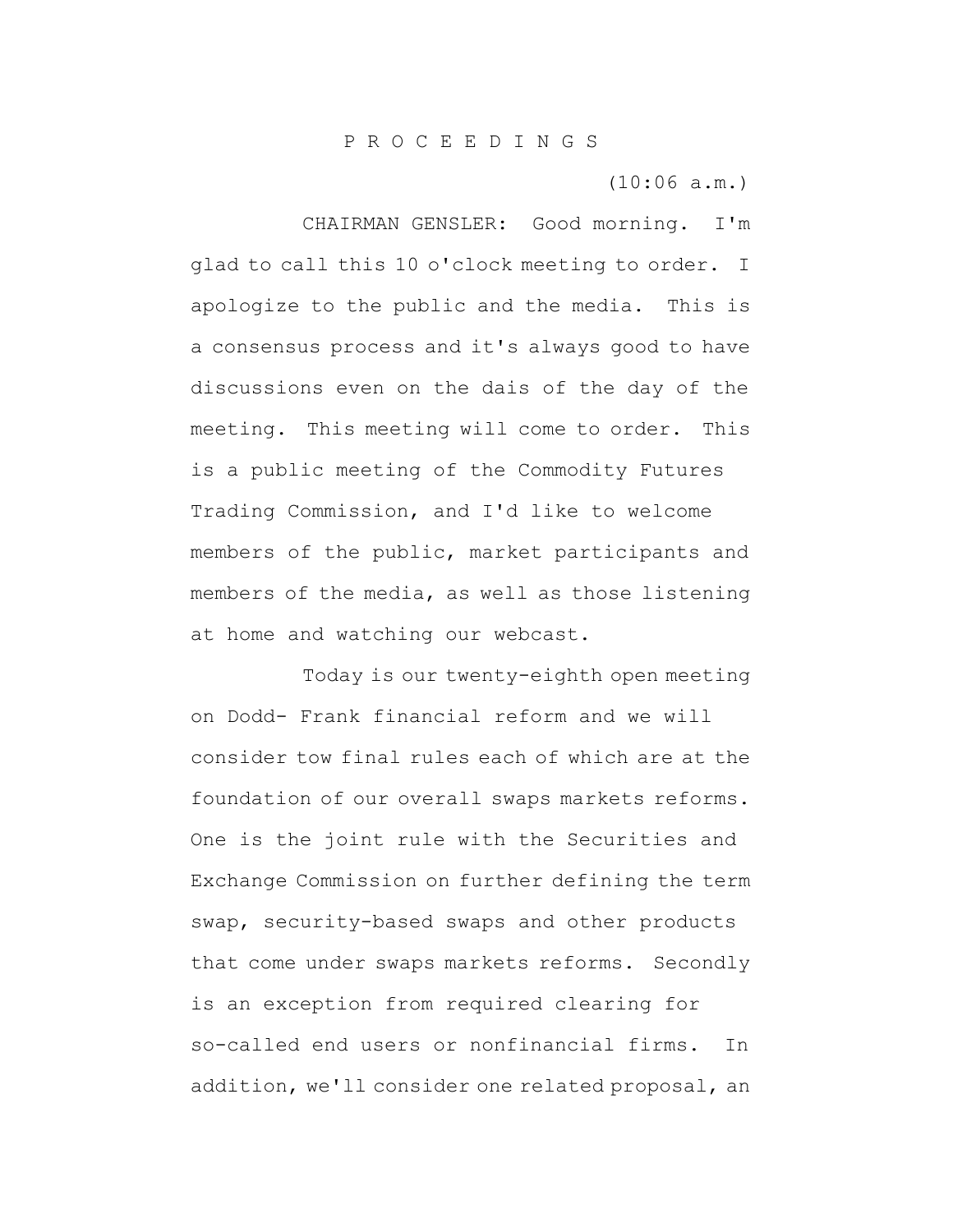(10:06 a.m.)

CHAIRMAN GENSLER: Good morning. I'm glad to call this 10 o'clock meeting to order. I apologize to the public and the media. This is a consensus process and it's always good to have discussions even on the dais of the day of the meeting. This meeting will come to order. This is a public meeting of the Commodity Futures Trading Commission, and I'd like to welcome members of the public, market participants and members of the media, as well as those listening at home and watching our webcast.

Today is our twenty-eighth open meeting on Dodd- Frank financial reform and we will consider tow final rules each of which are at the foundation of our overall swaps markets reforms. One is the joint rule with the Securities and Exchange Commission on further defining the term swap, security-based swaps and other products that come under swaps markets reforms. Secondly is an exception from required clearing for so-called end users or nonfinancial firms. In addition, we'll consider one related proposal, an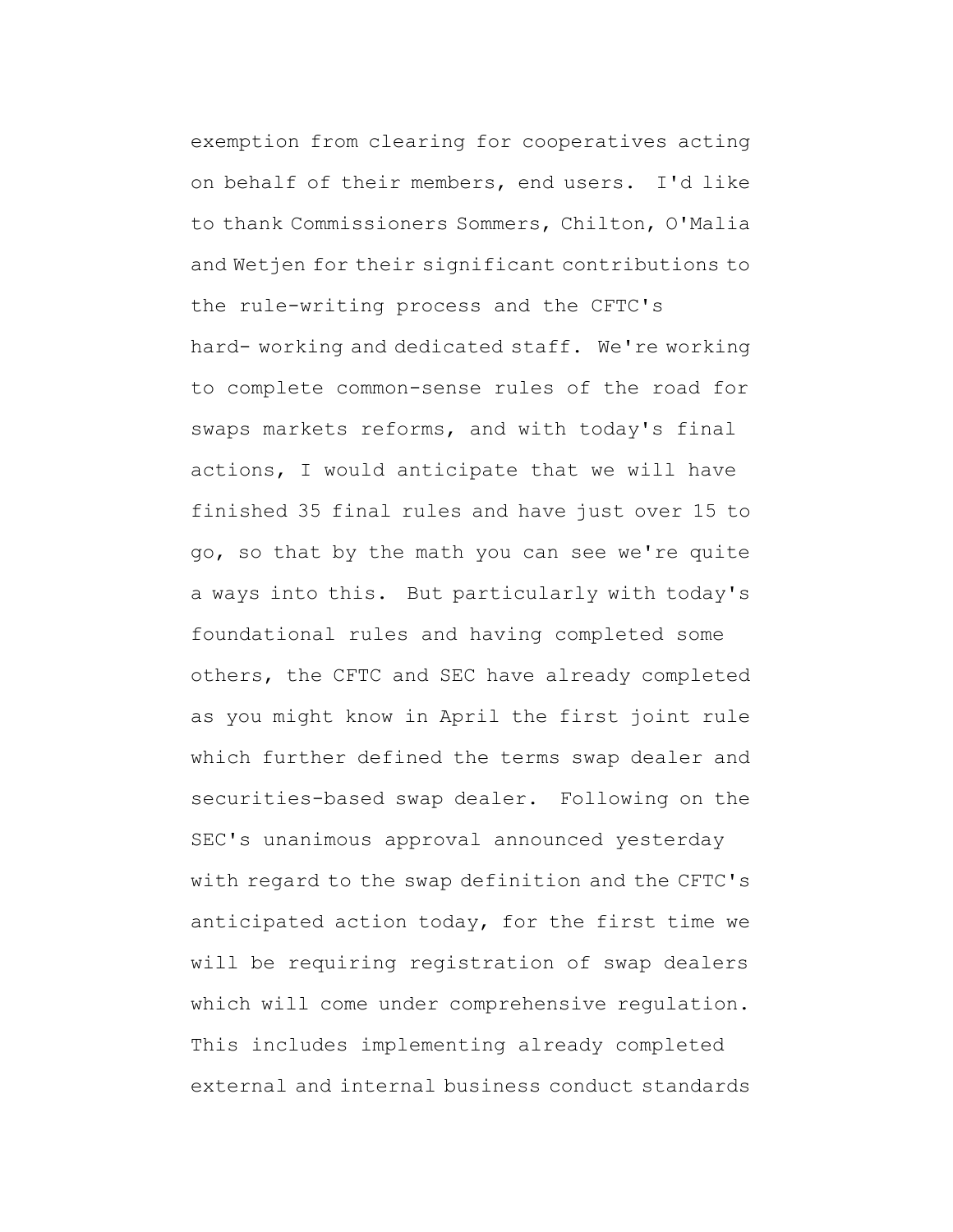exemption from clearing for cooperatives acting on behalf of their members, end users. I'd like to thank Commissioners Sommers, Chilton, O'Malia and Wetjen for their significant contributions to the rule-writing process and the CFTC's hard- working and dedicated staff. We're working to complete common-sense rules of the road for swaps markets reforms, and with today's final actions, I would anticipate that we will have finished 35 final rules and have just over 15 to go, so that by the math you can see we're quite a ways into this. But particularly with today's foundational rules and having completed some others, the CFTC and SEC have already completed as you might know in April the first joint rule which further defined the terms swap dealer and securities-based swap dealer. Following on the SEC's unanimous approval announced yesterday with regard to the swap definition and the CFTC's anticipated action today, for the first time we will be requiring registration of swap dealers which will come under comprehensive regulation. This includes implementing already completed external and internal business conduct standards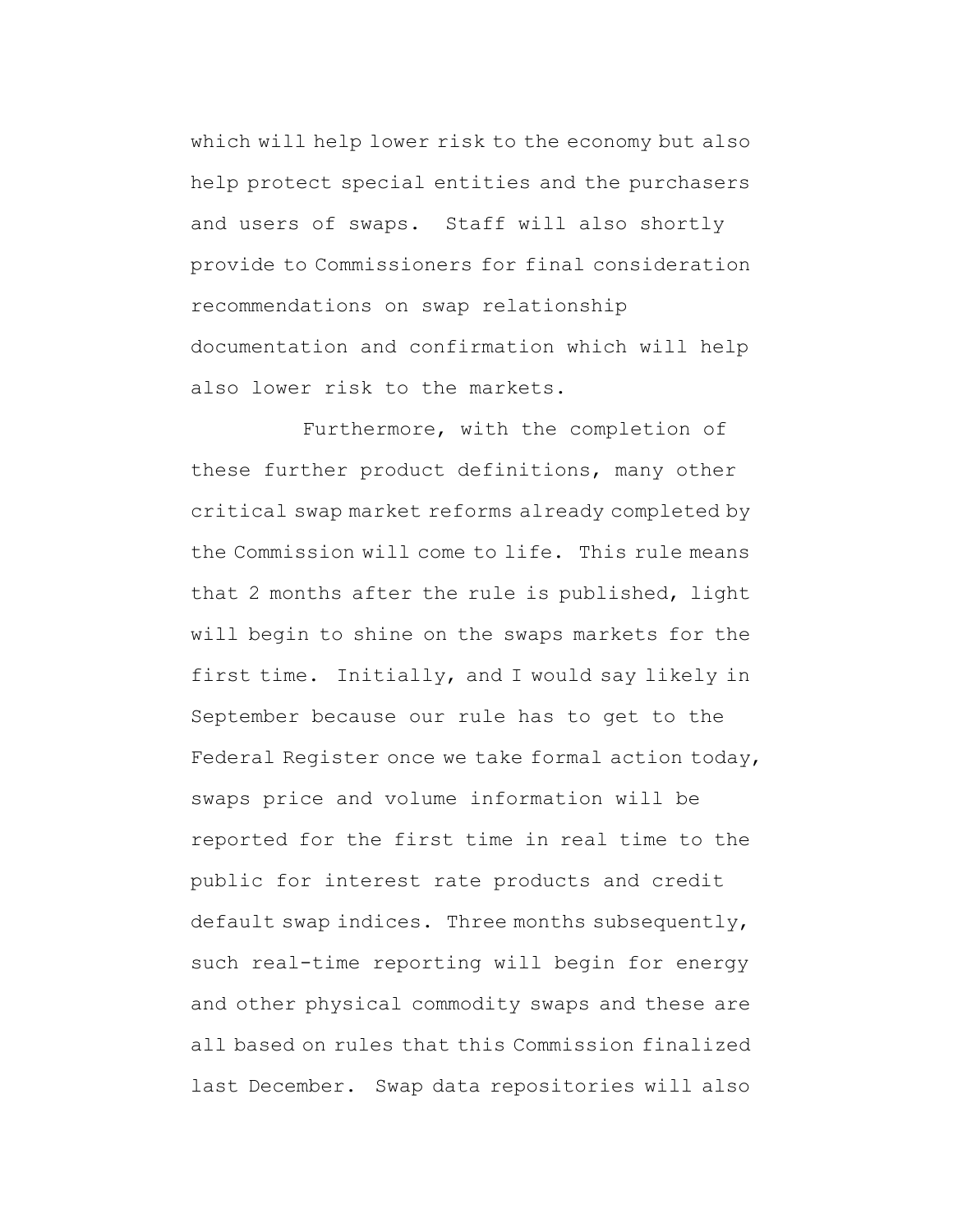which will help lower risk to the economy but also help protect special entities and the purchasers and users of swaps. Staff will also shortly provide to Commissioners for final consideration recommendations on swap relationship documentation and confirmation which will help also lower risk to the markets.

Furthermore, with the completion of these further product definitions, many other critical swap market reforms already completed by the Commission will come to life. This rule means that 2 months after the rule is published, light will begin to shine on the swaps markets for the first time. Initially, and I would say likely in September because our rule has to get to the Federal Register once we take formal action today, swaps price and volume information will be reported for the first time in real time to the public for interest rate products and credit default swap indices. Three months subsequently, such real-time reporting will begin for energy and other physical commodity swaps and these are all based on rules that this Commission finalized last December. Swap data repositories will also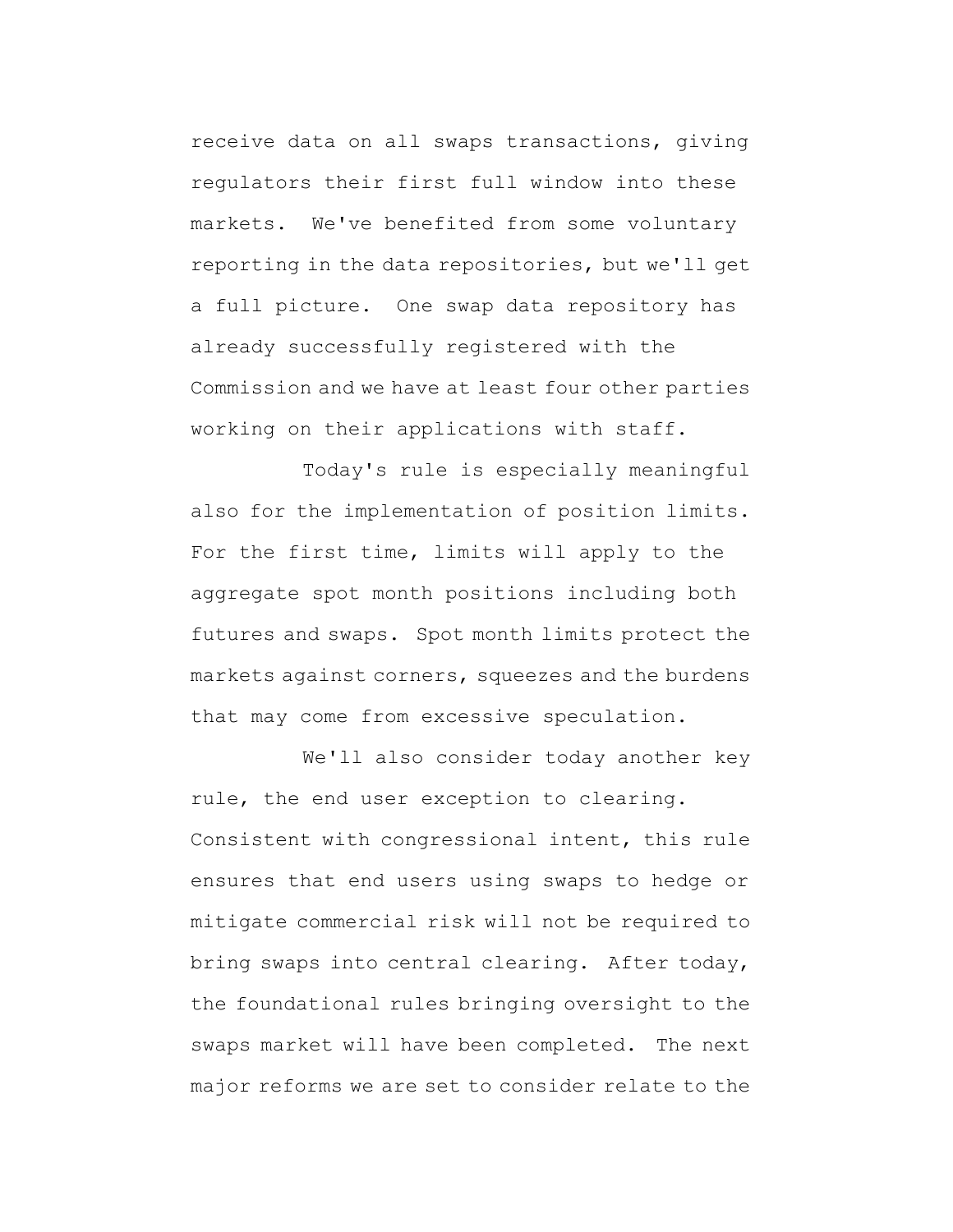receive data on all swaps transactions, giving regulators their first full window into these markets. We've benefited from some voluntary reporting in the data repositories, but we'll get a full picture. One swap data repository has already successfully registered with the Commission and we have at least four other parties working on their applications with staff.

Today's rule is especially meaningful also for the implementation of position limits. For the first time, limits will apply to the aggregate spot month positions including both futures and swaps. Spot month limits protect the markets against corners, squeezes and the burdens that may come from excessive speculation.

We'll also consider today another key rule, the end user exception to clearing. Consistent with congressional intent, this rule ensures that end users using swaps to hedge or mitigate commercial risk will not be required to bring swaps into central clearing. After today, the foundational rules bringing oversight to the swaps market will have been completed. The next major reforms we are set to consider relate to the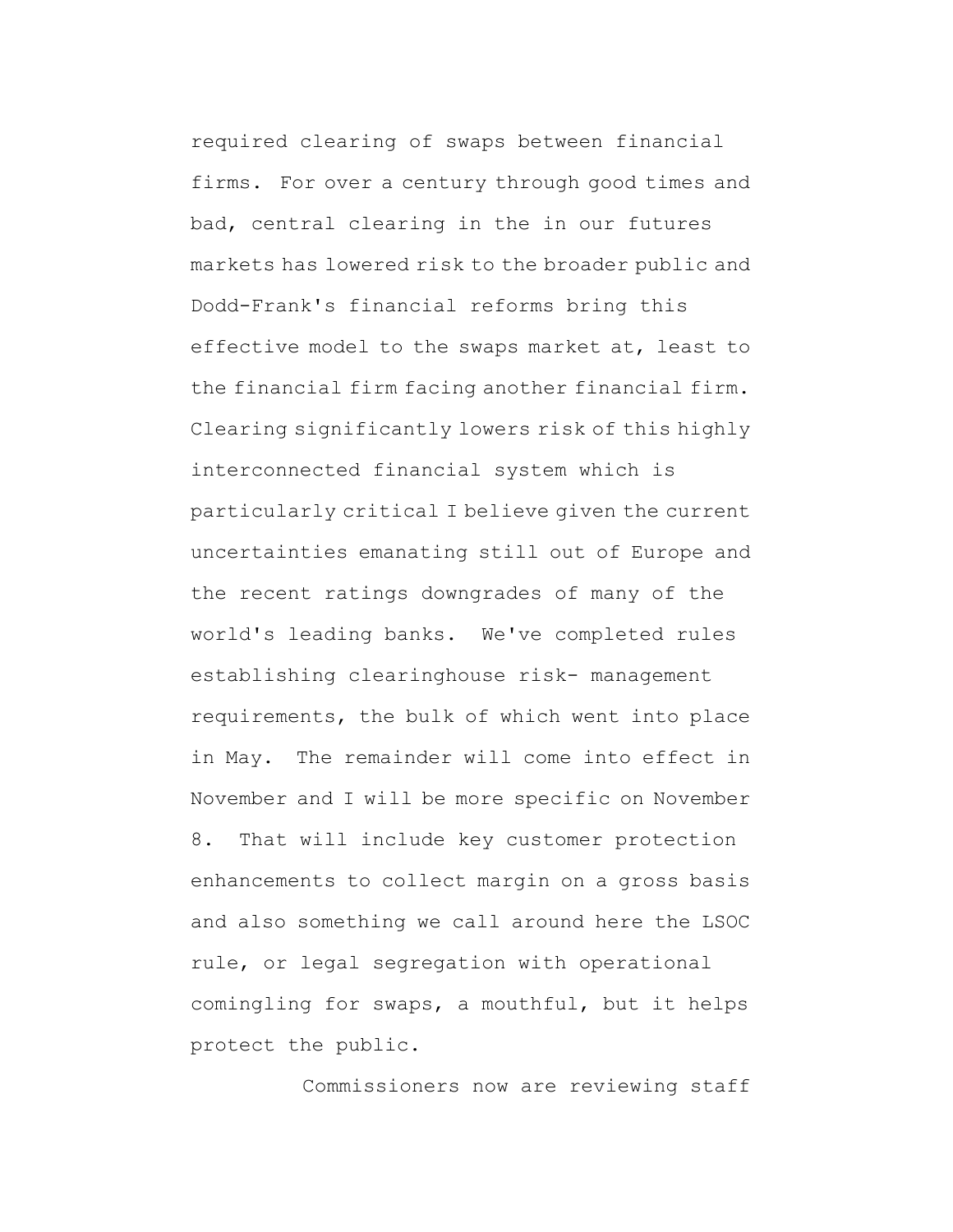required clearing of swaps between financial firms. For over a century through good times and bad, central clearing in the in our futures markets has lowered risk to the broader public and Dodd-Frank's financial reforms bring this effective model to the swaps market at, least to the financial firm facing another financial firm. Clearing significantly lowers risk of this highly interconnected financial system which is particularly critical I believe given the current uncertainties emanating still out of Europe and the recent ratings downgrades of many of the world's leading banks. We've completed rules establishing clearinghouse risk- management requirements, the bulk of which went into place in May. The remainder will come into effect in November and I will be more specific on November 8. That will include key customer protection enhancements to collect margin on a gross basis and also something we call around here the LSOC rule, or legal segregation with operational comingling for swaps, a mouthful, but it helps protect the public.

Commissioners now are reviewing staff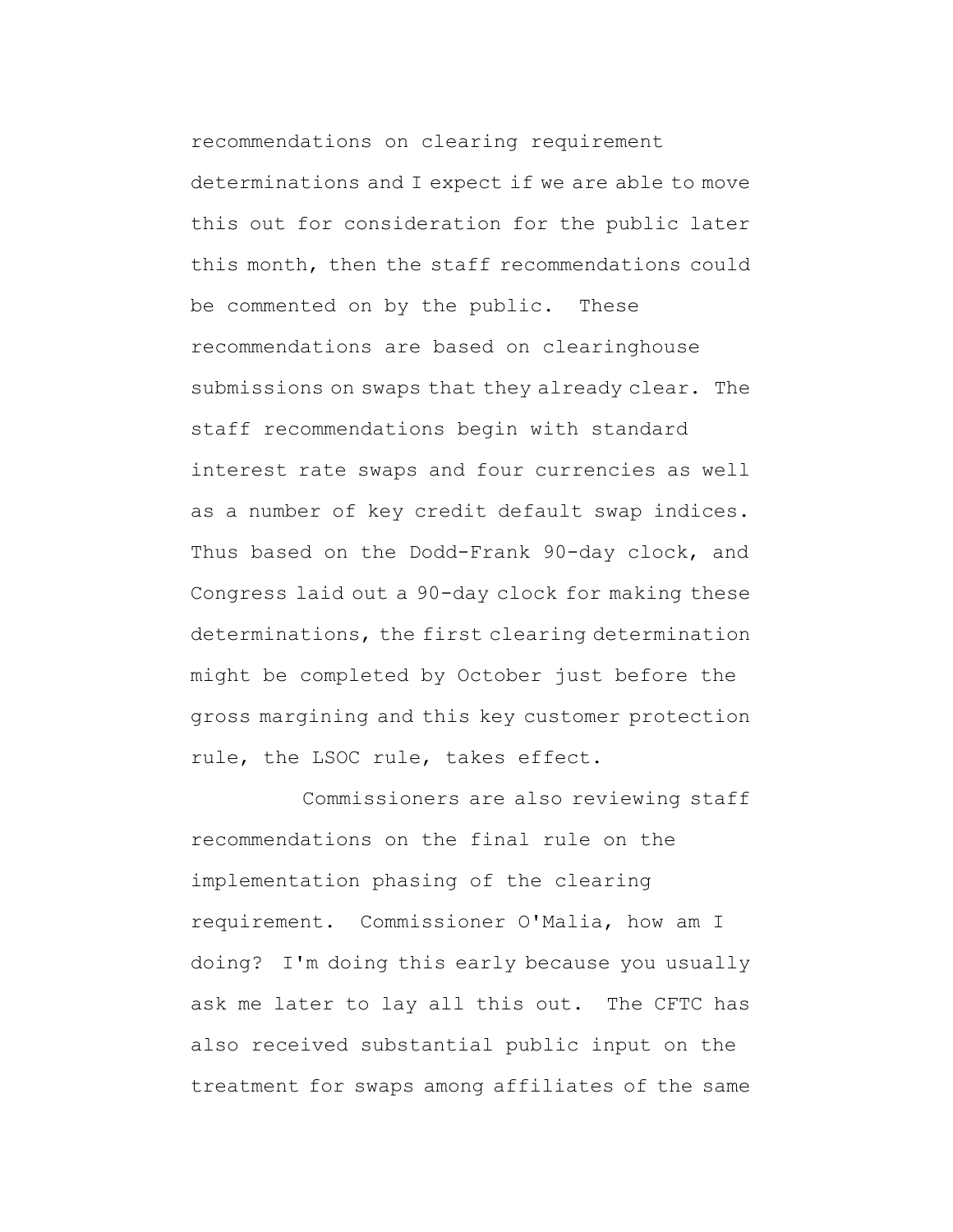recommendations on clearing requirement determinations and I expect if we are able to move this out for consideration for the public later this month, then the staff recommendations could be commented on by the public. These recommendations are based on clearinghouse submissions on swaps that they already clear. The staff recommendations begin with standard interest rate swaps and four currencies as well as a number of key credit default swap indices. Thus based on the Dodd-Frank 90-day clock, and Congress laid out a 90-day clock for making these determinations, the first clearing determination might be completed by October just before the gross margining and this key customer protection rule, the LSOC rule, takes effect.

Commissioners are also reviewing staff recommendations on the final rule on the implementation phasing of the clearing requirement. Commissioner O'Malia, how am I doing? I'm doing this early because you usually ask me later to lay all this out. The CFTC has also received substantial public input on the treatment for swaps among affiliates of the same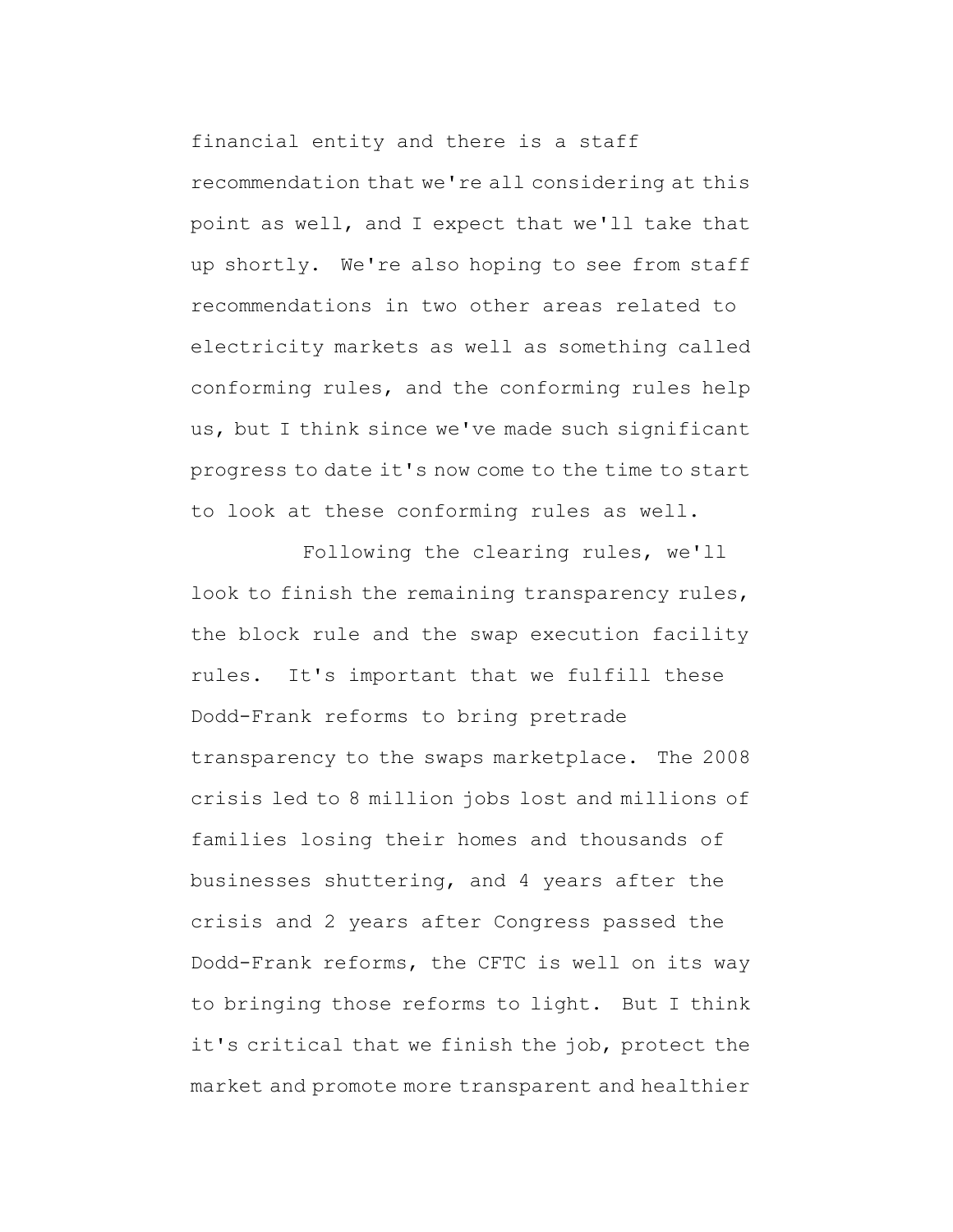financial entity and there is a staff recommendation that we're all considering at this point as well, and I expect that we'll take that up shortly. We're also hoping to see from staff recommendations in two other areas related to electricity markets as well as something called conforming rules, and the conforming rules help us, but I think since we've made such significant progress to date it's now come to the time to start to look at these conforming rules as well.

Following the clearing rules, we'll look to finish the remaining transparency rules, the block rule and the swap execution facility rules. It's important that we fulfill these Dodd-Frank reforms to bring pretrade transparency to the swaps marketplace. The 2008 crisis led to 8 million jobs lost and millions of families losing their homes and thousands of businesses shuttering, and 4 years after the crisis and 2 years after Congress passed the Dodd-Frank reforms, the CFTC is well on its way to bringing those reforms to light. But I think it's critical that we finish the job, protect the market and promote more transparent and healthier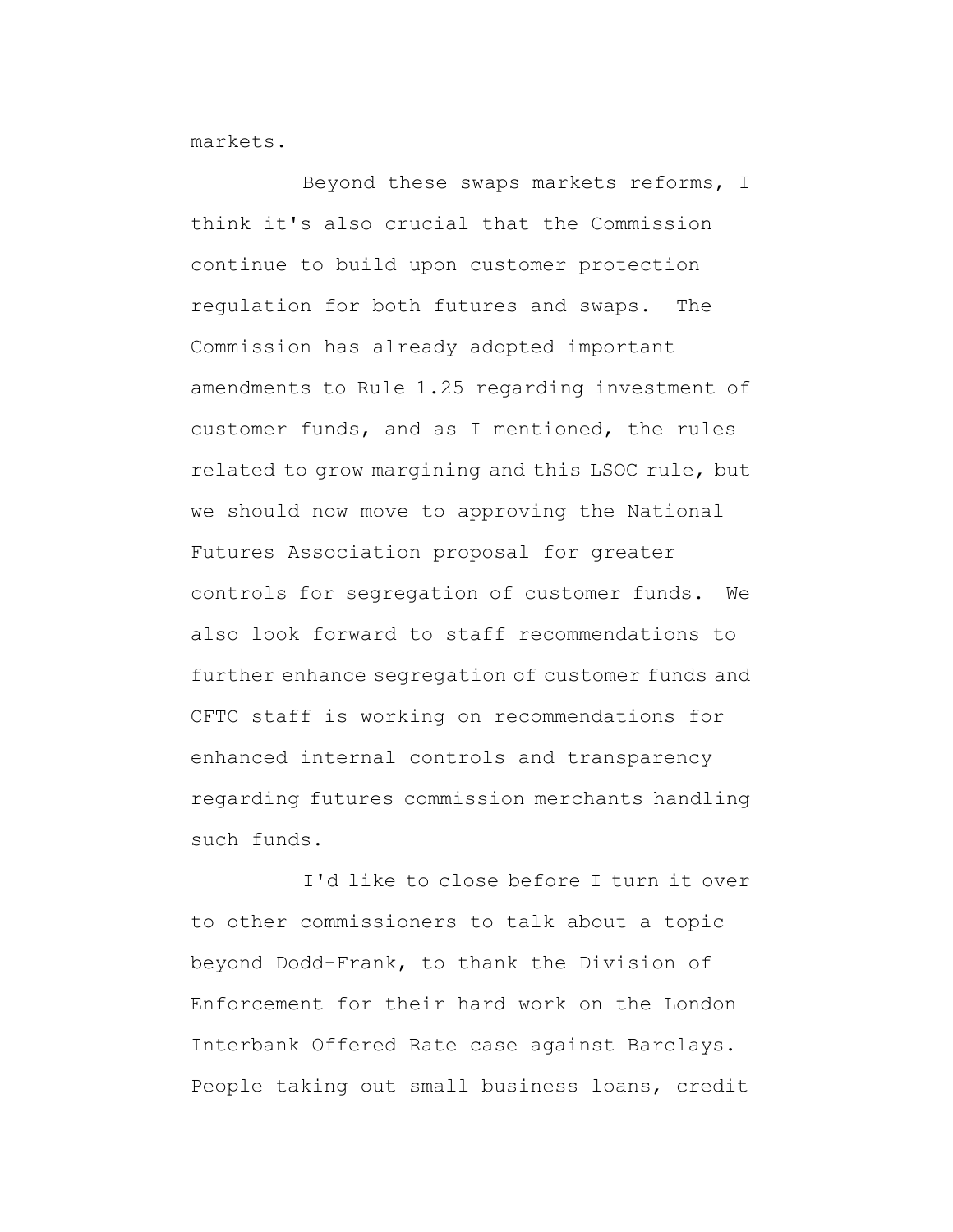markets.

Beyond these swaps markets reforms, I think it's also crucial that the Commission continue to build upon customer protection regulation for both futures and swaps. The Commission has already adopted important amendments to Rule 1.25 regarding investment of customer funds, and as I mentioned, the rules related to grow margining and this LSOC rule, but we should now move to approving the National Futures Association proposal for greater controls for segregation of customer funds. We also look forward to staff recommendations to further enhance segregation of customer funds and CFTC staff is working on recommendations for enhanced internal controls and transparency regarding futures commission merchants handling such funds.

I'd like to close before I turn it over to other commissioners to talk about a topic beyond Dodd-Frank, to thank the Division of Enforcement for their hard work on the London Interbank Offered Rate case against Barclays. People taking out small business loans, credit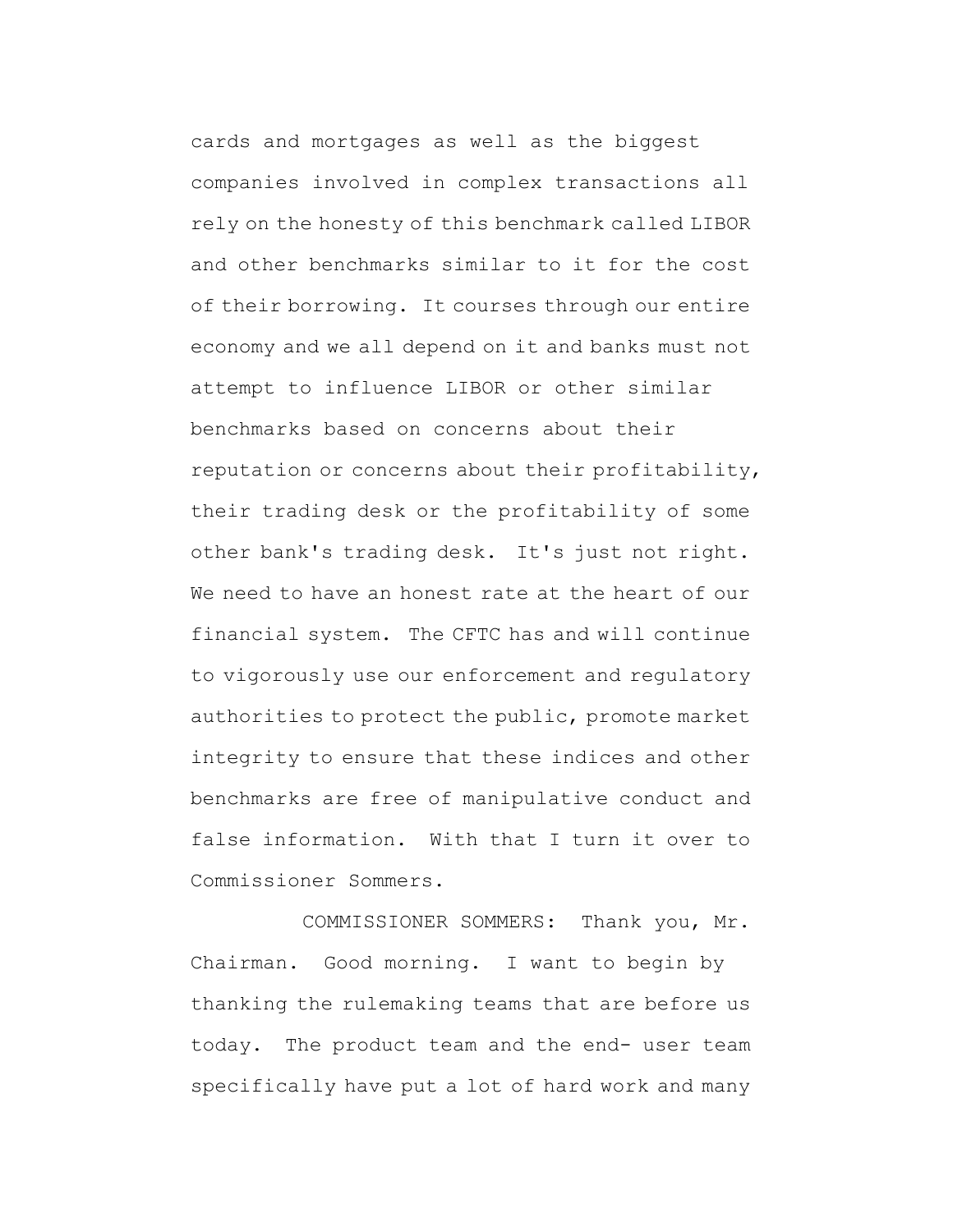cards and mortgages as well as the biggest companies involved in complex transactions all rely on the honesty of this benchmark called LIBOR and other benchmarks similar to it for the cost of their borrowing. It courses through our entire economy and we all depend on it and banks must not attempt to influence LIBOR or other similar benchmarks based on concerns about their reputation or concerns about their profitability, their trading desk or the profitability of some other bank's trading desk. It's just not right. We need to have an honest rate at the heart of our financial system. The CFTC has and will continue to vigorously use our enforcement and regulatory authorities to protect the public, promote market integrity to ensure that these indices and other benchmarks are free of manipulative conduct and false information. With that I turn it over to Commissioner Sommers.

COMMISSIONER SOMMERS: Thank you, Mr. Chairman. Good morning. I want to begin by thanking the rulemaking teams that are before us today. The product team and the end- user team specifically have put a lot of hard work and many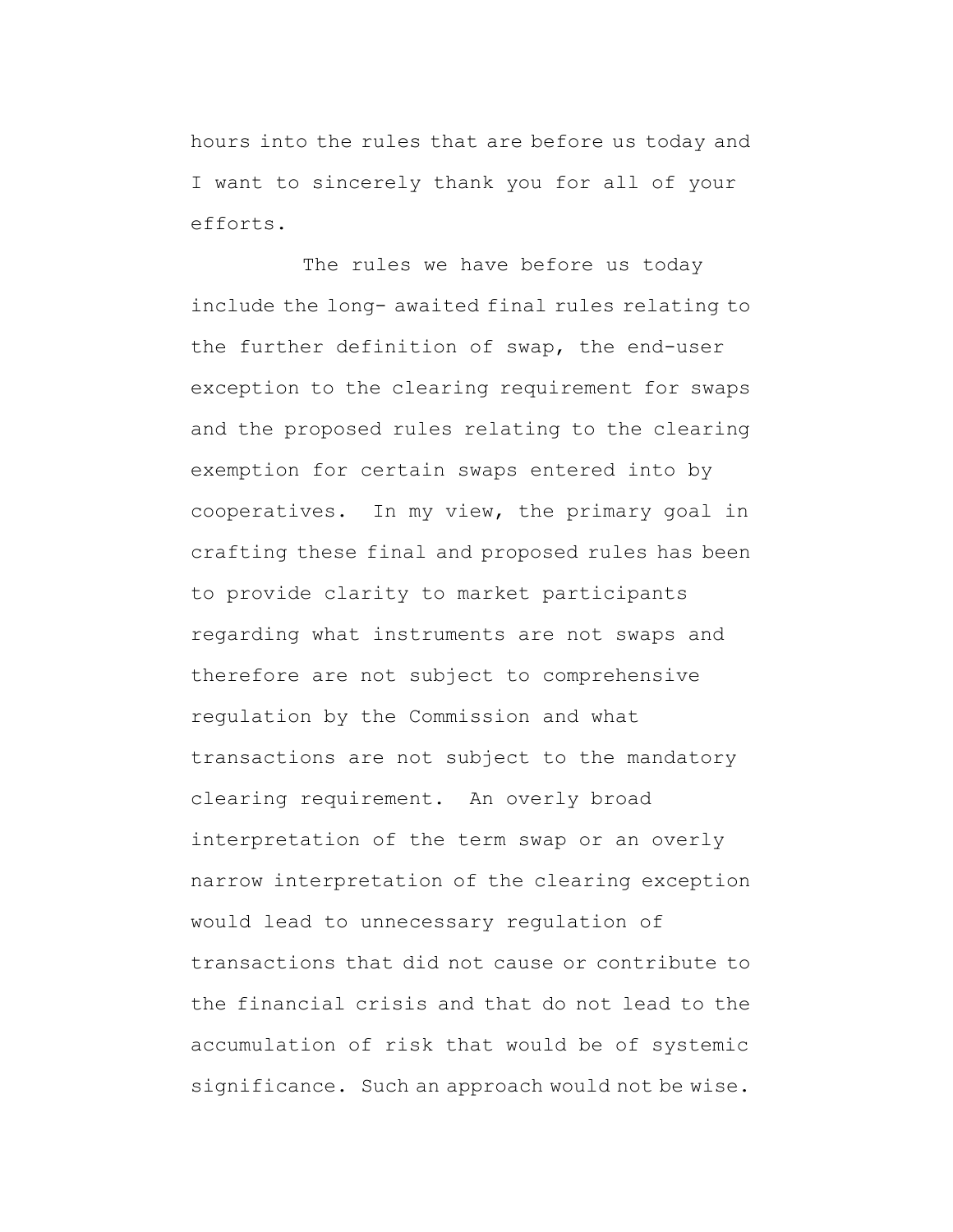hours into the rules that are before us today and I want to sincerely thank you for all of your efforts.

The rules we have before us today include the long- awaited final rules relating to the further definition of swap, the end-user exception to the clearing requirement for swaps and the proposed rules relating to the clearing exemption for certain swaps entered into by cooperatives. In my view, the primary goal in crafting these final and proposed rules has been to provide clarity to market participants regarding what instruments are not swaps and therefore are not subject to comprehensive regulation by the Commission and what transactions are not subject to the mandatory clearing requirement. An overly broad interpretation of the term swap or an overly narrow interpretation of the clearing exception would lead to unnecessary regulation of transactions that did not cause or contribute to the financial crisis and that do not lead to the accumulation of risk that would be of systemic significance. Such an approach would not be wise.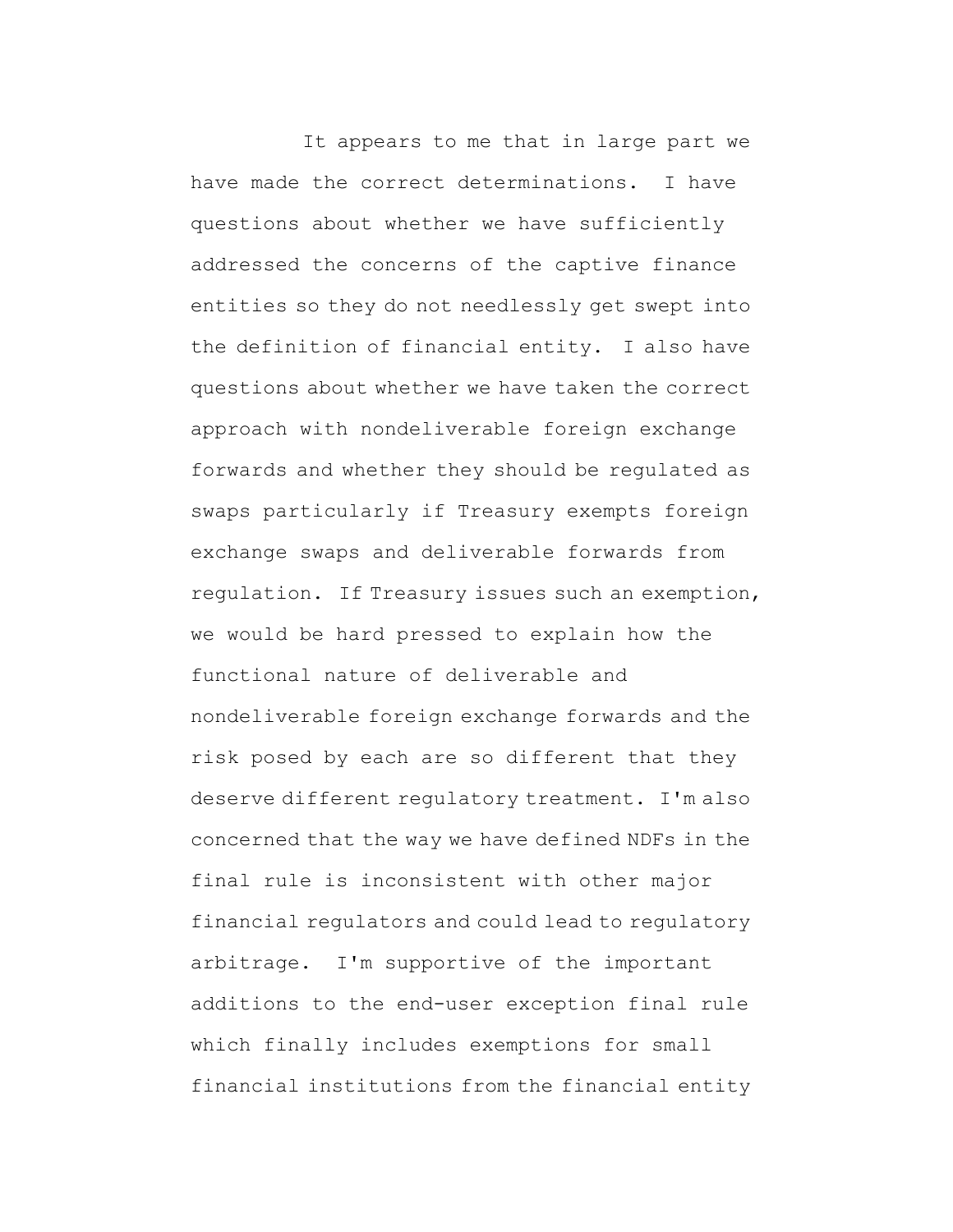It appears to me that in large part we have made the correct determinations. I have questions about whether we have sufficiently addressed the concerns of the captive finance entities so they do not needlessly get swept into the definition of financial entity. I also have questions about whether we have taken the correct approach with nondeliverable foreign exchange forwards and whether they should be regulated as swaps particularly if Treasury exempts foreign exchange swaps and deliverable forwards from regulation. If Treasury issues such an exemption, we would be hard pressed to explain how the functional nature of deliverable and nondeliverable foreign exchange forwards and the risk posed by each are so different that they deserve different regulatory treatment. I'm also concerned that the way we have defined NDFs in the final rule is inconsistent with other major financial regulators and could lead to regulatory arbitrage. I'm supportive of the important additions to the end-user exception final rule which finally includes exemptions for small financial institutions from the financial entity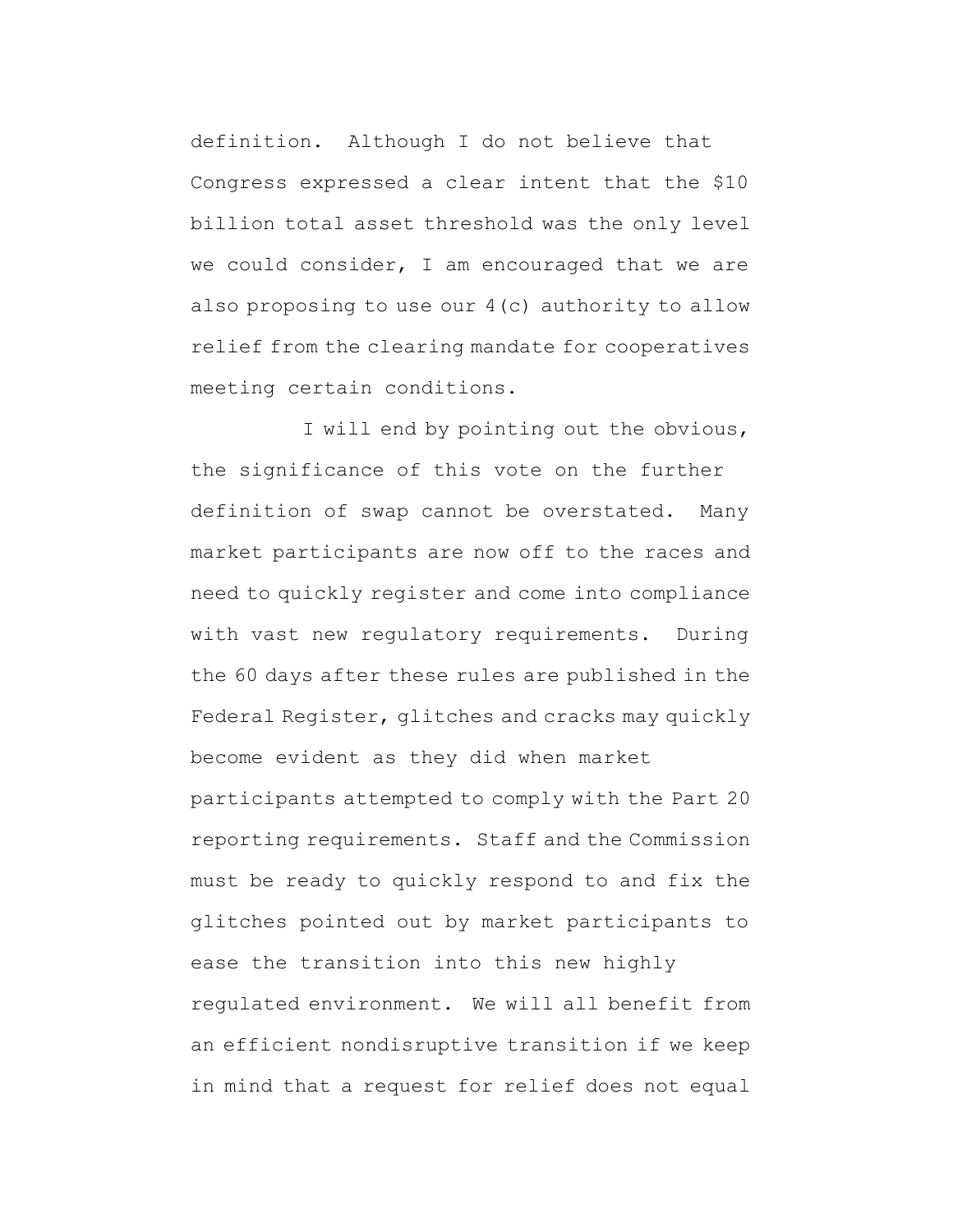definition. Although I do not believe that Congress expressed a clear intent that the \$10 billion total asset threshold was the only level we could consider, I am encouraged that we are also proposing to use our 4(c) authority to allow relief from the clearing mandate for cooperatives meeting certain conditions.

I will end by pointing out the obvious, the significance of this vote on the further definition of swap cannot be overstated. Many market participants are now off to the races and need to quickly register and come into compliance with vast new regulatory requirements. During the 60 days after these rules are published in the Federal Register, glitches and cracks may quickly become evident as they did when market participants attempted to comply with the Part 20 reporting requirements. Staff and the Commission must be ready to quickly respond to and fix the glitches pointed out by market participants to ease the transition into this new highly regulated environment. We will all benefit from an efficient nondisruptive transition if we keep in mind that a request for relief does not equal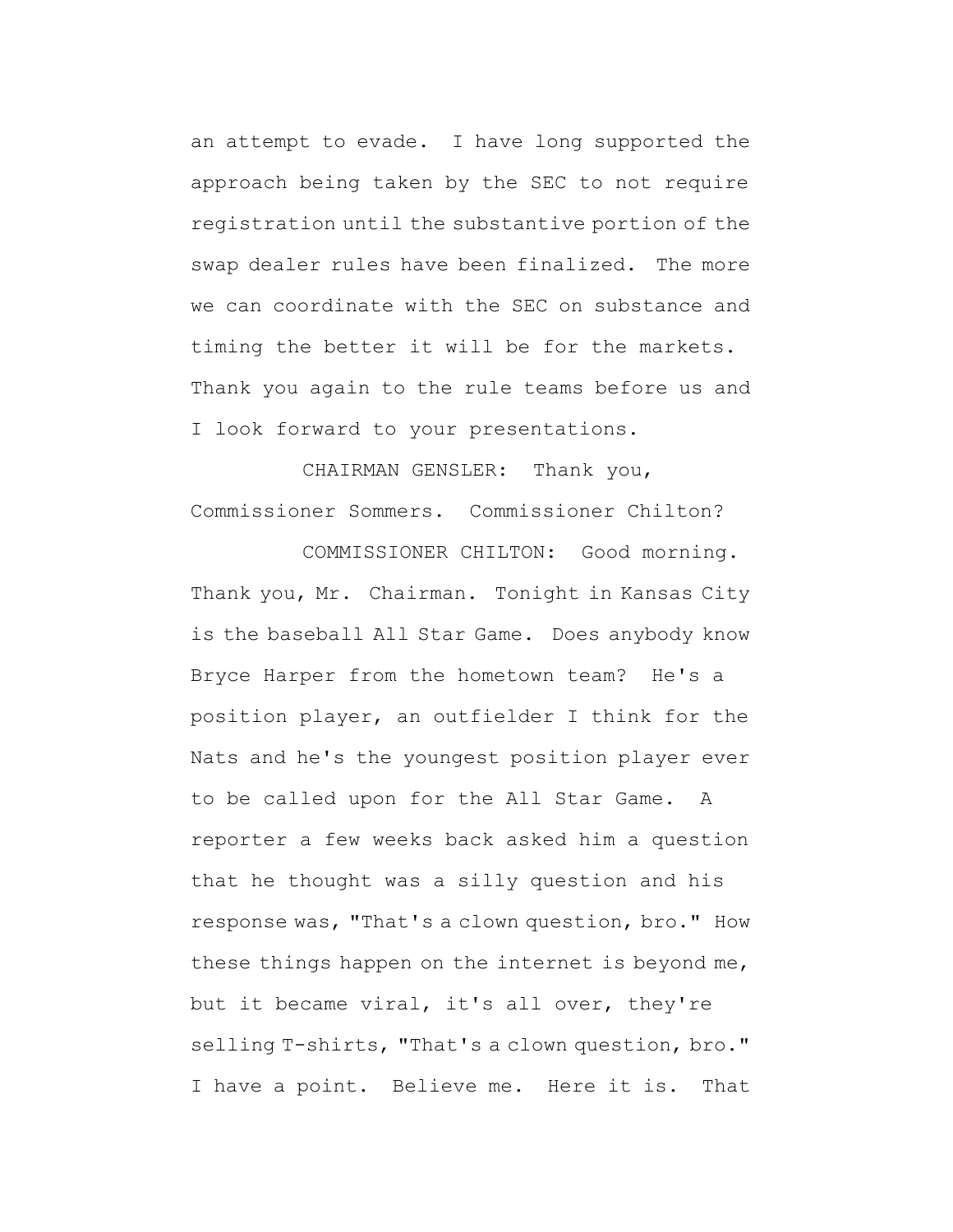an attempt to evade. I have long supported the approach being taken by the SEC to not require registration until the substantive portion of the swap dealer rules have been finalized. The more we can coordinate with the SEC on substance and timing the better it will be for the markets. Thank you again to the rule teams before us and I look forward to your presentations.

CHAIRMAN GENSLER: Thank you, Commissioner Sommers. Commissioner Chilton?

COMMISSIONER CHILTON: Good morning. Thank you, Mr. Chairman. Tonight in Kansas City is the baseball All Star Game. Does anybody know Bryce Harper from the hometown team? He's a position player, an outfielder I think for the Nats and he's the youngest position player ever to be called upon for the All Star Game. A reporter a few weeks back asked him a question that he thought was a silly question and his response was, "That's a clown question, bro." How these things happen on the internet is beyond me, but it became viral, it's all over, they're selling T-shirts, "That's a clown question, bro." I have a point. Believe me. Here it is. That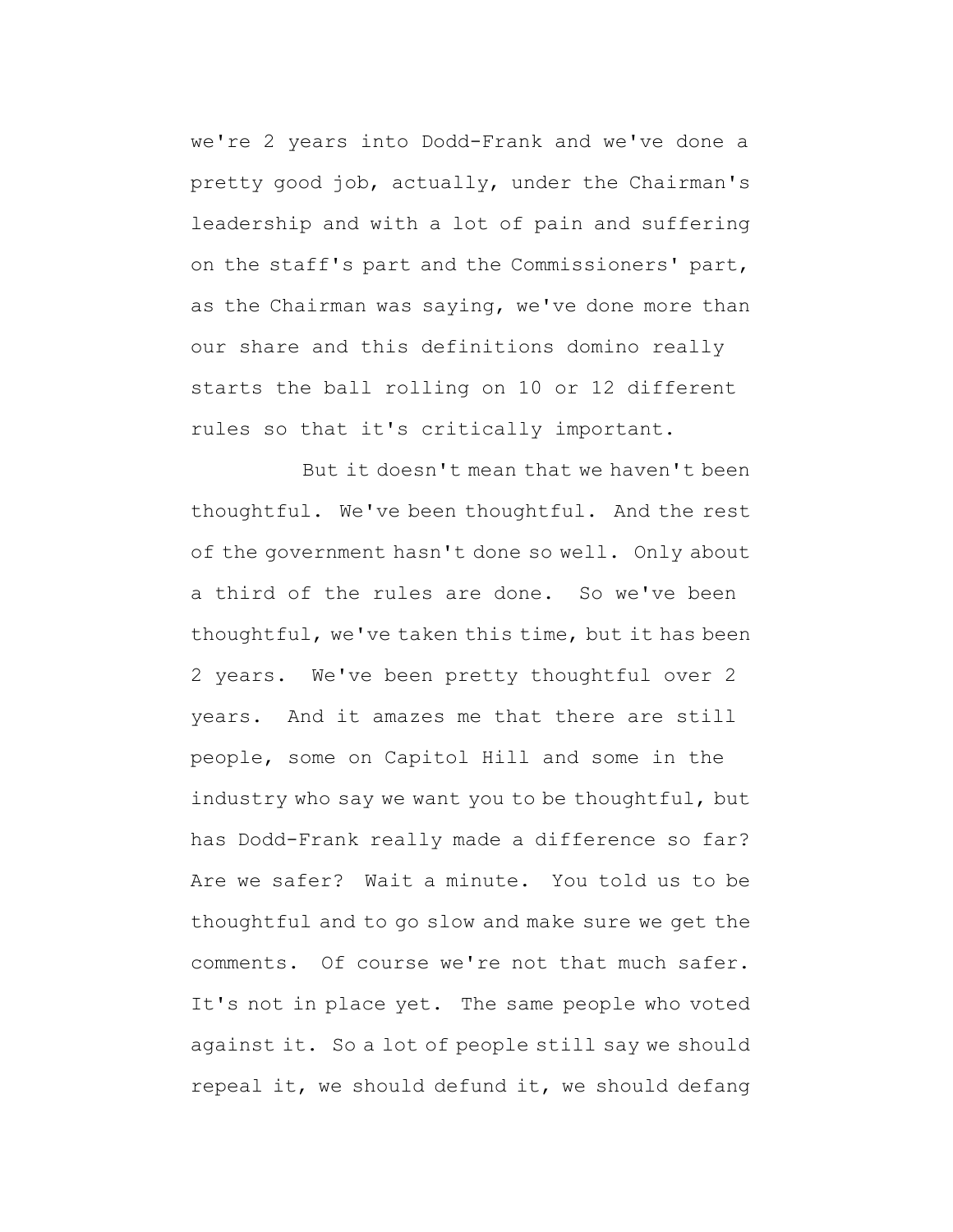we're 2 years into Dodd-Frank and we've done a pretty good job, actually, under the Chairman's leadership and with a lot of pain and suffering on the staff's part and the Commissioners' part, as the Chairman was saying, we've done more than our share and this definitions domino really starts the ball rolling on 10 or 12 different rules so that it's critically important.

But it doesn't mean that we haven't been thoughtful. We've been thoughtful. And the rest of the government hasn't done so well. Only about a third of the rules are done. So we've been thoughtful, we've taken this time, but it has been 2 years. We've been pretty thoughtful over 2 years. And it amazes me that there are still people, some on Capitol Hill and some in the industry who say we want you to be thoughtful, but has Dodd-Frank really made a difference so far? Are we safer? Wait a minute. You told us to be thoughtful and to go slow and make sure we get the comments. Of course we're not that much safer. It's not in place yet. The same people who voted against it. So a lot of people still say we should repeal it, we should defund it, we should defang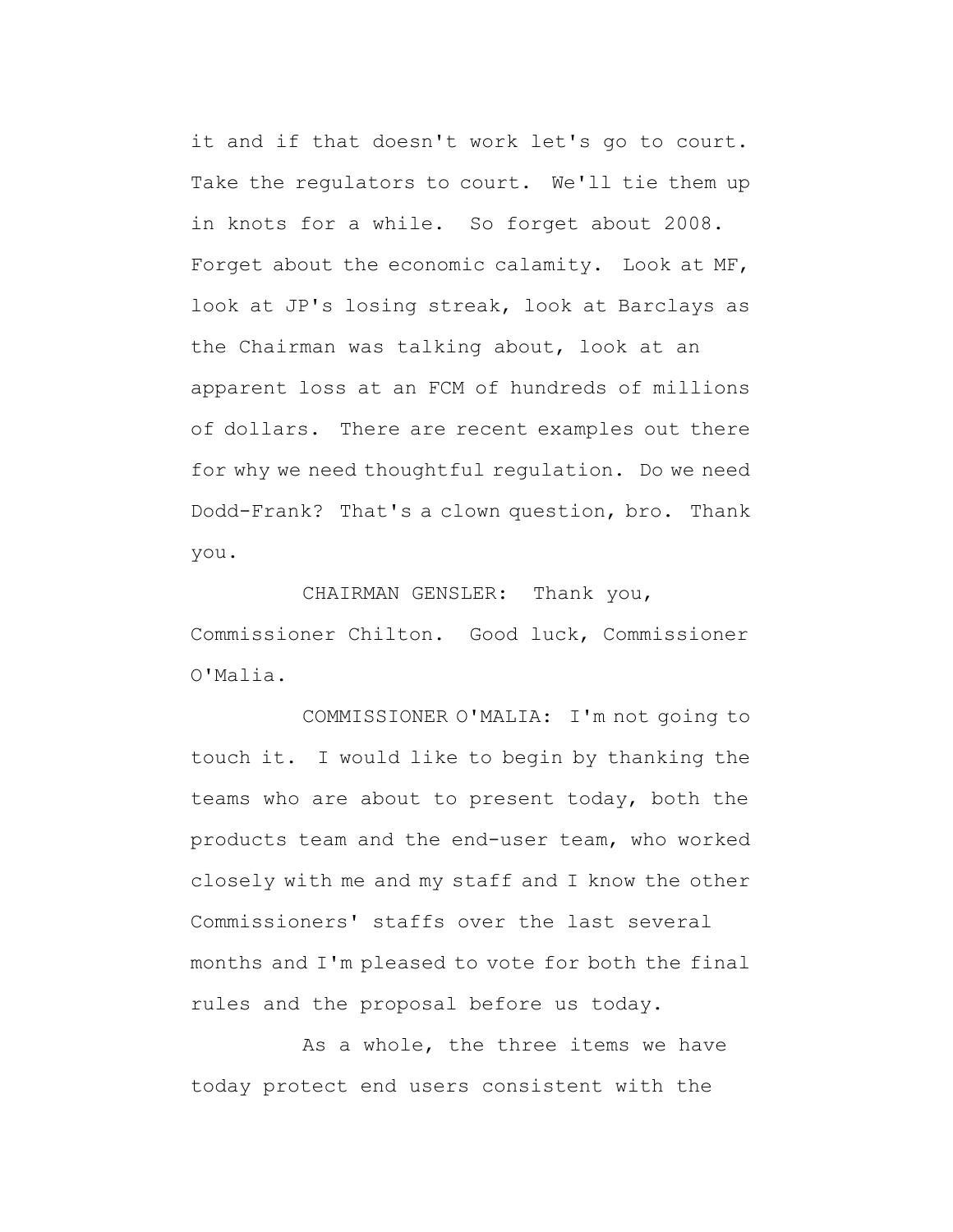it and if that doesn't work let's go to court. Take the regulators to court. We'll tie them up in knots for a while. So forget about 2008. Forget about the economic calamity. Look at MF, look at JP's losing streak, look at Barclays as the Chairman was talking about, look at an apparent loss at an FCM of hundreds of millions of dollars. There are recent examples out there for why we need thoughtful regulation. Do we need Dodd-Frank? That's a clown question, bro. Thank you.

## CHAIRMAN GENSLER: Thank you,

Commissioner Chilton. Good luck, Commissioner O'Malia.

COMMISSIONER O'MALIA: I'm not going to touch it. I would like to begin by thanking the teams who are about to present today, both the products team and the end-user team, who worked closely with me and my staff and I know the other Commissioners' staffs over the last several months and I'm pleased to vote for both the final rules and the proposal before us today.

As a whole, the three items we have today protect end users consistent with the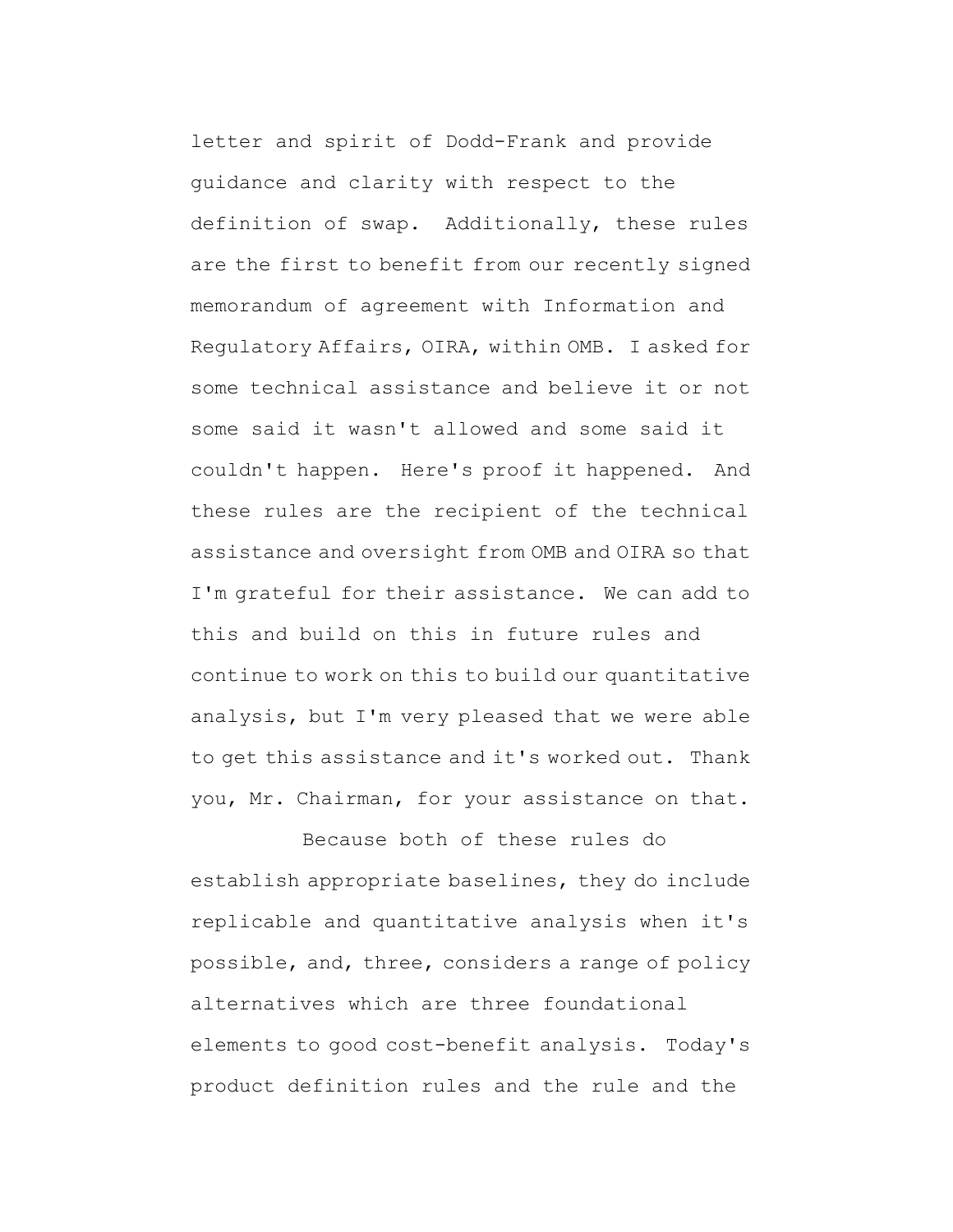letter and spirit of Dodd-Frank and provide guidance and clarity with respect to the definition of swap. Additionally, these rules are the first to benefit from our recently signed memorandum of agreement with Information and Regulatory Affairs, OIRA, within OMB. I asked for some technical assistance and believe it or not some said it wasn't allowed and some said it couldn't happen. Here's proof it happened. And these rules are the recipient of the technical assistance and oversight from OMB and OIRA so that I'm grateful for their assistance. We can add to this and build on this in future rules and continue to work on this to build our quantitative analysis, but I'm very pleased that we were able to get this assistance and it's worked out. Thank you, Mr. Chairman, for your assistance on that.

Because both of these rules do establish appropriate baselines, they do include replicable and quantitative analysis when it's possible, and, three, considers a range of policy alternatives which are three foundational elements to good cost-benefit analysis. Today's product definition rules and the rule and the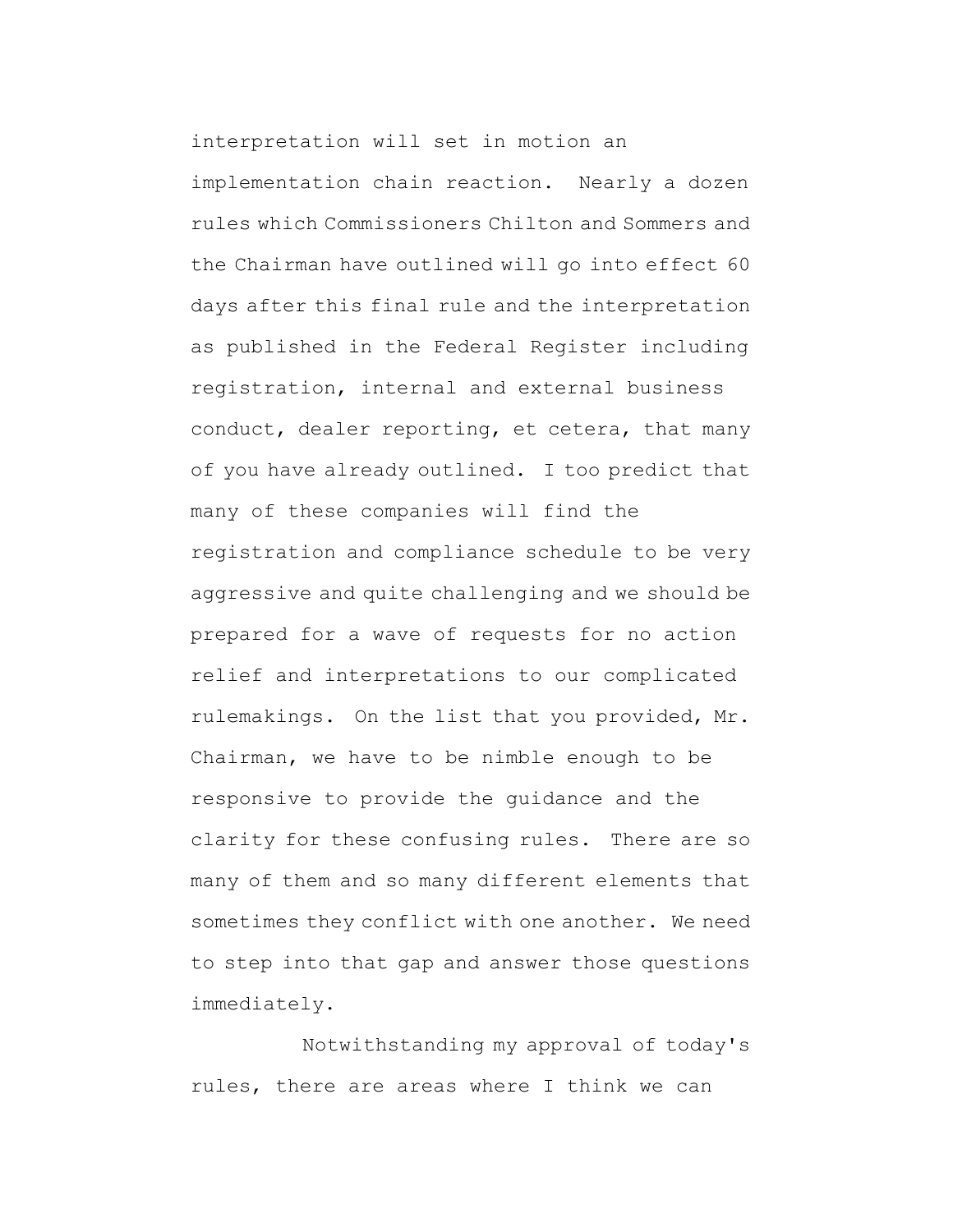interpretation will set in motion an implementation chain reaction. Nearly a dozen rules which Commissioners Chilton and Sommers and the Chairman have outlined will go into effect 60 days after this final rule and the interpretation as published in the Federal Register including registration, internal and external business conduct, dealer reporting, et cetera, that many of you have already outlined. I too predict that many of these companies will find the registration and compliance schedule to be very aggressive and quite challenging and we should be prepared for a wave of requests for no action relief and interpretations to our complicated rulemakings. On the list that you provided, Mr. Chairman, we have to be nimble enough to be responsive to provide the guidance and the clarity for these confusing rules. There are so many of them and so many different elements that sometimes they conflict with one another. We need to step into that gap and answer those questions immediately.

Notwithstanding my approval of today's rules, there are areas where I think we can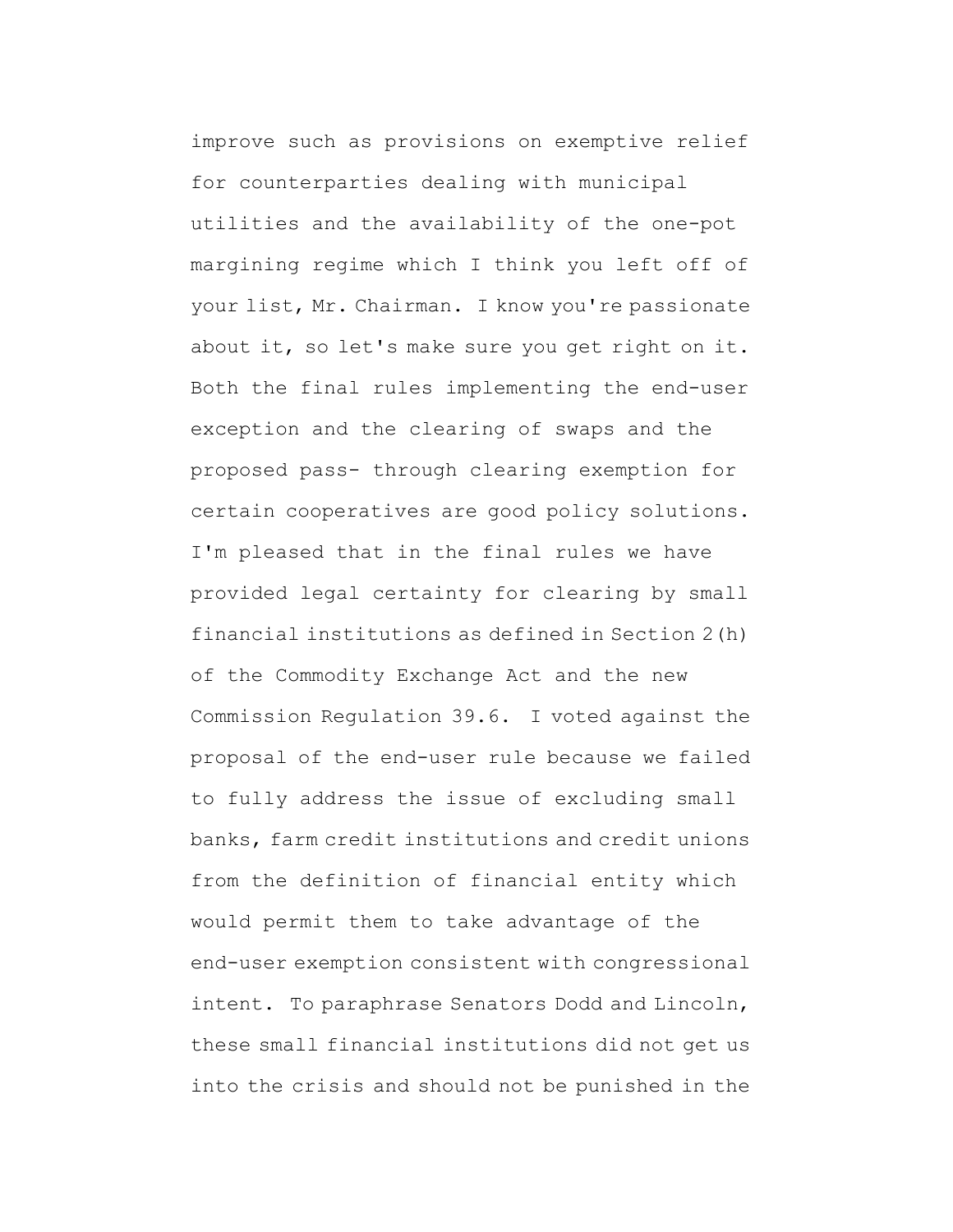improve such as provisions on exemptive relief for counterparties dealing with municipal utilities and the availability of the one-pot margining regime which I think you left off of your list, Mr. Chairman. I know you're passionate about it, so let's make sure you get right on it. Both the final rules implementing the end-user exception and the clearing of swaps and the proposed pass- through clearing exemption for certain cooperatives are good policy solutions. I'm pleased that in the final rules we have provided legal certainty for clearing by small financial institutions as defined in Section 2(h) of the Commodity Exchange Act and the new Commission Regulation 39.6. I voted against the proposal of the end-user rule because we failed to fully address the issue of excluding small banks, farm credit institutions and credit unions from the definition of financial entity which would permit them to take advantage of the end-user exemption consistent with congressional intent. To paraphrase Senators Dodd and Lincoln, these small financial institutions did not get us into the crisis and should not be punished in the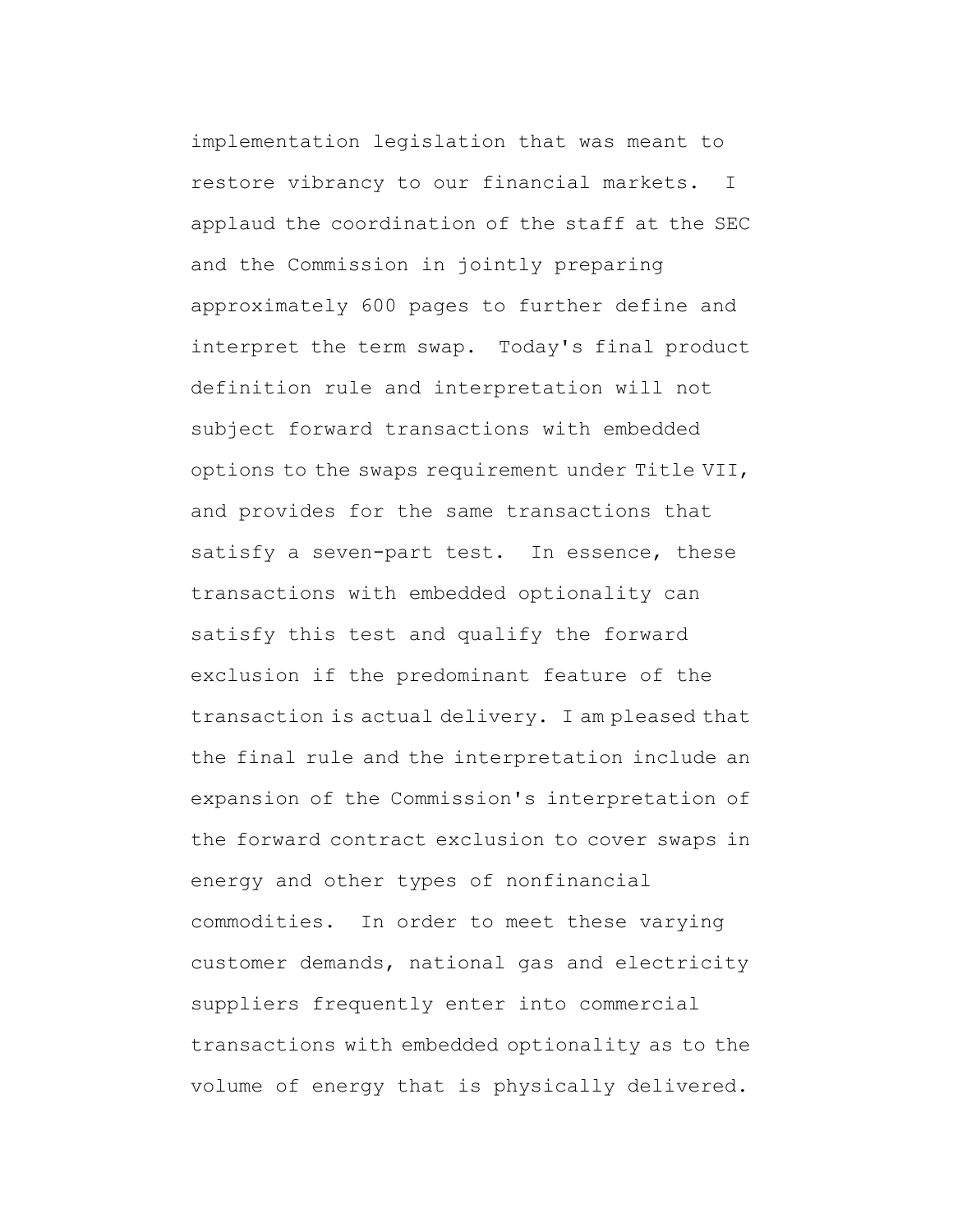implementation legislation that was meant to restore vibrancy to our financial markets. I applaud the coordination of the staff at the SEC and the Commission in jointly preparing approximately 600 pages to further define and interpret the term swap. Today's final product definition rule and interpretation will not subject forward transactions with embedded options to the swaps requirement under Title VII, and provides for the same transactions that satisfy a seven-part test. In essence, these transactions with embedded optionality can satisfy this test and qualify the forward exclusion if the predominant feature of the transaction is actual delivery. I am pleased that the final rule and the interpretation include an expansion of the Commission's interpretation of the forward contract exclusion to cover swaps in energy and other types of nonfinancial commodities. In order to meet these varying customer demands, national gas and electricity suppliers frequently enter into commercial transactions with embedded optionality as to the volume of energy that is physically delivered.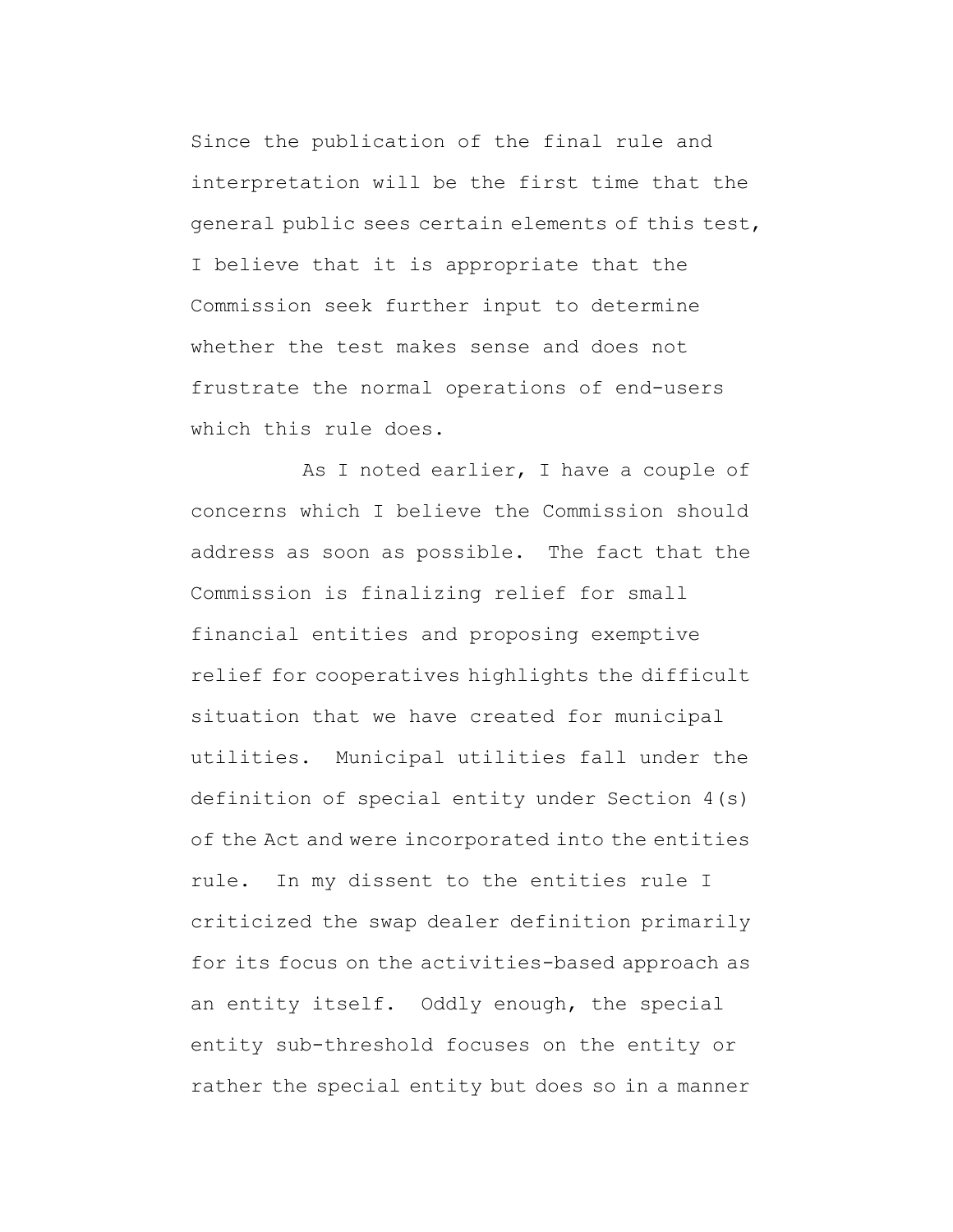Since the publication of the final rule and interpretation will be the first time that the general public sees certain elements of this test, I believe that it is appropriate that the Commission seek further input to determine whether the test makes sense and does not frustrate the normal operations of end-users which this rule does.

As I noted earlier, I have a couple of concerns which I believe the Commission should address as soon as possible. The fact that the Commission is finalizing relief for small financial entities and proposing exemptive relief for cooperatives highlights the difficult situation that we have created for municipal utilities. Municipal utilities fall under the definition of special entity under Section 4(s) of the Act and were incorporated into the entities rule. In my dissent to the entities rule I criticized the swap dealer definition primarily for its focus on the activities-based approach as an entity itself. Oddly enough, the special entity sub-threshold focuses on the entity or rather the special entity but does so in a manner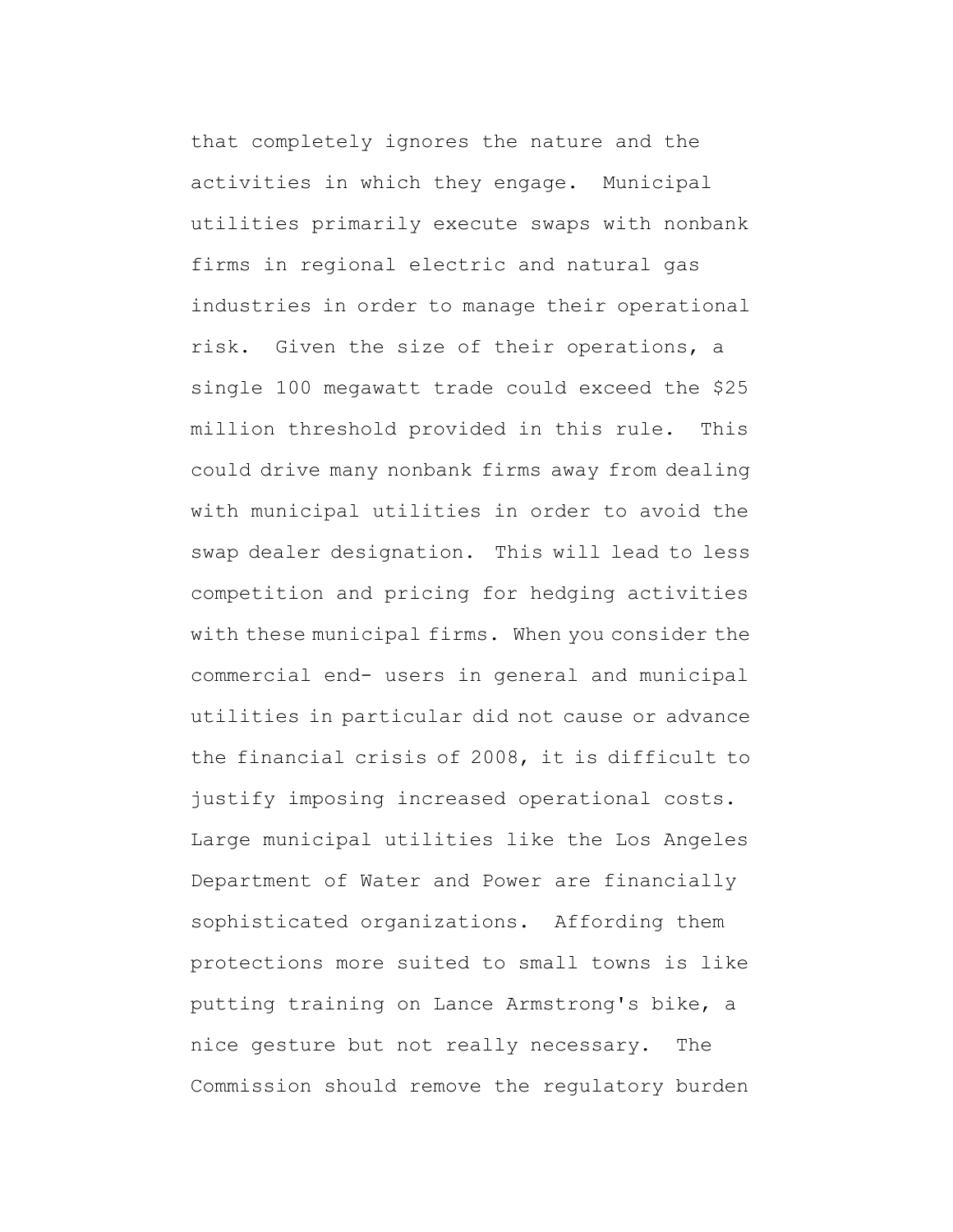that completely ignores the nature and the activities in which they engage. Municipal utilities primarily execute swaps with nonbank firms in regional electric and natural gas industries in order to manage their operational risk. Given the size of their operations, a single 100 megawatt trade could exceed the \$25 million threshold provided in this rule. This could drive many nonbank firms away from dealing with municipal utilities in order to avoid the swap dealer designation. This will lead to less competition and pricing for hedging activities with these municipal firms. When you consider the commercial end- users in general and municipal utilities in particular did not cause or advance the financial crisis of 2008, it is difficult to justify imposing increased operational costs. Large municipal utilities like the Los Angeles Department of Water and Power are financially sophisticated organizations. Affording them protections more suited to small towns is like putting training on Lance Armstrong's bike, a nice gesture but not really necessary. The Commission should remove the regulatory burden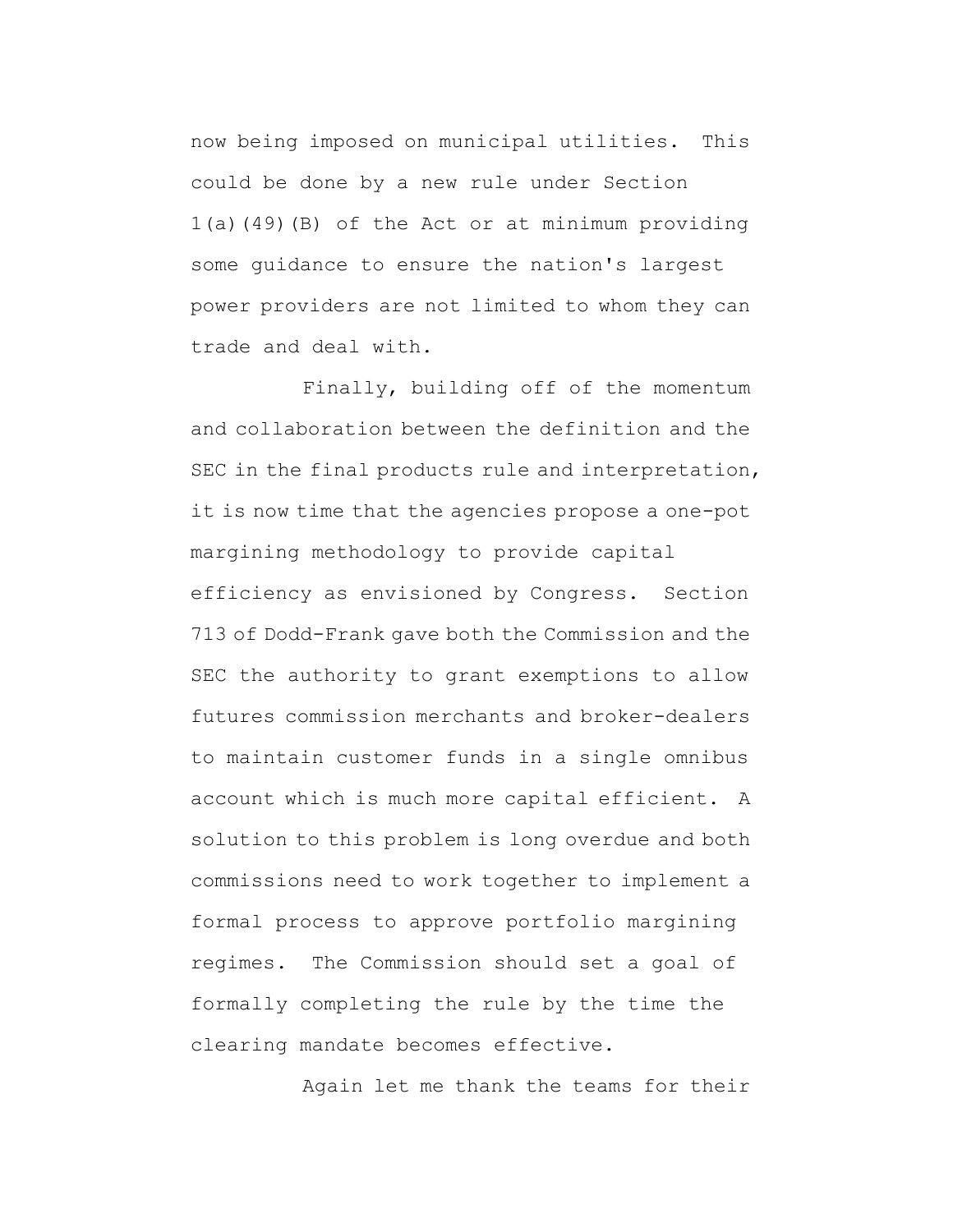now being imposed on municipal utilities. This could be done by a new rule under Section 1(a)(49)(B) of the Act or at minimum providing some guidance to ensure the nation's largest power providers are not limited to whom they can trade and deal with.

Finally, building off of the momentum and collaboration between the definition and the SEC in the final products rule and interpretation, it is now time that the agencies propose a one-pot margining methodology to provide capital efficiency as envisioned by Congress. Section 713 of Dodd-Frank gave both the Commission and the SEC the authority to grant exemptions to allow futures commission merchants and broker-dealers to maintain customer funds in a single omnibus account which is much more capital efficient. A solution to this problem is long overdue and both commissions need to work together to implement a formal process to approve portfolio margining regimes. The Commission should set a goal of formally completing the rule by the time the clearing mandate becomes effective.

Again let me thank the teams for their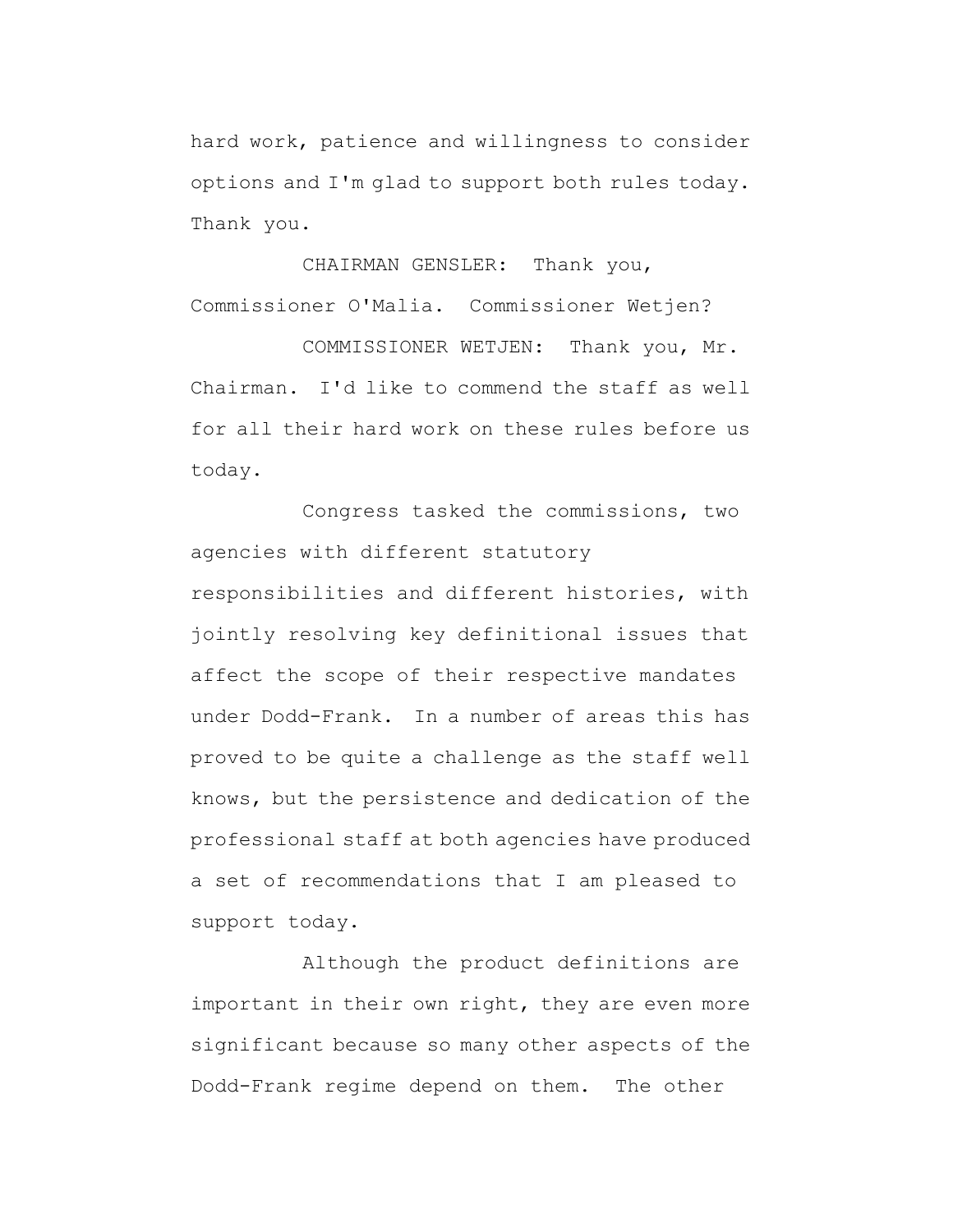hard work, patience and willingness to consider options and I'm glad to support both rules today. Thank you.

CHAIRMAN GENSLER: Thank you, Commissioner O'Malia. Commissioner Wetjen?

COMMISSIONER WETJEN: Thank you, Mr. Chairman. I'd like to commend the staff as well for all their hard work on these rules before us today.

Congress tasked the commissions, two agencies with different statutory responsibilities and different histories, with jointly resolving key definitional issues that affect the scope of their respective mandates under Dodd-Frank. In a number of areas this has proved to be quite a challenge as the staff well knows, but the persistence and dedication of the professional staff at both agencies have produced a set of recommendations that I am pleased to support today.

Although the product definitions are important in their own right, they are even more significant because so many other aspects of the Dodd-Frank regime depend on them. The other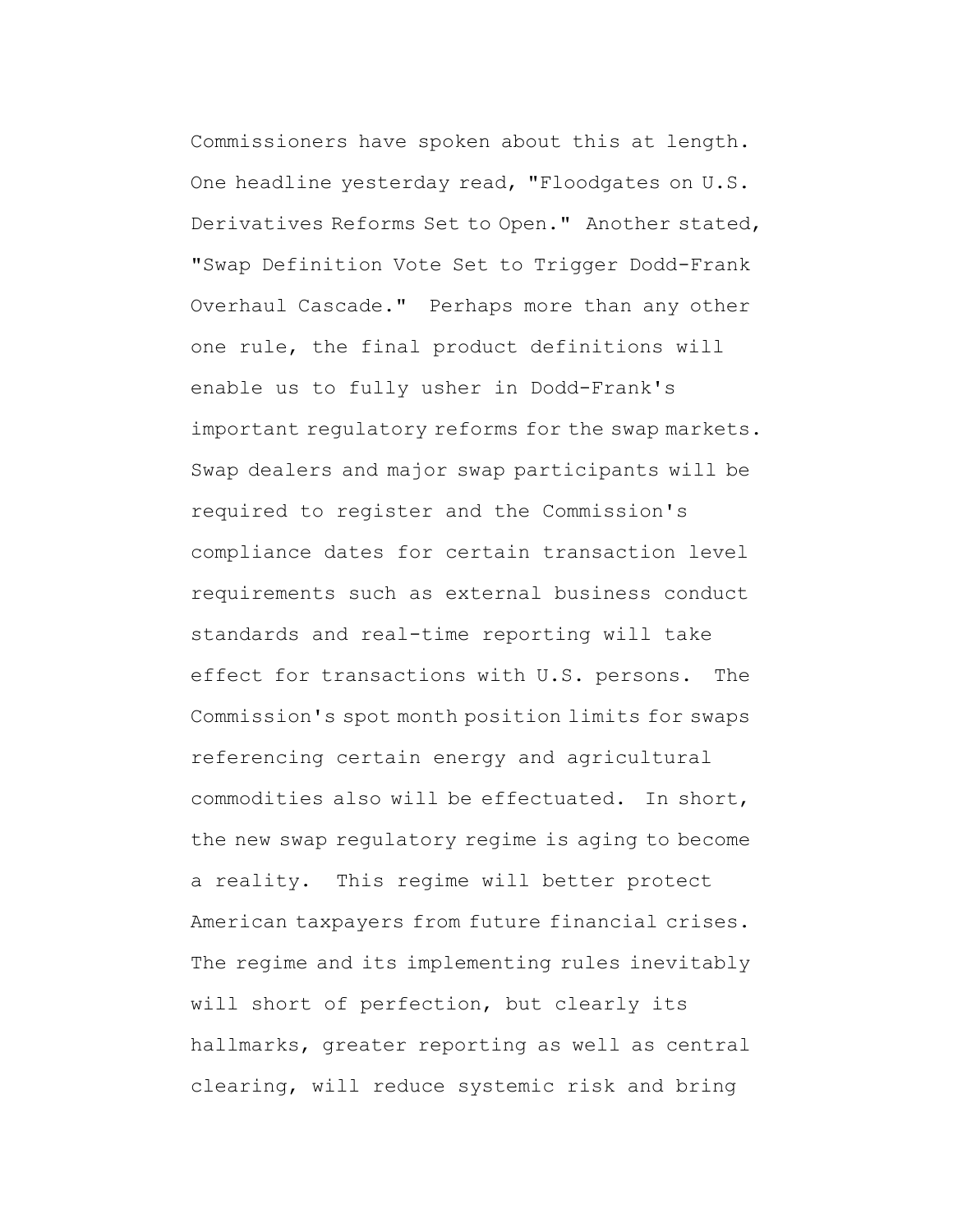Commissioners have spoken about this at length. One headline yesterday read, "Floodgates on U.S. Derivatives Reforms Set to Open." Another stated, "Swap Definition Vote Set to Trigger Dodd-Frank Overhaul Cascade." Perhaps more than any other one rule, the final product definitions will enable us to fully usher in Dodd-Frank's important regulatory reforms for the swap markets. Swap dealers and major swap participants will be required to register and the Commission's compliance dates for certain transaction level requirements such as external business conduct standards and real-time reporting will take effect for transactions with U.S. persons. The Commission's spot month position limits for swaps referencing certain energy and agricultural commodities also will be effectuated. In short, the new swap regulatory regime is aging to become a reality. This regime will better protect American taxpayers from future financial crises. The regime and its implementing rules inevitably will short of perfection, but clearly its hallmarks, greater reporting as well as central clearing, will reduce systemic risk and bring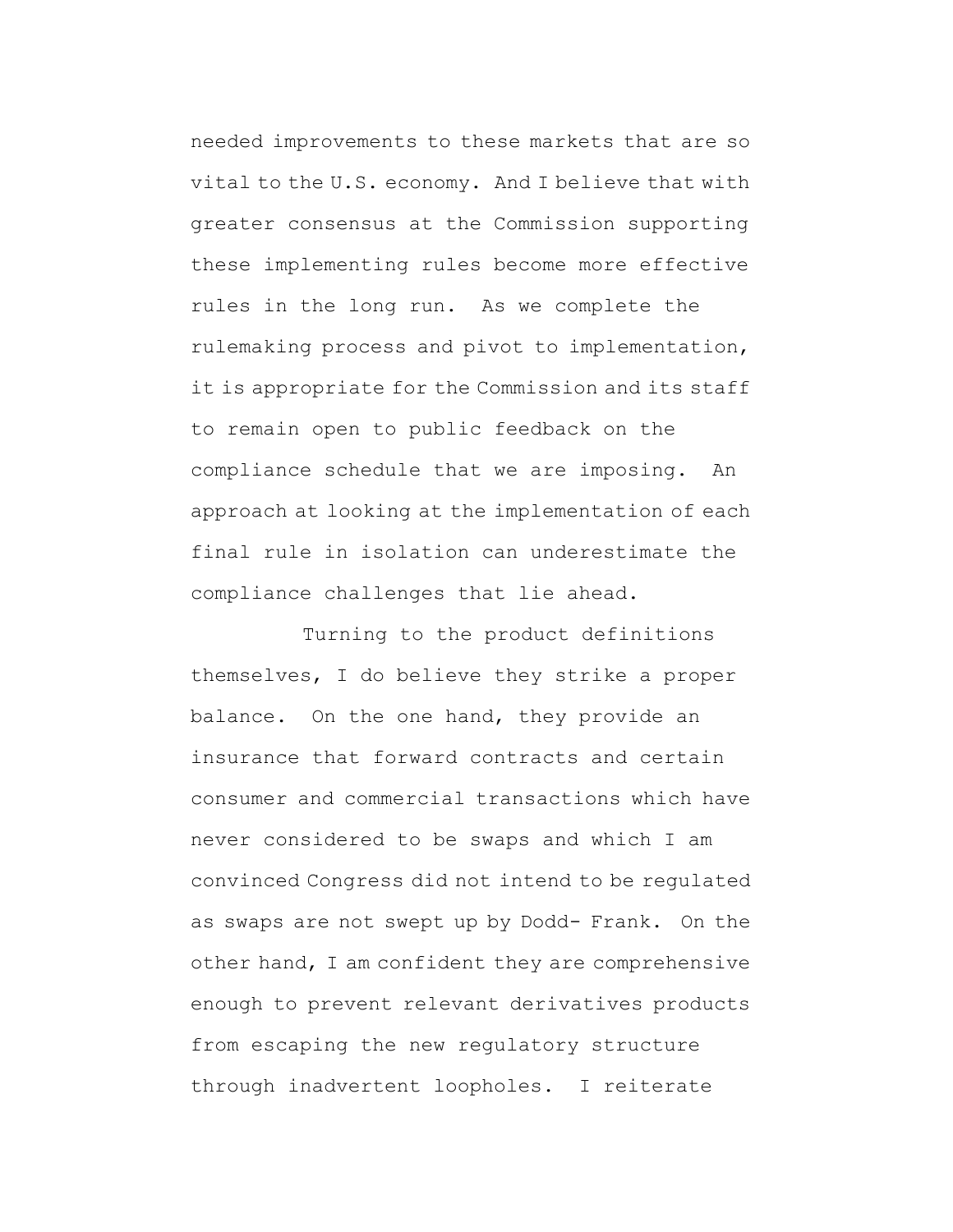needed improvements to these markets that are so vital to the U.S. economy. And I believe that with greater consensus at the Commission supporting these implementing rules become more effective rules in the long run. As we complete the rulemaking process and pivot to implementation, it is appropriate for the Commission and its staff to remain open to public feedback on the compliance schedule that we are imposing. An approach at looking at the implementation of each final rule in isolation can underestimate the compliance challenges that lie ahead.

Turning to the product definitions themselves, I do believe they strike a proper balance. On the one hand, they provide an insurance that forward contracts and certain consumer and commercial transactions which have never considered to be swaps and which I am convinced Congress did not intend to be regulated as swaps are not swept up by Dodd- Frank. On the other hand, I am confident they are comprehensive enough to prevent relevant derivatives products from escaping the new regulatory structure through inadvertent loopholes. I reiterate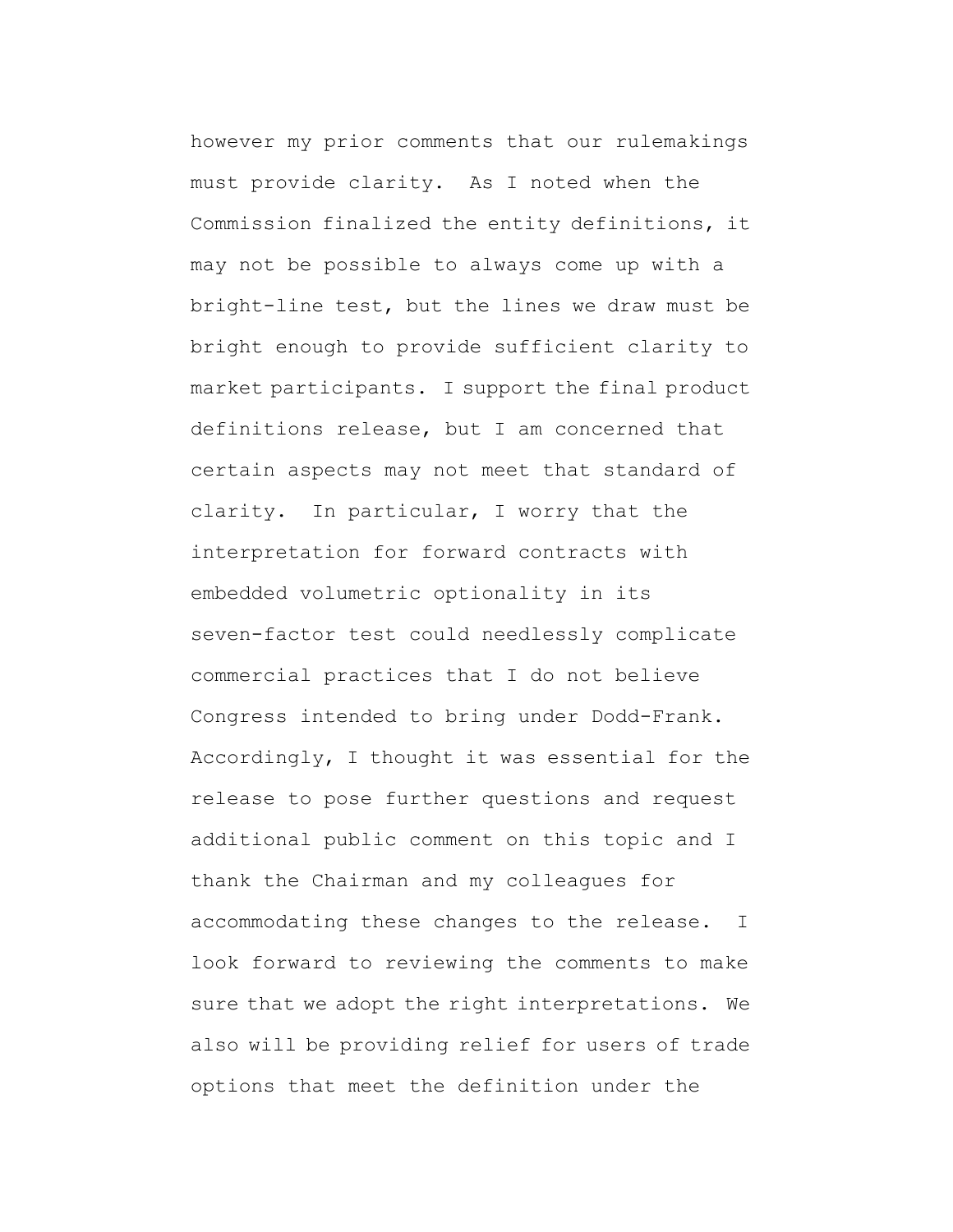however my prior comments that our rulemakings must provide clarity. As I noted when the Commission finalized the entity definitions, it may not be possible to always come up with a bright-line test, but the lines we draw must be bright enough to provide sufficient clarity to market participants. I support the final product definitions release, but I am concerned that certain aspects may not meet that standard of clarity. In particular, I worry that the interpretation for forward contracts with embedded volumetric optionality in its seven-factor test could needlessly complicate commercial practices that I do not believe Congress intended to bring under Dodd-Frank. Accordingly, I thought it was essential for the release to pose further questions and request additional public comment on this topic and I thank the Chairman and my colleagues for accommodating these changes to the release. I look forward to reviewing the comments to make sure that we adopt the right interpretations. We also will be providing relief for users of trade options that meet the definition under the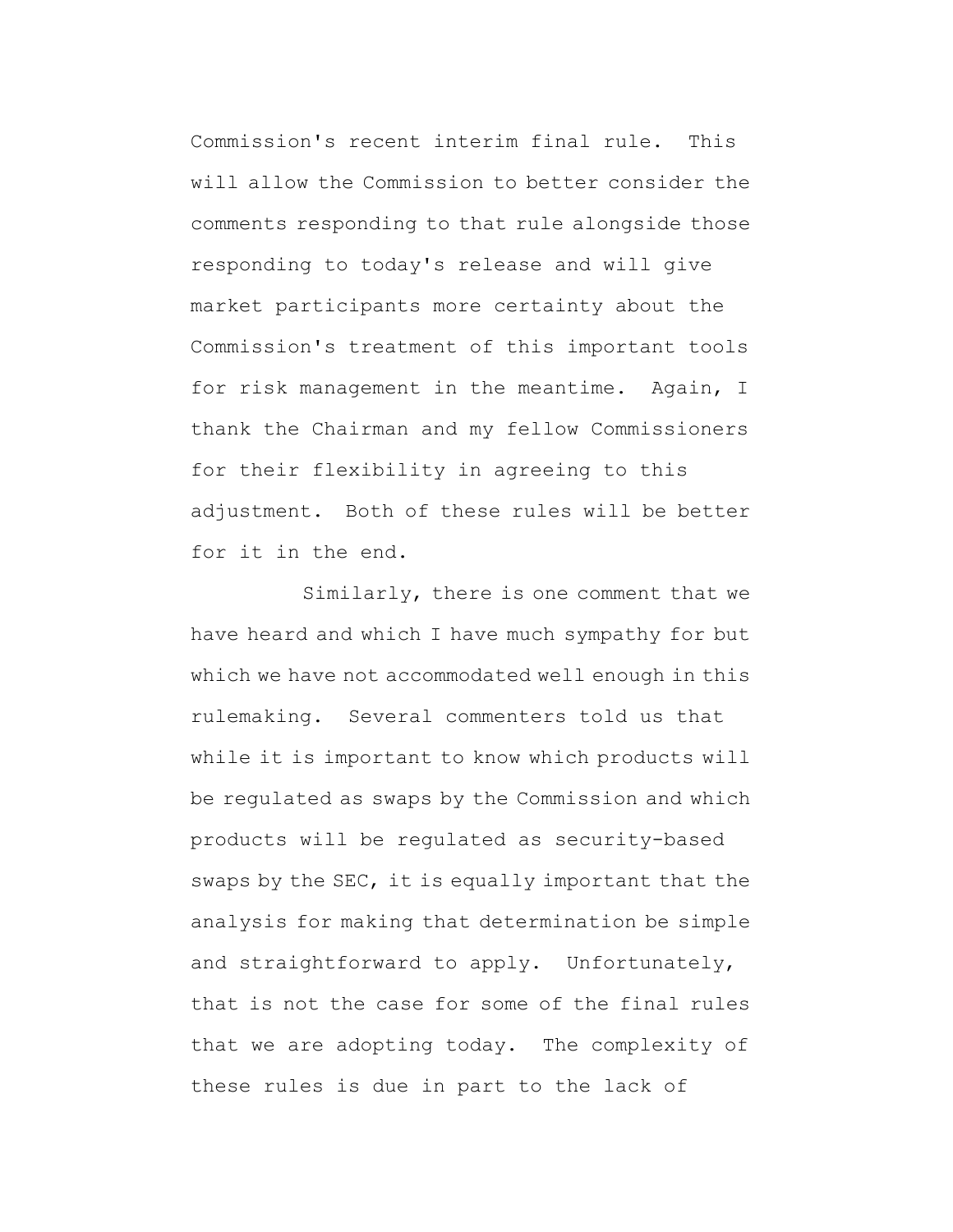Commission's recent interim final rule. This will allow the Commission to better consider the comments responding to that rule alongside those responding to today's release and will give market participants more certainty about the Commission's treatment of this important tools for risk management in the meantime. Again, I thank the Chairman and my fellow Commissioners for their flexibility in agreeing to this adjustment. Both of these rules will be better for it in the end.

Similarly, there is one comment that we have heard and which I have much sympathy for but which we have not accommodated well enough in this rulemaking. Several commenters told us that while it is important to know which products will be regulated as swaps by the Commission and which products will be regulated as security-based swaps by the SEC, it is equally important that the analysis for making that determination be simple and straightforward to apply. Unfortunately, that is not the case for some of the final rules that we are adopting today. The complexity of these rules is due in part to the lack of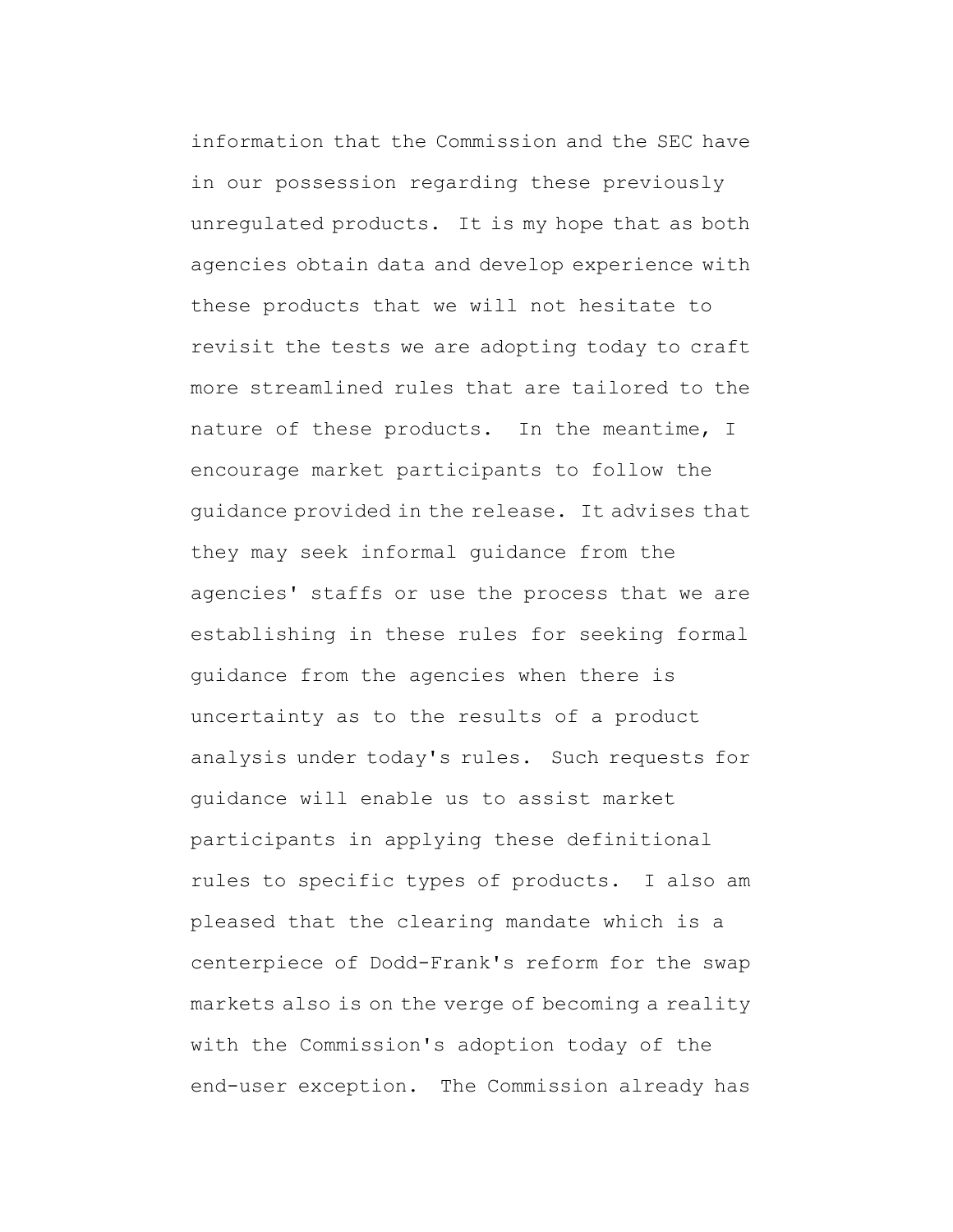information that the Commission and the SEC have in our possession regarding these previously unregulated products. It is my hope that as both agencies obtain data and develop experience with these products that we will not hesitate to revisit the tests we are adopting today to craft more streamlined rules that are tailored to the nature of these products. In the meantime, I encourage market participants to follow the guidance provided in the release. It advises that they may seek informal guidance from the agencies' staffs or use the process that we are establishing in these rules for seeking formal guidance from the agencies when there is uncertainty as to the results of a product analysis under today's rules. Such requests for guidance will enable us to assist market participants in applying these definitional rules to specific types of products. I also am pleased that the clearing mandate which is a centerpiece of Dodd-Frank's reform for the swap markets also is on the verge of becoming a reality with the Commission's adoption today of the end-user exception. The Commission already has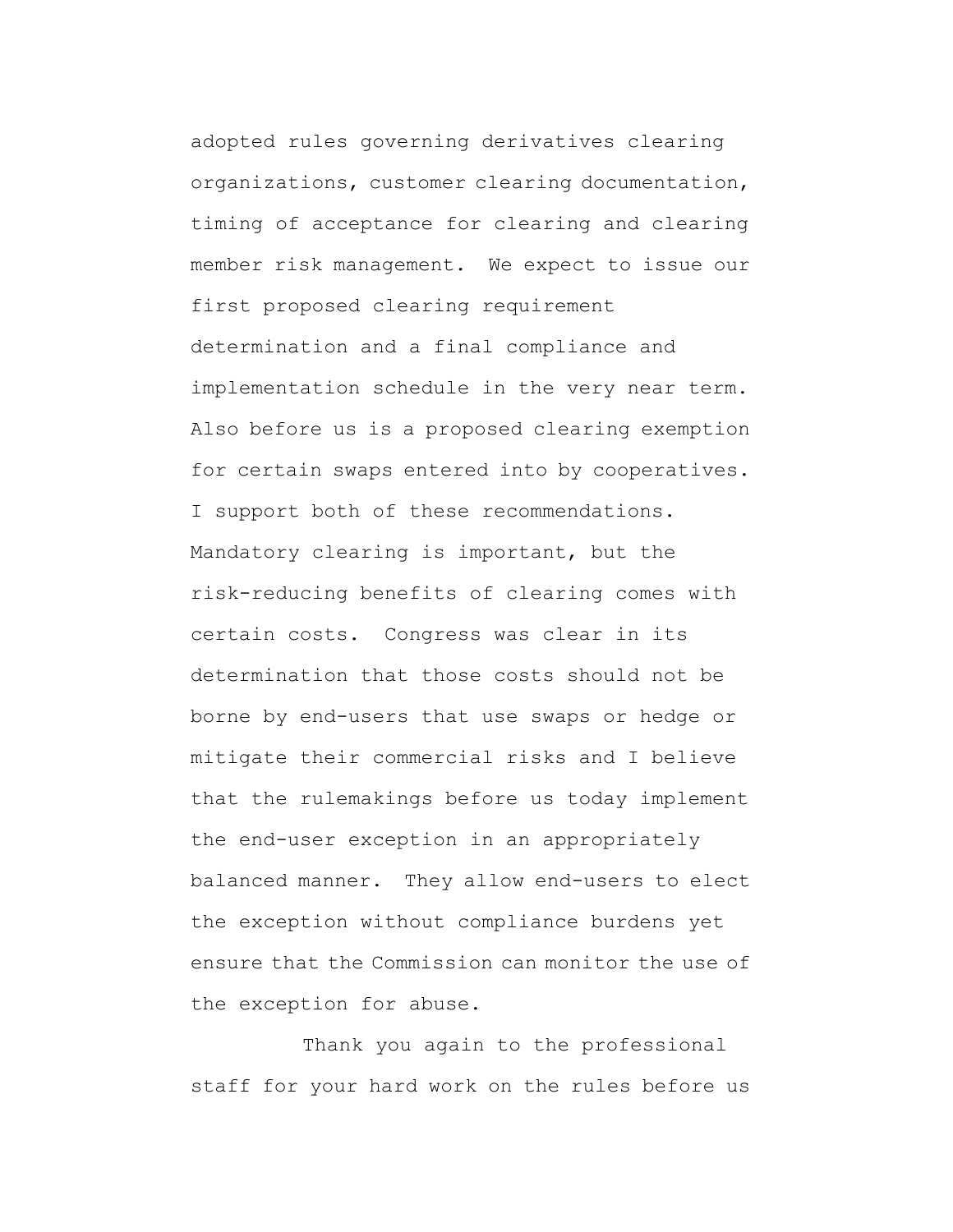adopted rules governing derivatives clearing organizations, customer clearing documentation, timing of acceptance for clearing and clearing member risk management. We expect to issue our first proposed clearing requirement determination and a final compliance and implementation schedule in the very near term. Also before us is a proposed clearing exemption for certain swaps entered into by cooperatives. I support both of these recommendations. Mandatory clearing is important, but the risk-reducing benefits of clearing comes with certain costs. Congress was clear in its determination that those costs should not be borne by end-users that use swaps or hedge or mitigate their commercial risks and I believe that the rulemakings before us today implement the end-user exception in an appropriately balanced manner. They allow end-users to elect the exception without compliance burdens yet ensure that the Commission can monitor the use of the exception for abuse.

Thank you again to the professional staff for your hard work on the rules before us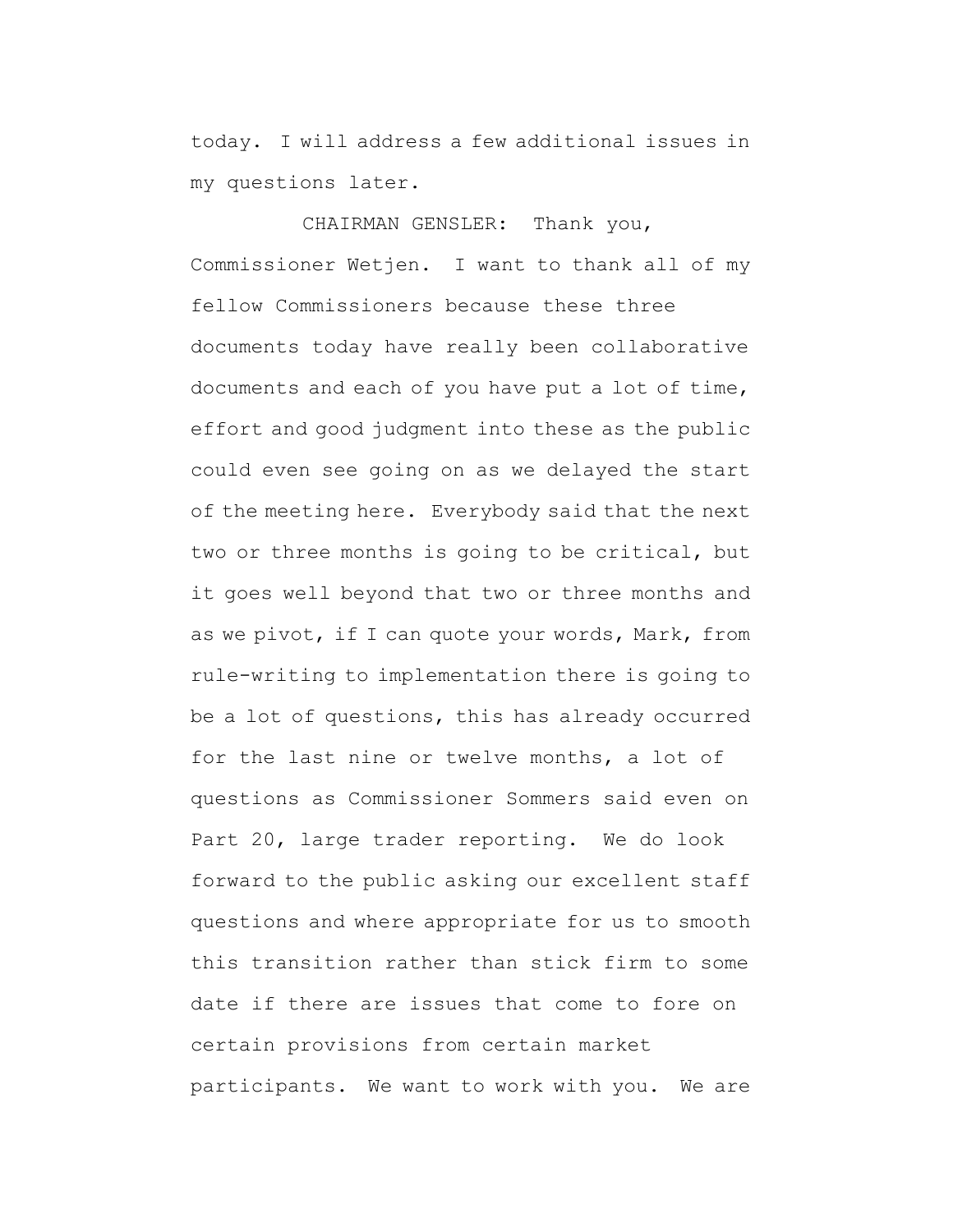today. I will address a few additional issues in my questions later.

CHAIRMAN GENSLER: Thank you, Commissioner Wetjen. I want to thank all of my fellow Commissioners because these three documents today have really been collaborative documents and each of you have put a lot of time, effort and good judgment into these as the public could even see going on as we delayed the start of the meeting here. Everybody said that the next two or three months is going to be critical, but it goes well beyond that two or three months and as we pivot, if I can quote your words, Mark, from rule-writing to implementation there is going to be a lot of questions, this has already occurred for the last nine or twelve months, a lot of questions as Commissioner Sommers said even on Part 20, large trader reporting. We do look forward to the public asking our excellent staff questions and where appropriate for us to smooth this transition rather than stick firm to some date if there are issues that come to fore on certain provisions from certain market participants. We want to work with you. We are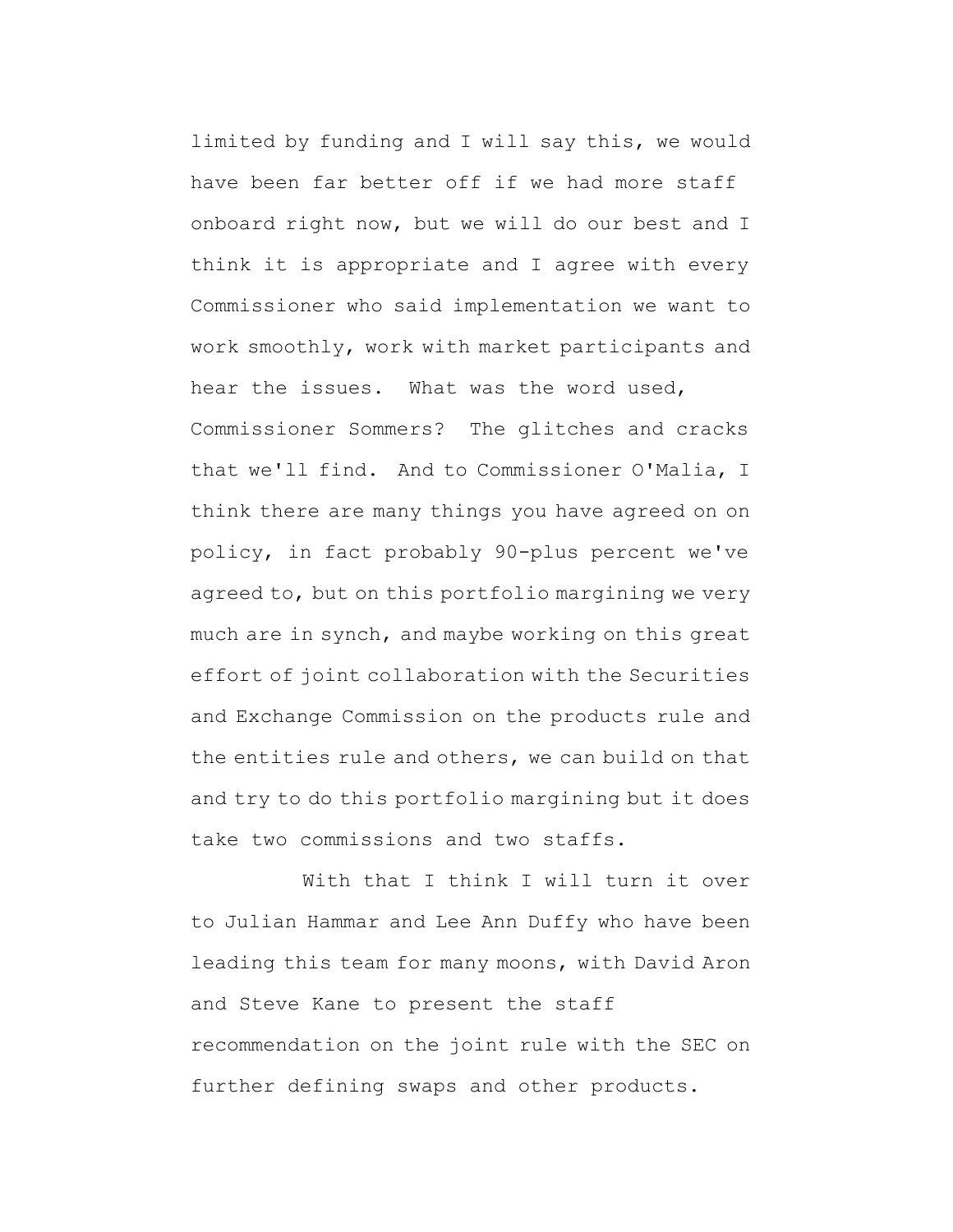limited by funding and I will say this, we would have been far better off if we had more staff onboard right now, but we will do our best and I think it is appropriate and I agree with every Commissioner who said implementation we want to work smoothly, work with market participants and hear the issues. What was the word used, Commissioner Sommers? The glitches and cracks that we'll find. And to Commissioner O'Malia, I think there are many things you have agreed on on policy, in fact probably 90-plus percent we've agreed to, but on this portfolio margining we very much are in synch, and maybe working on this great effort of joint collaboration with the Securities and Exchange Commission on the products rule and the entities rule and others, we can build on that and try to do this portfolio margining but it does take two commissions and two staffs.

With that I think I will turn it over to Julian Hammar and Lee Ann Duffy who have been leading this team for many moons, with David Aron and Steve Kane to present the staff recommendation on the joint rule with the SEC on further defining swaps and other products.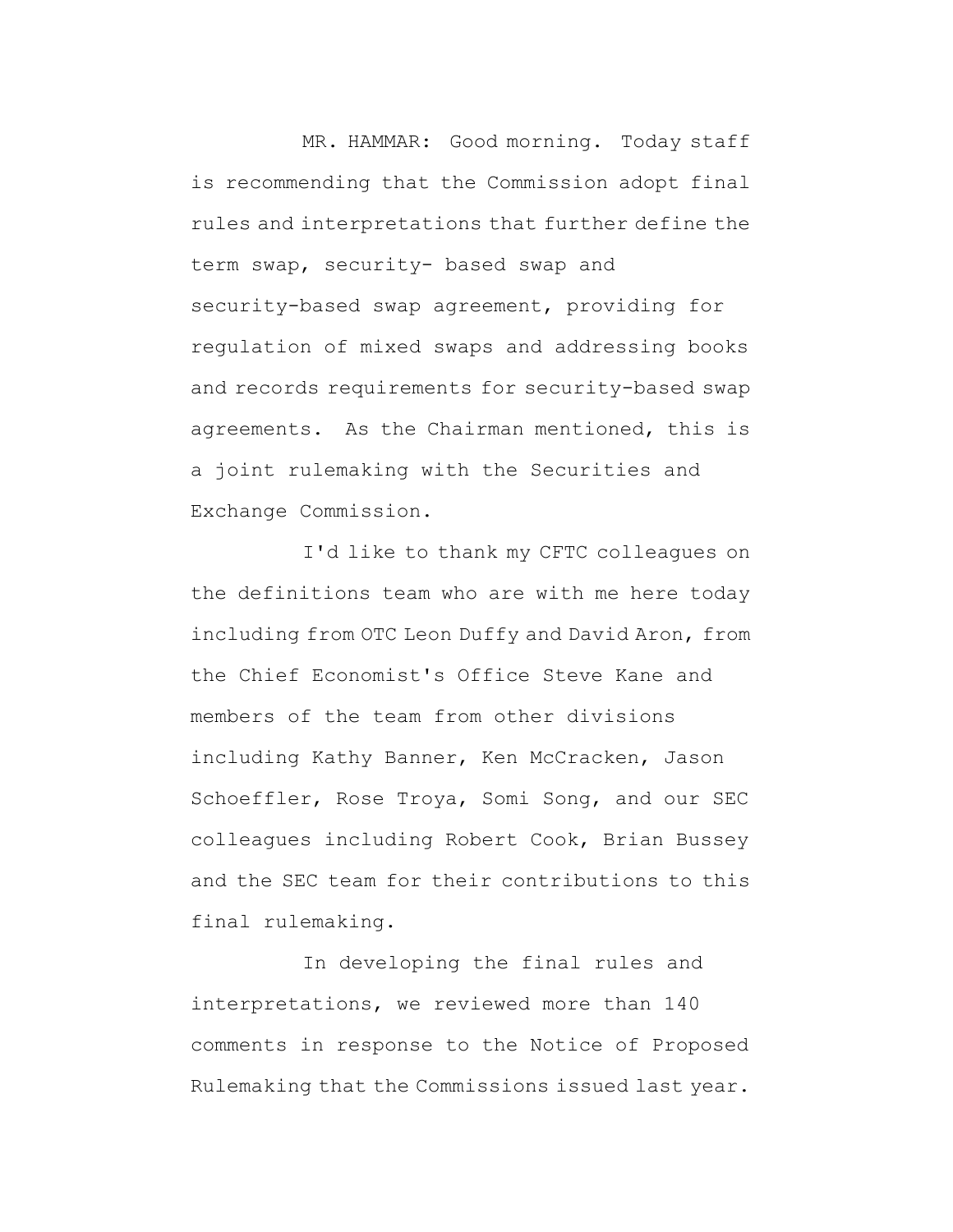MR. HAMMAR: Good morning. Today staff is recommending that the Commission adopt final rules and interpretations that further define the term swap, security- based swap and security-based swap agreement, providing for regulation of mixed swaps and addressing books and records requirements for security-based swap agreements. As the Chairman mentioned, this is a joint rulemaking with the Securities and Exchange Commission.

I'd like to thank my CFTC colleagues on the definitions team who are with me here today including from OTC Leon Duffy and David Aron, from the Chief Economist's Office Steve Kane and members of the team from other divisions including Kathy Banner, Ken McCracken, Jason Schoeffler, Rose Troya, Somi Song, and our SEC colleagues including Robert Cook, Brian Bussey and the SEC team for their contributions to this final rulemaking.

In developing the final rules and interpretations, we reviewed more than 140 comments in response to the Notice of Proposed Rulemaking that the Commissions issued last year.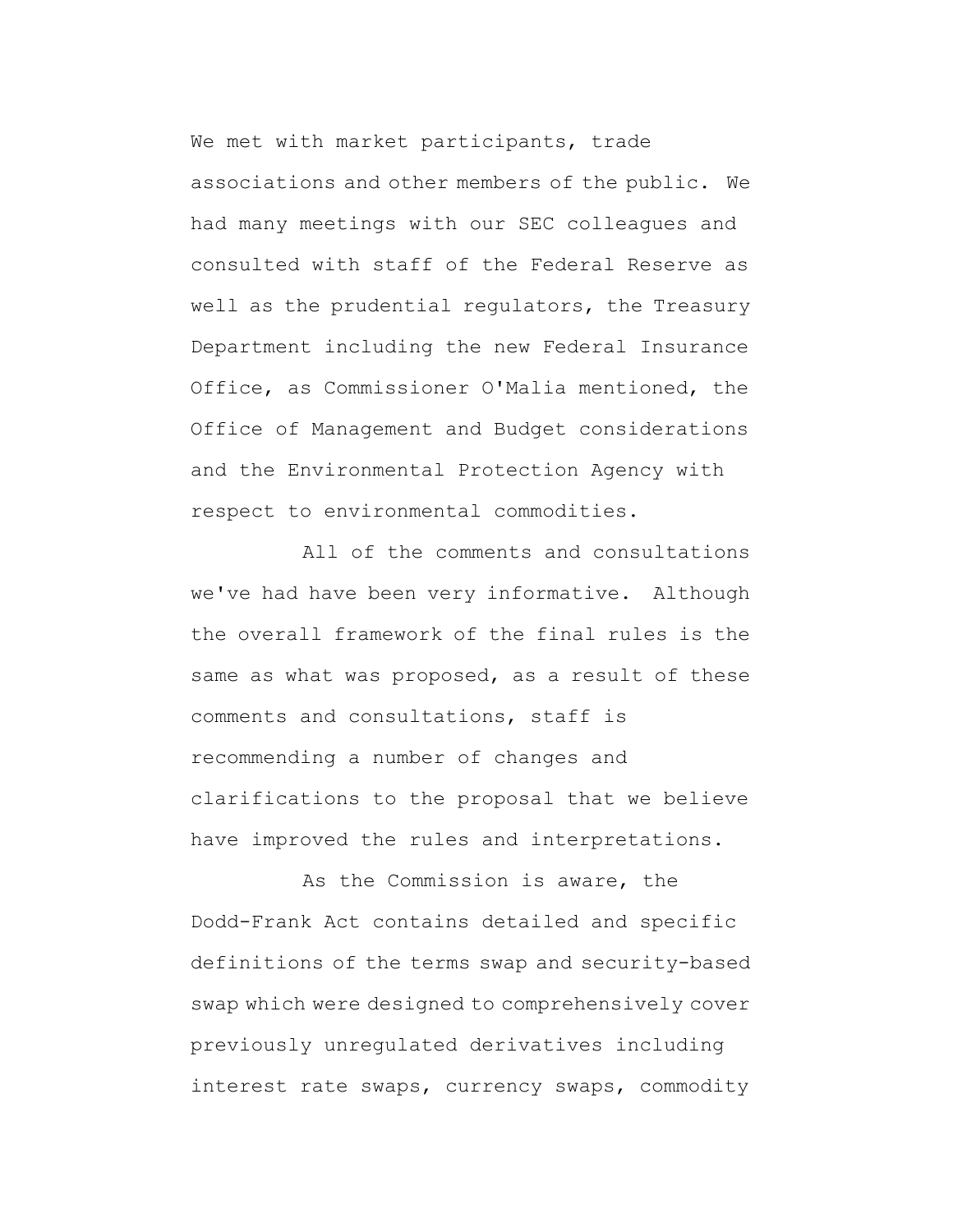We met with market participants, trade associations and other members of the public. We had many meetings with our SEC colleagues and consulted with staff of the Federal Reserve as well as the prudential regulators, the Treasury Department including the new Federal Insurance Office, as Commissioner O'Malia mentioned, the Office of Management and Budget considerations and the Environmental Protection Agency with respect to environmental commodities.

All of the comments and consultations we've had have been very informative. Although the overall framework of the final rules is the same as what was proposed, as a result of these comments and consultations, staff is recommending a number of changes and clarifications to the proposal that we believe have improved the rules and interpretations.

As the Commission is aware, the Dodd-Frank Act contains detailed and specific definitions of the terms swap and security-based swap which were designed to comprehensively cover previously unregulated derivatives including interest rate swaps, currency swaps, commodity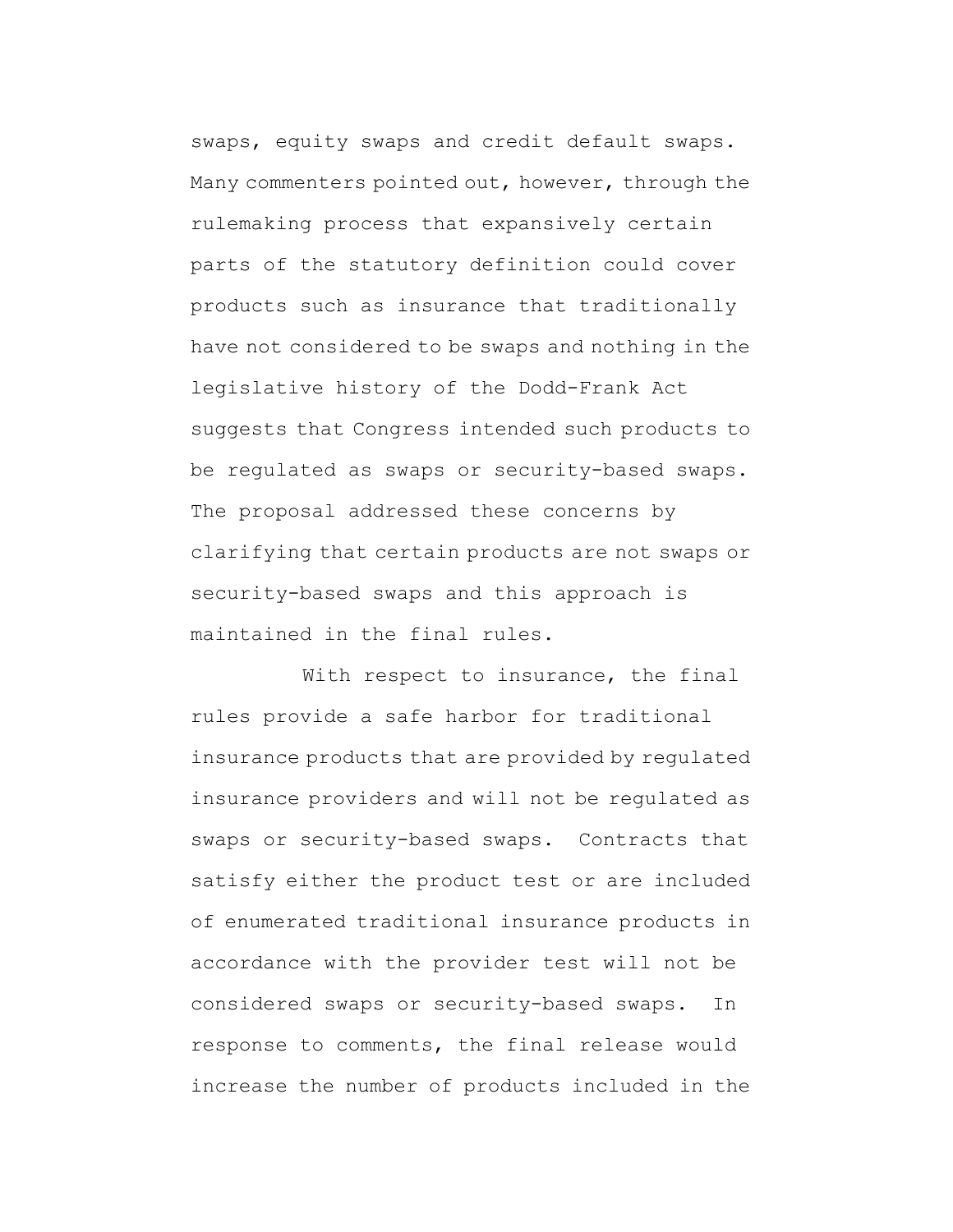swaps, equity swaps and credit default swaps. Many commenters pointed out, however, through the rulemaking process that expansively certain parts of the statutory definition could cover products such as insurance that traditionally have not considered to be swaps and nothing in the legislative history of the Dodd-Frank Act suggests that Congress intended such products to be regulated as swaps or security-based swaps. The proposal addressed these concerns by clarifying that certain products are not swaps or security-based swaps and this approach is maintained in the final rules.

With respect to insurance, the final rules provide a safe harbor for traditional insurance products that are provided by regulated insurance providers and will not be regulated as swaps or security-based swaps. Contracts that satisfy either the product test or are included of enumerated traditional insurance products in accordance with the provider test will not be considered swaps or security-based swaps. In response to comments, the final release would increase the number of products included in the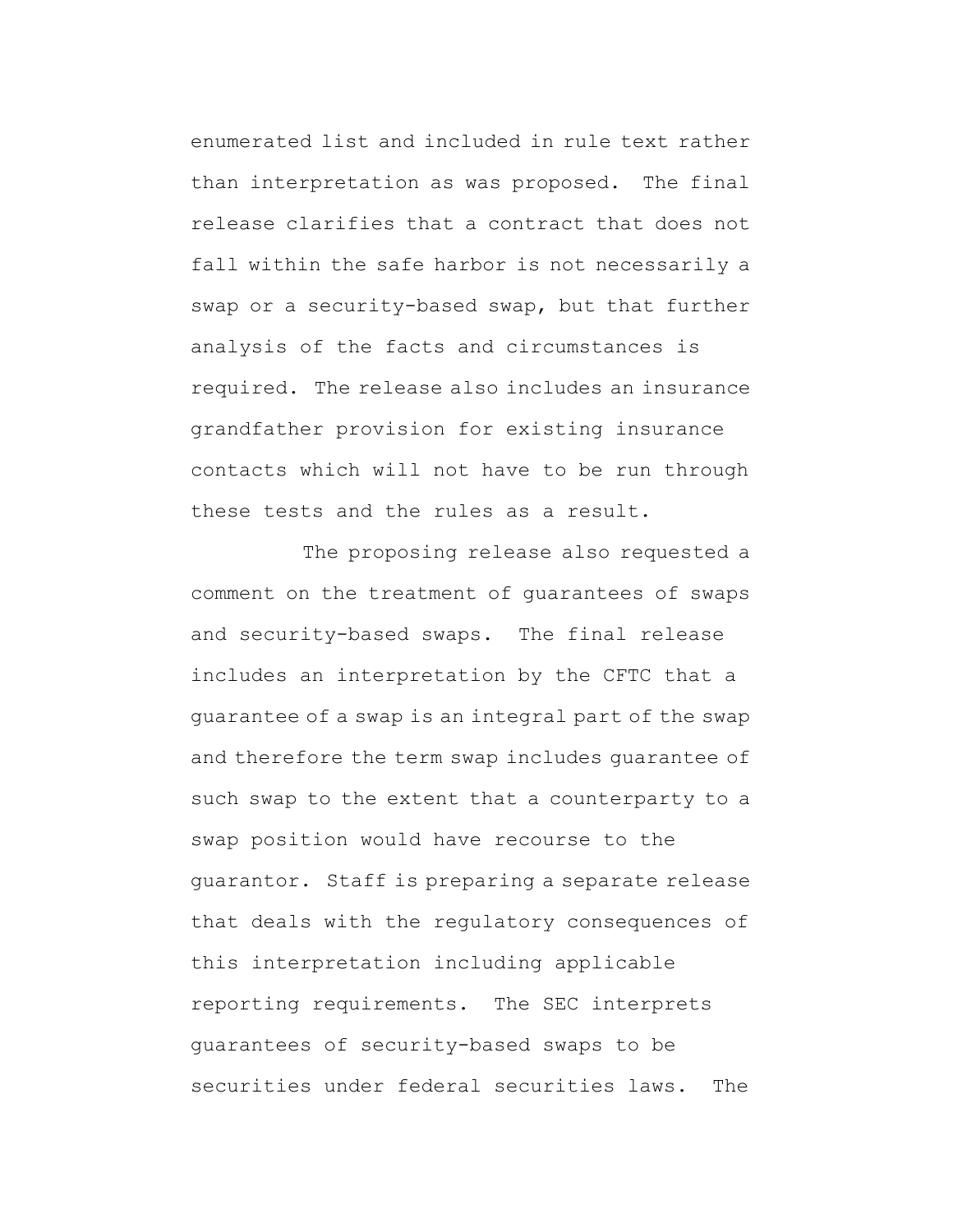enumerated list and included in rule text rather than interpretation as was proposed. The final release clarifies that a contract that does not fall within the safe harbor is not necessarily a swap or a security-based swap, but that further analysis of the facts and circumstances is required. The release also includes an insurance grandfather provision for existing insurance contacts which will not have to be run through these tests and the rules as a result.

The proposing release also requested a comment on the treatment of guarantees of swaps and security-based swaps. The final release includes an interpretation by the CFTC that a guarantee of a swap is an integral part of the swap and therefore the term swap includes guarantee of such swap to the extent that a counterparty to a swap position would have recourse to the guarantor. Staff is preparing a separate release that deals with the regulatory consequences of this interpretation including applicable reporting requirements. The SEC interprets guarantees of security-based swaps to be securities under federal securities laws. The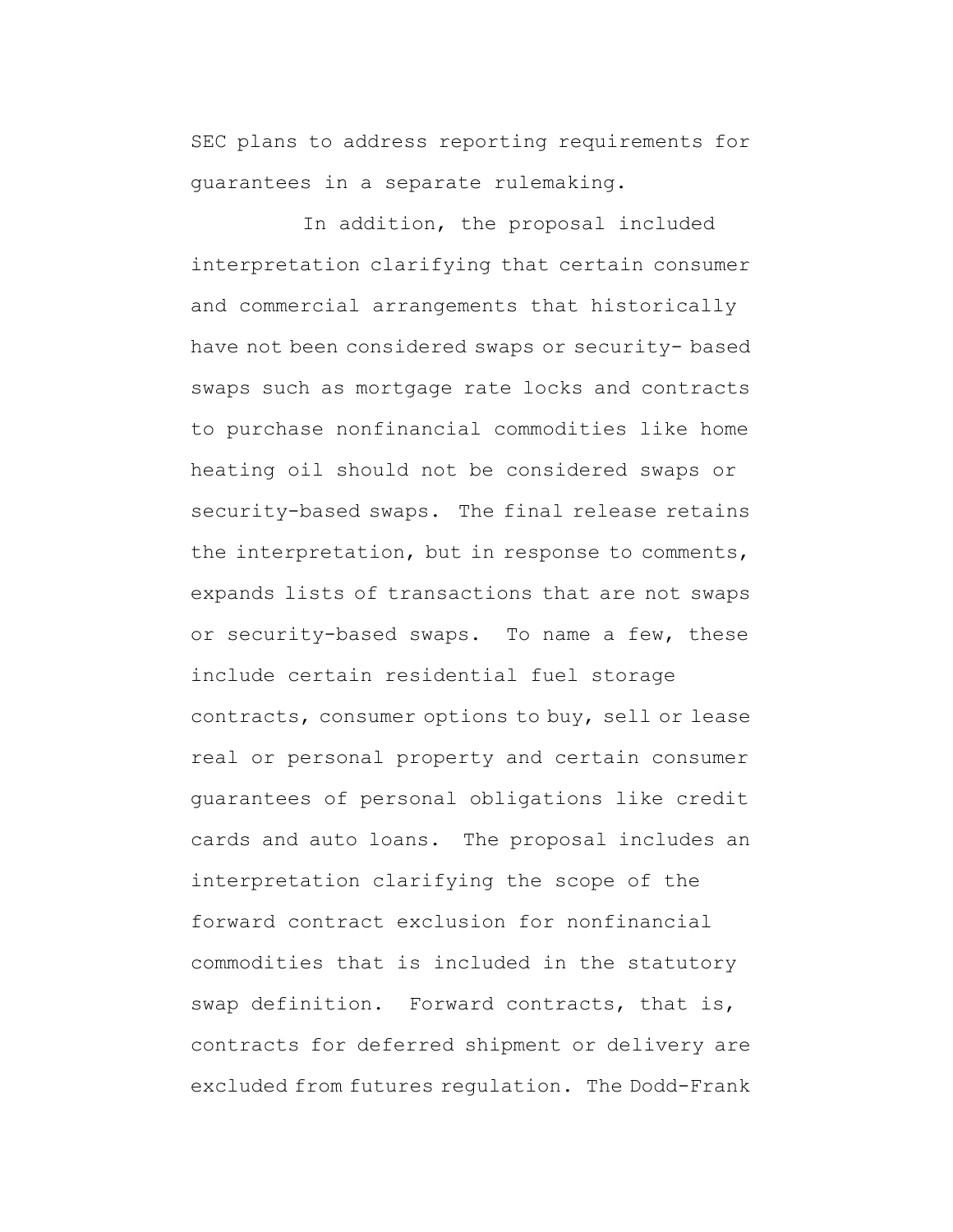SEC plans to address reporting requirements for guarantees in a separate rulemaking.

In addition, the proposal included interpretation clarifying that certain consumer and commercial arrangements that historically have not been considered swaps or security- based swaps such as mortgage rate locks and contracts to purchase nonfinancial commodities like home heating oil should not be considered swaps or security-based swaps. The final release retains the interpretation, but in response to comments, expands lists of transactions that are not swaps or security-based swaps. To name a few, these include certain residential fuel storage contracts, consumer options to buy, sell or lease real or personal property and certain consumer guarantees of personal obligations like credit cards and auto loans. The proposal includes an interpretation clarifying the scope of the forward contract exclusion for nonfinancial commodities that is included in the statutory swap definition. Forward contracts, that is, contracts for deferred shipment or delivery are excluded from futures regulation. The Dodd-Frank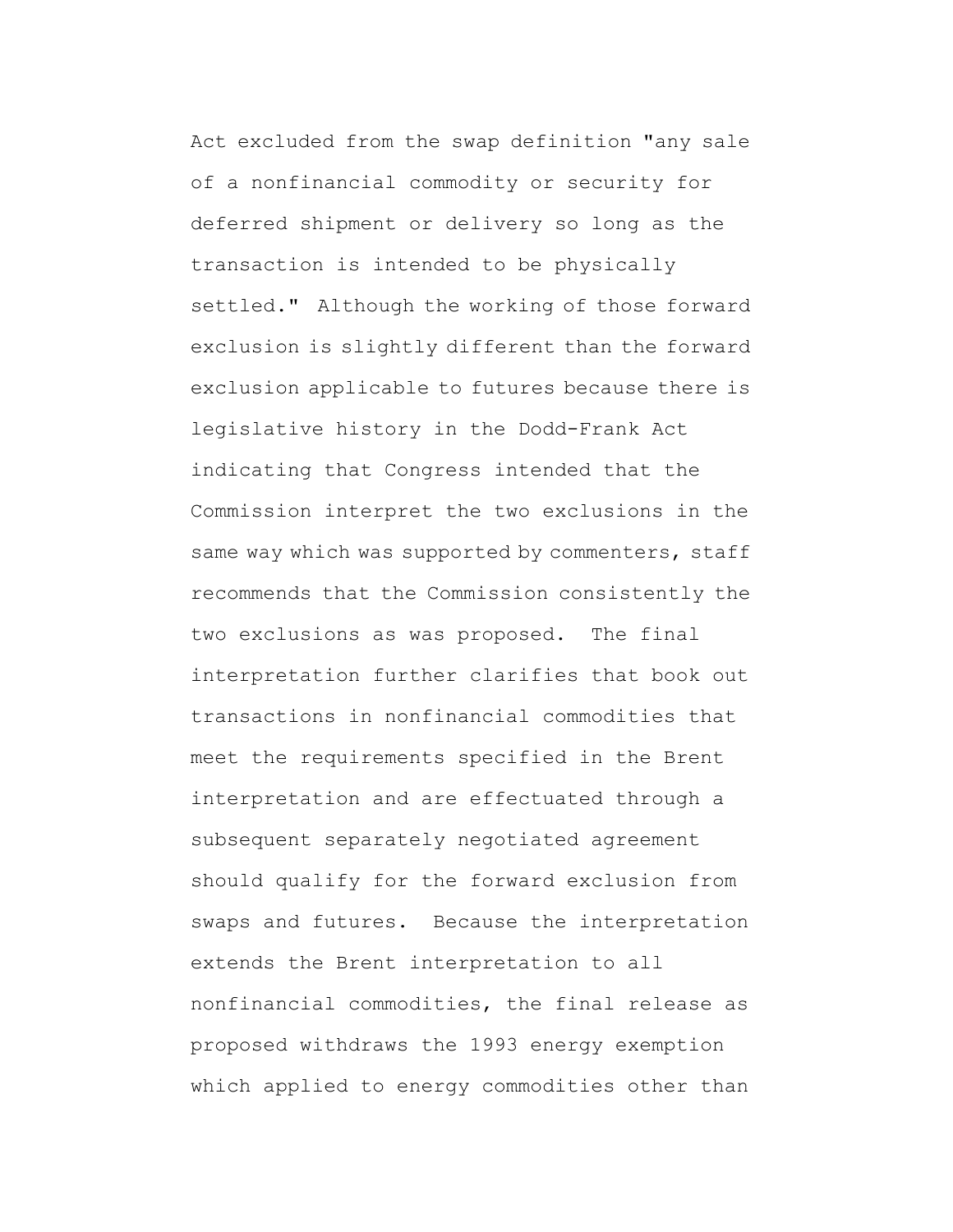Act excluded from the swap definition "any sale of a nonfinancial commodity or security for deferred shipment or delivery so long as the transaction is intended to be physically settled." Although the working of those forward exclusion is slightly different than the forward exclusion applicable to futures because there is legislative history in the Dodd-Frank Act indicating that Congress intended that the Commission interpret the two exclusions in the same way which was supported by commenters, staff recommends that the Commission consistently the two exclusions as was proposed. The final interpretation further clarifies that book out transactions in nonfinancial commodities that meet the requirements specified in the Brent interpretation and are effectuated through a subsequent separately negotiated agreement should qualify for the forward exclusion from swaps and futures. Because the interpretation extends the Brent interpretation to all nonfinancial commodities, the final release as proposed withdraws the 1993 energy exemption which applied to energy commodities other than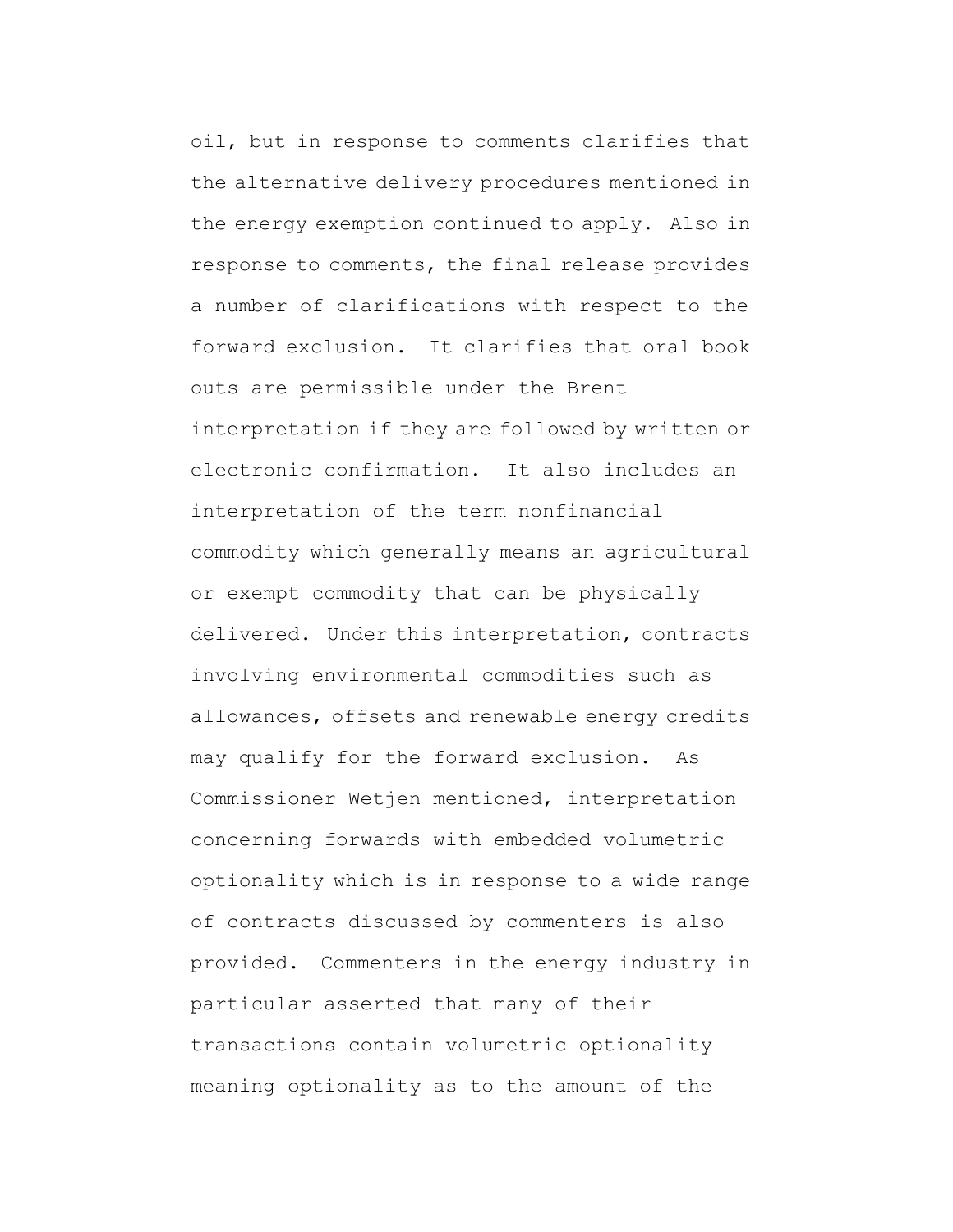oil, but in response to comments clarifies that the alternative delivery procedures mentioned in the energy exemption continued to apply. Also in response to comments, the final release provides a number of clarifications with respect to the forward exclusion. It clarifies that oral book outs are permissible under the Brent interpretation if they are followed by written or electronic confirmation. It also includes an interpretation of the term nonfinancial commodity which generally means an agricultural or exempt commodity that can be physically delivered. Under this interpretation, contracts involving environmental commodities such as allowances, offsets and renewable energy credits may qualify for the forward exclusion. As Commissioner Wetjen mentioned, interpretation concerning forwards with embedded volumetric optionality which is in response to a wide range of contracts discussed by commenters is also provided. Commenters in the energy industry in particular asserted that many of their transactions contain volumetric optionality meaning optionality as to the amount of the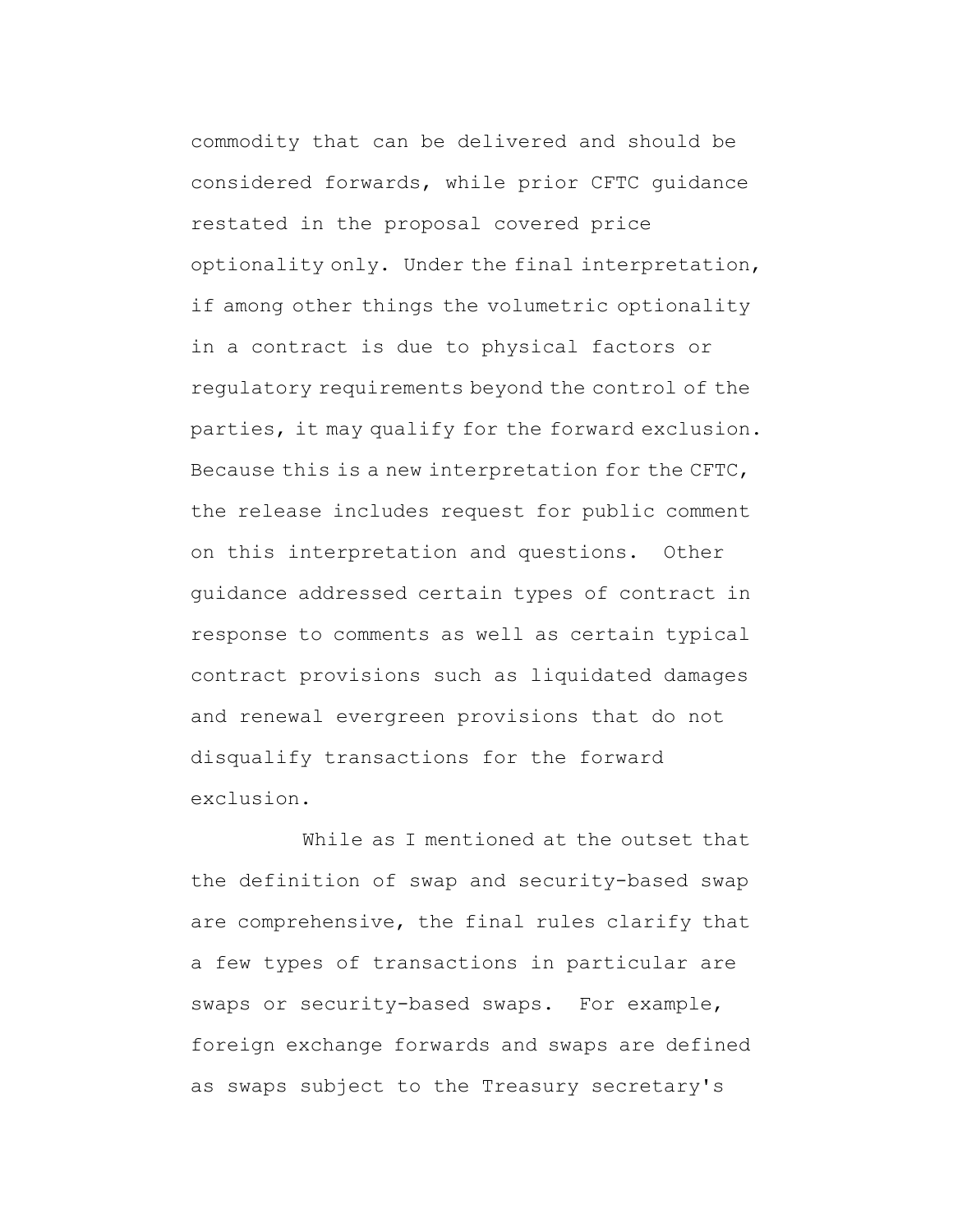commodity that can be delivered and should be considered forwards, while prior CFTC guidance restated in the proposal covered price optionality only. Under the final interpretation, if among other things the volumetric optionality in a contract is due to physical factors or regulatory requirements beyond the control of the parties, it may qualify for the forward exclusion. Because this is a new interpretation for the CFTC, the release includes request for public comment on this interpretation and questions. Other guidance addressed certain types of contract in response to comments as well as certain typical contract provisions such as liquidated damages and renewal evergreen provisions that do not disqualify transactions for the forward exclusion.

While as I mentioned at the outset that the definition of swap and security-based swap are comprehensive, the final rules clarify that a few types of transactions in particular are swaps or security-based swaps. For example, foreign exchange forwards and swaps are defined as swaps subject to the Treasury secretary's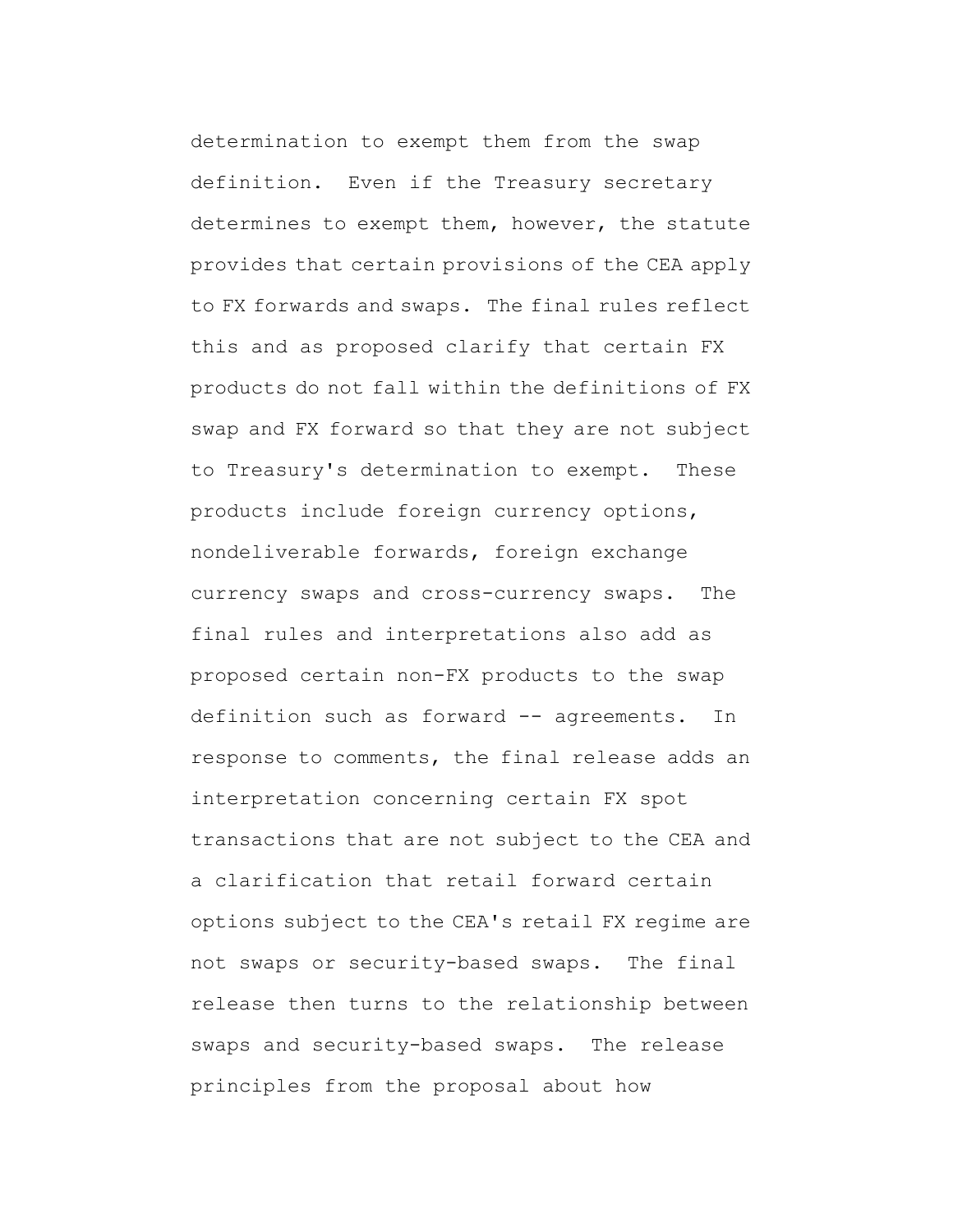determination to exempt them from the swap definition. Even if the Treasury secretary determines to exempt them, however, the statute provides that certain provisions of the CEA apply to FX forwards and swaps. The final rules reflect this and as proposed clarify that certain FX products do not fall within the definitions of FX swap and FX forward so that they are not subject to Treasury's determination to exempt. These products include foreign currency options, nondeliverable forwards, foreign exchange currency swaps and cross-currency swaps. The final rules and interpretations also add as proposed certain non-FX products to the swap definition such as forward -- agreements. In response to comments, the final release adds an interpretation concerning certain FX spot transactions that are not subject to the CEA and a clarification that retail forward certain options subject to the CEA's retail FX regime are not swaps or security-based swaps. The final release then turns to the relationship between swaps and security-based swaps. The release principles from the proposal about how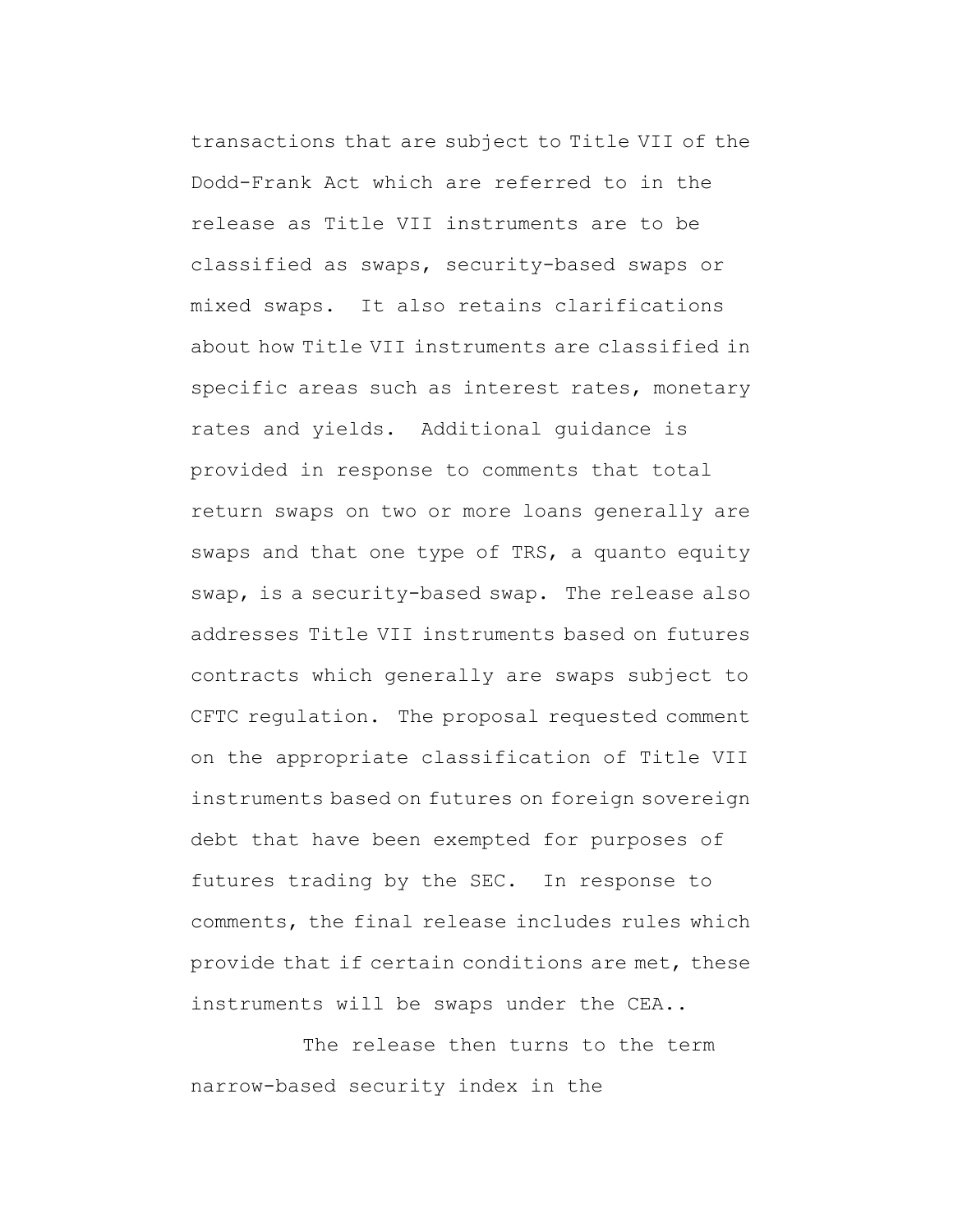transactions that are subject to Title VII of the Dodd-Frank Act which are referred to in the release as Title VII instruments are to be classified as swaps, security-based swaps or mixed swaps. It also retains clarifications about how Title VII instruments are classified in specific areas such as interest rates, monetary rates and yields. Additional guidance is provided in response to comments that total return swaps on two or more loans generally are swaps and that one type of TRS, a quanto equity swap, is a security-based swap. The release also addresses Title VII instruments based on futures contracts which generally are swaps subject to CFTC regulation. The proposal requested comment on the appropriate classification of Title VII instruments based on futures on foreign sovereign debt that have been exempted for purposes of futures trading by the SEC. In response to comments, the final release includes rules which provide that if certain conditions are met, these instruments will be swaps under the CEA..

The release then turns to the term narrow-based security index in the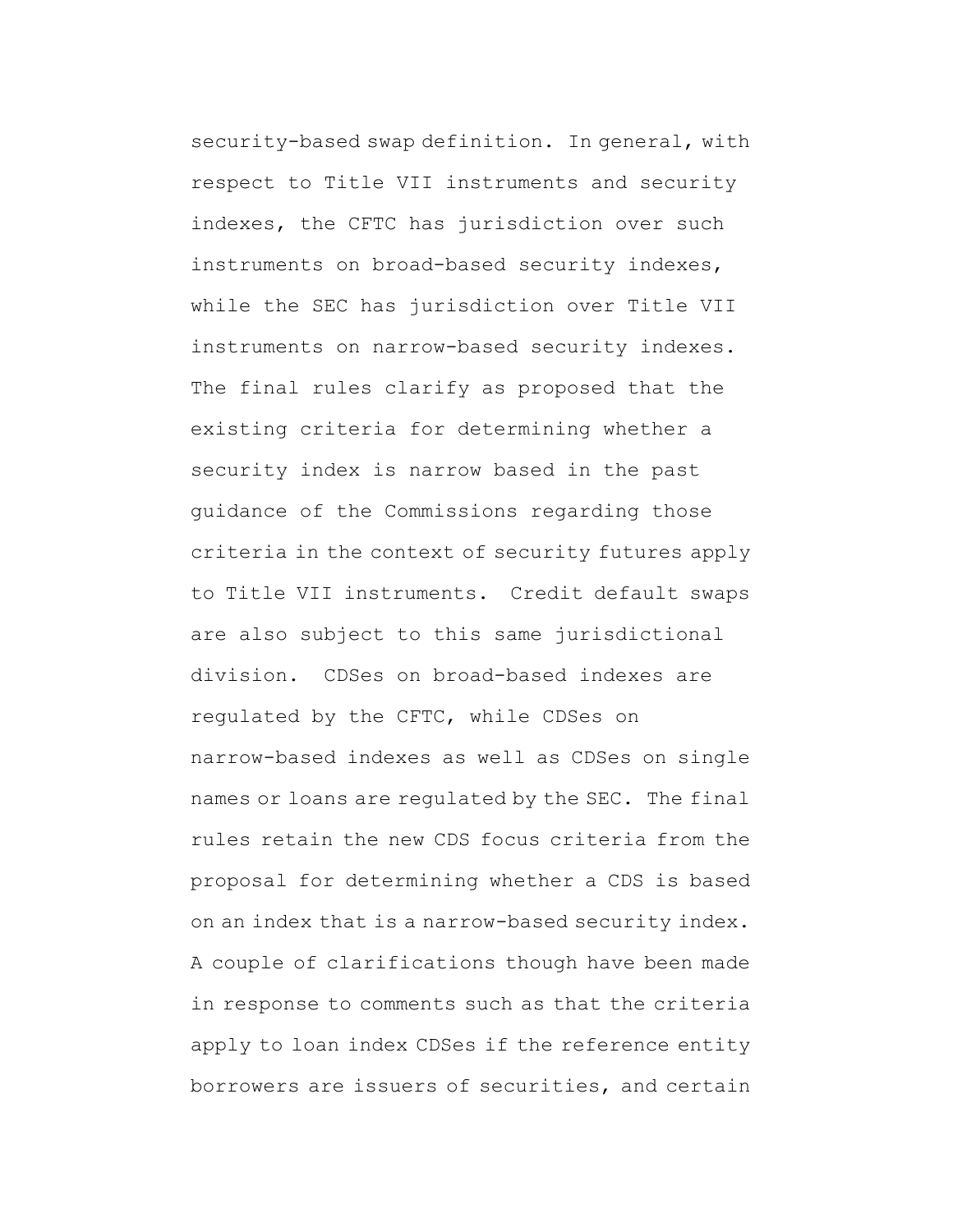security-based swap definition. In general, with respect to Title VII instruments and security indexes, the CFTC has jurisdiction over such instruments on broad-based security indexes, while the SEC has jurisdiction over Title VII instruments on narrow-based security indexes. The final rules clarify as proposed that the existing criteria for determining whether a security index is narrow based in the past guidance of the Commissions regarding those criteria in the context of security futures apply to Title VII instruments. Credit default swaps are also subject to this same jurisdictional division. CDSes on broad-based indexes are regulated by the CFTC, while CDSes on narrow-based indexes as well as CDSes on single names or loans are regulated by the SEC. The final rules retain the new CDS focus criteria from the proposal for determining whether a CDS is based on an index that is a narrow-based security index. A couple of clarifications though have been made in response to comments such as that the criteria apply to loan index CDSes if the reference entity borrowers are issuers of securities, and certain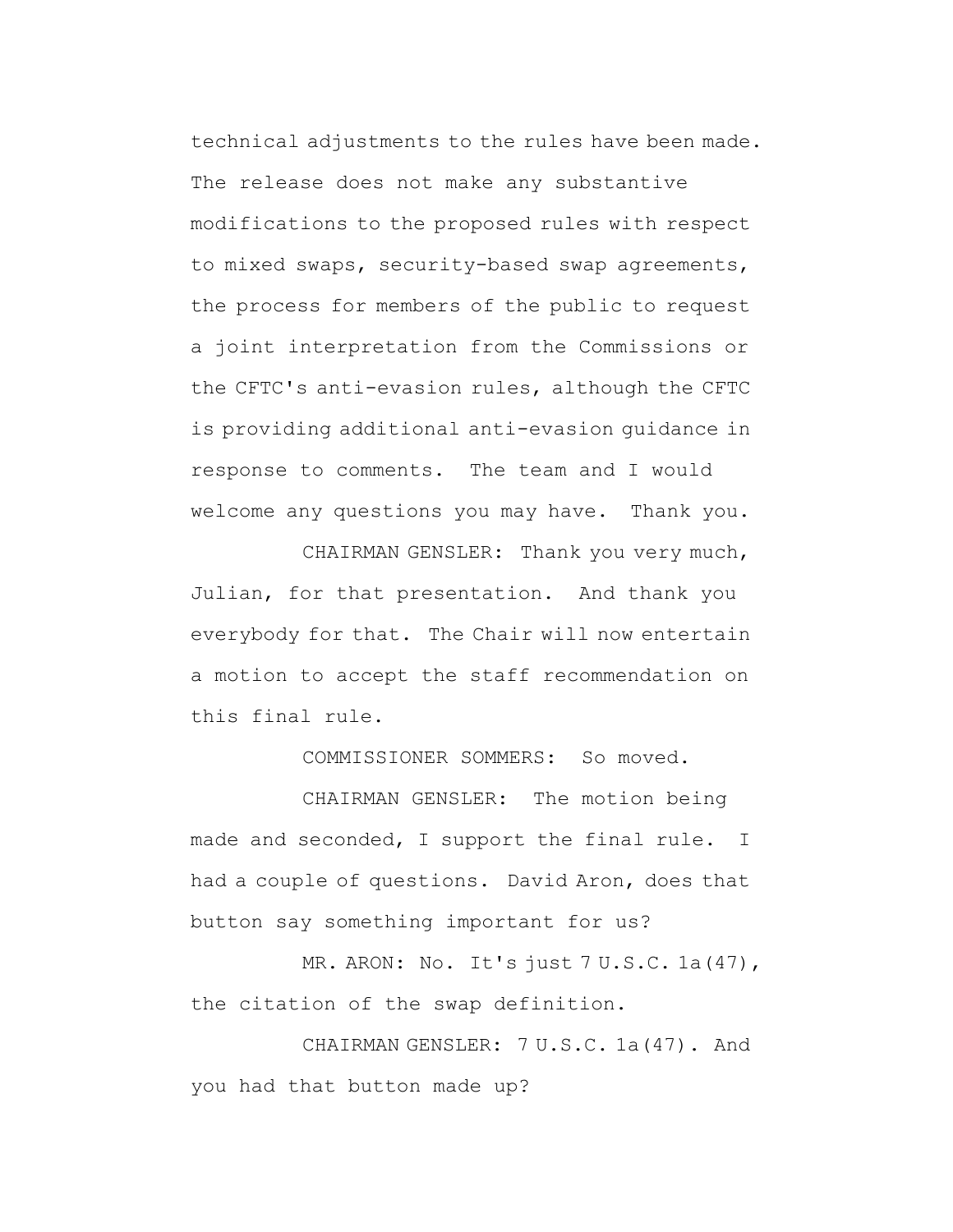technical adjustments to the rules have been made. The release does not make any substantive modifications to the proposed rules with respect to mixed swaps, security-based swap agreements, the process for members of the public to request a joint interpretation from the Commissions or the CFTC's anti-evasion rules, although the CFTC is providing additional anti-evasion guidance in response to comments. The team and I would welcome any questions you may have. Thank you.

CHAIRMAN GENSLER: Thank you very much, Julian, for that presentation. And thank you everybody for that. The Chair will now entertain a motion to accept the staff recommendation on this final rule.

COMMISSIONER SOMMERS: So moved.

CHAIRMAN GENSLER: The motion being made and seconded, I support the final rule. I had a couple of questions. David Aron, does that button say something important for us?

MR. ARON: No. It's just 7 U.S.C. 1a(47), the citation of the swap definition.

CHAIRMAN GENSLER: 7 U.S.C. 1a(47). And you had that button made up?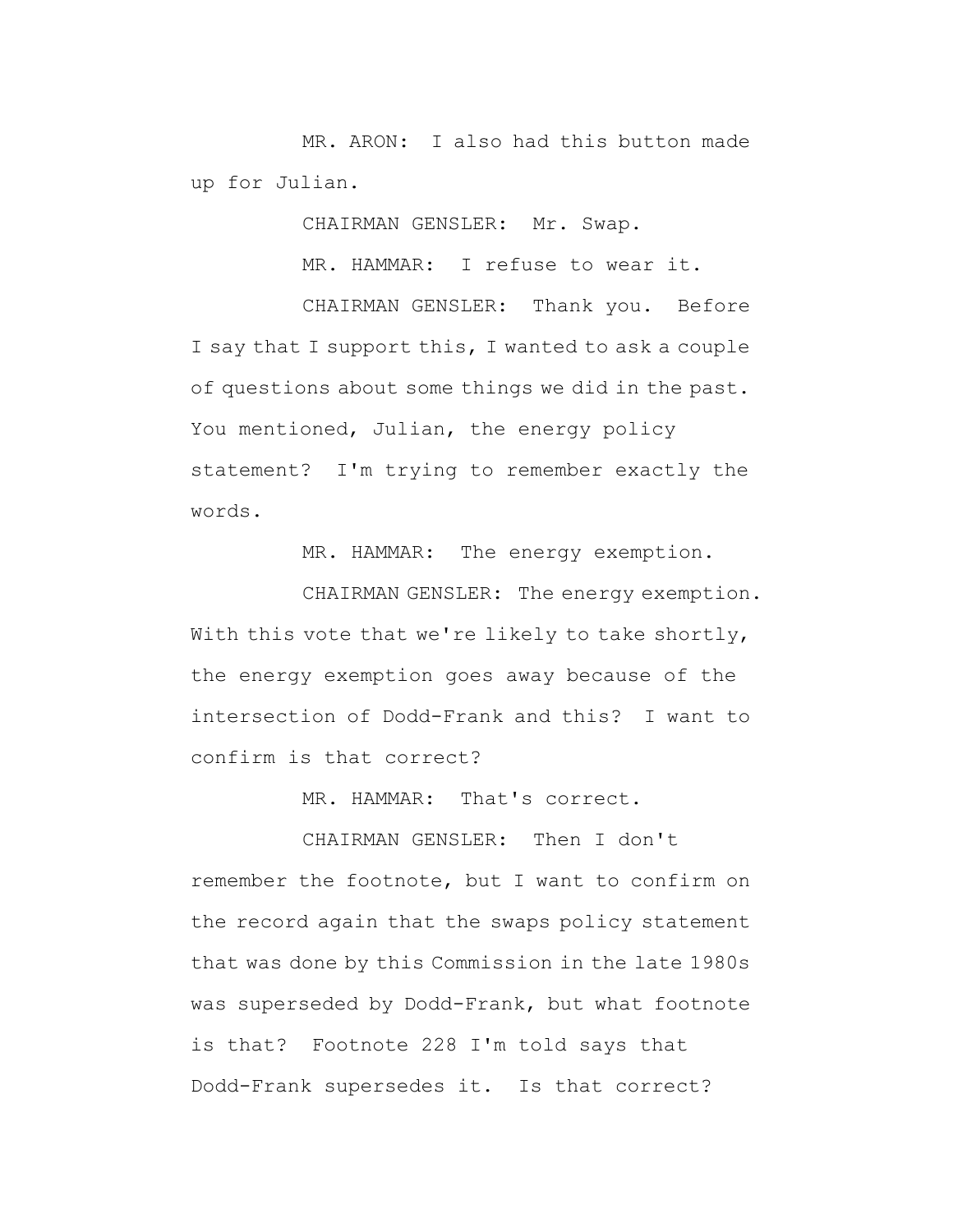MR. ARON: I also had this button made up for Julian.

CHAIRMAN GENSLER: Mr. Swap.

MR. HAMMAR: I refuse to wear it.

CHAIRMAN GENSLER: Thank you. Before I say that I support this, I wanted to ask a couple of questions about some things we did in the past. You mentioned, Julian, the energy policy statement? I'm trying to remember exactly the words.

MR. HAMMAR: The energy exemption.

CHAIRMAN GENSLER: The energy exemption. With this vote that we're likely to take shortly, the energy exemption goes away because of the intersection of Dodd-Frank and this? I want to confirm is that correct?

MR. HAMMAR: That's correct.

CHAIRMAN GENSLER: Then I don't remember the footnote, but I want to confirm on the record again that the swaps policy statement that was done by this Commission in the late 1980s was superseded by Dodd-Frank, but what footnote is that? Footnote 228 I'm told says that Dodd-Frank supersedes it. Is that correct?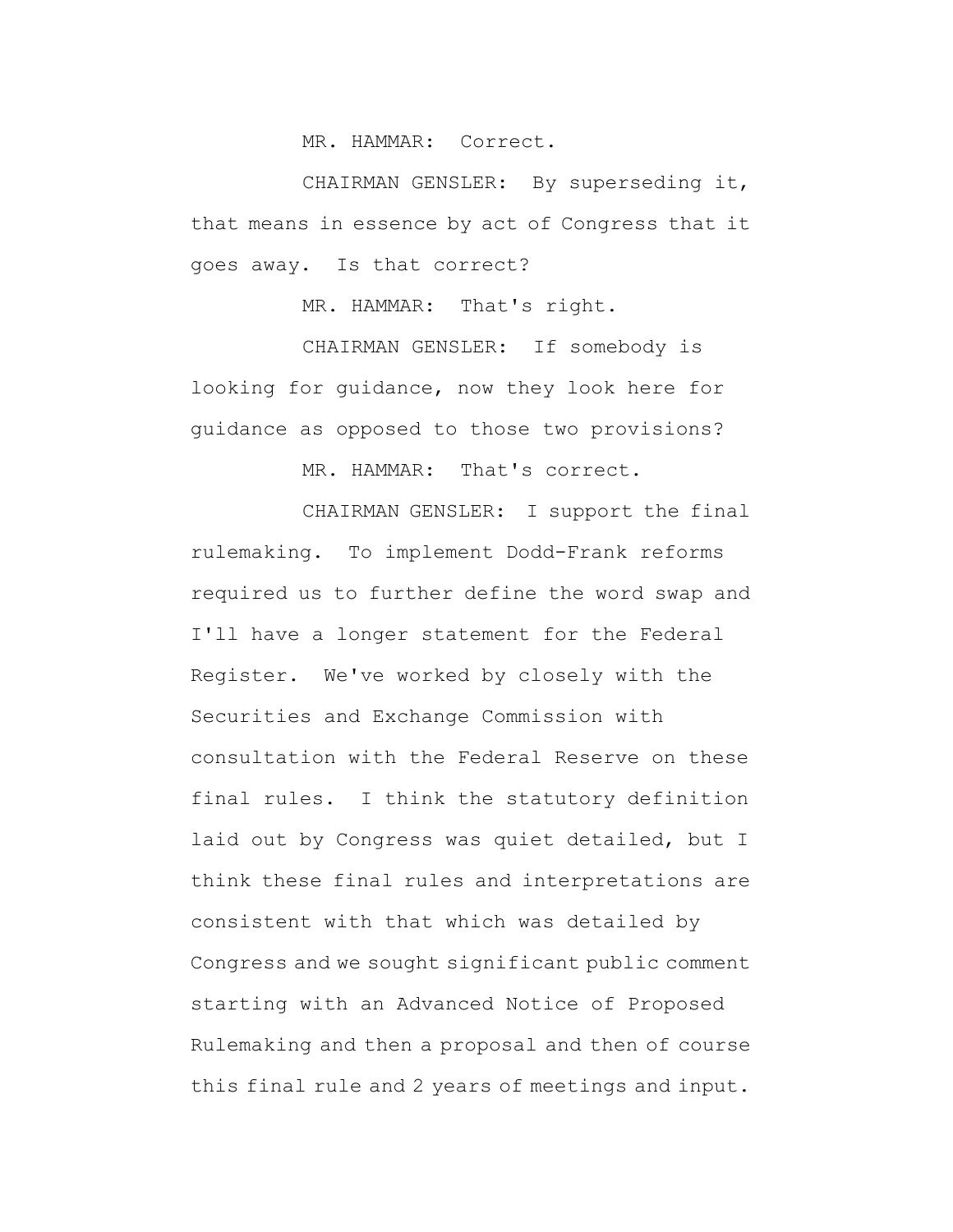MR. HAMMAR: Correct.

CHAIRMAN GENSLER: By superseding it, that means in essence by act of Congress that it goes away. Is that correct?

MR. HAMMAR: That's right.

CHAIRMAN GENSLER: If somebody is looking for guidance, now they look here for guidance as opposed to those two provisions?

MR. HAMMAR: That's correct.

CHAIRMAN GENSLER: I support the final rulemaking. To implement Dodd-Frank reforms required us to further define the word swap and I'll have a longer statement for the Federal Register. We've worked by closely with the Securities and Exchange Commission with consultation with the Federal Reserve on these final rules. I think the statutory definition laid out by Congress was quiet detailed, but I think these final rules and interpretations are consistent with that which was detailed by Congress and we sought significant public comment starting with an Advanced Notice of Proposed Rulemaking and then a proposal and then of course this final rule and 2 years of meetings and input.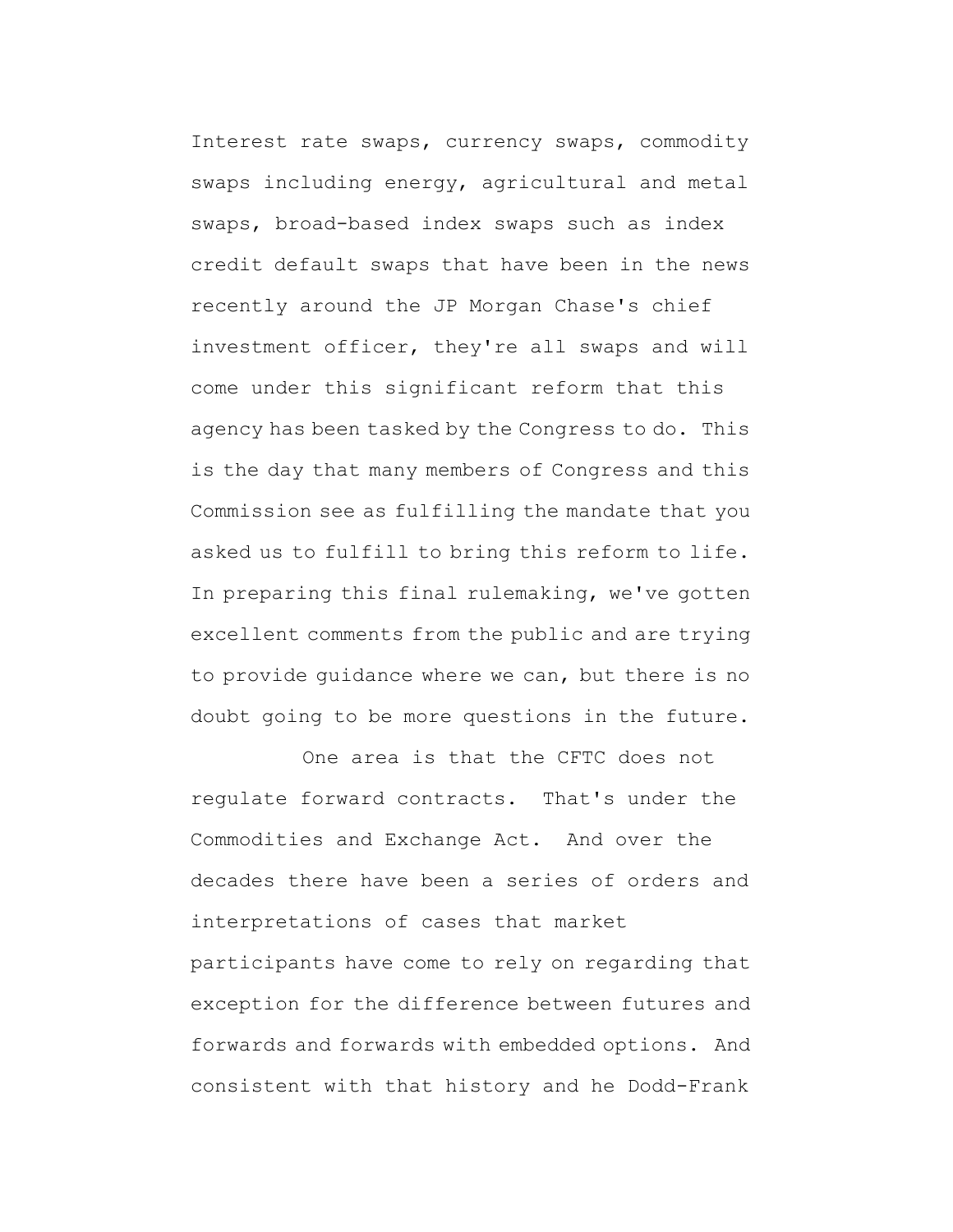Interest rate swaps, currency swaps, commodity swaps including energy, agricultural and metal swaps, broad-based index swaps such as index credit default swaps that have been in the news recently around the JP Morgan Chase's chief investment officer, they're all swaps and will come under this significant reform that this agency has been tasked by the Congress to do. This is the day that many members of Congress and this Commission see as fulfilling the mandate that you asked us to fulfill to bring this reform to life. In preparing this final rulemaking, we've gotten excellent comments from the public and are trying to provide guidance where we can, but there is no doubt going to be more questions in the future.

One area is that the CFTC does not regulate forward contracts. That's under the Commodities and Exchange Act. And over the decades there have been a series of orders and interpretations of cases that market participants have come to rely on regarding that exception for the difference between futures and forwards and forwards with embedded options. And consistent with that history and he Dodd-Frank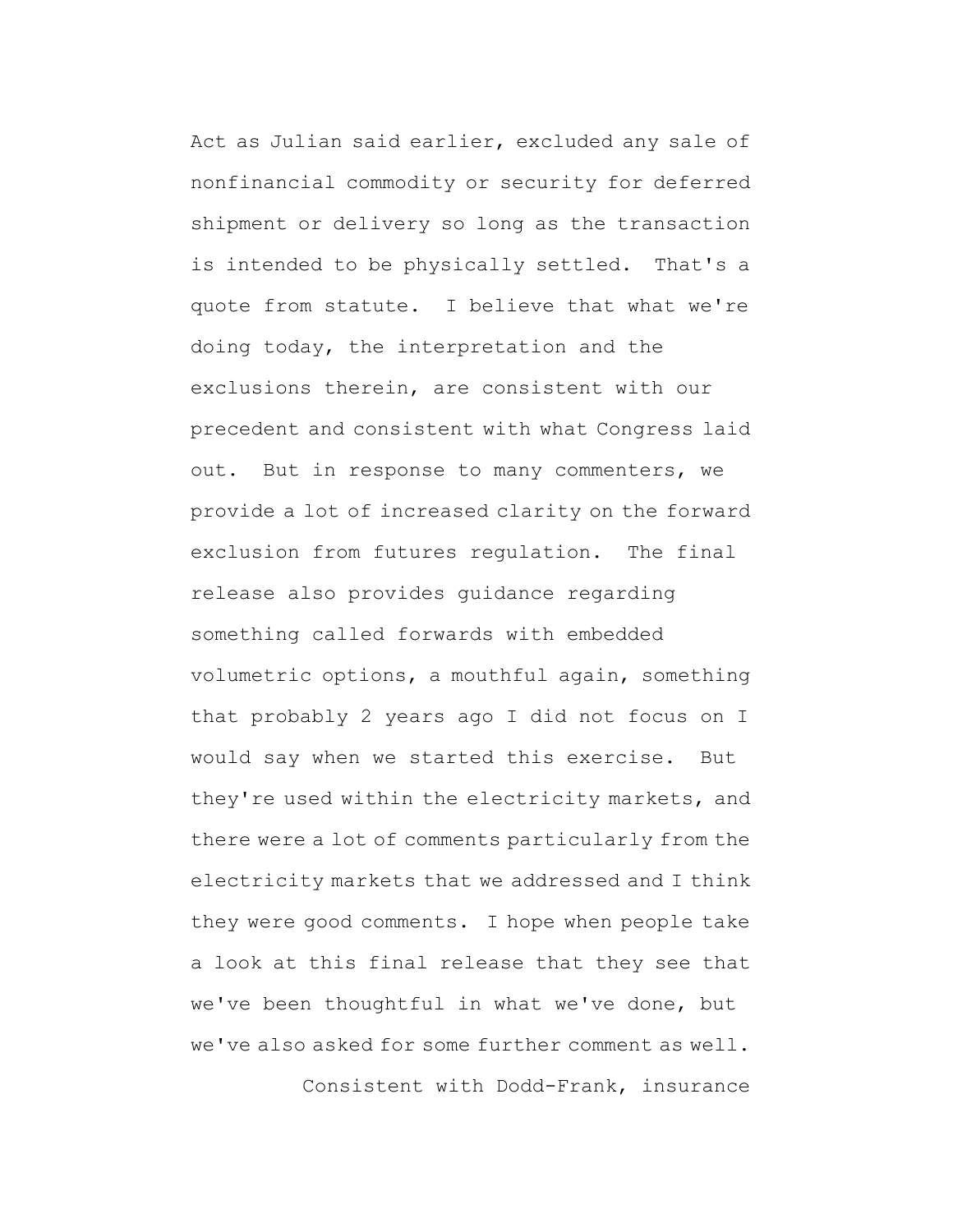Act as Julian said earlier, excluded any sale of nonfinancial commodity or security for deferred shipment or delivery so long as the transaction is intended to be physically settled. That's a quote from statute. I believe that what we're doing today, the interpretation and the exclusions therein, are consistent with our precedent and consistent with what Congress laid out. But in response to many commenters, we provide a lot of increased clarity on the forward exclusion from futures regulation. The final release also provides guidance regarding something called forwards with embedded volumetric options, a mouthful again, something that probably 2 years ago I did not focus on I would say when we started this exercise. But they're used within the electricity markets, and there were a lot of comments particularly from the electricity markets that we addressed and I think they were good comments. I hope when people take a look at this final release that they see that we've been thoughtful in what we've done, but we've also asked for some further comment as well.

Consistent with Dodd-Frank, insurance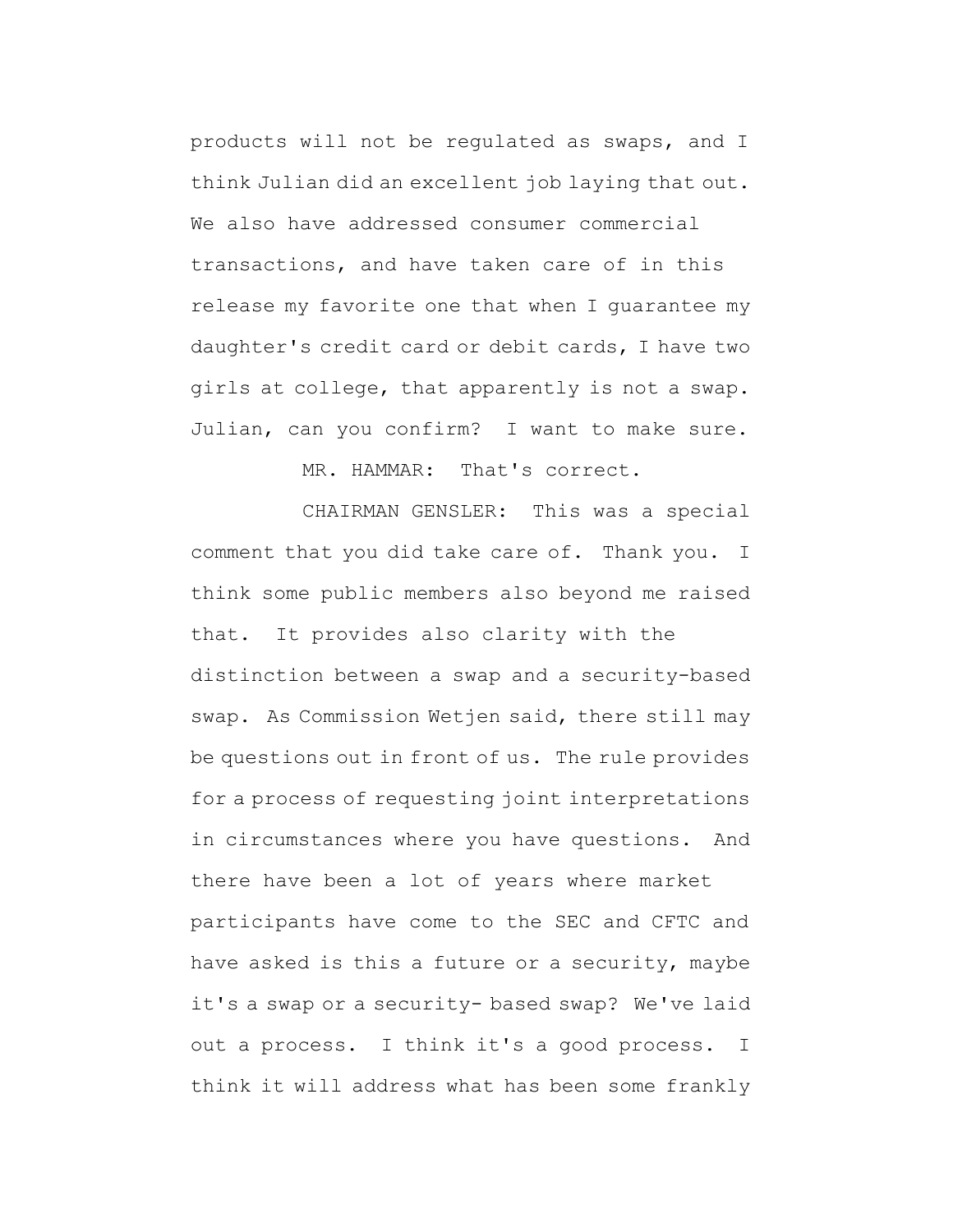products will not be regulated as swaps, and I think Julian did an excellent job laying that out. We also have addressed consumer commercial transactions, and have taken care of in this release my favorite one that when I guarantee my daughter's credit card or debit cards, I have two girls at college, that apparently is not a swap. Julian, can you confirm? I want to make sure.

MR. HAMMAR: That's correct.

CHAIRMAN GENSLER: This was a special comment that you did take care of. Thank you. I think some public members also beyond me raised that. It provides also clarity with the distinction between a swap and a security-based swap. As Commission Wetjen said, there still may be questions out in front of us. The rule provides for a process of requesting joint interpretations in circumstances where you have questions. And there have been a lot of years where market participants have come to the SEC and CFTC and have asked is this a future or a security, maybe it's a swap or a security- based swap? We've laid out a process. I think it's a good process. I think it will address what has been some frankly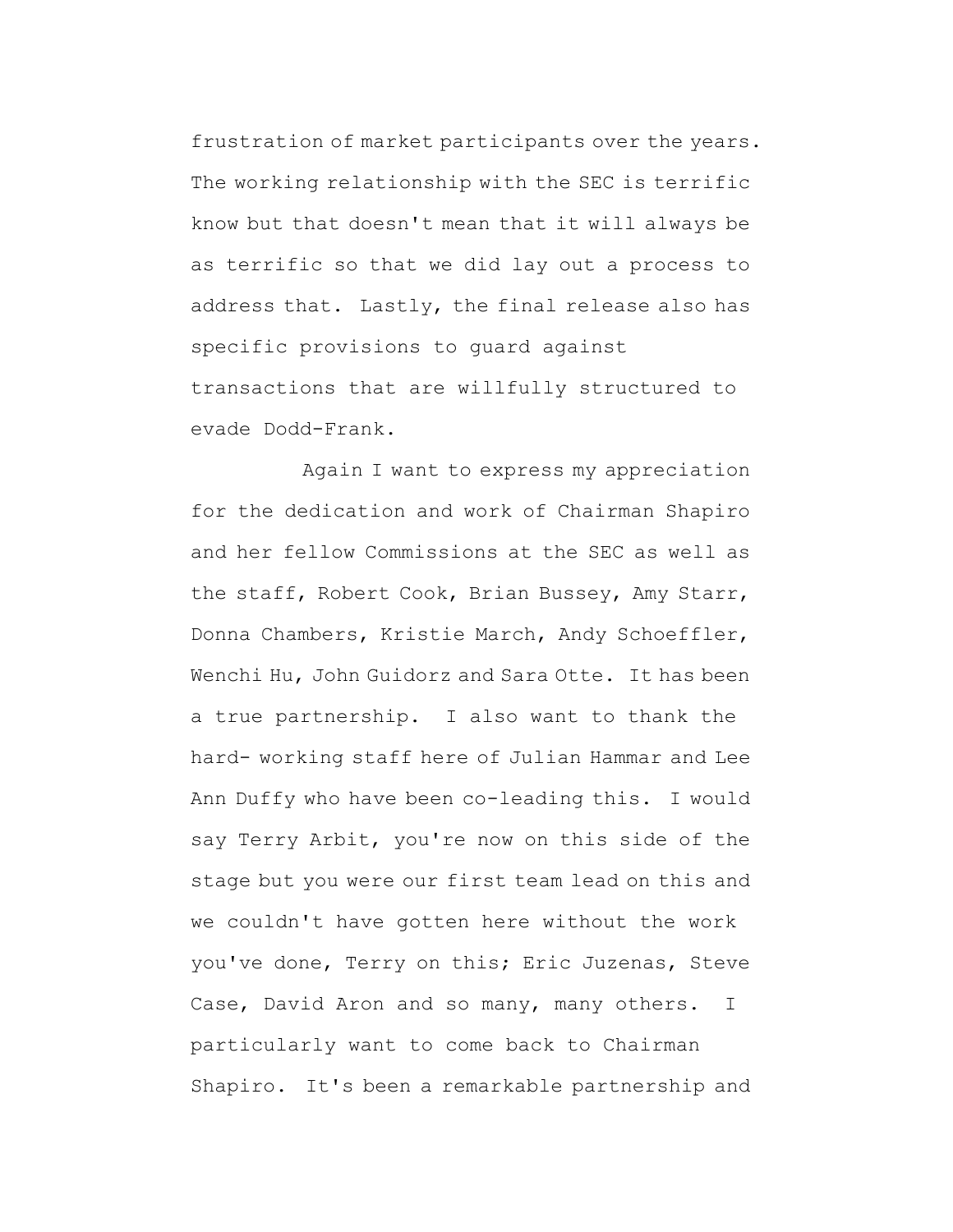frustration of market participants over the years. The working relationship with the SEC is terrific know but that doesn't mean that it will always be as terrific so that we did lay out a process to address that. Lastly, the final release also has specific provisions to guard against transactions that are willfully structured to evade Dodd-Frank.

Again I want to express my appreciation for the dedication and work of Chairman Shapiro and her fellow Commissions at the SEC as well as the staff, Robert Cook, Brian Bussey, Amy Starr, Donna Chambers, Kristie March, Andy Schoeffler, Wenchi Hu, John Guidorz and Sara Otte. It has been a true partnership. I also want to thank the hard- working staff here of Julian Hammar and Lee Ann Duffy who have been co-leading this. I would say Terry Arbit, you're now on this side of the stage but you were our first team lead on this and we couldn't have gotten here without the work you've done, Terry on this; Eric Juzenas, Steve Case, David Aron and so many, many others. I particularly want to come back to Chairman Shapiro. It's been a remarkable partnership and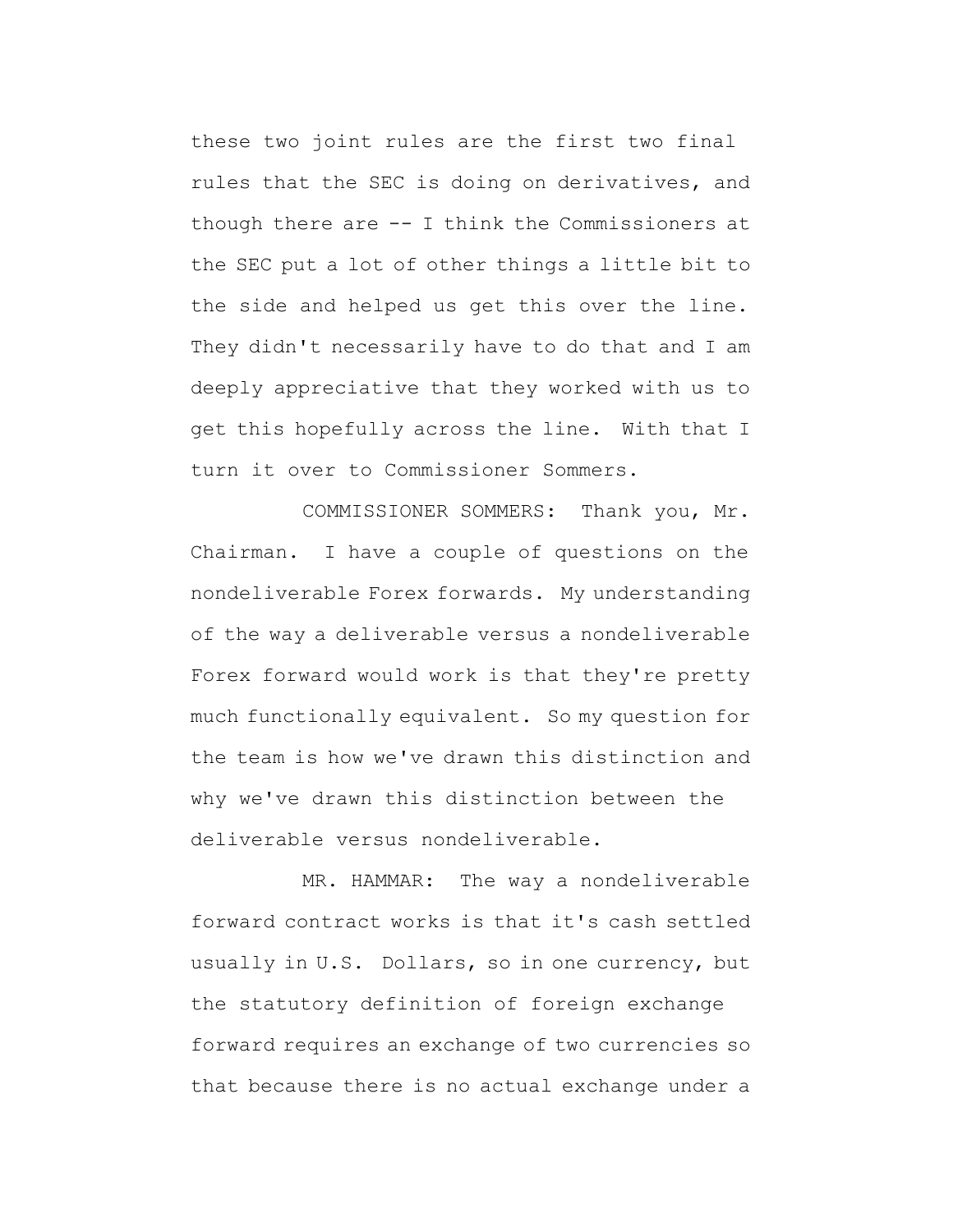these two joint rules are the first two final rules that the SEC is doing on derivatives, and though there are -- I think the Commissioners at the SEC put a lot of other things a little bit to the side and helped us get this over the line. They didn't necessarily have to do that and I am deeply appreciative that they worked with us to get this hopefully across the line. With that I turn it over to Commissioner Sommers.

COMMISSIONER SOMMERS: Thank you, Mr. Chairman. I have a couple of questions on the nondeliverable Forex forwards. My understanding of the way a deliverable versus a nondeliverable Forex forward would work is that they're pretty much functionally equivalent. So my question for the team is how we've drawn this distinction and why we've drawn this distinction between the deliverable versus nondeliverable.

MR. HAMMAR: The way a nondeliverable forward contract works is that it's cash settled usually in U.S. Dollars, so in one currency, but the statutory definition of foreign exchange forward requires an exchange of two currencies so that because there is no actual exchange under a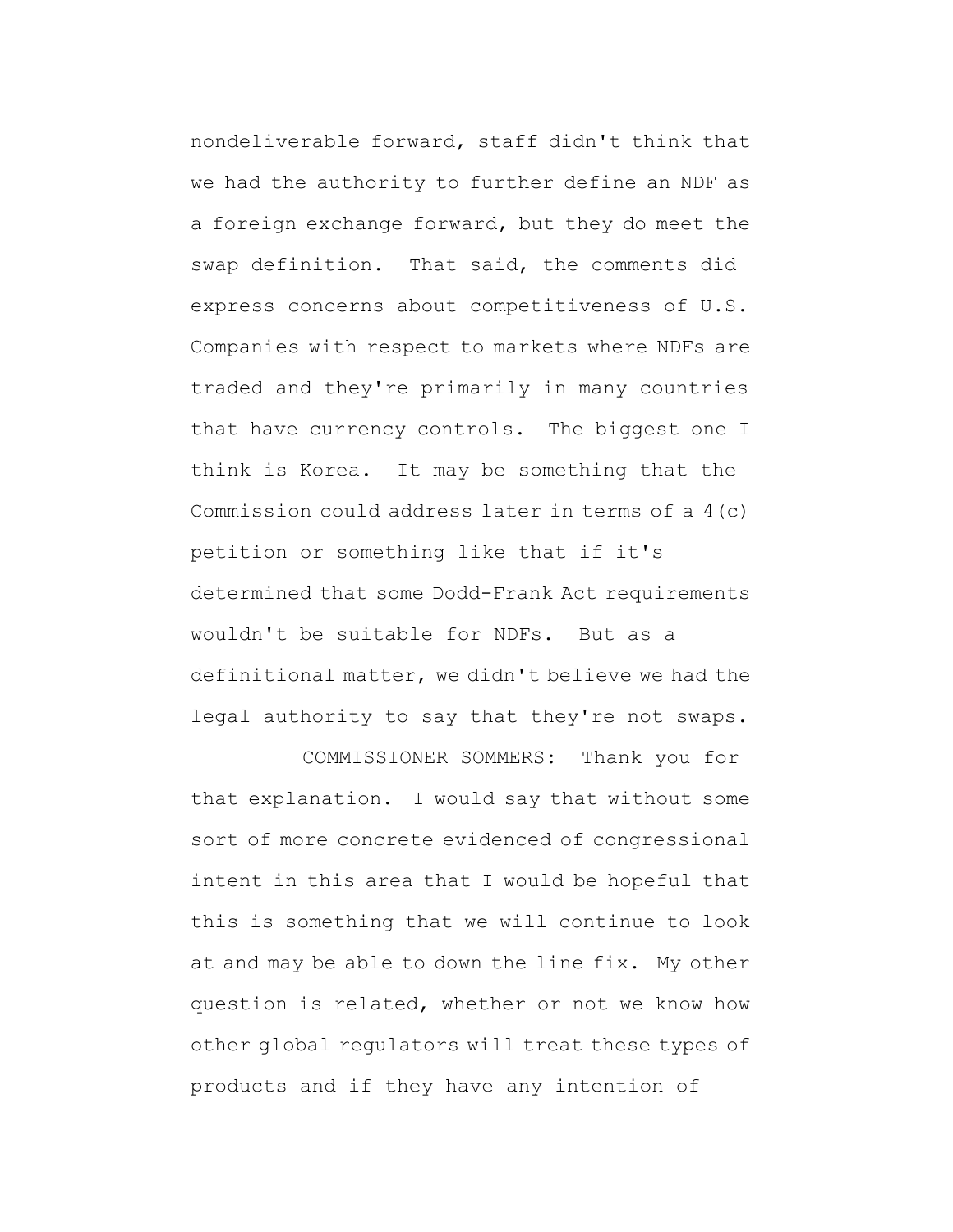nondeliverable forward, staff didn't think that we had the authority to further define an NDF as a foreign exchange forward, but they do meet the swap definition. That said, the comments did express concerns about competitiveness of U.S. Companies with respect to markets where NDFs are traded and they're primarily in many countries that have currency controls. The biggest one I think is Korea. It may be something that the Commission could address later in terms of a 4(c) petition or something like that if it's determined that some Dodd-Frank Act requirements wouldn't be suitable for NDFs. But as a definitional matter, we didn't believe we had the legal authority to say that they're not swaps.

COMMISSIONER SOMMERS: Thank you for that explanation. I would say that without some sort of more concrete evidenced of congressional intent in this area that I would be hopeful that this is something that we will continue to look at and may be able to down the line fix. My other question is related, whether or not we know how other global regulators will treat these types of products and if they have any intention of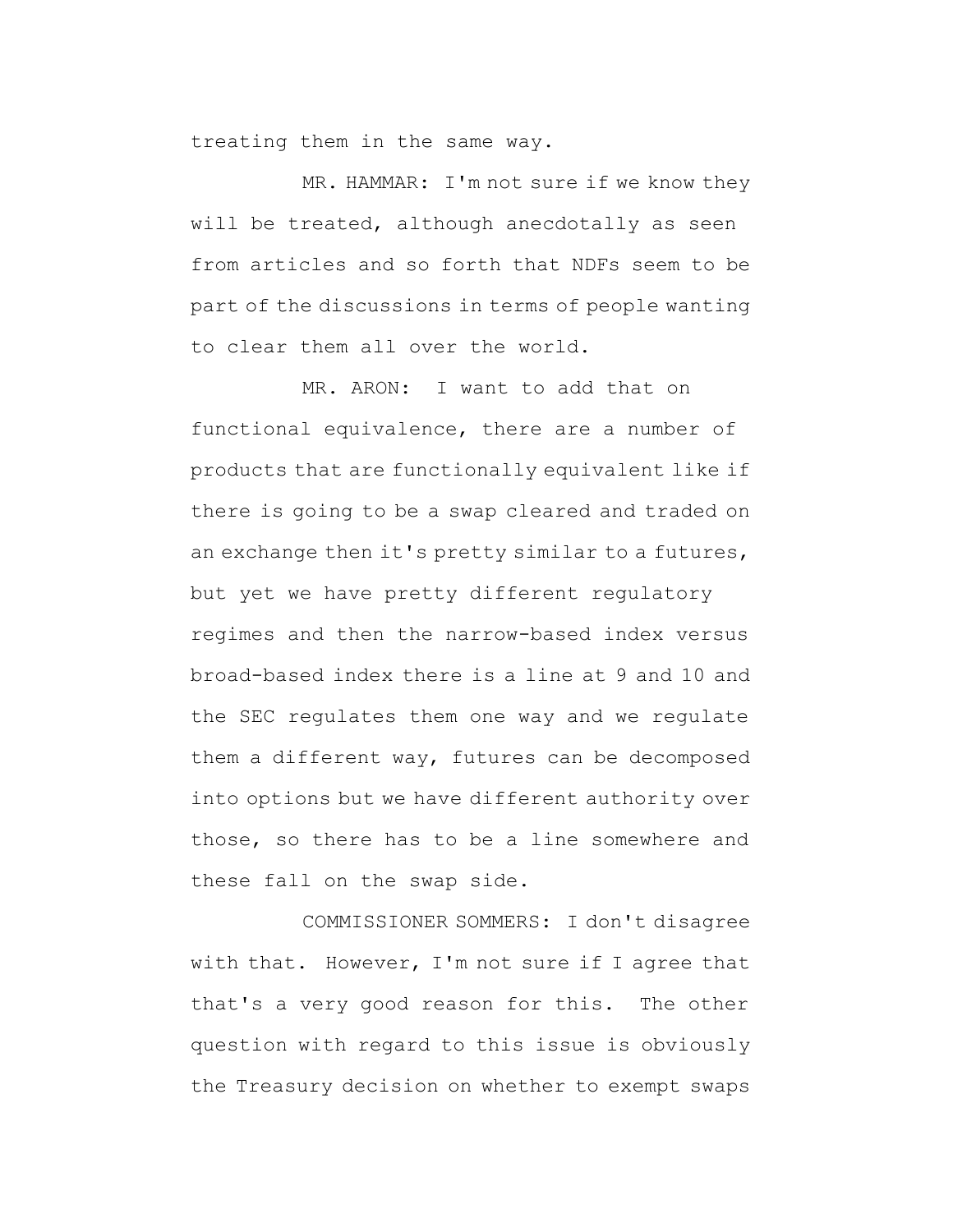treating them in the same way.

MR. HAMMAR: I'm not sure if we know they will be treated, although anecdotally as seen from articles and so forth that NDFs seem to be part of the discussions in terms of people wanting to clear them all over the world.

MR. ARON: I want to add that on functional equivalence, there are a number of products that are functionally equivalent like if there is going to be a swap cleared and traded on an exchange then it's pretty similar to a futures, but yet we have pretty different regulatory regimes and then the narrow-based index versus broad-based index there is a line at 9 and 10 and the SEC regulates them one way and we regulate them a different way, futures can be decomposed into options but we have different authority over those, so there has to be a line somewhere and these fall on the swap side.

COMMISSIONER SOMMERS: I don't disagree with that. However, I'm not sure if I agree that that's a very good reason for this. The other question with regard to this issue is obviously the Treasury decision on whether to exempt swaps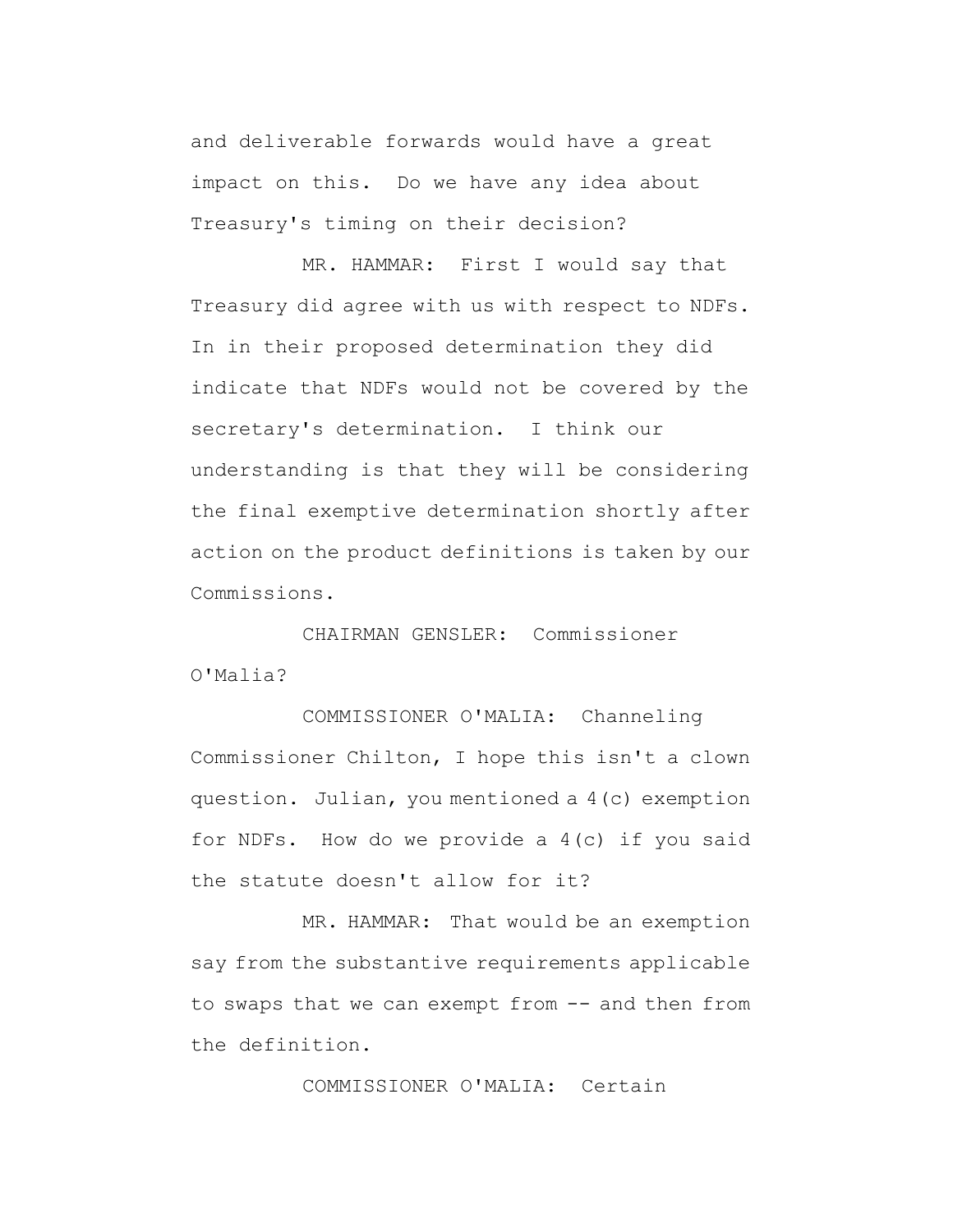and deliverable forwards would have a great impact on this. Do we have any idea about Treasury's timing on their decision?

MR. HAMMAR: First I would say that Treasury did agree with us with respect to NDFs. In in their proposed determination they did indicate that NDFs would not be covered by the secretary's determination. I think our understanding is that they will be considering the final exemptive determination shortly after action on the product definitions is taken by our Commissions.

CHAIRMAN GENSLER: Commissioner O'Malia?

COMMISSIONER O'MALIA: Channeling Commissioner Chilton, I hope this isn't a clown question. Julian, you mentioned a 4(c) exemption for NDFs. How do we provide a 4(c) if you said the statute doesn't allow for it?

MR. HAMMAR: That would be an exemption say from the substantive requirements applicable to swaps that we can exempt from -- and then from the definition.

COMMISSIONER O'MALIA: Certain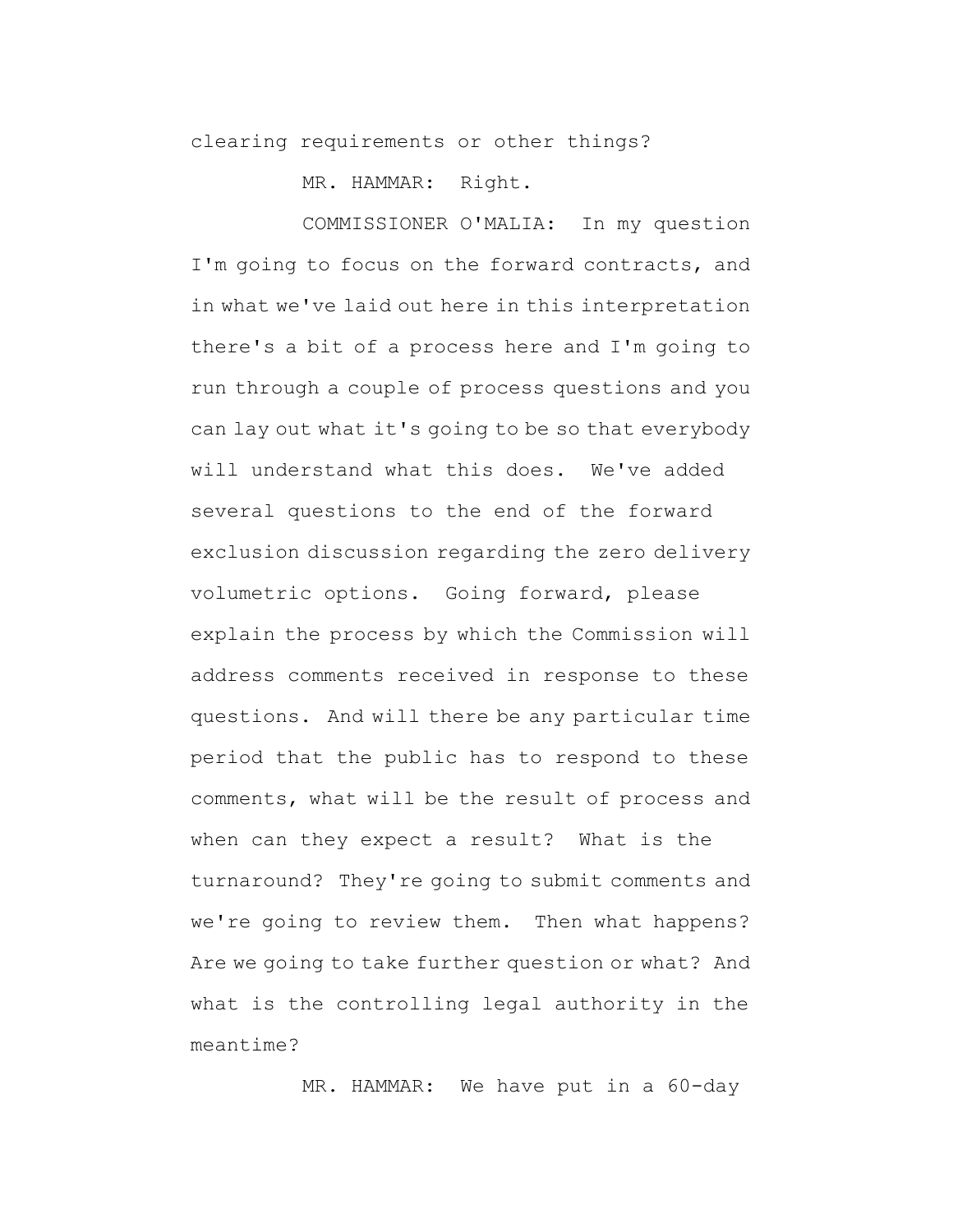clearing requirements or other things?

MR. HAMMAR: Right.

COMMISSIONER O'MALIA: In my question I'm going to focus on the forward contracts, and in what we've laid out here in this interpretation there's a bit of a process here and I'm going to run through a couple of process questions and you can lay out what it's going to be so that everybody will understand what this does. We've added several questions to the end of the forward exclusion discussion regarding the zero delivery volumetric options. Going forward, please explain the process by which the Commission will address comments received in response to these questions. And will there be any particular time period that the public has to respond to these comments, what will be the result of process and when can they expect a result? What is the turnaround? They're going to submit comments and we're going to review them. Then what happens? Are we going to take further question or what? And what is the controlling legal authority in the meantime?

MR. HAMMAR: We have put in a 60-day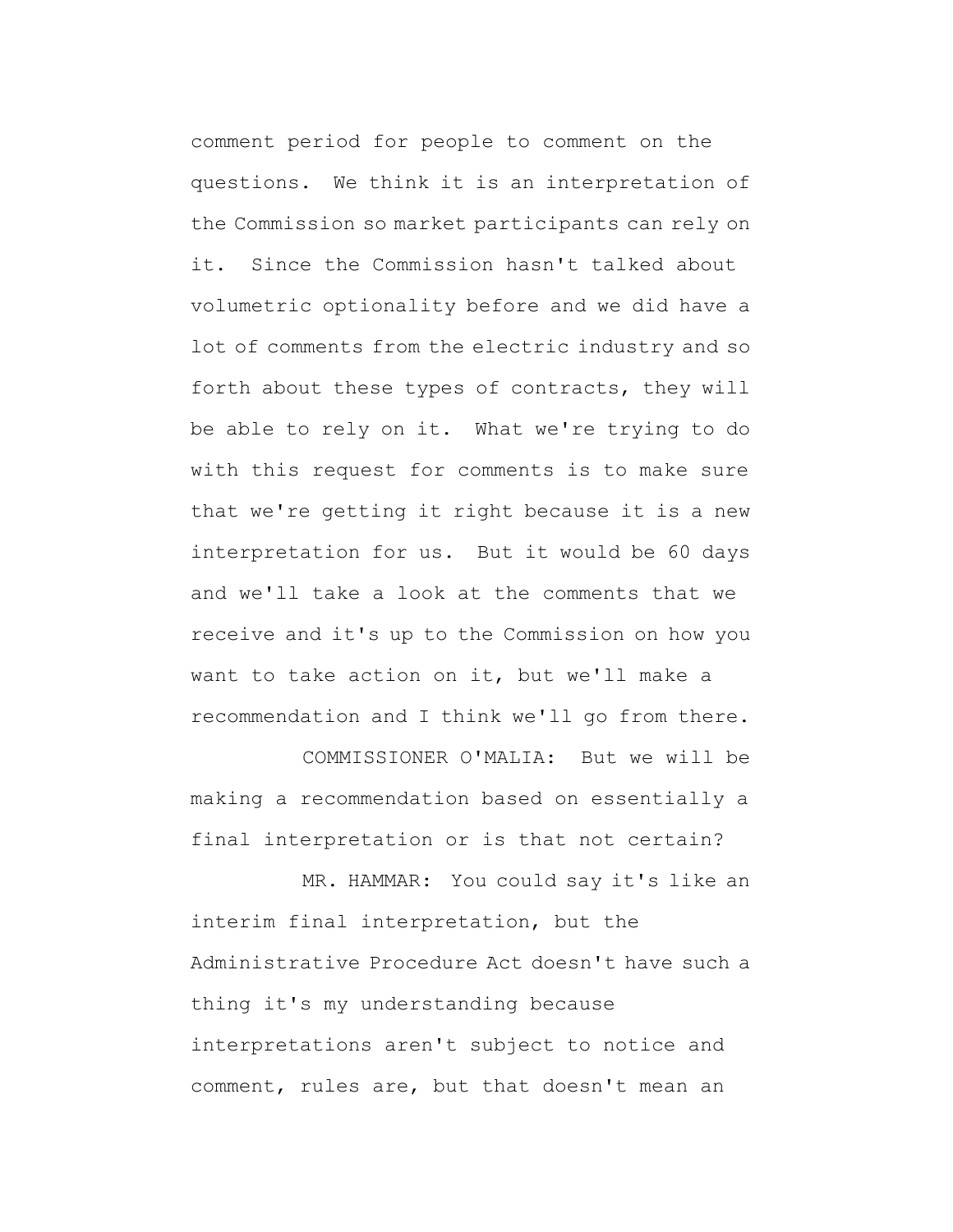comment period for people to comment on the questions. We think it is an interpretation of the Commission so market participants can rely on it. Since the Commission hasn't talked about volumetric optionality before and we did have a lot of comments from the electric industry and so forth about these types of contracts, they will be able to rely on it. What we're trying to do with this request for comments is to make sure that we're getting it right because it is a new interpretation for us. But it would be 60 days and we'll take a look at the comments that we receive and it's up to the Commission on how you want to take action on it, but we'll make a recommendation and I think we'll go from there.

COMMISSIONER O'MALIA: But we will be making a recommendation based on essentially a final interpretation or is that not certain?

MR. HAMMAR: You could say it's like an interim final interpretation, but the Administrative Procedure Act doesn't have such a thing it's my understanding because interpretations aren't subject to notice and comment, rules are, but that doesn't mean an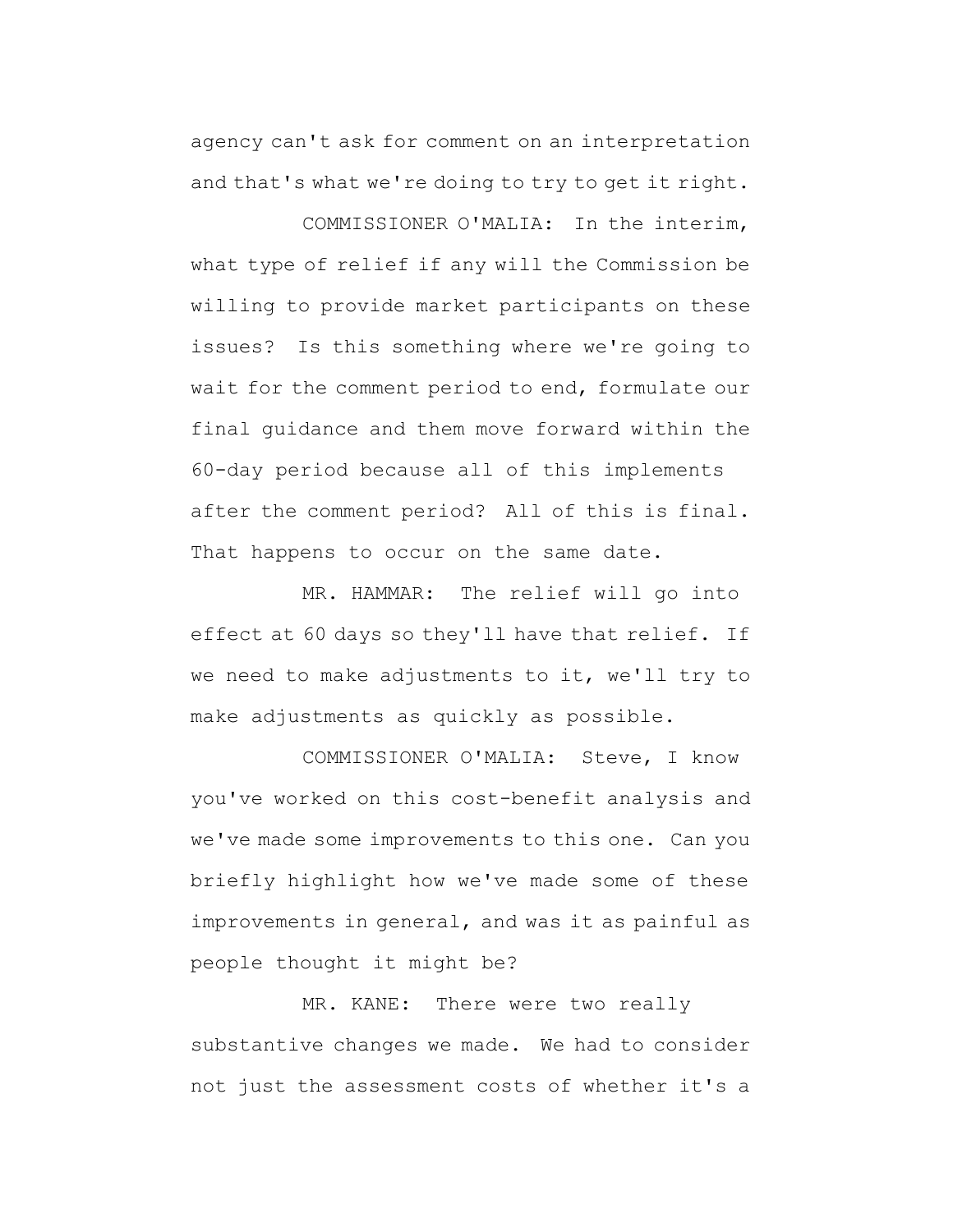agency can't ask for comment on an interpretation and that's what we're doing to try to get it right.

COMMISSIONER O'MALIA: In the interim, what type of relief if any will the Commission be willing to provide market participants on these issues? Is this something where we're going to wait for the comment period to end, formulate our final guidance and them move forward within the 60-day period because all of this implements after the comment period? All of this is final. That happens to occur on the same date.

MR. HAMMAR: The relief will go into effect at 60 days so they'll have that relief. If we need to make adjustments to it, we'll try to make adjustments as quickly as possible.

COMMISSIONER O'MALIA: Steve, I know you've worked on this cost-benefit analysis and we've made some improvements to this one. Can you briefly highlight how we've made some of these improvements in general, and was it as painful as people thought it might be?

MR. KANE: There were two really substantive changes we made. We had to consider not just the assessment costs of whether it's a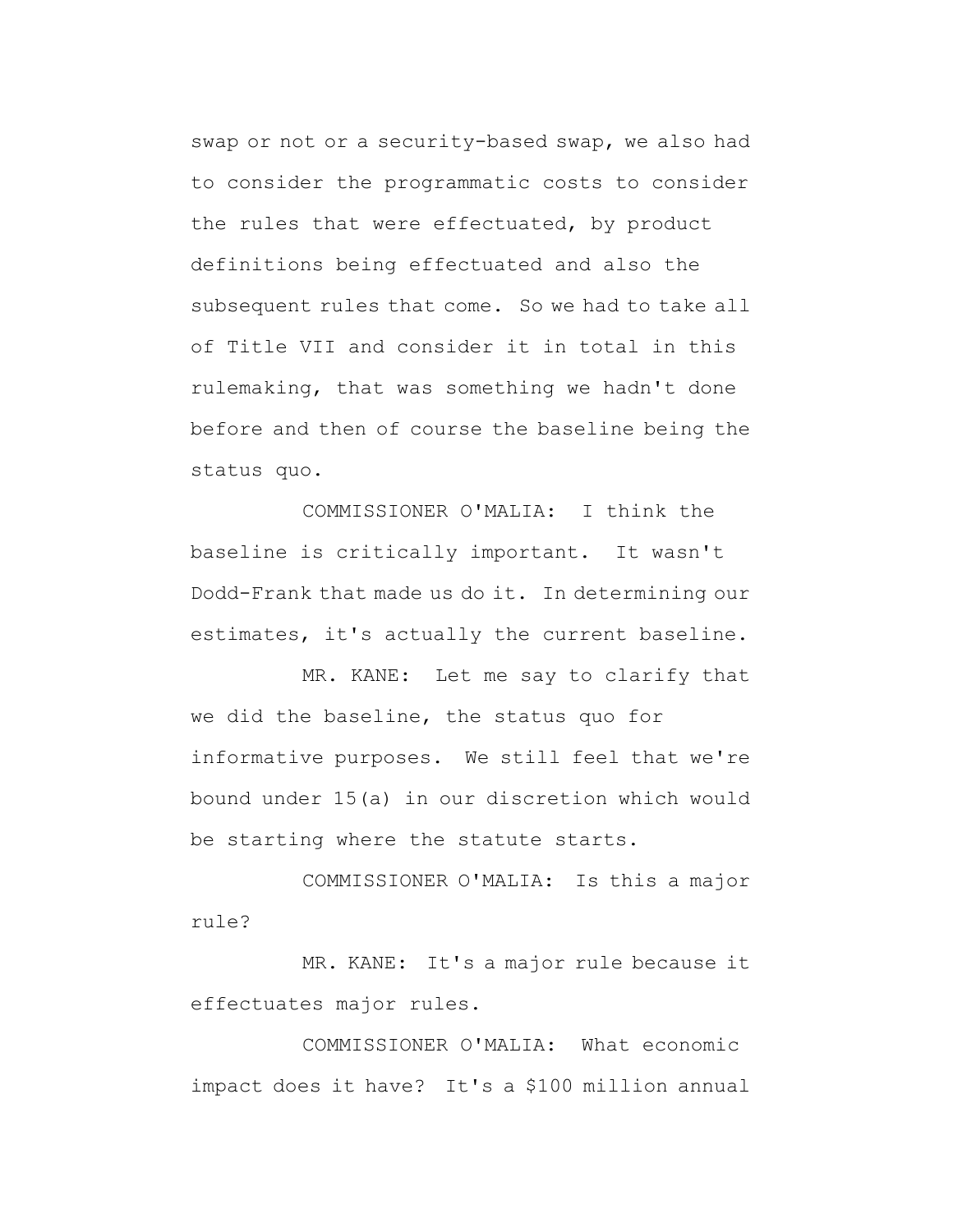swap or not or a security-based swap, we also had to consider the programmatic costs to consider the rules that were effectuated, by product definitions being effectuated and also the subsequent rules that come. So we had to take all of Title VII and consider it in total in this rulemaking, that was something we hadn't done before and then of course the baseline being the status quo.

COMMISSIONER O'MALIA: I think the baseline is critically important. It wasn't Dodd-Frank that made us do it. In determining our estimates, it's actually the current baseline.

MR. KANE: Let me say to clarify that we did the baseline, the status quo for informative purposes. We still feel that we're bound under 15(a) in our discretion which would be starting where the statute starts.

COMMISSIONER O'MALIA: Is this a major rule?

MR. KANE: It's a major rule because it effectuates major rules.

COMMISSIONER O'MALIA: What economic impact does it have? It's a \$100 million annual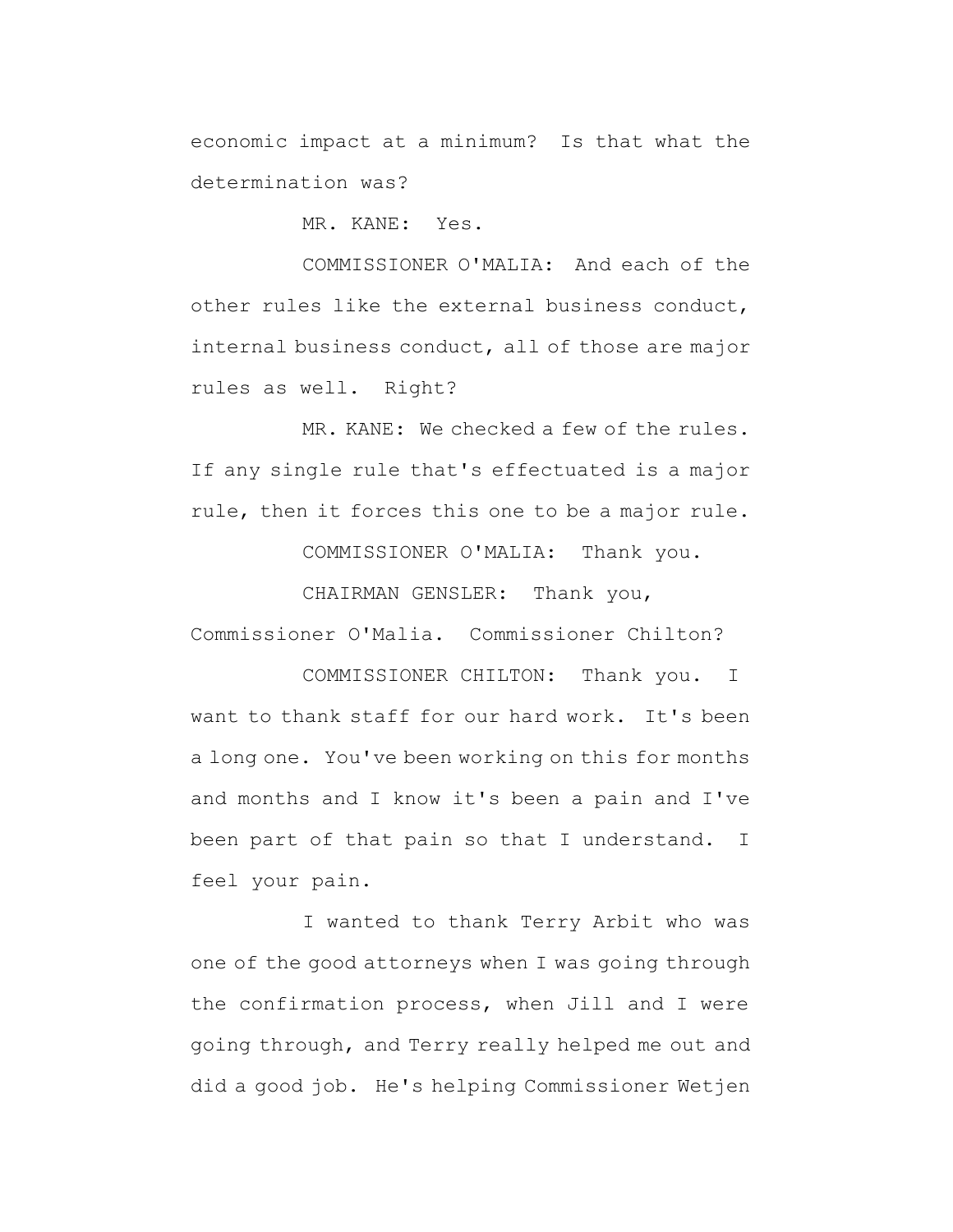economic impact at a minimum? Is that what the determination was?

MR. KANE: Yes.

COMMISSIONER O'MALIA: And each of the other rules like the external business conduct, internal business conduct, all of those are major rules as well. Right?

MR. KANE: We checked a few of the rules. If any single rule that's effectuated is a major rule, then it forces this one to be a major rule.

COMMISSIONER O'MALIA: Thank you.

CHAIRMAN GENSLER: Thank you, Commissioner O'Malia. Commissioner Chilton?

COMMISSIONER CHILTON: Thank you. I want to thank staff for our hard work. It's been a long one. You've been working on this for months and months and I know it's been a pain and I've been part of that pain so that I understand. I feel your pain.

I wanted to thank Terry Arbit who was one of the good attorneys when I was going through the confirmation process, when Jill and I were going through, and Terry really helped me out and did a good job. He's helping Commissioner Wetjen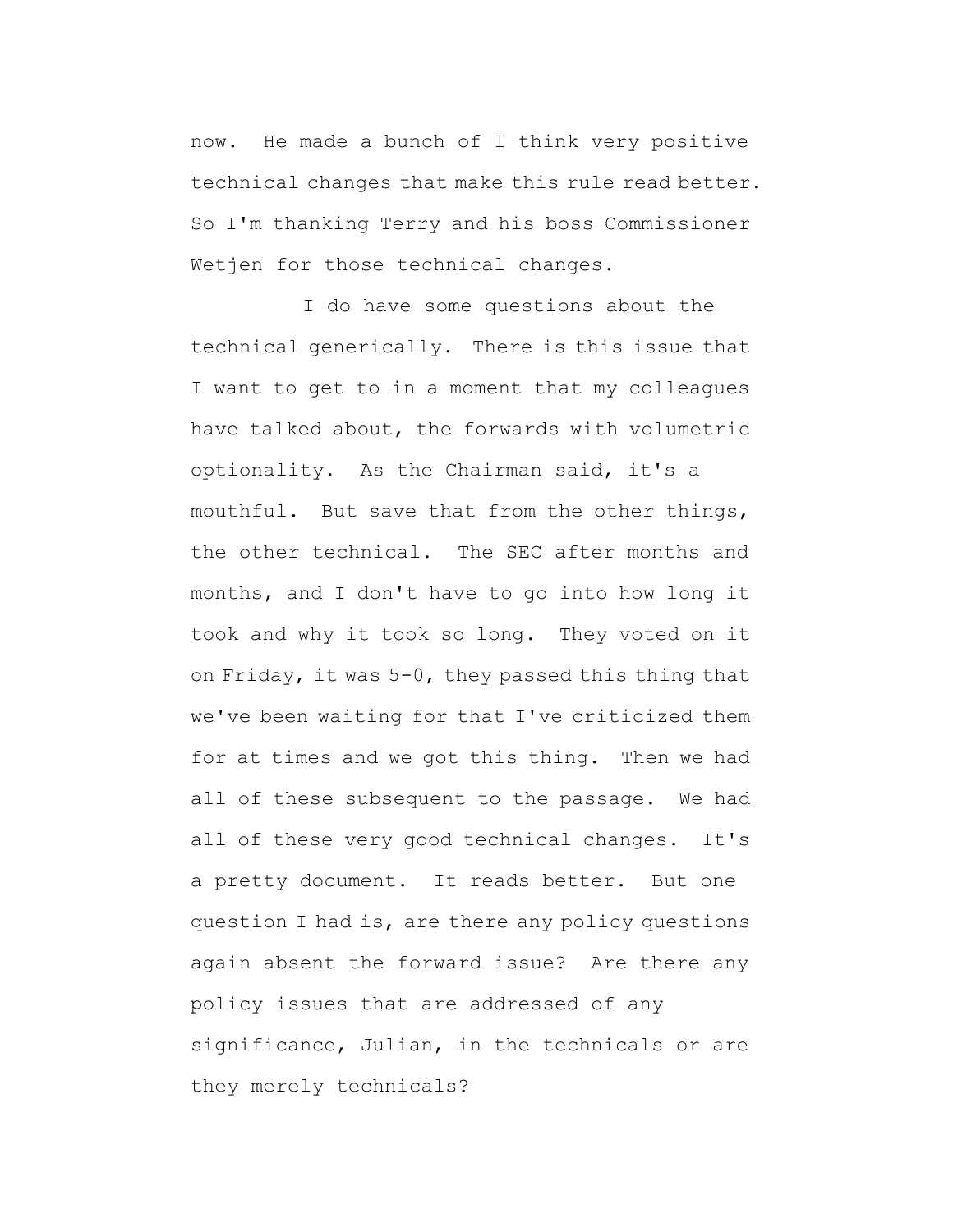now. He made a bunch of I think very positive technical changes that make this rule read better. So I'm thanking Terry and his boss Commissioner Wetjen for those technical changes.

I do have some questions about the technical generically. There is this issue that I want to get to in a moment that my colleagues have talked about, the forwards with volumetric optionality. As the Chairman said, it's a mouthful. But save that from the other things, the other technical. The SEC after months and months, and I don't have to go into how long it took and why it took so long. They voted on it on Friday, it was 5-0, they passed this thing that we've been waiting for that I've criticized them for at times and we got this thing. Then we had all of these subsequent to the passage. We had all of these very good technical changes. It's a pretty document. It reads better. But one question I had is, are there any policy questions again absent the forward issue? Are there any policy issues that are addressed of any significance, Julian, in the technicals or are they merely technicals?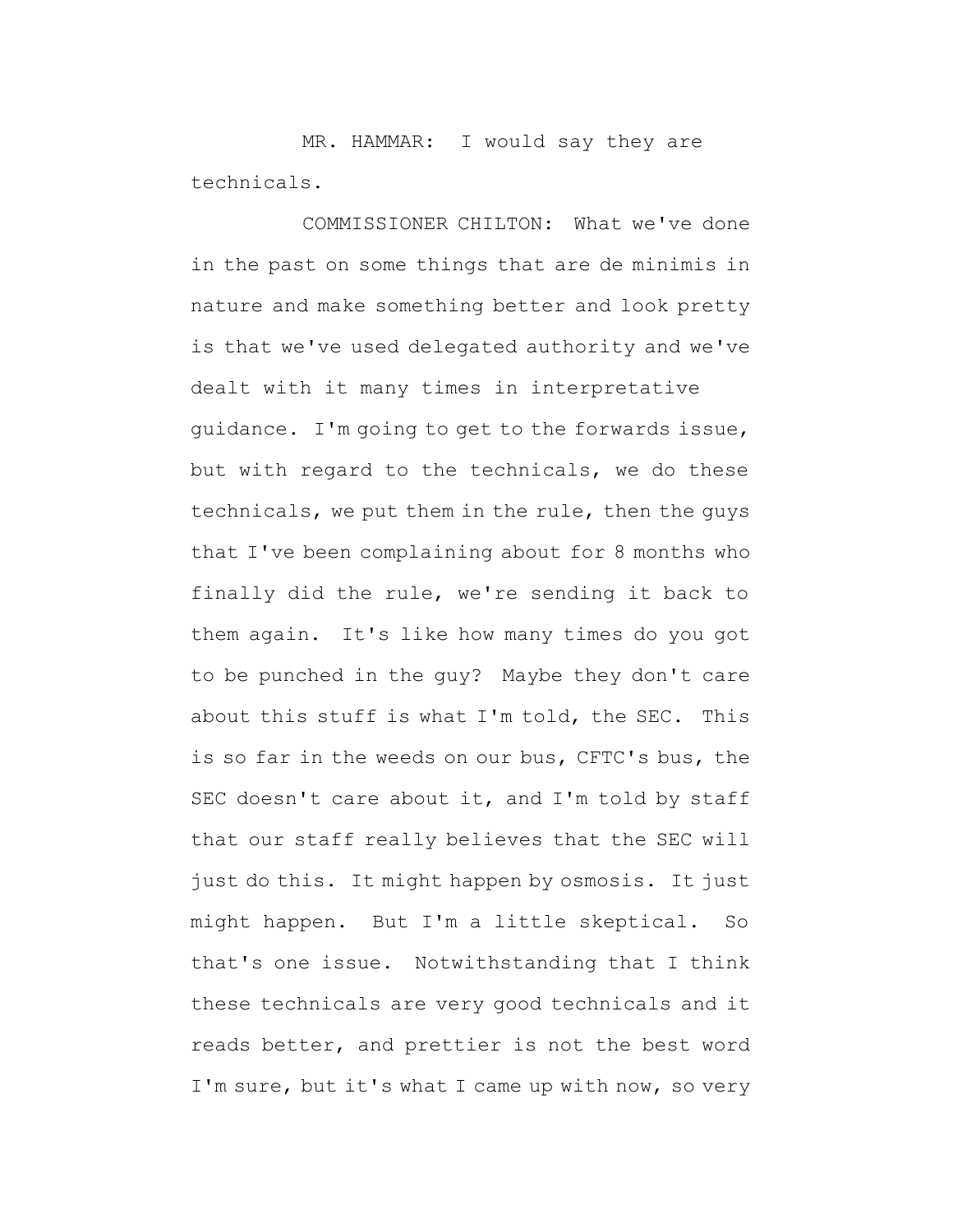MR. HAMMAR: I would say they are technicals.

COMMISSIONER CHILTON: What we've done in the past on some things that are de minimis in nature and make something better and look pretty is that we've used delegated authority and we've dealt with it many times in interpretative guidance. I'm going to get to the forwards issue, but with regard to the technicals, we do these technicals, we put them in the rule, then the guys that I've been complaining about for 8 months who finally did the rule, we're sending it back to them again. It's like how many times do you got to be punched in the guy? Maybe they don't care about this stuff is what I'm told, the SEC. This is so far in the weeds on our bus, CFTC's bus, the SEC doesn't care about it, and I'm told by staff that our staff really believes that the SEC will just do this. It might happen by osmosis. It just might happen. But I'm a little skeptical. So that's one issue. Notwithstanding that I think these technicals are very good technicals and it reads better, and prettier is not the best word I'm sure, but it's what I came up with now, so very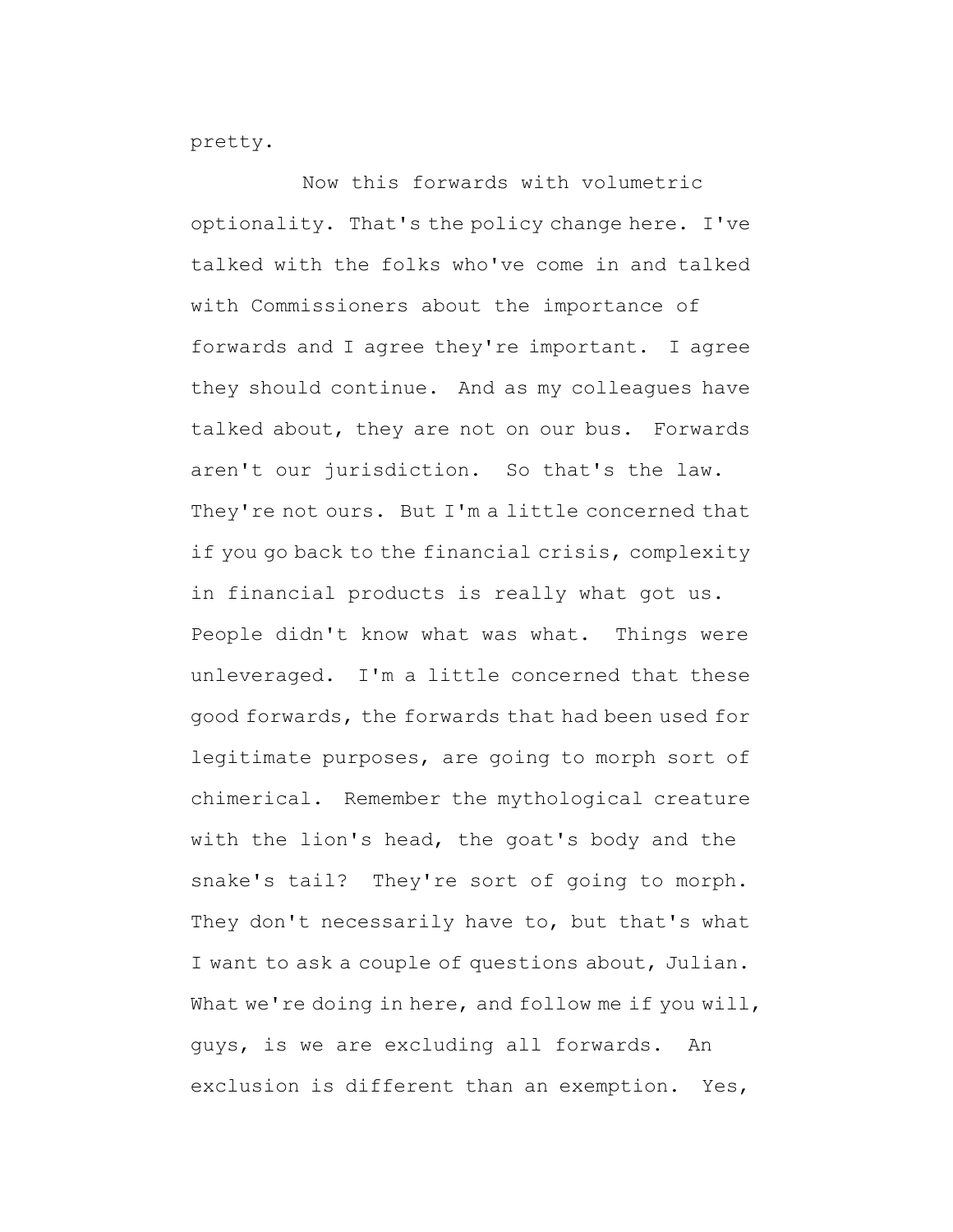pretty.

Now this forwards with volumetric optionality. That's the policy change here. I've talked with the folks who've come in and talked with Commissioners about the importance of forwards and I agree they're important. I agree they should continue. And as my colleagues have talked about, they are not on our bus. Forwards aren't our jurisdiction. So that's the law. They're not ours. But I'm a little concerned that if you go back to the financial crisis, complexity in financial products is really what got us. People didn't know what was what. Things were unleveraged. I'm a little concerned that these good forwards, the forwards that had been used for legitimate purposes, are going to morph sort of chimerical. Remember the mythological creature with the lion's head, the goat's body and the snake's tail? They're sort of going to morph. They don't necessarily have to, but that's what I want to ask a couple of questions about, Julian. What we're doing in here, and follow me if you will, guys, is we are excluding all forwards. An exclusion is different than an exemption. Yes,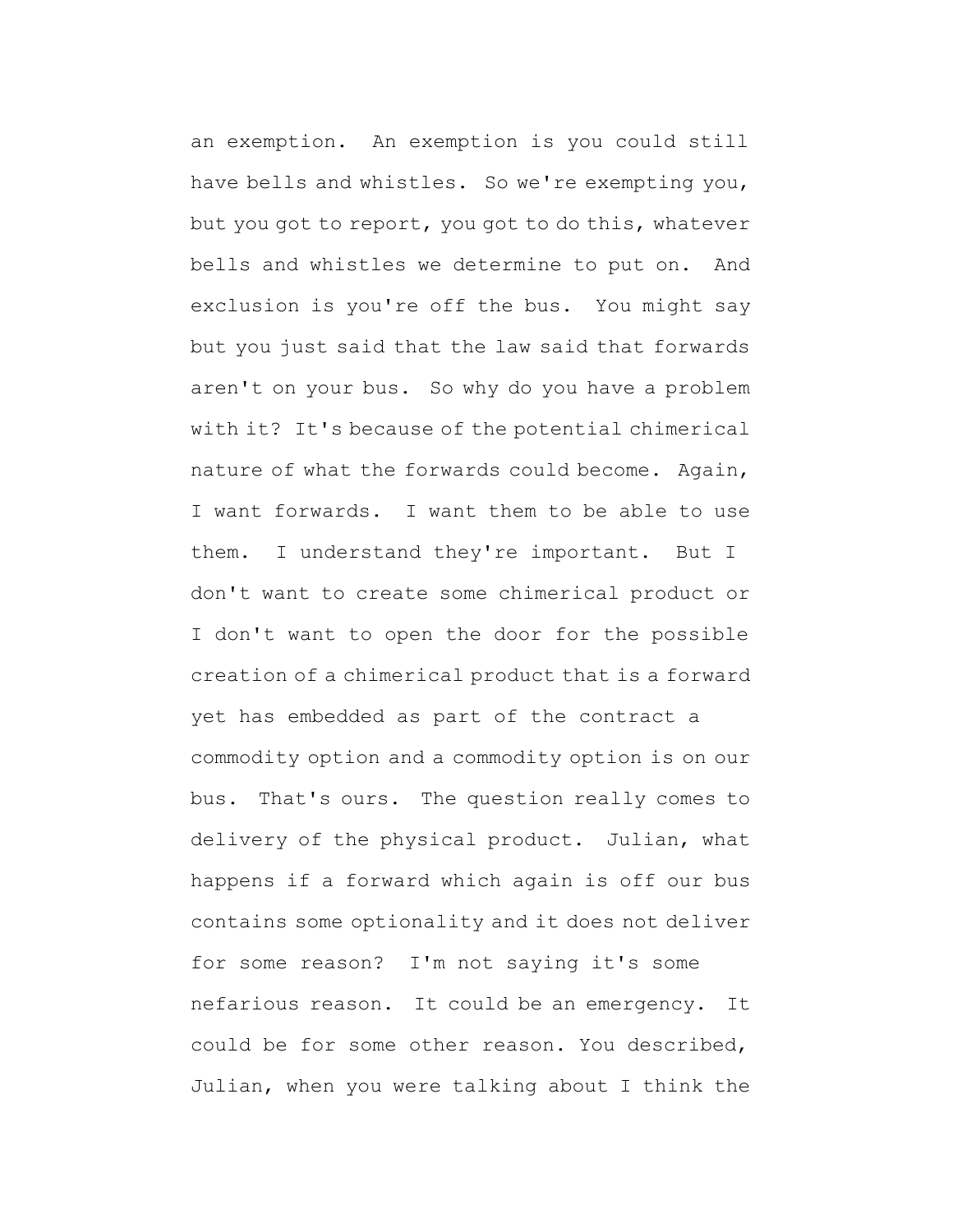an exemption. An exemption is you could still have bells and whistles. So we're exempting you, but you got to report, you got to do this, whatever bells and whistles we determine to put on. And exclusion is you're off the bus. You might say but you just said that the law said that forwards aren't on your bus. So why do you have a problem with it? It's because of the potential chimerical nature of what the forwards could become. Again, I want forwards. I want them to be able to use them. I understand they're important. But I don't want to create some chimerical product or I don't want to open the door for the possible creation of a chimerical product that is a forward yet has embedded as part of the contract a commodity option and a commodity option is on our bus. That's ours. The question really comes to delivery of the physical product. Julian, what happens if a forward which again is off our bus contains some optionality and it does not deliver for some reason? I'm not saying it's some nefarious reason. It could be an emergency. It could be for some other reason. You described, Julian, when you were talking about I think the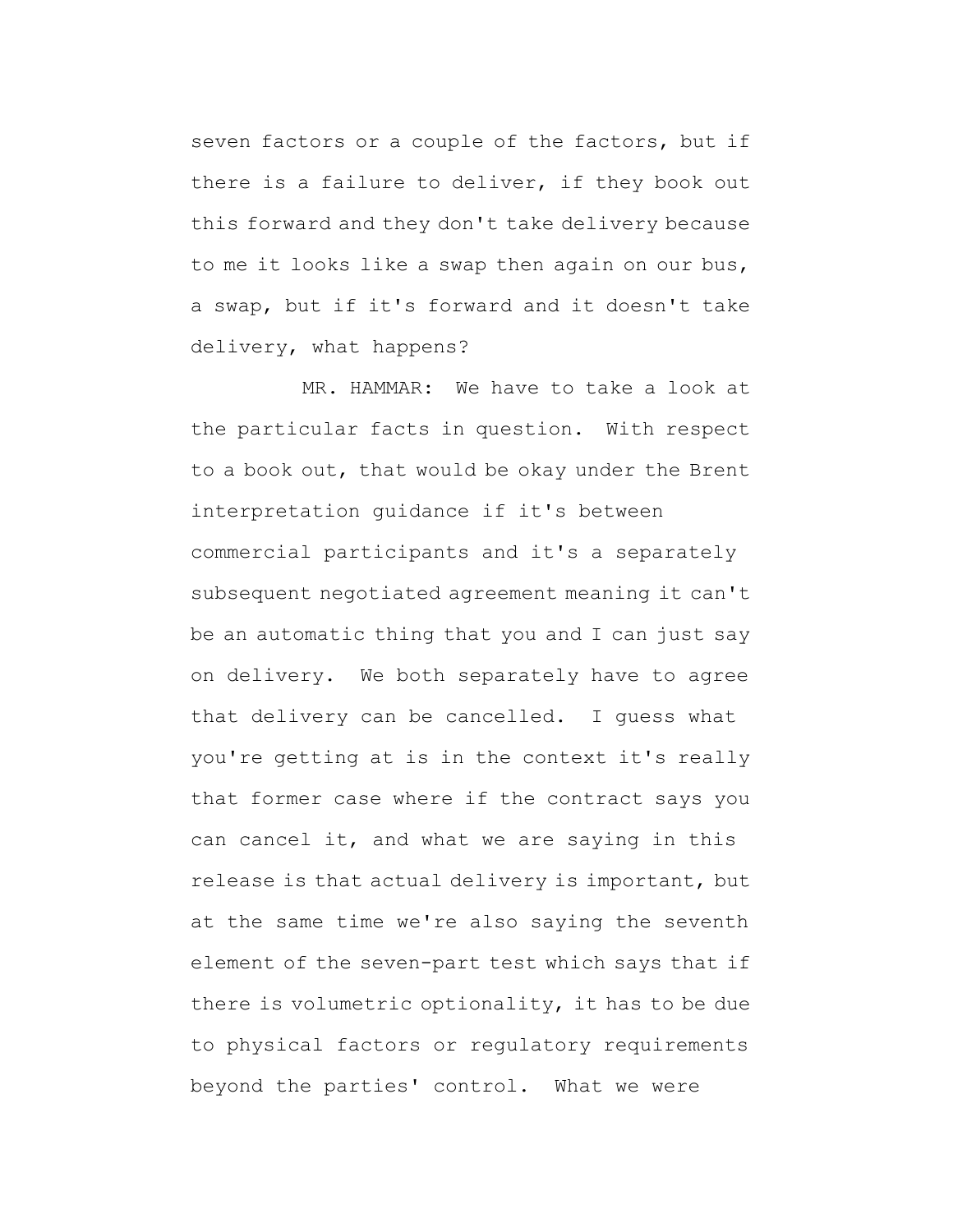seven factors or a couple of the factors, but if there is a failure to deliver, if they book out this forward and they don't take delivery because to me it looks like a swap then again on our bus, a swap, but if it's forward and it doesn't take delivery, what happens?

MR. HAMMAR: We have to take a look at the particular facts in question. With respect to a book out, that would be okay under the Brent interpretation guidance if it's between commercial participants and it's a separately subsequent negotiated agreement meaning it can't be an automatic thing that you and I can just say on delivery. We both separately have to agree that delivery can be cancelled. I guess what you're getting at is in the context it's really that former case where if the contract says you can cancel it, and what we are saying in this release is that actual delivery is important, but at the same time we're also saying the seventh element of the seven-part test which says that if there is volumetric optionality, it has to be due to physical factors or regulatory requirements beyond the parties' control. What we were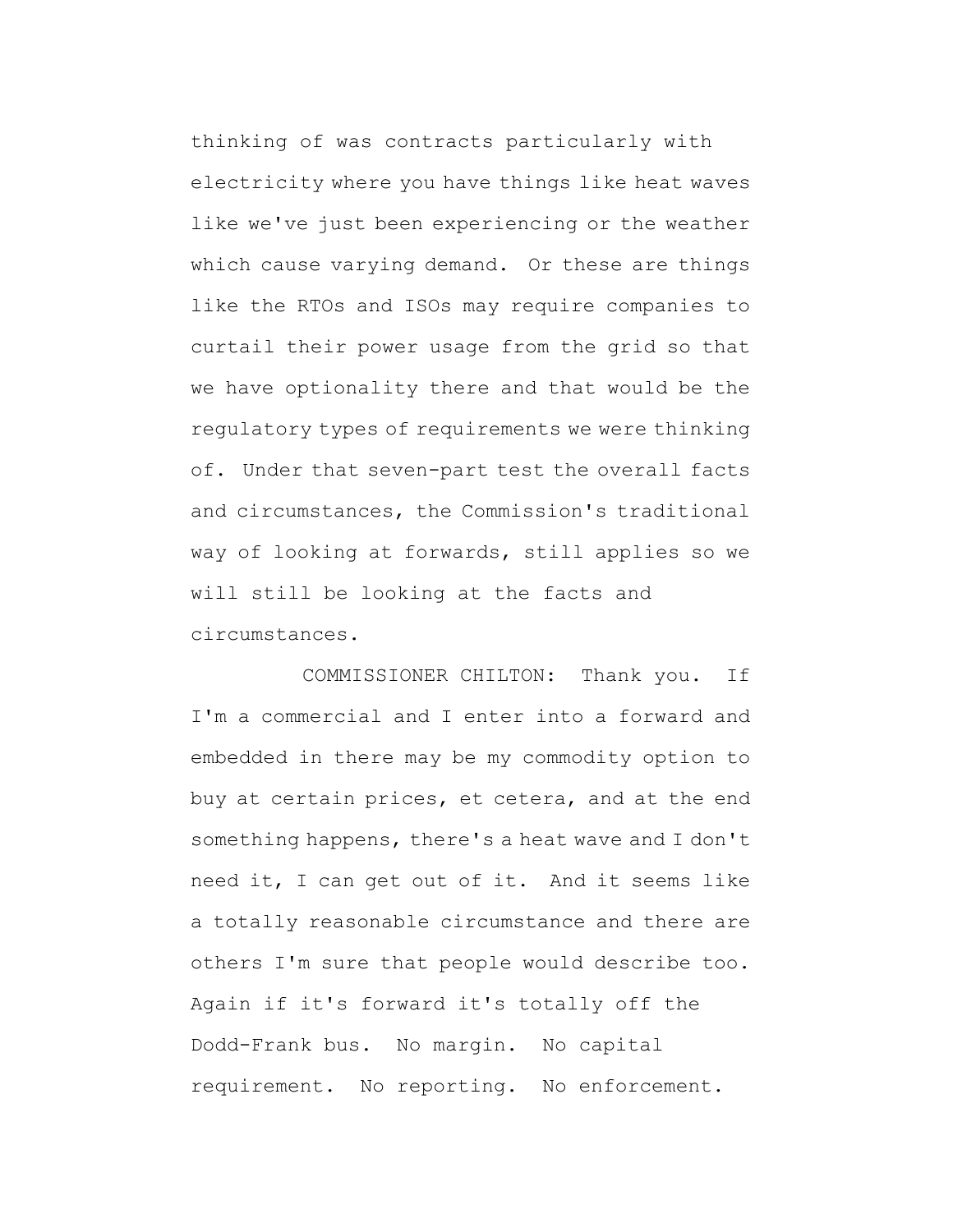thinking of was contracts particularly with electricity where you have things like heat waves like we've just been experiencing or the weather which cause varying demand. Or these are things like the RTOs and ISOs may require companies to curtail their power usage from the grid so that we have optionality there and that would be the regulatory types of requirements we were thinking of. Under that seven-part test the overall facts and circumstances, the Commission's traditional way of looking at forwards, still applies so we will still be looking at the facts and circumstances.

COMMISSIONER CHILTON: Thank you. If I'm a commercial and I enter into a forward and embedded in there may be my commodity option to buy at certain prices, et cetera, and at the end something happens, there's a heat wave and I don't need it, I can get out of it. And it seems like a totally reasonable circumstance and there are others I'm sure that people would describe too. Again if it's forward it's totally off the Dodd-Frank bus. No margin. No capital requirement. No reporting. No enforcement.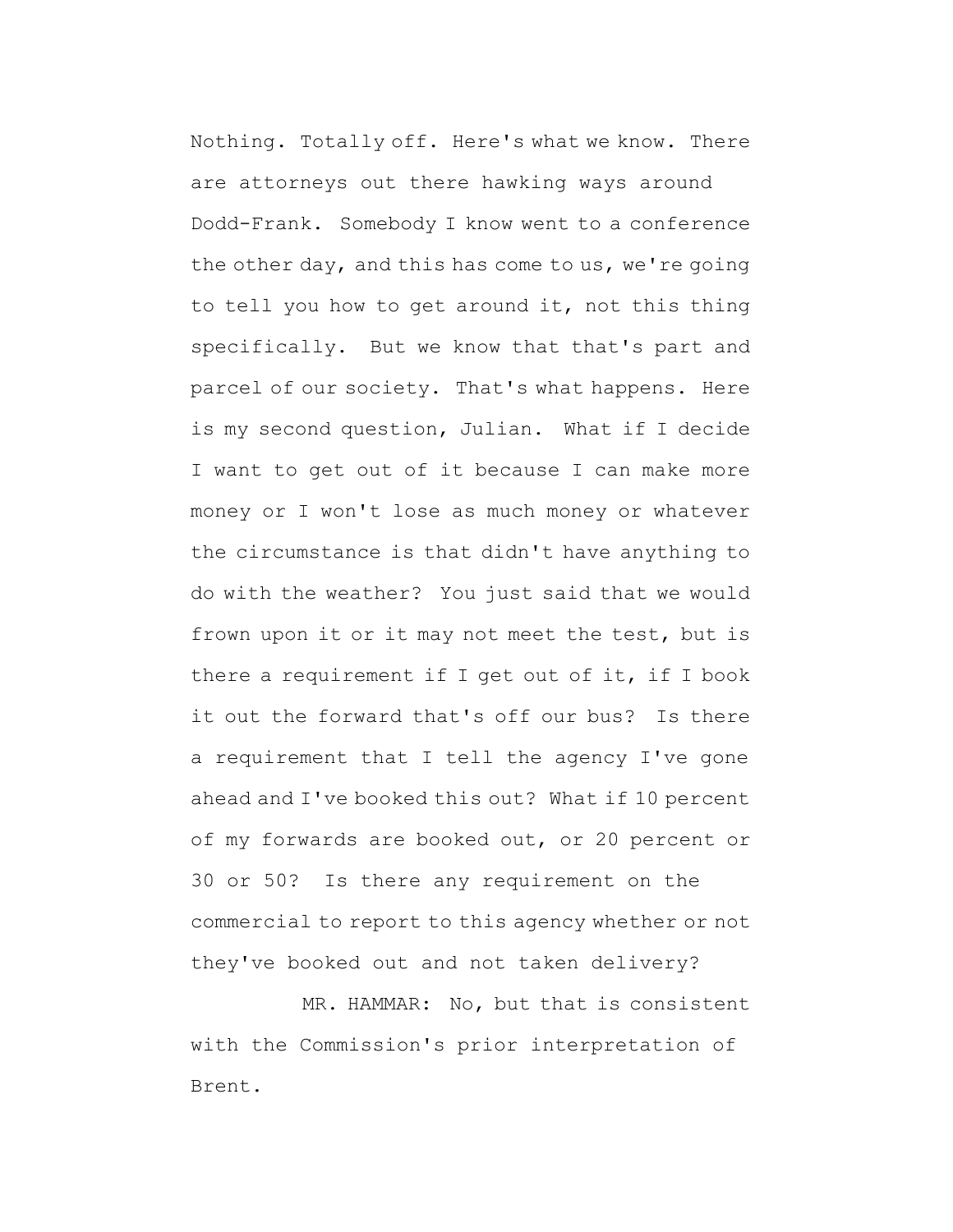Nothing. Totally off. Here's what we know. There are attorneys out there hawking ways around Dodd-Frank. Somebody I know went to a conference the other day, and this has come to us, we're going to tell you how to get around it, not this thing specifically. But we know that that's part and parcel of our society. That's what happens. Here is my second question, Julian. What if I decide I want to get out of it because I can make more money or I won't lose as much money or whatever the circumstance is that didn't have anything to do with the weather? You just said that we would frown upon it or it may not meet the test, but is there a requirement if I get out of it, if I book it out the forward that's off our bus? Is there a requirement that I tell the agency I've gone ahead and I've booked this out? What if 10 percent of my forwards are booked out, or 20 percent or 30 or 50? Is there any requirement on the commercial to report to this agency whether or not they've booked out and not taken delivery?

MR. HAMMAR: No, but that is consistent with the Commission's prior interpretation of Brent.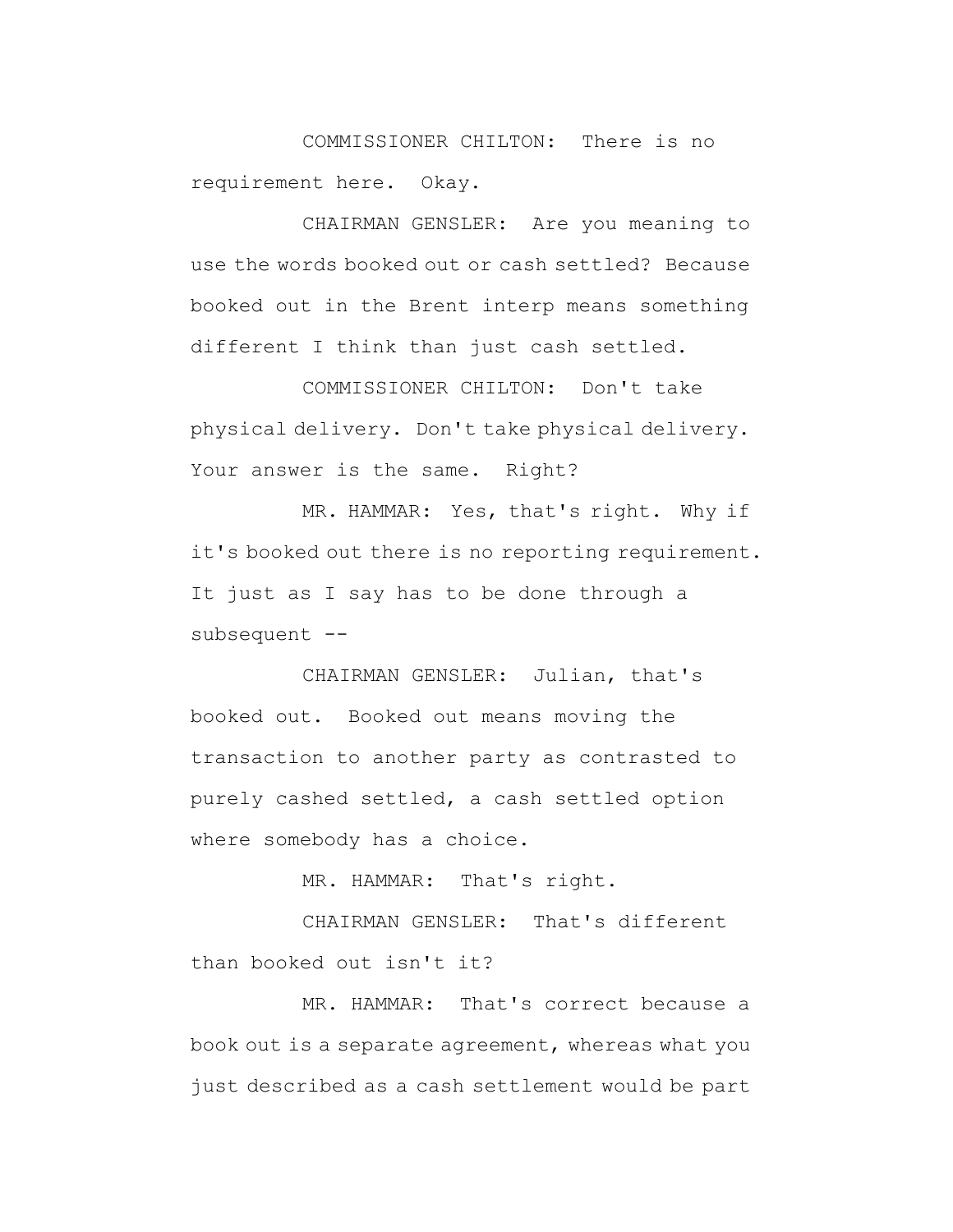COMMISSIONER CHILTON: There is no requirement here. Okay.

CHAIRMAN GENSLER: Are you meaning to use the words booked out or cash settled? Because booked out in the Brent interp means something different I think than just cash settled.

COMMISSIONER CHILTON: Don't take physical delivery. Don't take physical delivery. Your answer is the same. Right?

MR. HAMMAR: Yes, that's right. Why if it's booked out there is no reporting requirement. It just as I say has to be done through a subsequent --

CHAIRMAN GENSLER: Julian, that's booked out. Booked out means moving the transaction to another party as contrasted to purely cashed settled, a cash settled option where somebody has a choice.

MR. HAMMAR: That's right.

CHAIRMAN GENSLER: That's different than booked out isn't it?

MR. HAMMAR: That's correct because a book out is a separate agreement, whereas what you just described as a cash settlement would be part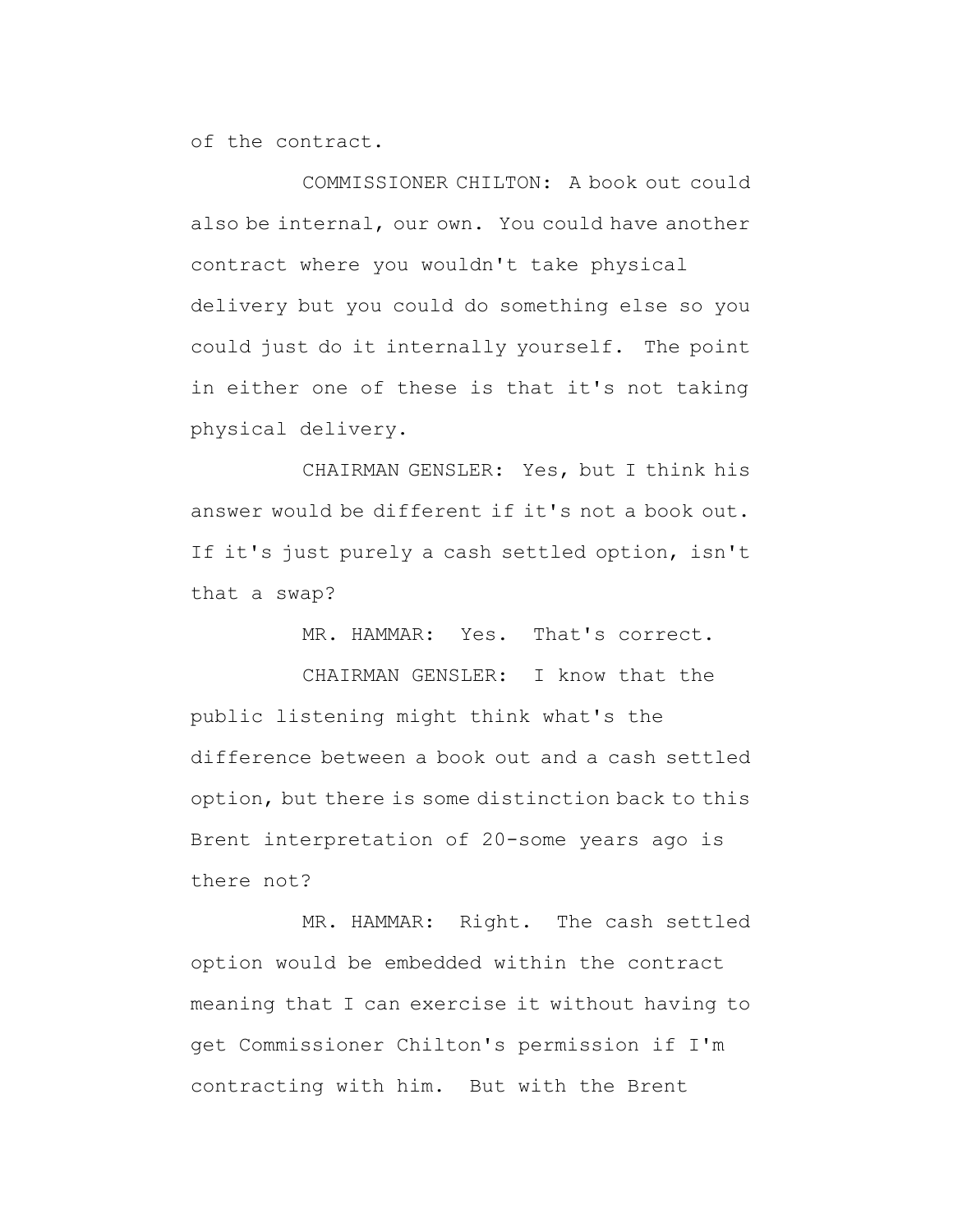of the contract.

COMMISSIONER CHILTON: A book out could also be internal, our own. You could have another contract where you wouldn't take physical delivery but you could do something else so you could just do it internally yourself. The point in either one of these is that it's not taking physical delivery.

CHAIRMAN GENSLER: Yes, but I think his answer would be different if it's not a book out. If it's just purely a cash settled option, isn't that a swap?

MR. HAMMAR: Yes. That's correct.

CHAIRMAN GENSLER: I know that the public listening might think what's the difference between a book out and a cash settled option, but there is some distinction back to this Brent interpretation of 20-some years ago is there not?

MR. HAMMAR: Right. The cash settled option would be embedded within the contract meaning that I can exercise it without having to get Commissioner Chilton's permission if I'm contracting with him. But with the Brent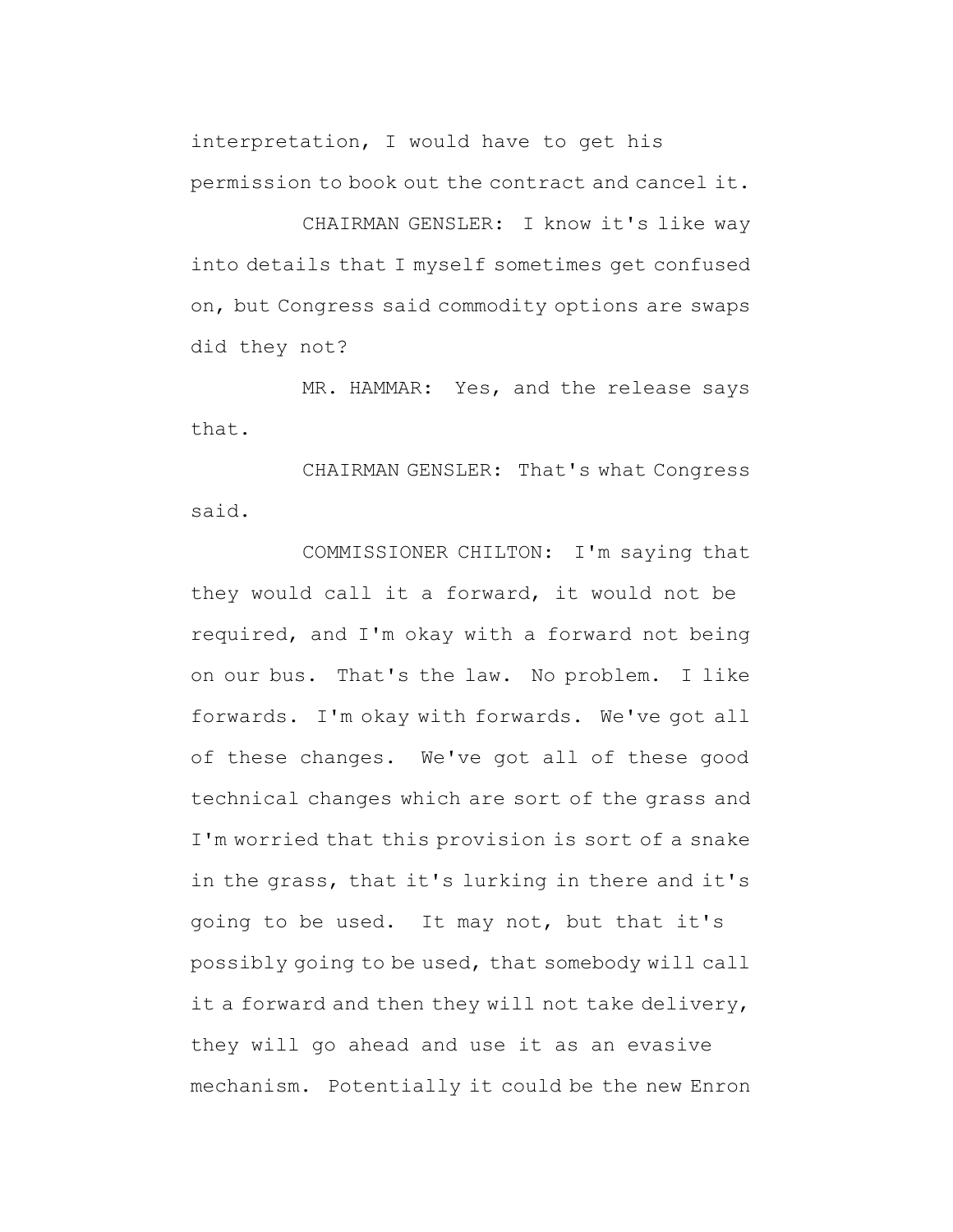interpretation, I would have to get his permission to book out the contract and cancel it.

CHAIRMAN GENSLER: I know it's like way into details that I myself sometimes get confused on, but Congress said commodity options are swaps did they not?

MR. HAMMAR: Yes, and the release says that.

CHAIRMAN GENSLER: That's what Congress said.

COMMISSIONER CHILTON: I'm saying that they would call it a forward, it would not be required, and I'm okay with a forward not being on our bus. That's the law. No problem. I like forwards. I'm okay with forwards. We've got all of these changes. We've got all of these good technical changes which are sort of the grass and I'm worried that this provision is sort of a snake in the grass, that it's lurking in there and it's going to be used. It may not, but that it's possibly going to be used, that somebody will call it a forward and then they will not take delivery, they will go ahead and use it as an evasive mechanism. Potentially it could be the new Enron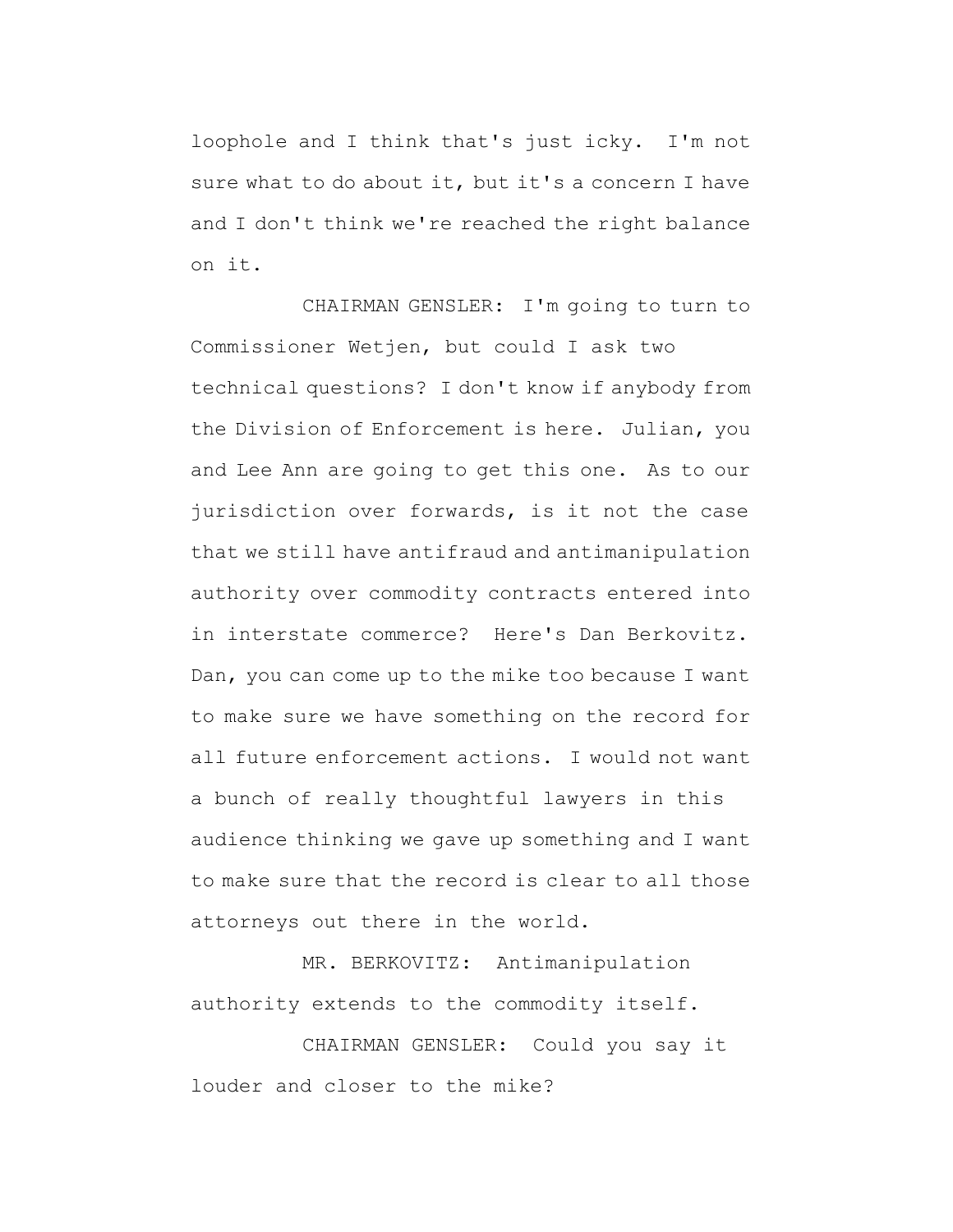loophole and I think that's just icky. I'm not sure what to do about it, but it's a concern I have and I don't think we're reached the right balance on it.

CHAIRMAN GENSLER: I'm going to turn to Commissioner Wetjen, but could I ask two technical questions? I don't know if anybody from the Division of Enforcement is here. Julian, you and Lee Ann are going to get this one. As to our jurisdiction over forwards, is it not the case that we still have antifraud and antimanipulation authority over commodity contracts entered into in interstate commerce? Here's Dan Berkovitz. Dan, you can come up to the mike too because I want to make sure we have something on the record for all future enforcement actions. I would not want a bunch of really thoughtful lawyers in this audience thinking we gave up something and I want to make sure that the record is clear to all those attorneys out there in the world.

MR. BERKOVITZ: Antimanipulation authority extends to the commodity itself.

CHAIRMAN GENSLER: Could you say it louder and closer to the mike?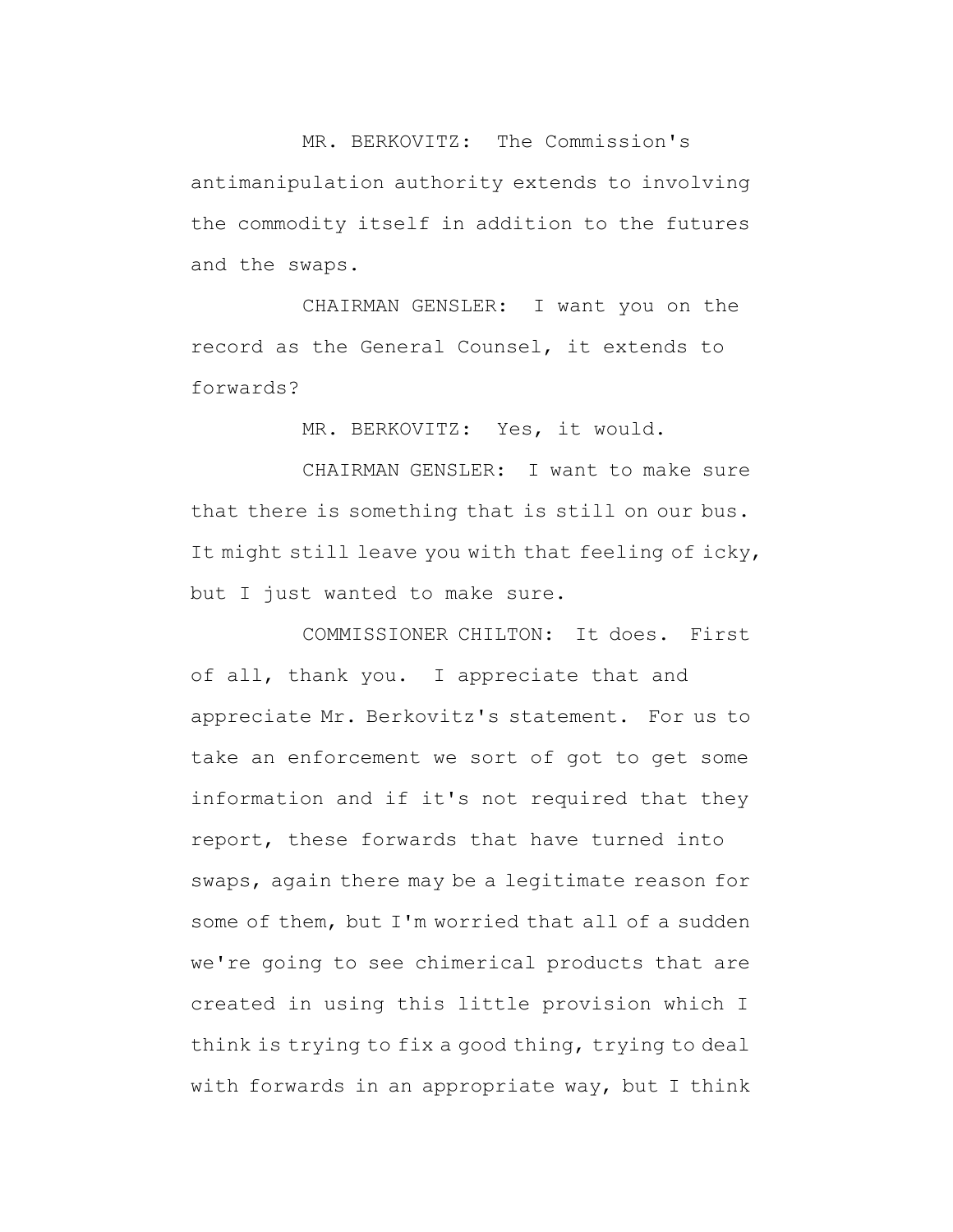MR. BERKOVITZ: The Commission's antimanipulation authority extends to involving the commodity itself in addition to the futures and the swaps.

CHAIRMAN GENSLER: I want you on the record as the General Counsel, it extends to forwards?

MR. BERKOVITZ: Yes, it would.

CHAIRMAN GENSLER: I want to make sure that there is something that is still on our bus. It might still leave you with that feeling of icky, but I just wanted to make sure.

COMMISSIONER CHILTON: It does. First of all, thank you. I appreciate that and appreciate Mr. Berkovitz's statement. For us to take an enforcement we sort of got to get some information and if it's not required that they report, these forwards that have turned into swaps, again there may be a legitimate reason for some of them, but I'm worried that all of a sudden we're going to see chimerical products that are created in using this little provision which I think is trying to fix a good thing, trying to deal with forwards in an appropriate way, but I think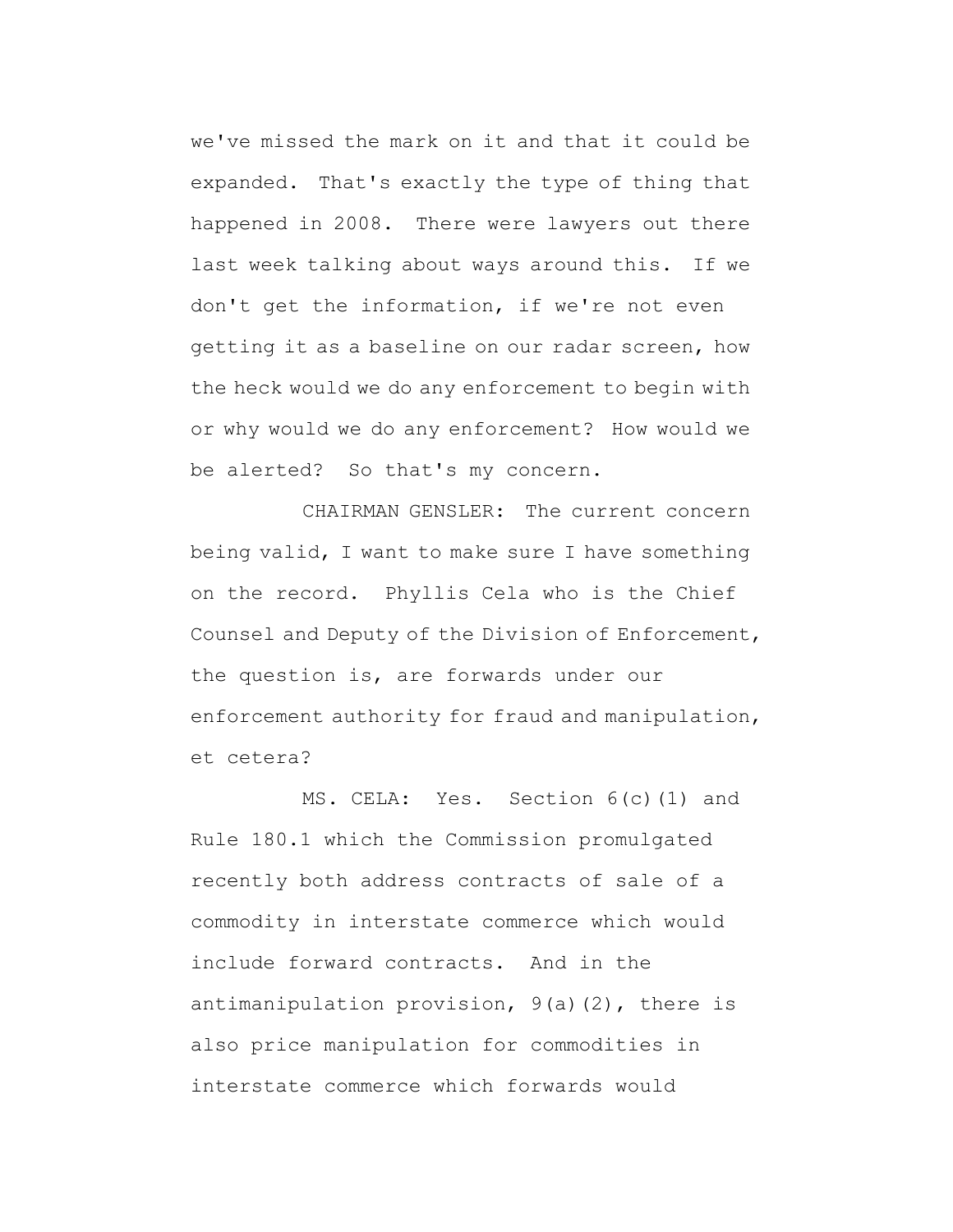we've missed the mark on it and that it could be expanded. That's exactly the type of thing that happened in 2008. There were lawyers out there last week talking about ways around this. If we don't get the information, if we're not even getting it as a baseline on our radar screen, how the heck would we do any enforcement to begin with or why would we do any enforcement? How would we be alerted? So that's my concern.

CHAIRMAN GENSLER: The current concern being valid, I want to make sure I have something on the record. Phyllis Cela who is the Chief Counsel and Deputy of the Division of Enforcement, the question is, are forwards under our enforcement authority for fraud and manipulation, et cetera?

MS. CELA: Yes. Section 6(c)(1) and Rule 180.1 which the Commission promulgated recently both address contracts of sale of a commodity in interstate commerce which would include forward contracts. And in the antimanipulation provision, 9(a)(2), there is also price manipulation for commodities in interstate commerce which forwards would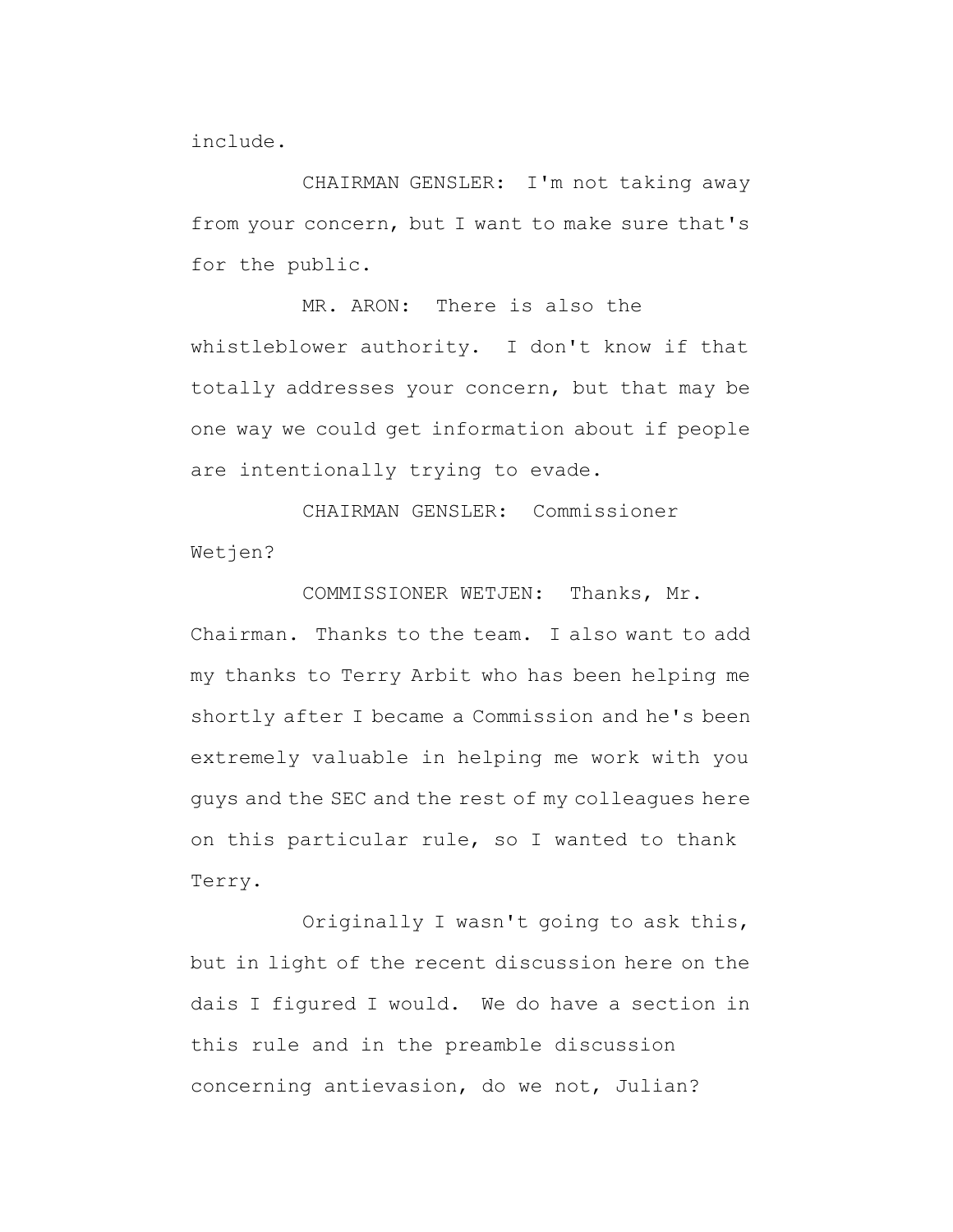include.

CHAIRMAN GENSLER: I'm not taking away from your concern, but I want to make sure that's for the public.

MR. ARON: There is also the whistleblower authority. I don't know if that totally addresses your concern, but that may be one way we could get information about if people are intentionally trying to evade.

CHAIRMAN GENSLER: Commissioner Wetjen?

COMMISSIONER WETJEN: Thanks, Mr. Chairman. Thanks to the team. I also want to add my thanks to Terry Arbit who has been helping me shortly after I became a Commission and he's been extremely valuable in helping me work with you guys and the SEC and the rest of my colleagues here on this particular rule, so I wanted to thank Terry.

Originally I wasn't going to ask this, but in light of the recent discussion here on the dais I figured I would. We do have a section in this rule and in the preamble discussion concerning antievasion, do we not, Julian?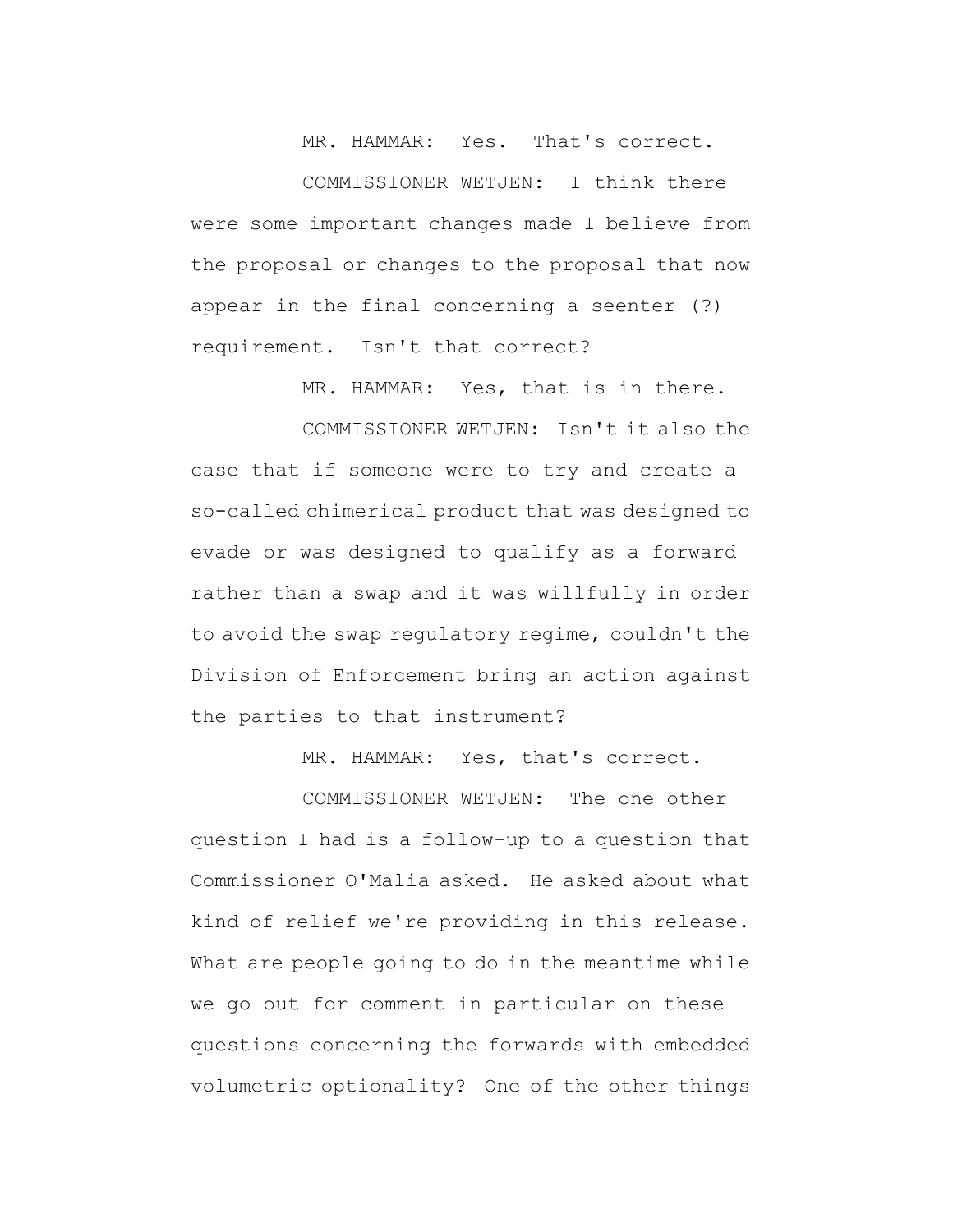MR. HAMMAR: Yes. That's correct.

COMMISSIONER WETJEN: I think there were some important changes made I believe from the proposal or changes to the proposal that now appear in the final concerning a seenter (?) requirement. Isn't that correct?

MR. HAMMAR: Yes, that is in there.

COMMISSIONER WETJEN: Isn't it also the case that if someone were to try and create a so-called chimerical product that was designed to evade or was designed to qualify as a forward rather than a swap and it was willfully in order to avoid the swap regulatory regime, couldn't the Division of Enforcement bring an action against the parties to that instrument?

MR. HAMMAR: Yes, that's correct.

COMMISSIONER WETJEN: The one other question I had is a follow-up to a question that Commissioner O'Malia asked. He asked about what kind of relief we're providing in this release. What are people going to do in the meantime while we go out for comment in particular on these questions concerning the forwards with embedded volumetric optionality? One of the other things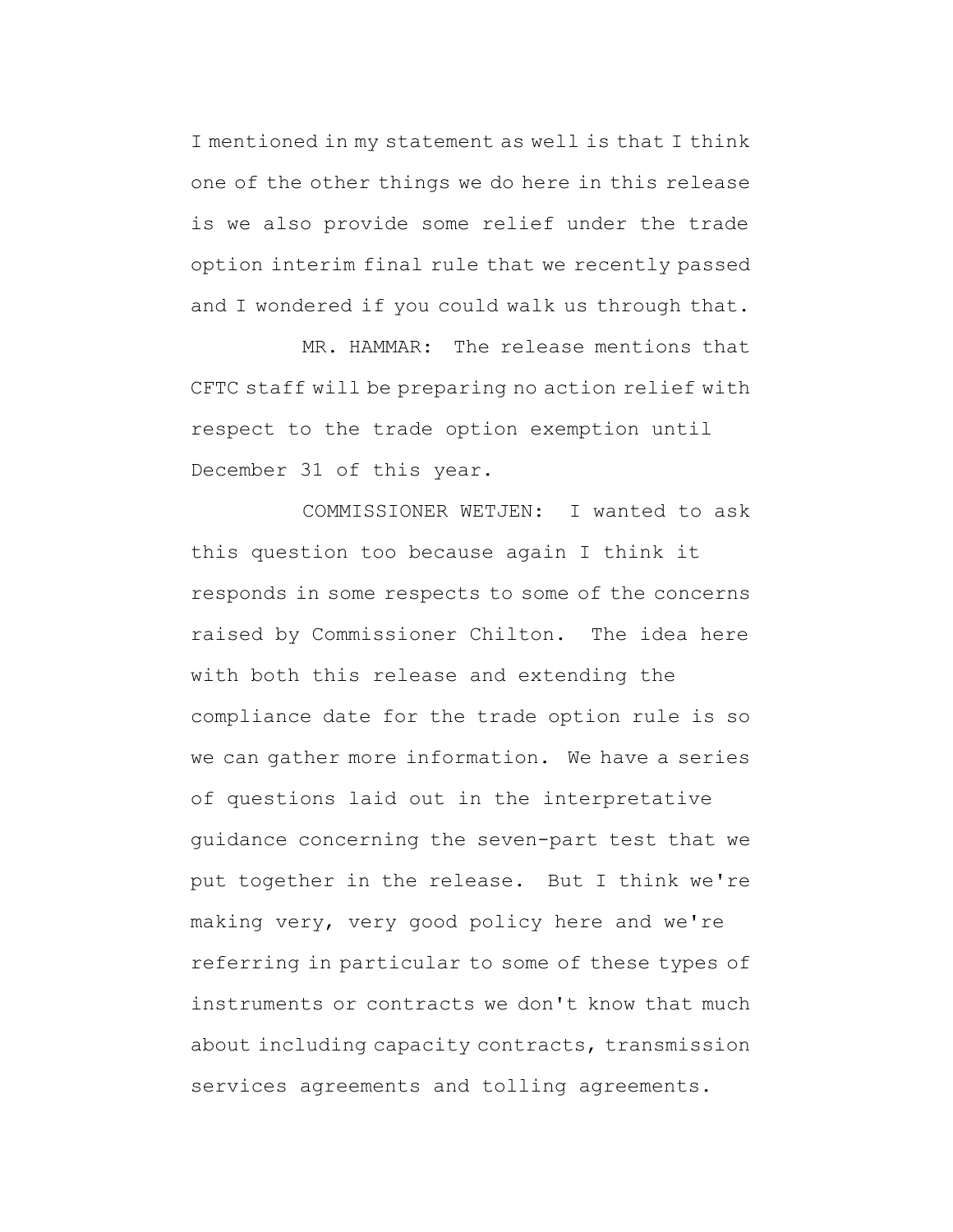I mentioned in my statement as well is that I think one of the other things we do here in this release is we also provide some relief under the trade option interim final rule that we recently passed and I wondered if you could walk us through that.

MR. HAMMAR: The release mentions that CFTC staff will be preparing no action relief with respect to the trade option exemption until December 31 of this year.

COMMISSIONER WETJEN: I wanted to ask this question too because again I think it responds in some respects to some of the concerns raised by Commissioner Chilton. The idea here with both this release and extending the compliance date for the trade option rule is so we can gather more information. We have a series of questions laid out in the interpretative guidance concerning the seven-part test that we put together in the release. But I think we're making very, very good policy here and we're referring in particular to some of these types of instruments or contracts we don't know that much about including capacity contracts, transmission services agreements and tolling agreements.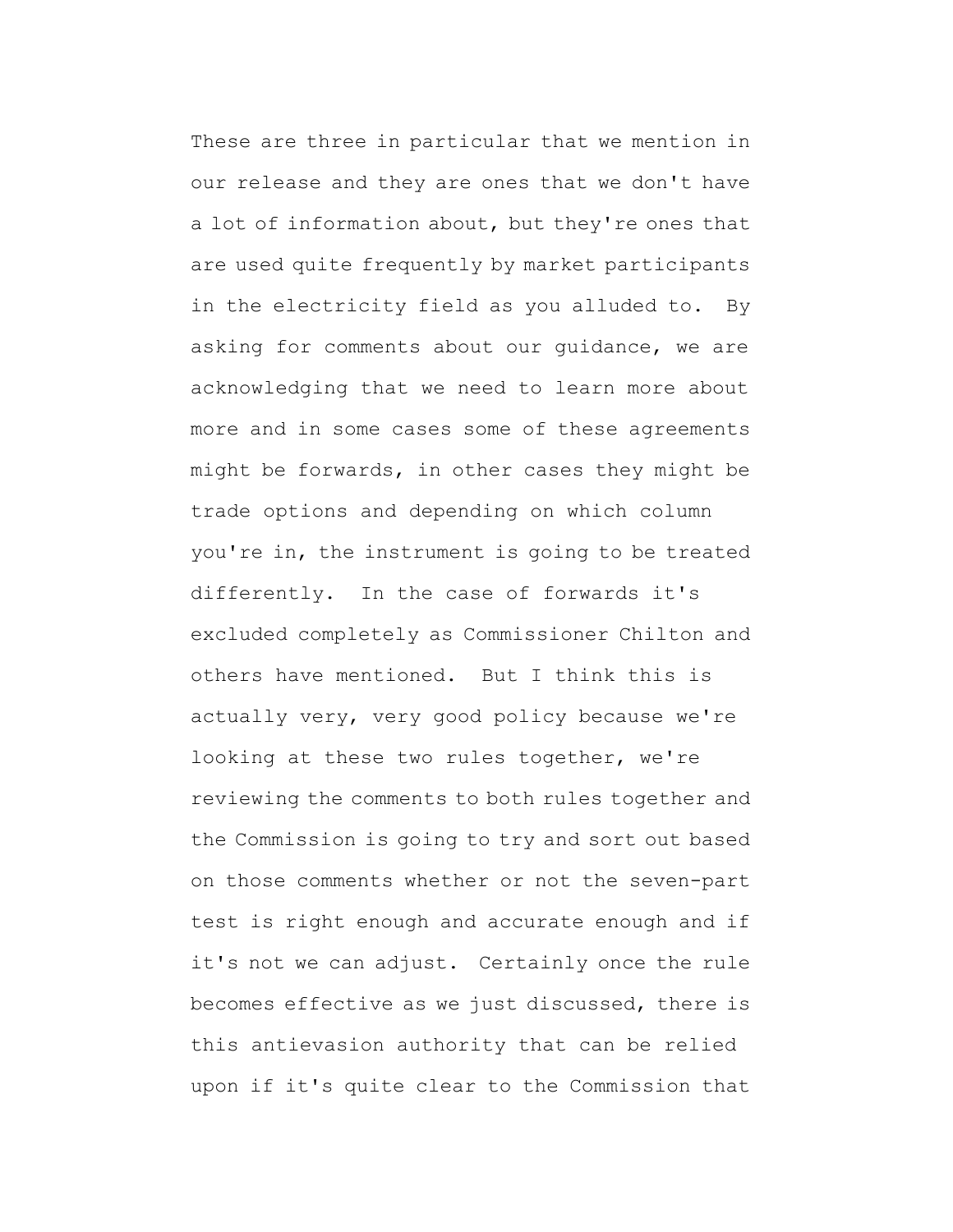These are three in particular that we mention in our release and they are ones that we don't have a lot of information about, but they're ones that are used quite frequently by market participants in the electricity field as you alluded to. By asking for comments about our guidance, we are acknowledging that we need to learn more about more and in some cases some of these agreements might be forwards, in other cases they might be trade options and depending on which column you're in, the instrument is going to be treated differently. In the case of forwards it's excluded completely as Commissioner Chilton and others have mentioned. But I think this is actually very, very good policy because we're looking at these two rules together, we're reviewing the comments to both rules together and the Commission is going to try and sort out based on those comments whether or not the seven-part test is right enough and accurate enough and if it's not we can adjust. Certainly once the rule becomes effective as we just discussed, there is this antievasion authority that can be relied upon if it's quite clear to the Commission that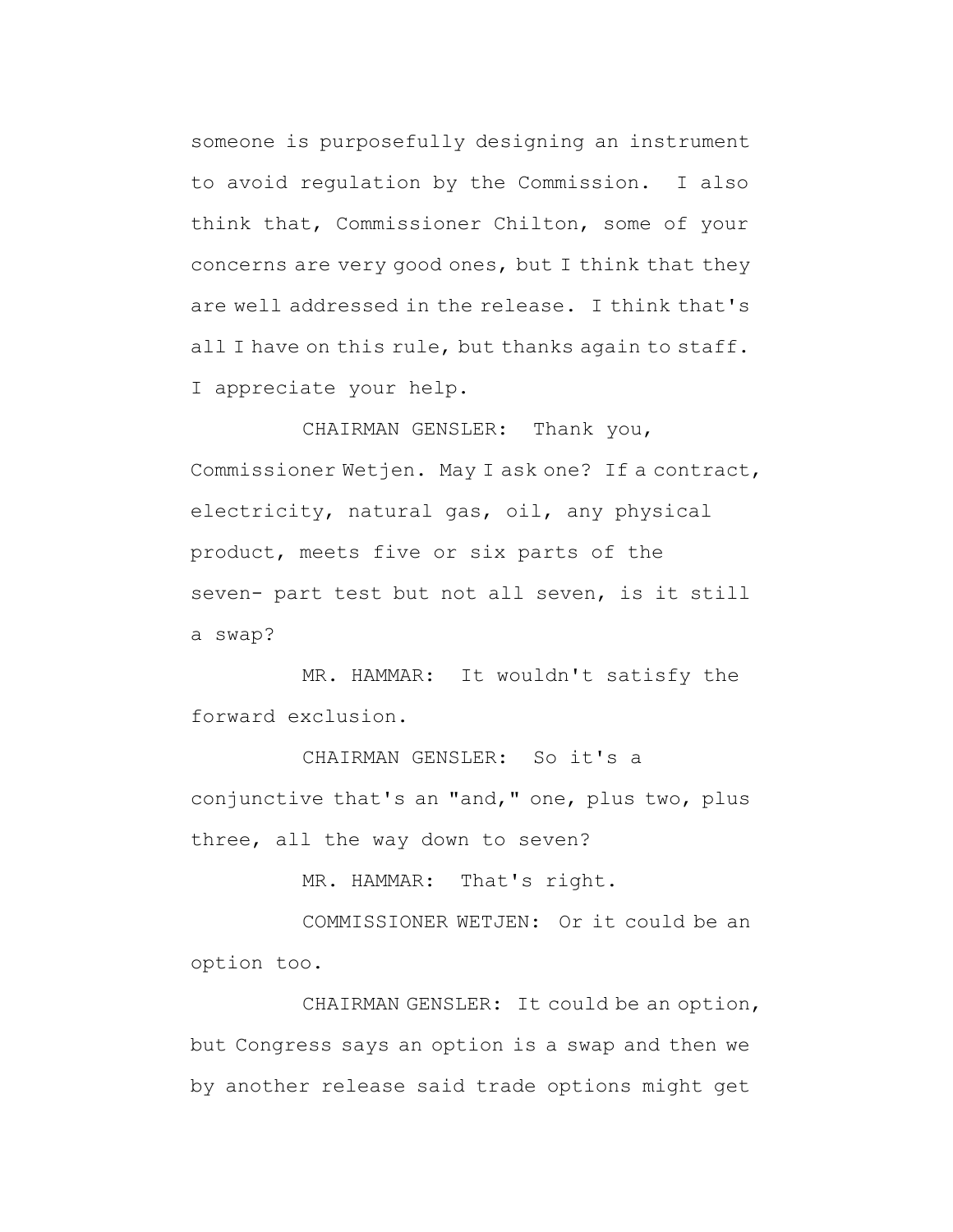someone is purposefully designing an instrument to avoid regulation by the Commission. I also think that, Commissioner Chilton, some of your concerns are very good ones, but I think that they are well addressed in the release. I think that's all I have on this rule, but thanks again to staff. I appreciate your help.

CHAIRMAN GENSLER: Thank you, Commissioner Wetjen. May I ask one? If a contract, electricity, natural gas, oil, any physical product, meets five or six parts of the seven- part test but not all seven, is it still a swap?

MR. HAMMAR: It wouldn't satisfy the forward exclusion.

CHAIRMAN GENSLER: So it's a conjunctive that's an "and," one, plus two, plus three, all the way down to seven?

MR. HAMMAR: That's right.

COMMISSIONER WETJEN: Or it could be an option too.

CHAIRMAN GENSLER: It could be an option, but Congress says an option is a swap and then we by another release said trade options might get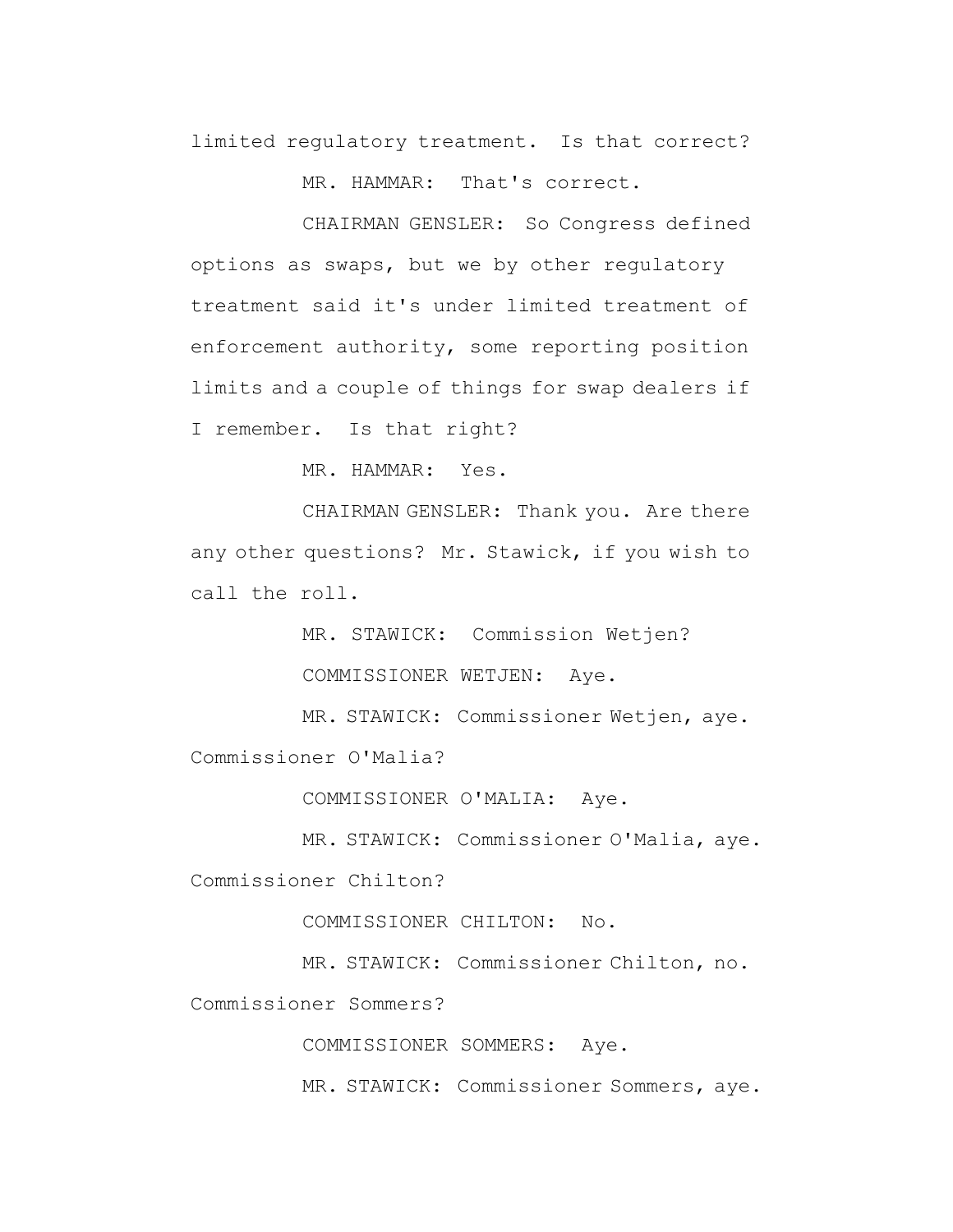limited regulatory treatment. Is that correct?

MR. HAMMAR: That's correct.

CHAIRMAN GENSLER: So Congress defined options as swaps, but we by other regulatory treatment said it's under limited treatment of enforcement authority, some reporting position limits and a couple of things for swap dealers if I remember. Is that right?

MR. HAMMAR: Yes.

CHAIRMAN GENSLER: Thank you. Are there any other questions? Mr. Stawick, if you wish to call the roll.

> MR. STAWICK: Commission Wetjen? COMMISSIONER WETJEN: Aye.

MR. STAWICK: Commissioner Wetjen, aye. Commissioner O'Malia?

COMMISSIONER O'MALIA: Aye.

MR. STAWICK: Commissioner O'Malia, aye.

Commissioner Chilton?

COMMISSIONER CHILTON: No.

MR. STAWICK: Commissioner Chilton, no.

Commissioner Sommers?

COMMISSIONER SOMMERS: Aye.

MR. STAWICK: Commissioner Sommers, aye.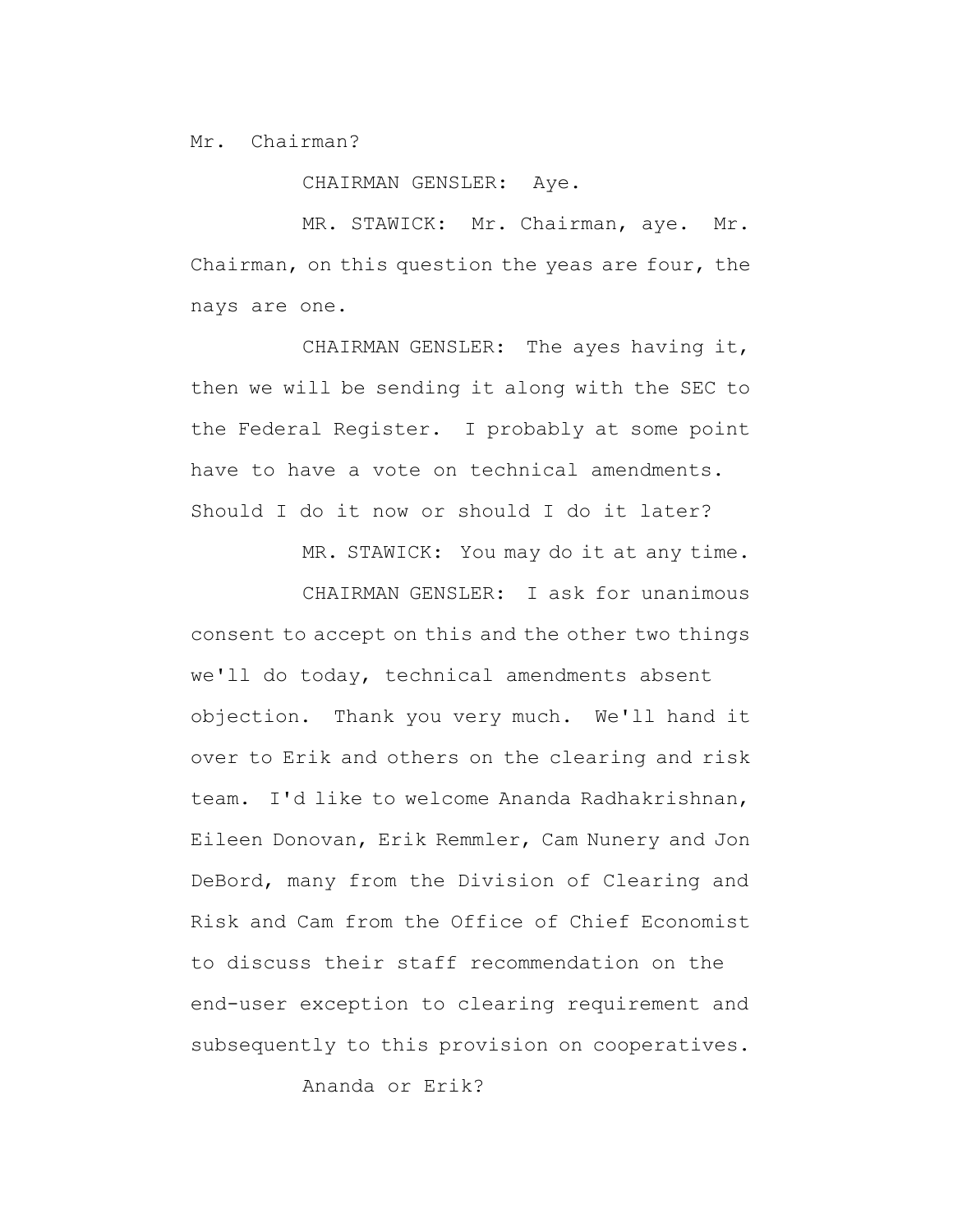Mr. Chairman?

CHAIRMAN GENSLER: Aye.

MR. STAWICK: Mr. Chairman, aye. Mr. Chairman, on this question the yeas are four, the nays are one.

CHAIRMAN GENSLER: The ayes having it, then we will be sending it along with the SEC to the Federal Register. I probably at some point have to have a vote on technical amendments. Should I do it now or should I do it later?

MR. STAWICK: You may do it at any time.

CHAIRMAN GENSLER: I ask for unanimous consent to accept on this and the other two things we'll do today, technical amendments absent objection. Thank you very much. We'll hand it over to Erik and others on the clearing and risk team. I'd like to welcome Ananda Radhakrishnan, Eileen Donovan, Erik Remmler, Cam Nunery and Jon DeBord, many from the Division of Clearing and Risk and Cam from the Office of Chief Economist to discuss their staff recommendation on the end-user exception to clearing requirement and subsequently to this provision on cooperatives.

Ananda or Erik?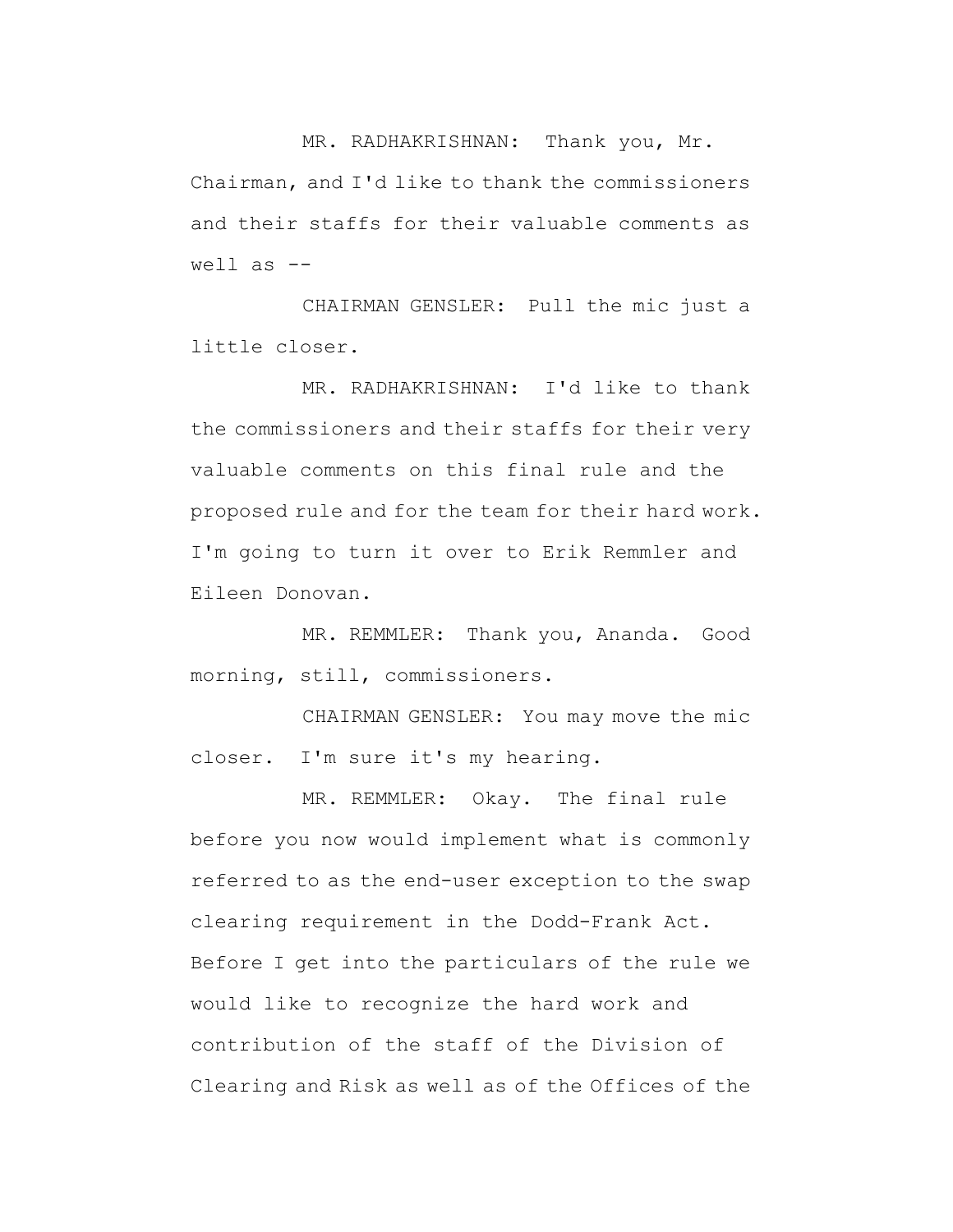MR. RADHAKRISHNAN: Thank you, Mr. Chairman, and I'd like to thank the commissioners and their staffs for their valuable comments as well as  $-$ 

CHAIRMAN GENSLER: Pull the mic just a little closer.

MR. RADHAKRISHNAN: I'd like to thank the commissioners and their staffs for their very valuable comments on this final rule and the proposed rule and for the team for their hard work. I'm going to turn it over to Erik Remmler and Eileen Donovan.

MR. REMMLER: Thank you, Ananda. Good morning, still, commissioners.

CHAIRMAN GENSLER: You may move the mic closer. I'm sure it's my hearing.

MR. REMMLER: Okay. The final rule before you now would implement what is commonly referred to as the end-user exception to the swap clearing requirement in the Dodd-Frank Act. Before I get into the particulars of the rule we would like to recognize the hard work and contribution of the staff of the Division of Clearing and Risk as well as of the Offices of the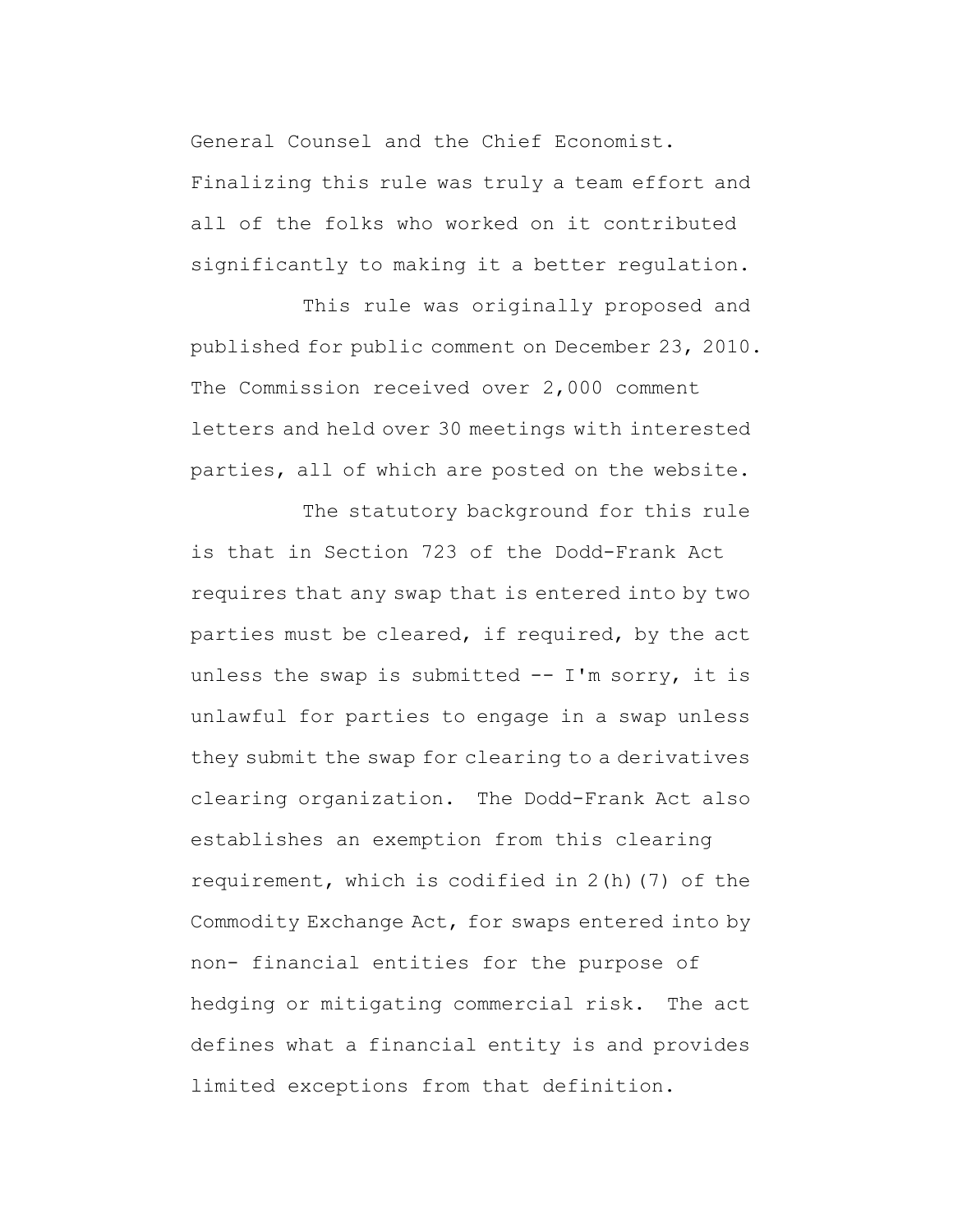General Counsel and the Chief Economist. Finalizing this rule was truly a team effort and all of the folks who worked on it contributed significantly to making it a better regulation.

This rule was originally proposed and published for public comment on December 23, 2010. The Commission received over 2,000 comment letters and held over 30 meetings with interested parties, all of which are posted on the website.

The statutory background for this rule

is that in Section 723 of the Dodd-Frank Act requires that any swap that is entered into by two parties must be cleared, if required, by the act unless the swap is submitted  $--$  I'm sorry, it is unlawful for parties to engage in a swap unless they submit the swap for clearing to a derivatives clearing organization. The Dodd-Frank Act also establishes an exemption from this clearing requirement, which is codified in 2(h)(7) of the Commodity Exchange Act, for swaps entered into by non- financial entities for the purpose of hedging or mitigating commercial risk. The act defines what a financial entity is and provides limited exceptions from that definition.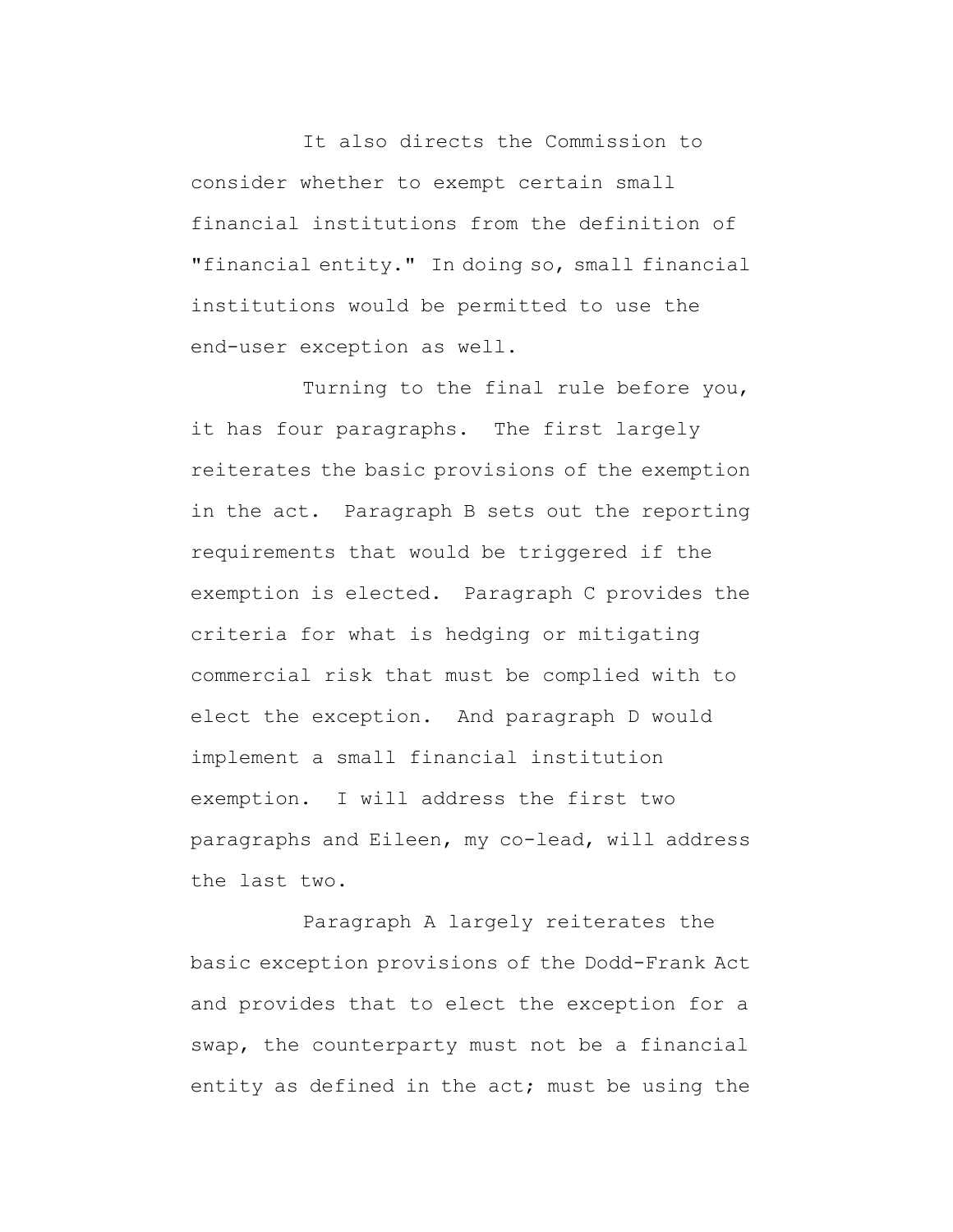It also directs the Commission to consider whether to exempt certain small financial institutions from the definition of "financial entity." In doing so, small financial institutions would be permitted to use the end-user exception as well.

Turning to the final rule before you, it has four paragraphs. The first largely reiterates the basic provisions of the exemption in the act. Paragraph B sets out the reporting requirements that would be triggered if the exemption is elected. Paragraph C provides the criteria for what is hedging or mitigating commercial risk that must be complied with to elect the exception. And paragraph D would implement a small financial institution exemption. I will address the first two paragraphs and Eileen, my co-lead, will address the last two.

Paragraph A largely reiterates the basic exception provisions of the Dodd-Frank Act and provides that to elect the exception for a swap, the counterparty must not be a financial entity as defined in the act; must be using the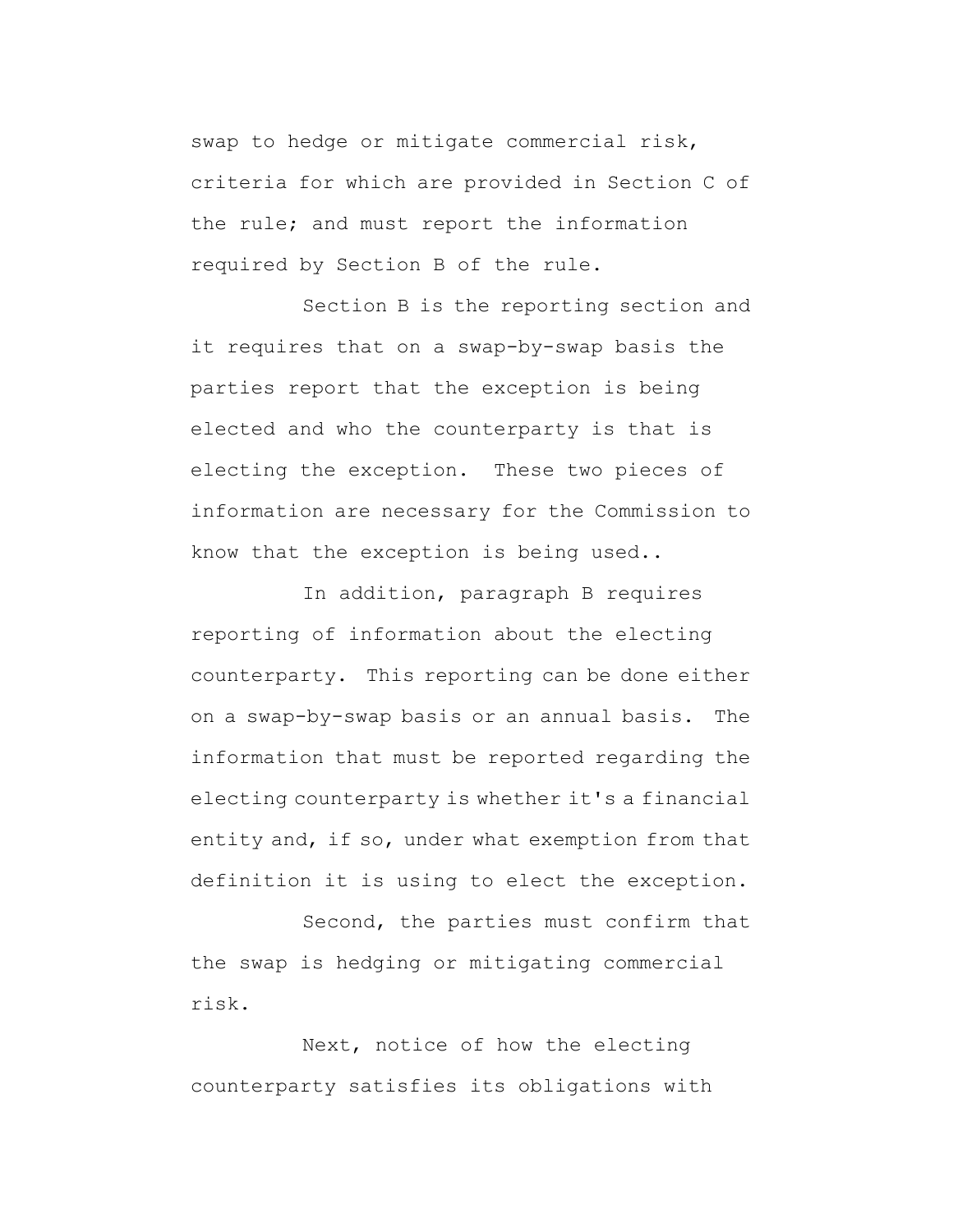swap to hedge or mitigate commercial risk, criteria for which are provided in Section C of the rule; and must report the information required by Section B of the rule.

Section B is the reporting section and it requires that on a swap-by-swap basis the parties report that the exception is being elected and who the counterparty is that is electing the exception. These two pieces of information are necessary for the Commission to know that the exception is being used..

In addition, paragraph B requires reporting of information about the electing counterparty. This reporting can be done either on a swap-by-swap basis or an annual basis. The information that must be reported regarding the electing counterparty is whether it's a financial entity and, if so, under what exemption from that definition it is using to elect the exception.

Second, the parties must confirm that the swap is hedging or mitigating commercial risk.

Next, notice of how the electing counterparty satisfies its obligations with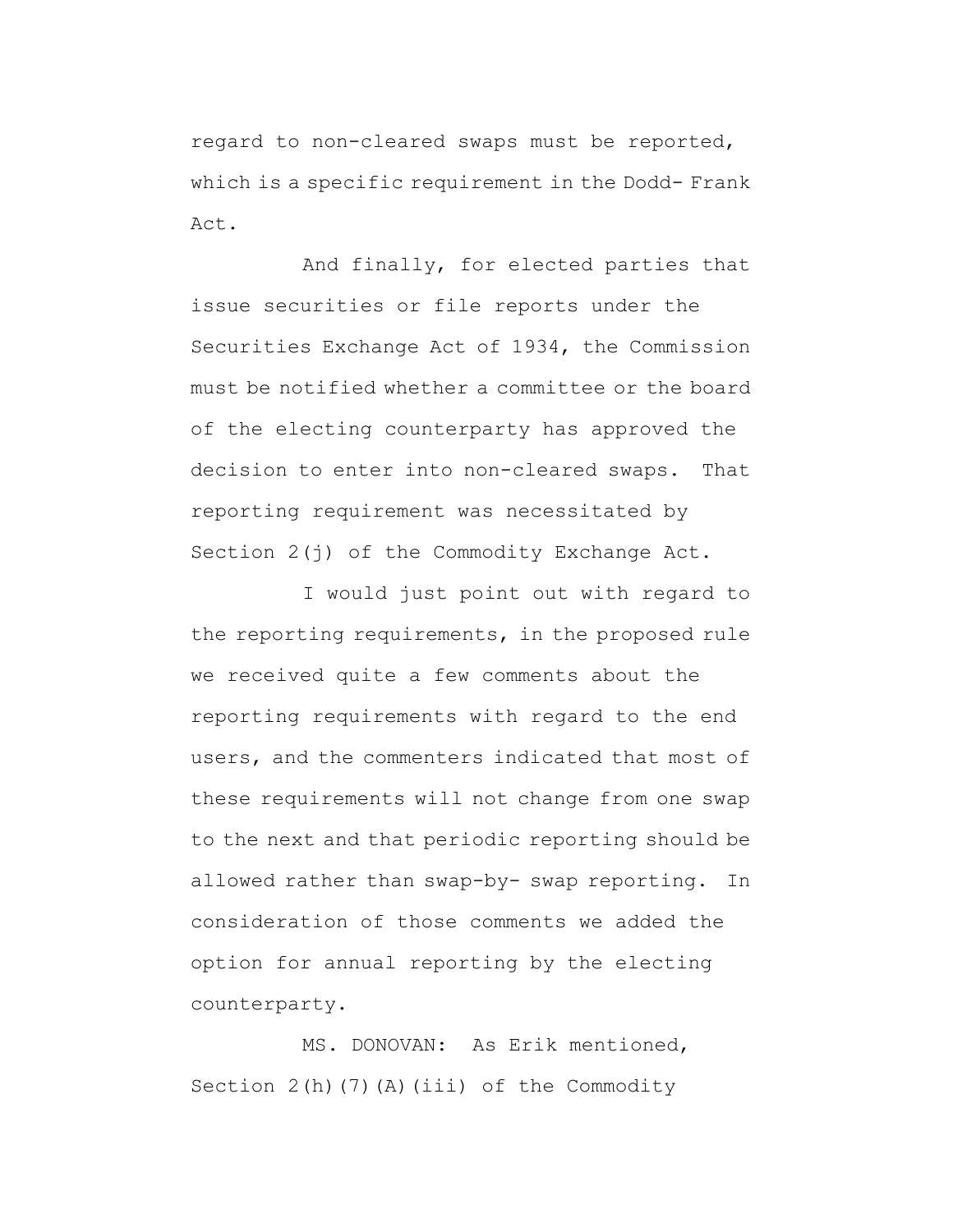regard to non-cleared swaps must be reported, which is a specific requirement in the Dodd- Frank Act.

And finally, for elected parties that issue securities or file reports under the Securities Exchange Act of 1934, the Commission must be notified whether a committee or the board of the electing counterparty has approved the decision to enter into non-cleared swaps. That reporting requirement was necessitated by Section 2(j) of the Commodity Exchange Act.

I would just point out with regard to the reporting requirements, in the proposed rule we received quite a few comments about the reporting requirements with regard to the end users, and the commenters indicated that most of these requirements will not change from one swap to the next and that periodic reporting should be allowed rather than swap-by- swap reporting. In consideration of those comments we added the option for annual reporting by the electing counterparty.

MS. DONOVAN: As Erik mentioned, Section  $2(h)$  (7)(A)(iii) of the Commodity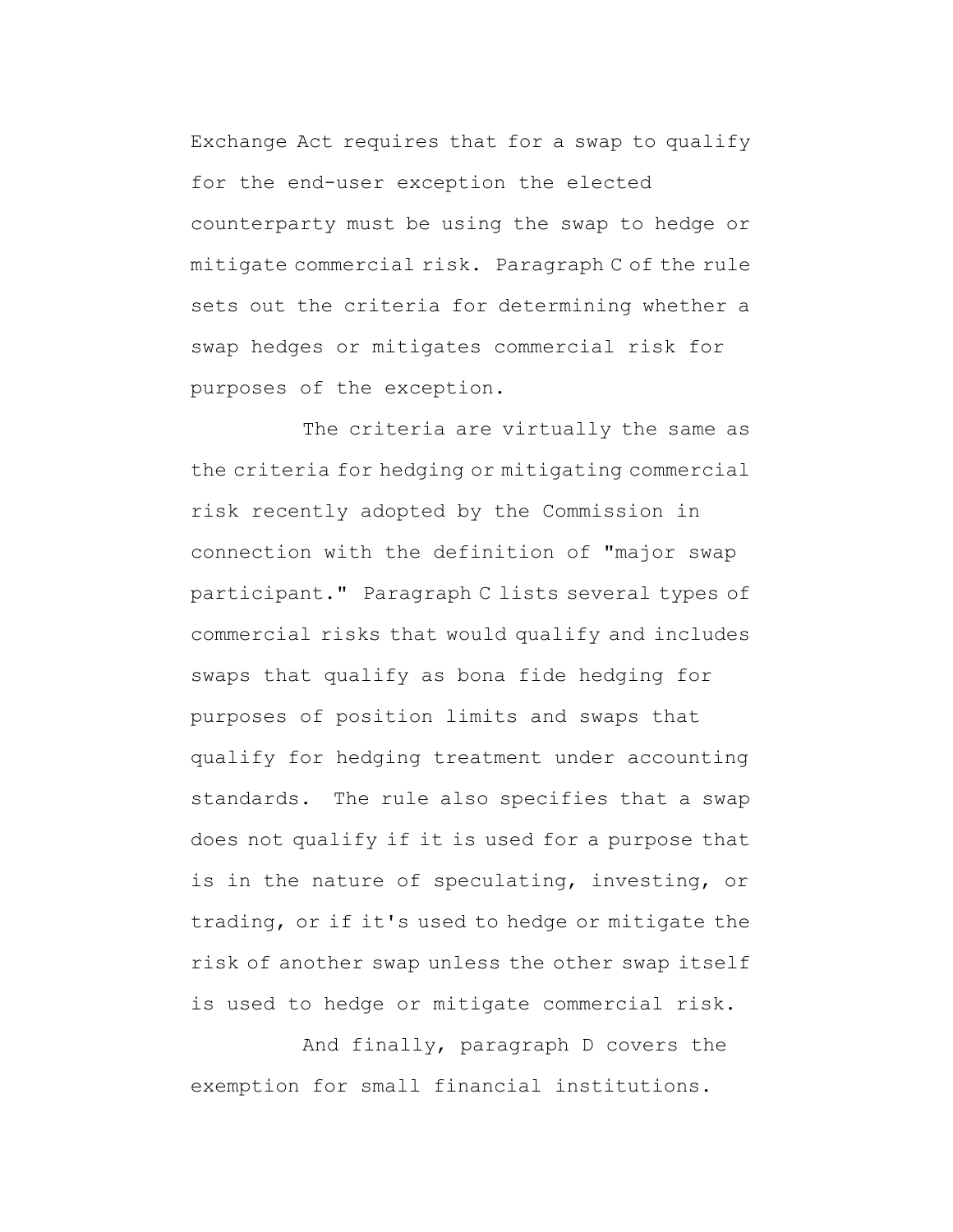Exchange Act requires that for a swap to qualify for the end-user exception the elected counterparty must be using the swap to hedge or mitigate commercial risk. Paragraph C of the rule sets out the criteria for determining whether a swap hedges or mitigates commercial risk for purposes of the exception.

The criteria are virtually the same as the criteria for hedging or mitigating commercial risk recently adopted by the Commission in connection with the definition of "major swap participant." Paragraph C lists several types of commercial risks that would qualify and includes swaps that qualify as bona fide hedging for purposes of position limits and swaps that qualify for hedging treatment under accounting standards. The rule also specifies that a swap does not qualify if it is used for a purpose that is in the nature of speculating, investing, or trading, or if it's used to hedge or mitigate the risk of another swap unless the other swap itself is used to hedge or mitigate commercial risk.

And finally, paragraph D covers the exemption for small financial institutions.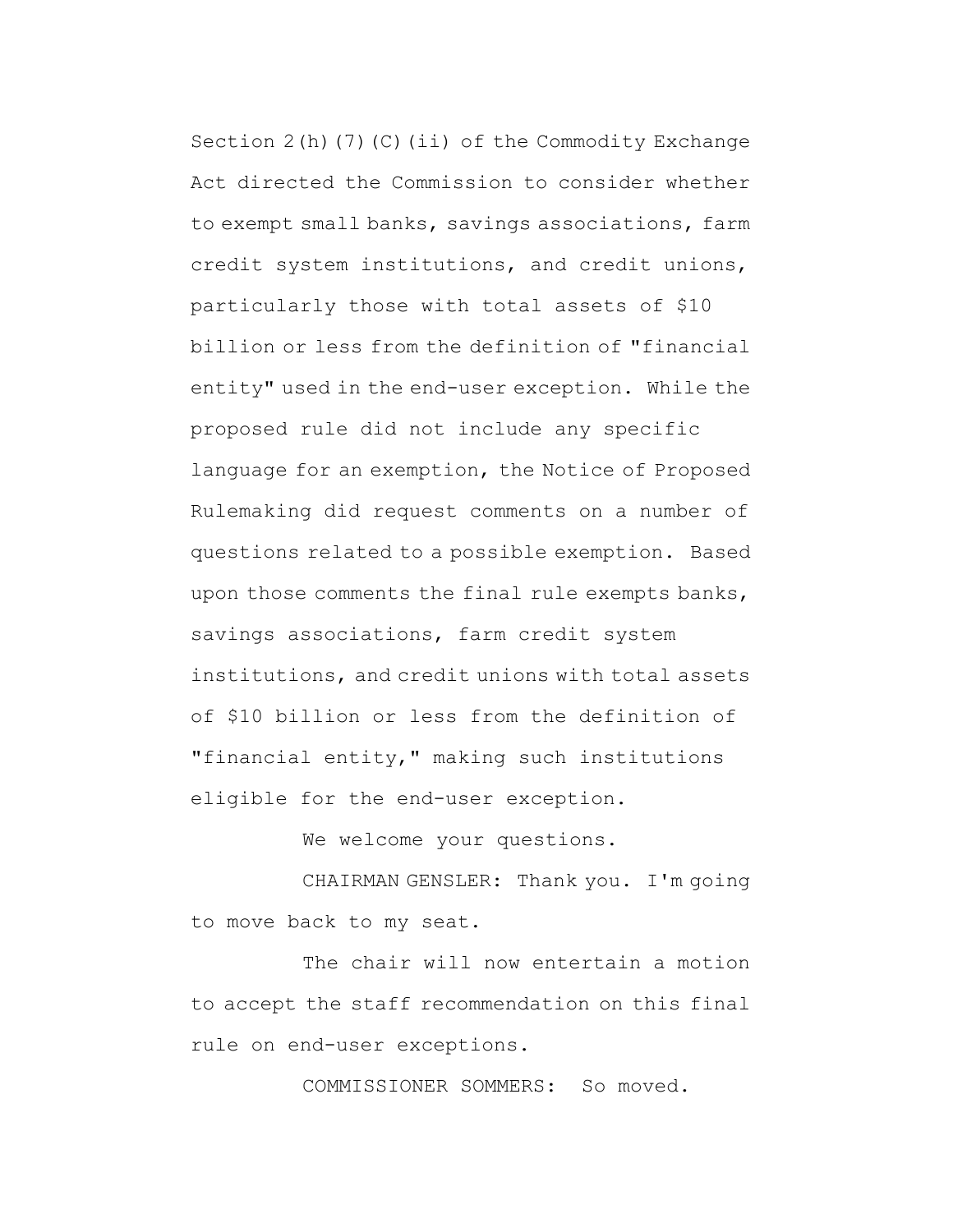Section  $2(h)$  (7) (C)(ii) of the Commodity Exchange Act directed the Commission to consider whether to exempt small banks, savings associations, farm credit system institutions, and credit unions, particularly those with total assets of \$10 billion or less from the definition of "financial entity" used in the end-user exception. While the proposed rule did not include any specific language for an exemption, the Notice of Proposed Rulemaking did request comments on a number of questions related to a possible exemption. Based upon those comments the final rule exempts banks, savings associations, farm credit system institutions, and credit unions with total assets of \$10 billion or less from the definition of "financial entity," making such institutions eligible for the end-user exception.

We welcome your questions.

CHAIRMAN GENSLER: Thank you. I'm going to move back to my seat.

The chair will now entertain a motion to accept the staff recommendation on this final rule on end-user exceptions.

COMMISSIONER SOMMERS: So moved.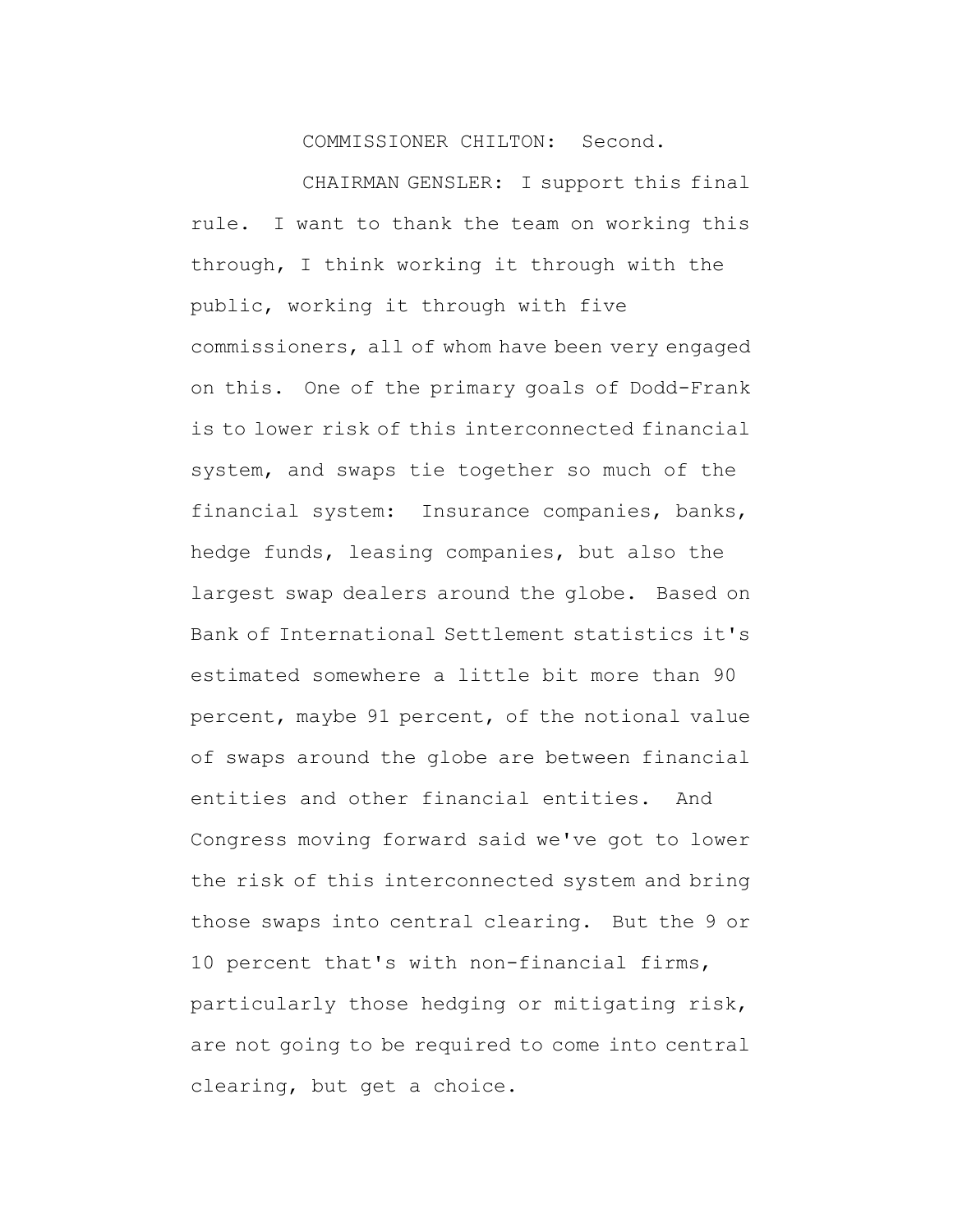COMMISSIONER CHILTON: Second.

CHAIRMAN GENSLER: I support this final rule. I want to thank the team on working this through, I think working it through with the public, working it through with five commissioners, all of whom have been very engaged on this. One of the primary goals of Dodd-Frank is to lower risk of this interconnected financial system, and swaps tie together so much of the financial system: Insurance companies, banks, hedge funds, leasing companies, but also the largest swap dealers around the globe. Based on Bank of International Settlement statistics it's estimated somewhere a little bit more than 90 percent, maybe 91 percent, of the notional value of swaps around the globe are between financial entities and other financial entities. And Congress moving forward said we've got to lower the risk of this interconnected system and bring those swaps into central clearing. But the 9 or 10 percent that's with non-financial firms, particularly those hedging or mitigating risk, are not going to be required to come into central clearing, but get a choice.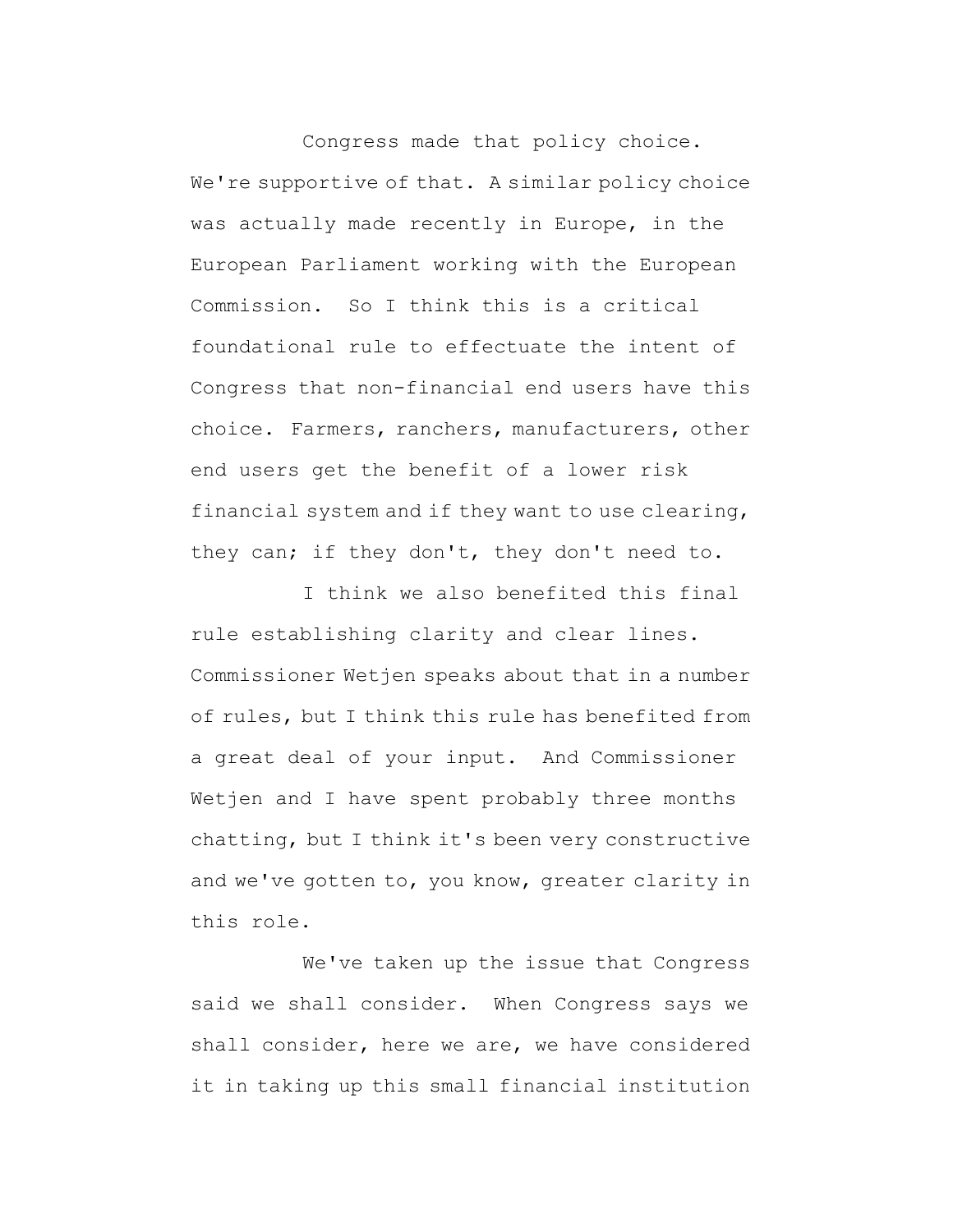Congress made that policy choice. We're supportive of that. A similar policy choice was actually made recently in Europe, in the European Parliament working with the European Commission. So I think this is a critical foundational rule to effectuate the intent of Congress that non-financial end users have this choice. Farmers, ranchers, manufacturers, other end users get the benefit of a lower risk financial system and if they want to use clearing, they can; if they don't, they don't need to.

I think we also benefited this final rule establishing clarity and clear lines. Commissioner Wetjen speaks about that in a number of rules, but I think this rule has benefited from a great deal of your input. And Commissioner Wetjen and I have spent probably three months chatting, but I think it's been very constructive and we've gotten to, you know, greater clarity in this role.

We've taken up the issue that Congress said we shall consider. When Congress says we shall consider, here we are, we have considered it in taking up this small financial institution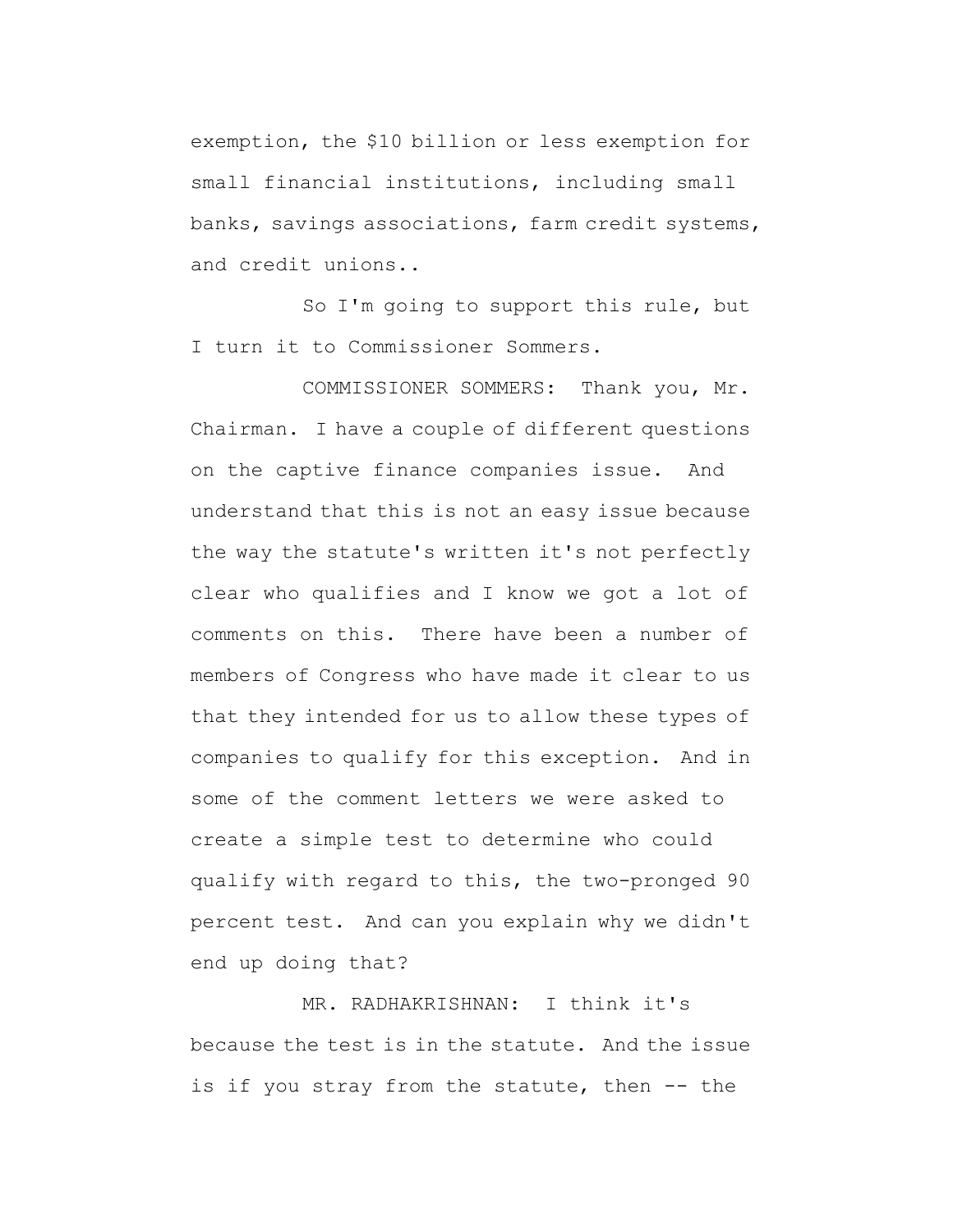exemption, the \$10 billion or less exemption for small financial institutions, including small banks, savings associations, farm credit systems, and credit unions..

So I'm going to support this rule, but I turn it to Commissioner Sommers.

COMMISSIONER SOMMERS: Thank you, Mr. Chairman. I have a couple of different questions on the captive finance companies issue. And understand that this is not an easy issue because the way the statute's written it's not perfectly clear who qualifies and I know we got a lot of comments on this. There have been a number of members of Congress who have made it clear to us that they intended for us to allow these types of companies to qualify for this exception. And in some of the comment letters we were asked to create a simple test to determine who could qualify with regard to this, the two-pronged 90 percent test. And can you explain why we didn't end up doing that?

MR. RADHAKRISHNAN: I think it's because the test is in the statute. And the issue is if you stray from the statute, then -- the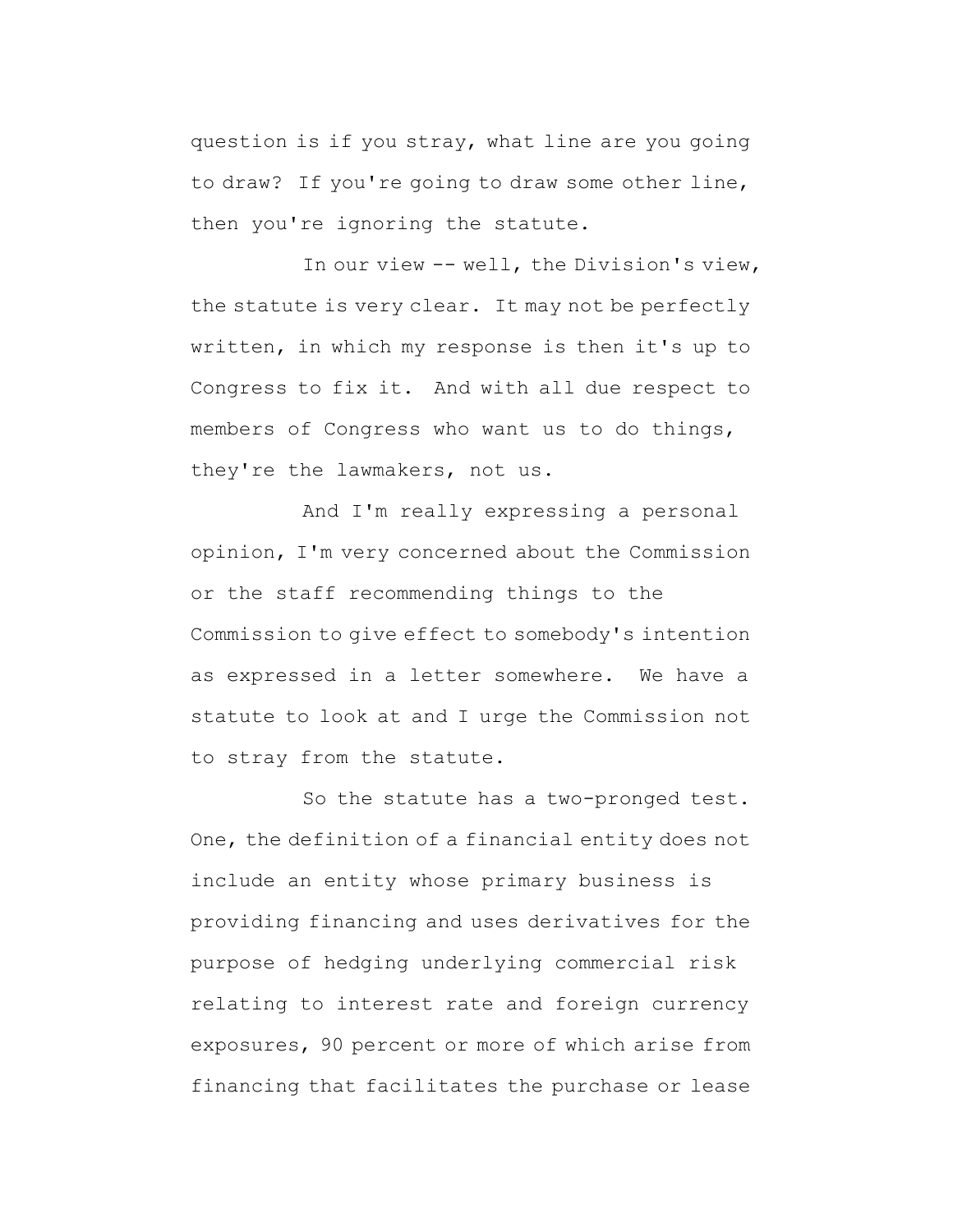question is if you stray, what line are you going to draw? If you're going to draw some other line, then you're ignoring the statute.

In our view -- well, the Division's view, the statute is very clear. It may not be perfectly written, in which my response is then it's up to Congress to fix it. And with all due respect to members of Congress who want us to do things, they're the lawmakers, not us.

And I'm really expressing a personal opinion, I'm very concerned about the Commission or the staff recommending things to the Commission to give effect to somebody's intention as expressed in a letter somewhere. We have a statute to look at and I urge the Commission not to stray from the statute.

So the statute has a two-pronged test. One, the definition of a financial entity does not include an entity whose primary business is providing financing and uses derivatives for the purpose of hedging underlying commercial risk relating to interest rate and foreign currency exposures, 90 percent or more of which arise from financing that facilitates the purchase or lease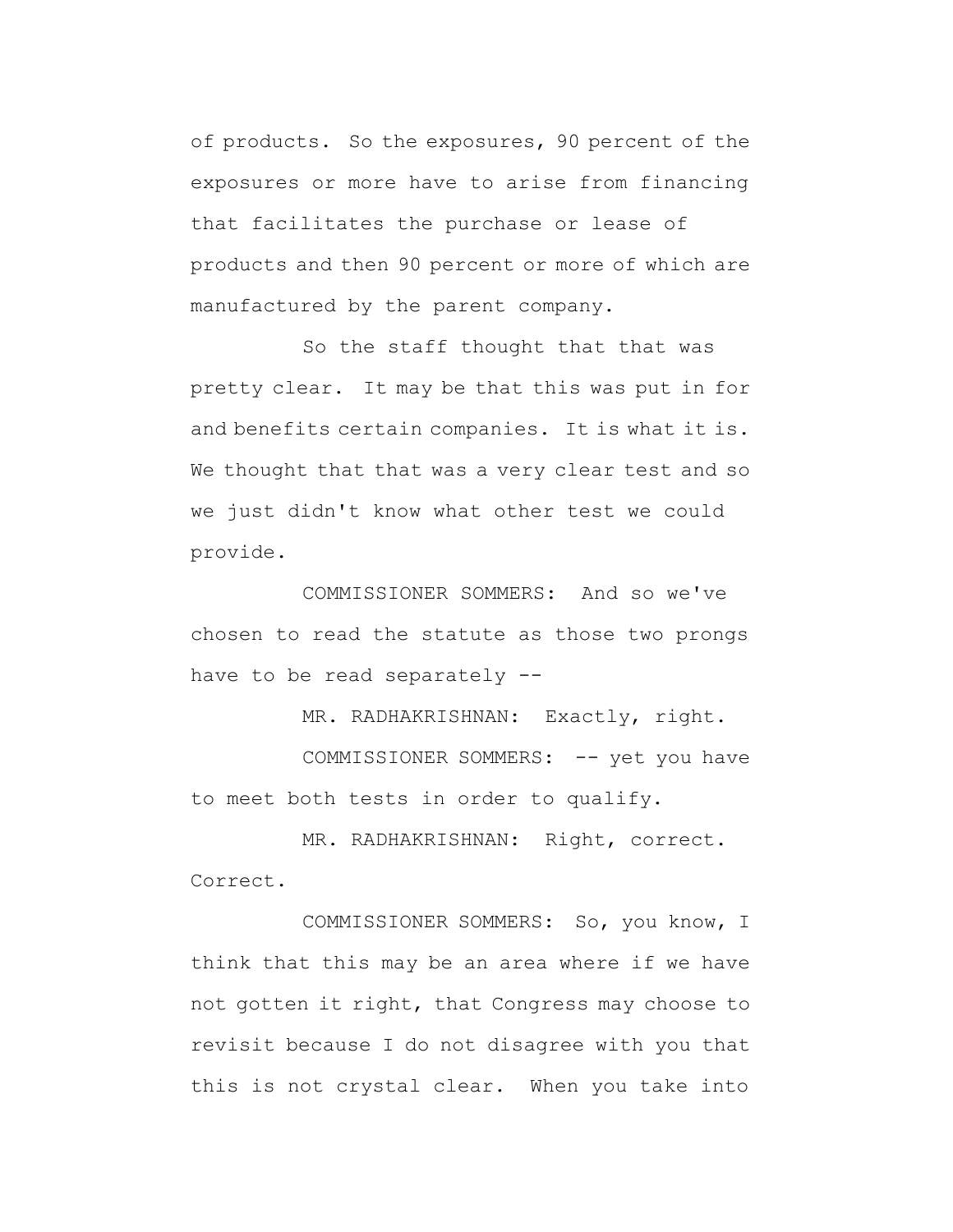of products. So the exposures, 90 percent of the exposures or more have to arise from financing that facilitates the purchase or lease of products and then 90 percent or more of which are manufactured by the parent company.

So the staff thought that that was pretty clear. It may be that this was put in for and benefits certain companies. It is what it is. We thought that that was a very clear test and so we just didn't know what other test we could provide.

COMMISSIONER SOMMERS: And so we've chosen to read the statute as those two prongs have to be read separately --

MR. RADHAKRISHNAN: Exactly, right.

COMMISSIONER SOMMERS: -- yet you have to meet both tests in order to qualify.

MR. RADHAKRISHNAN: Right, correct. Correct.

COMMISSIONER SOMMERS: So, you know, I think that this may be an area where if we have not gotten it right, that Congress may choose to revisit because I do not disagree with you that this is not crystal clear. When you take into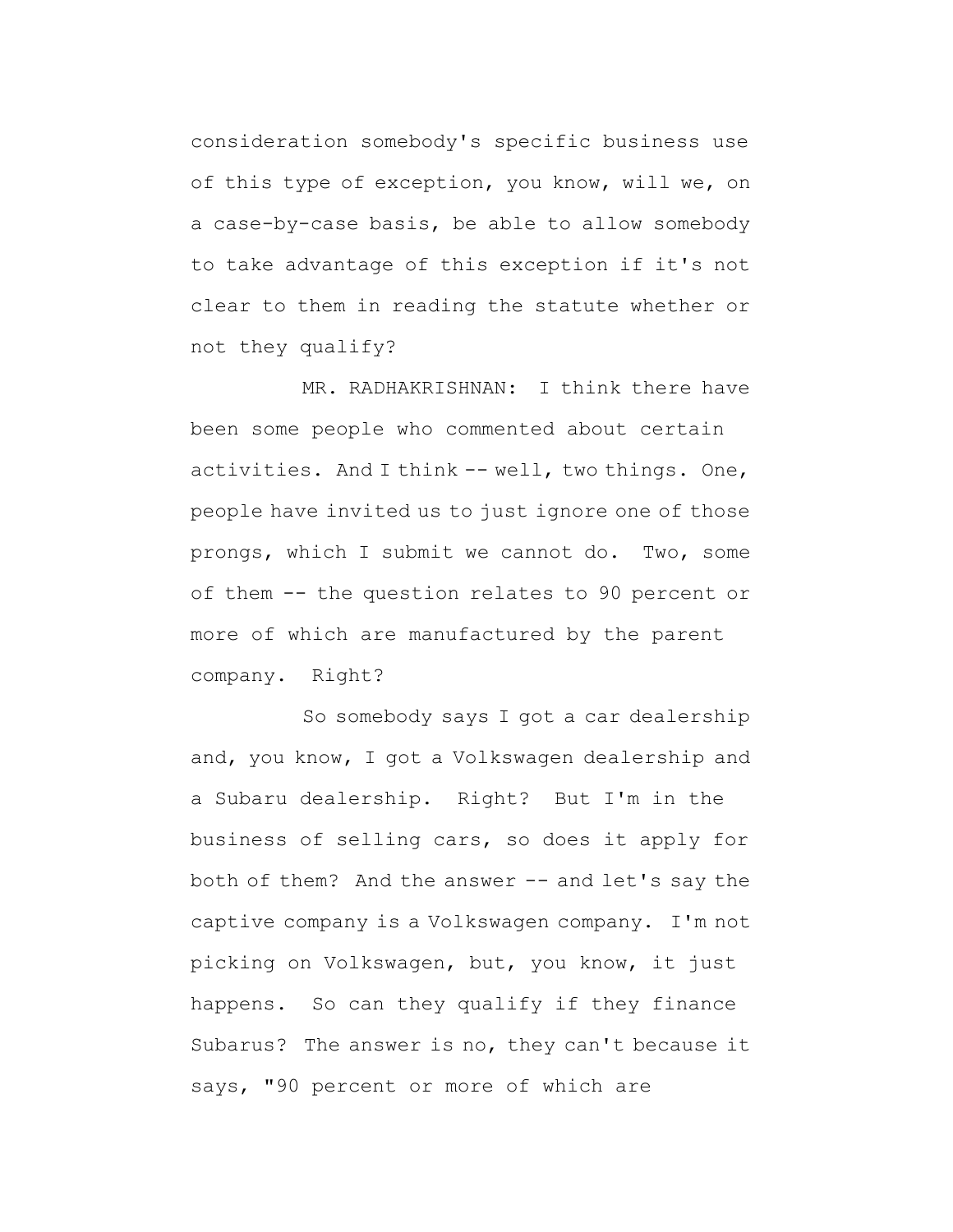consideration somebody's specific business use of this type of exception, you know, will we, on a case-by-case basis, be able to allow somebody to take advantage of this exception if it's not clear to them in reading the statute whether or not they qualify?

MR. RADHAKRISHNAN: I think there have been some people who commented about certain activities. And I think -- well, two things. One, people have invited us to just ignore one of those prongs, which I submit we cannot do. Two, some of them -- the question relates to 90 percent or more of which are manufactured by the parent company. Right?

So somebody says I got a car dealership and, you know, I got a Volkswagen dealership and a Subaru dealership. Right? But I'm in the business of selling cars, so does it apply for both of them? And the answer -- and let's say the captive company is a Volkswagen company. I'm not picking on Volkswagen, but, you know, it just happens. So can they qualify if they finance Subarus? The answer is no, they can't because it says, "90 percent or more of which are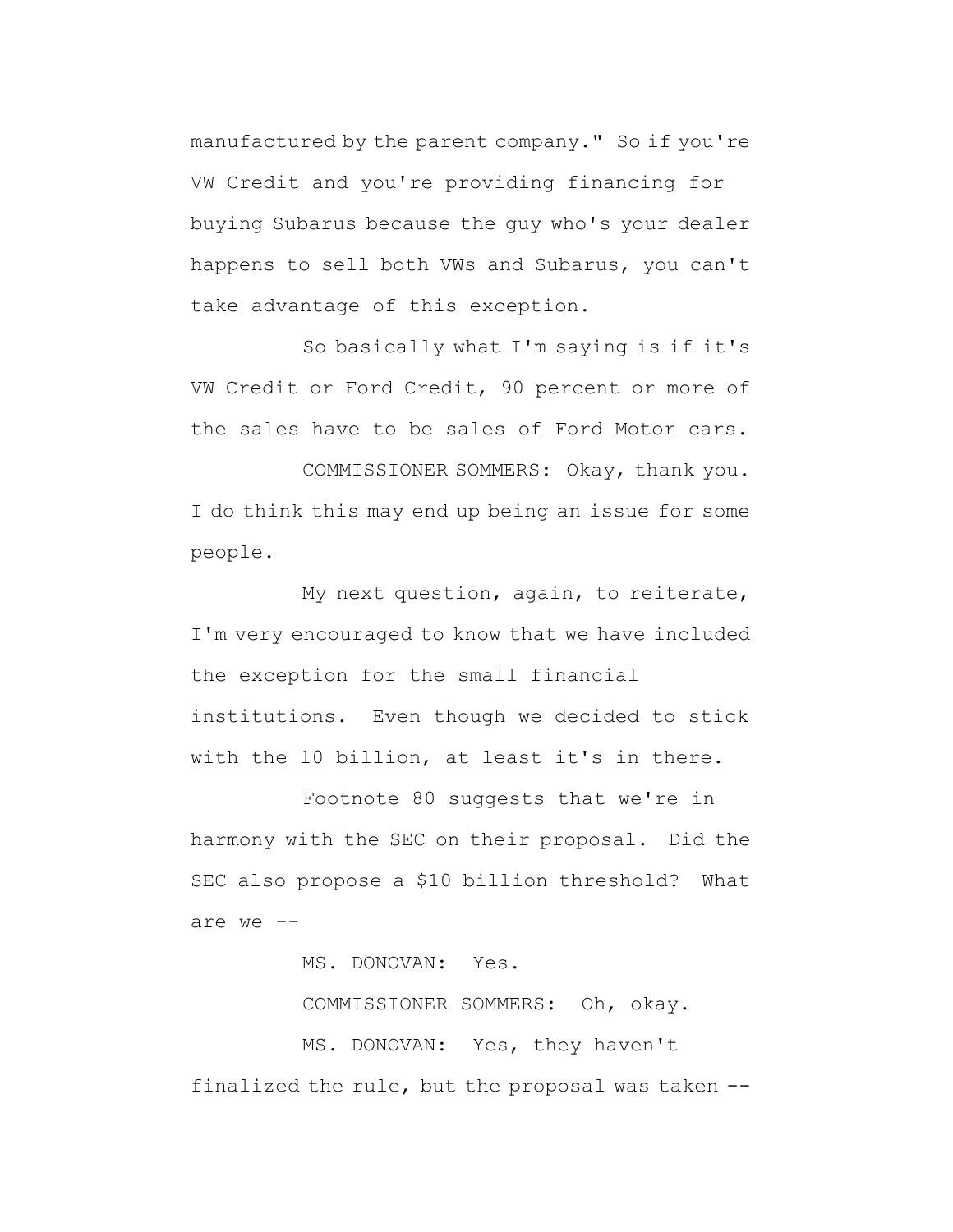manufactured by the parent company." So if you're VW Credit and you're providing financing for buying Subarus because the guy who's your dealer happens to sell both VWs and Subarus, you can't take advantage of this exception.

So basically what I'm saying is if it's VW Credit or Ford Credit, 90 percent or more of the sales have to be sales of Ford Motor cars.

COMMISSIONER SOMMERS: Okay, thank you. I do think this may end up being an issue for some people.

My next question, again, to reiterate, I'm very encouraged to know that we have included the exception for the small financial institutions. Even though we decided to stick with the 10 billion, at least it's in there.

Footnote 80 suggests that we're in harmony with the SEC on their proposal. Did the SEC also propose a \$10 billion threshold? What are we --

MS. DONOVAN: Yes.

COMMISSIONER SOMMERS: Oh, okay.

MS. DONOVAN: Yes, they haven't finalized the rule, but the proposal was taken --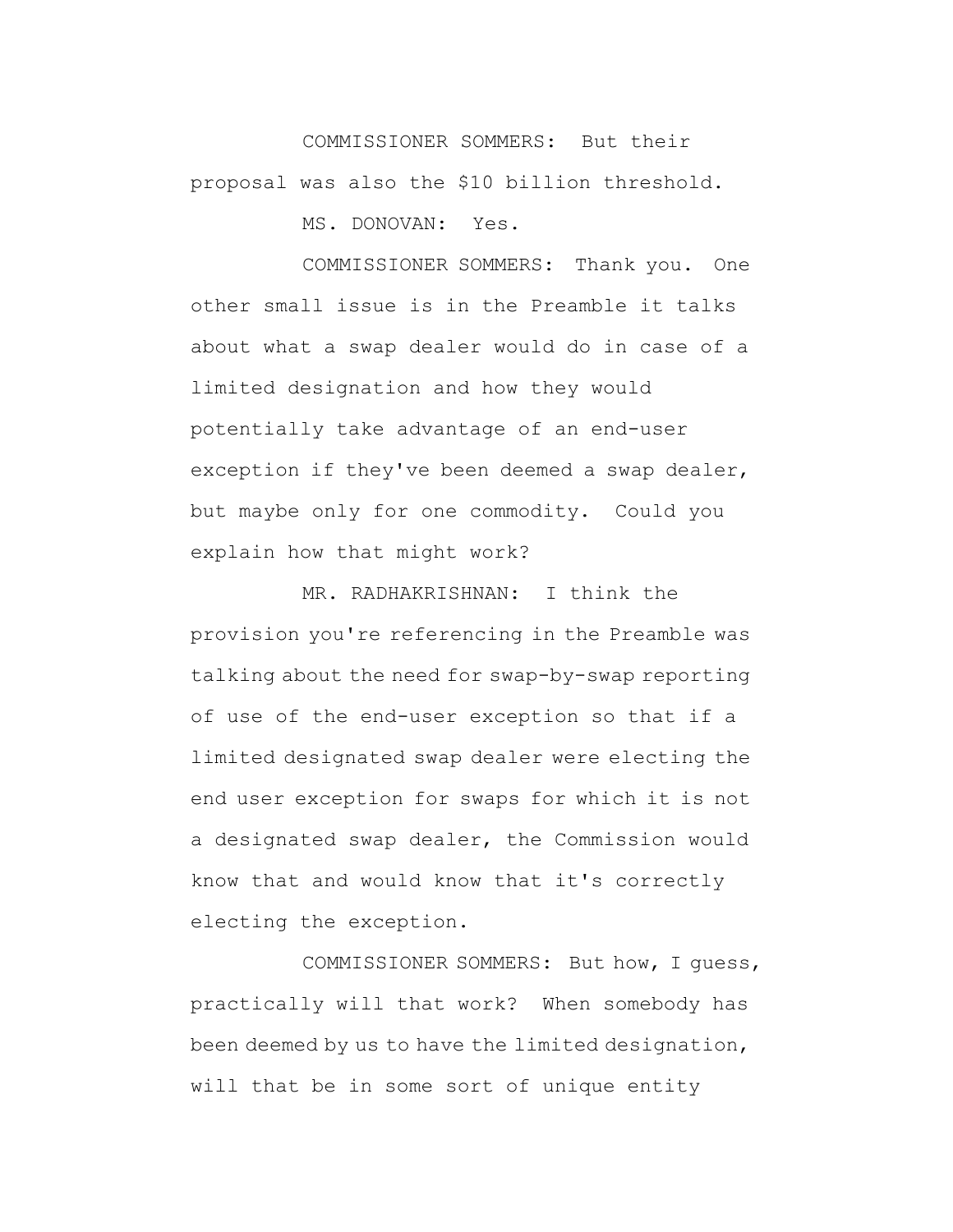COMMISSIONER SOMMERS: But their proposal was also the \$10 billion threshold.

MS. DONOVAN: Yes.

COMMISSIONER SOMMERS: Thank you. One other small issue is in the Preamble it talks about what a swap dealer would do in case of a limited designation and how they would potentially take advantage of an end-user exception if they've been deemed a swap dealer, but maybe only for one commodity. Could you explain how that might work?

MR. RADHAKRISHNAN: I think the provision you're referencing in the Preamble was talking about the need for swap-by-swap reporting of use of the end-user exception so that if a limited designated swap dealer were electing the end user exception for swaps for which it is not a designated swap dealer, the Commission would know that and would know that it's correctly electing the exception.

COMMISSIONER SOMMERS: But how, I guess, practically will that work? When somebody has been deemed by us to have the limited designation, will that be in some sort of unique entity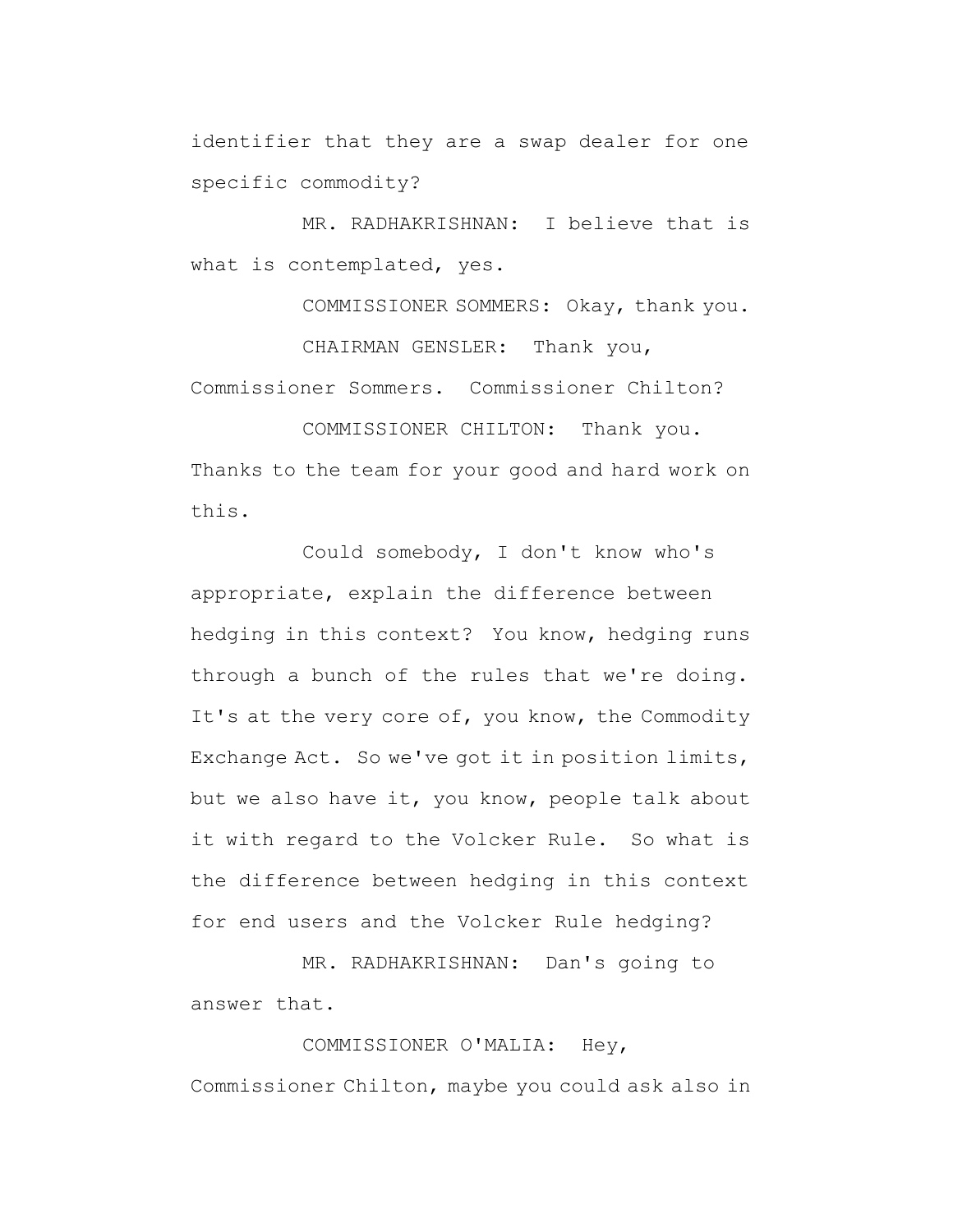identifier that they are a swap dealer for one specific commodity?

MR. RADHAKRISHNAN: I believe that is what is contemplated, yes.

COMMISSIONER SOMMERS: Okay, thank you. CHAIRMAN GENSLER: Thank you, Commissioner Sommers. Commissioner Chilton?

COMMISSIONER CHILTON: Thank you. Thanks to the team for your good and hard work on this.

Could somebody, I don't know who's appropriate, explain the difference between hedging in this context? You know, hedging runs through a bunch of the rules that we're doing. It's at the very core of, you know, the Commodity Exchange Act. So we've got it in position limits, but we also have it, you know, people talk about it with regard to the Volcker Rule. So what is the difference between hedging in this context for end users and the Volcker Rule hedging?

MR. RADHAKRISHNAN: Dan's going to answer that.

COMMISSIONER O'MALIA: Hey, Commissioner Chilton, maybe you could ask also in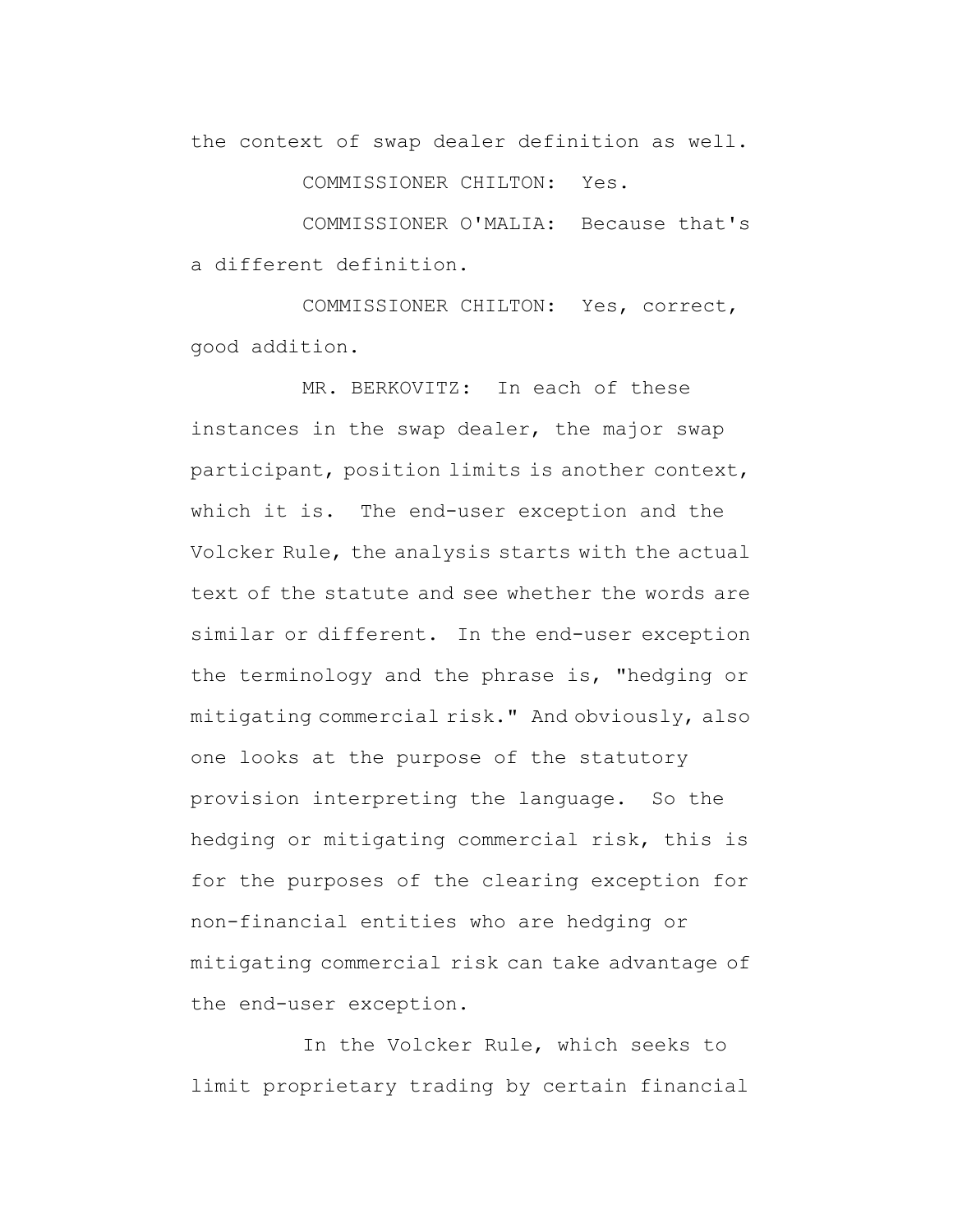the context of swap dealer definition as well.

COMMISSIONER CHILTON: Yes.

COMMISSIONER O'MALIA: Because that's a different definition.

COMMISSIONER CHILTON: Yes, correct, good addition.

MR. BERKOVITZ: In each of these instances in the swap dealer, the major swap participant, position limits is another context, which it is. The end-user exception and the Volcker Rule, the analysis starts with the actual text of the statute and see whether the words are similar or different. In the end-user exception the terminology and the phrase is, "hedging or mitigating commercial risk." And obviously, also one looks at the purpose of the statutory provision interpreting the language. So the hedging or mitigating commercial risk, this is for the purposes of the clearing exception for non-financial entities who are hedging or mitigating commercial risk can take advantage of the end-user exception.

In the Volcker Rule, which seeks to limit proprietary trading by certain financial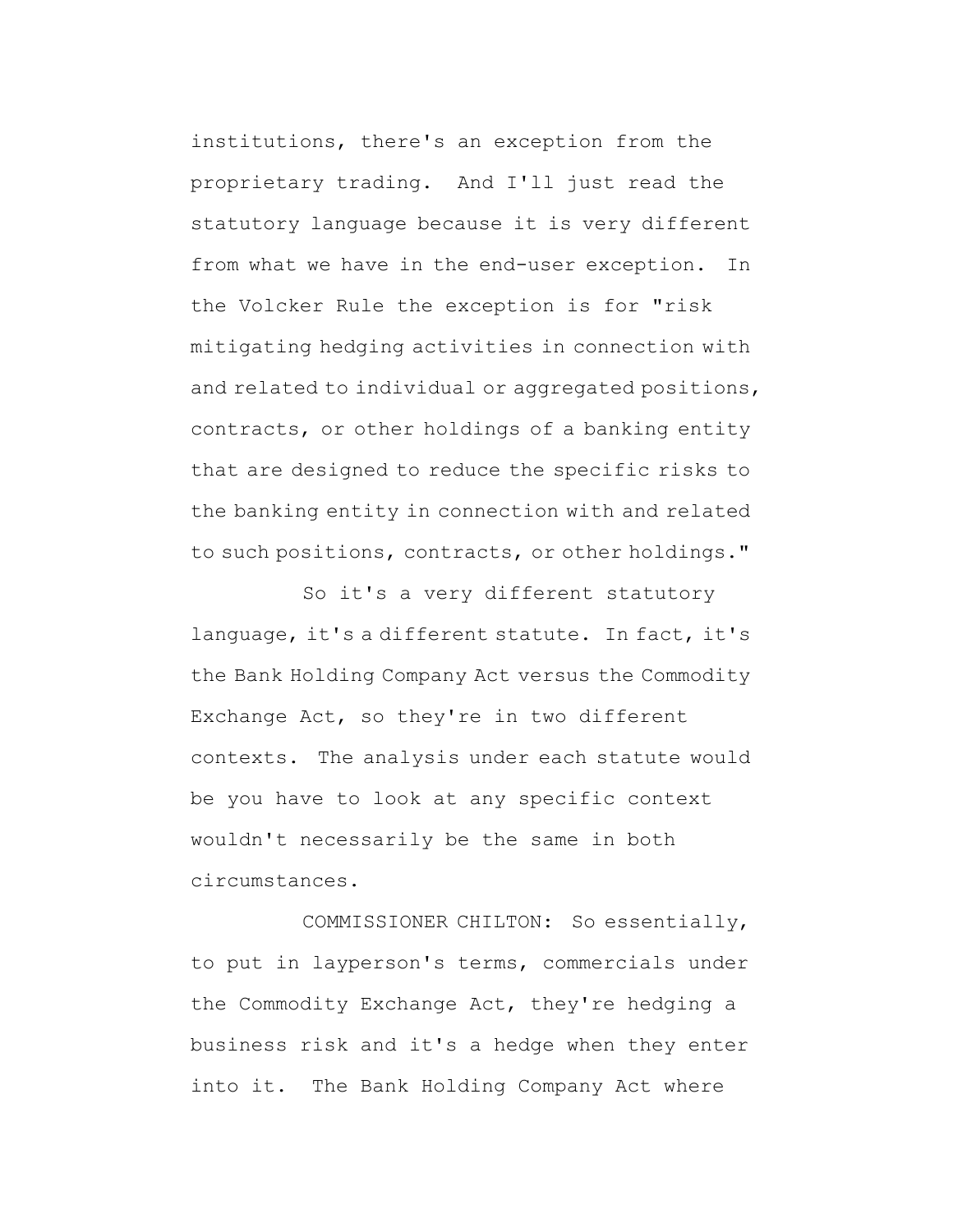institutions, there's an exception from the proprietary trading. And I'll just read the statutory language because it is very different from what we have in the end-user exception. In the Volcker Rule the exception is for "risk mitigating hedging activities in connection with and related to individual or aggregated positions, contracts, or other holdings of a banking entity that are designed to reduce the specific risks to the banking entity in connection with and related to such positions, contracts, or other holdings."

So it's a very different statutory language, it's a different statute. In fact, it's the Bank Holding Company Act versus the Commodity Exchange Act, so they're in two different contexts. The analysis under each statute would be you have to look at any specific context wouldn't necessarily be the same in both circumstances.

COMMISSIONER CHILTON: So essentially, to put in layperson's terms, commercials under the Commodity Exchange Act, they're hedging a business risk and it's a hedge when they enter into it. The Bank Holding Company Act where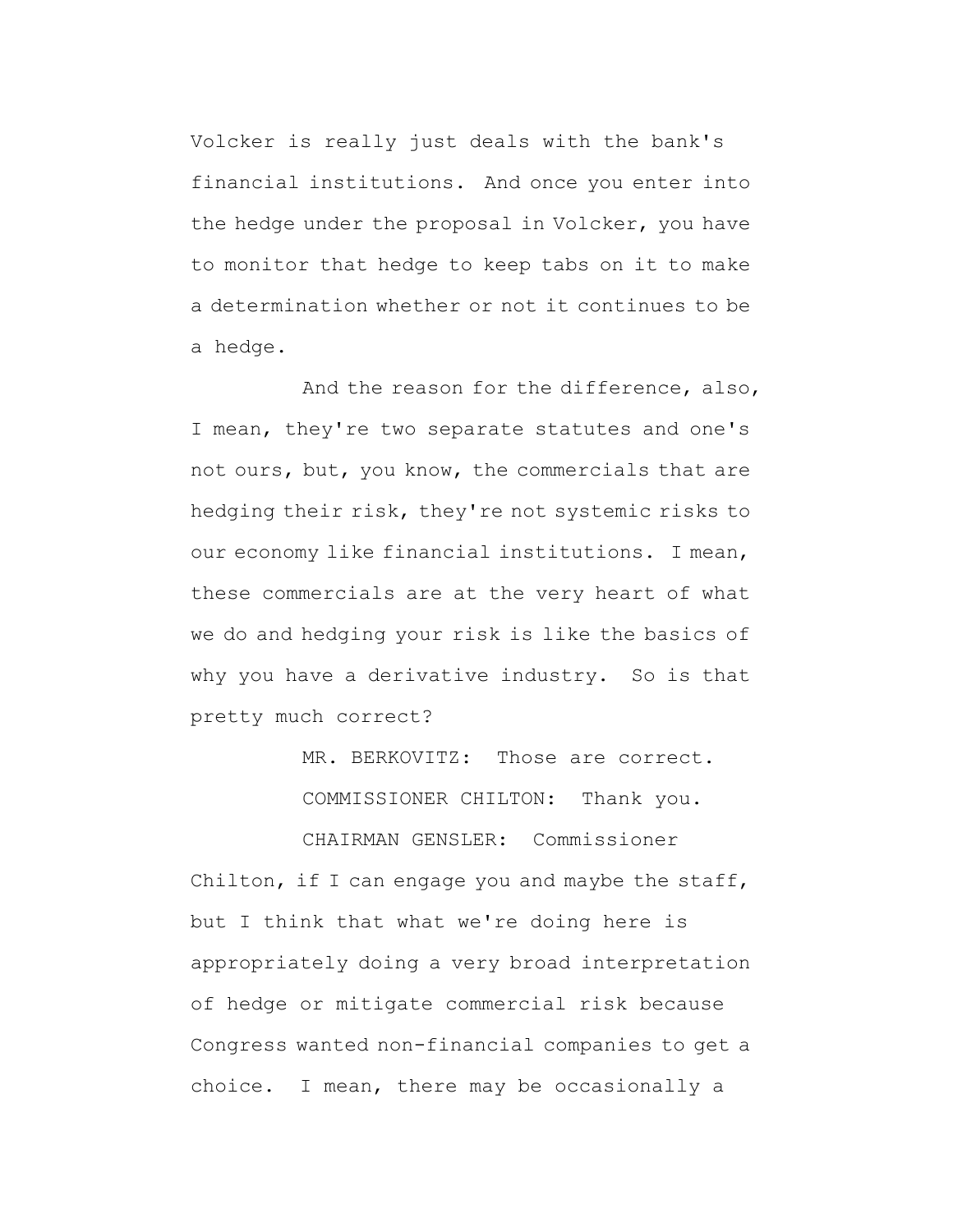Volcker is really just deals with the bank's financial institutions. And once you enter into the hedge under the proposal in Volcker, you have to monitor that hedge to keep tabs on it to make a determination whether or not it continues to be a hedge.

And the reason for the difference, also, I mean, they're two separate statutes and one's not ours, but, you know, the commercials that are hedging their risk, they're not systemic risks to our economy like financial institutions. I mean, these commercials are at the very heart of what we do and hedging your risk is like the basics of why you have a derivative industry. So is that pretty much correct?

MR. BERKOVITZ: Those are correct.

COMMISSIONER CHILTON: Thank you.

CHAIRMAN GENSLER: Commissioner Chilton, if I can engage you and maybe the staff, but I think that what we're doing here is appropriately doing a very broad interpretation of hedge or mitigate commercial risk because Congress wanted non-financial companies to get a choice. I mean, there may be occasionally a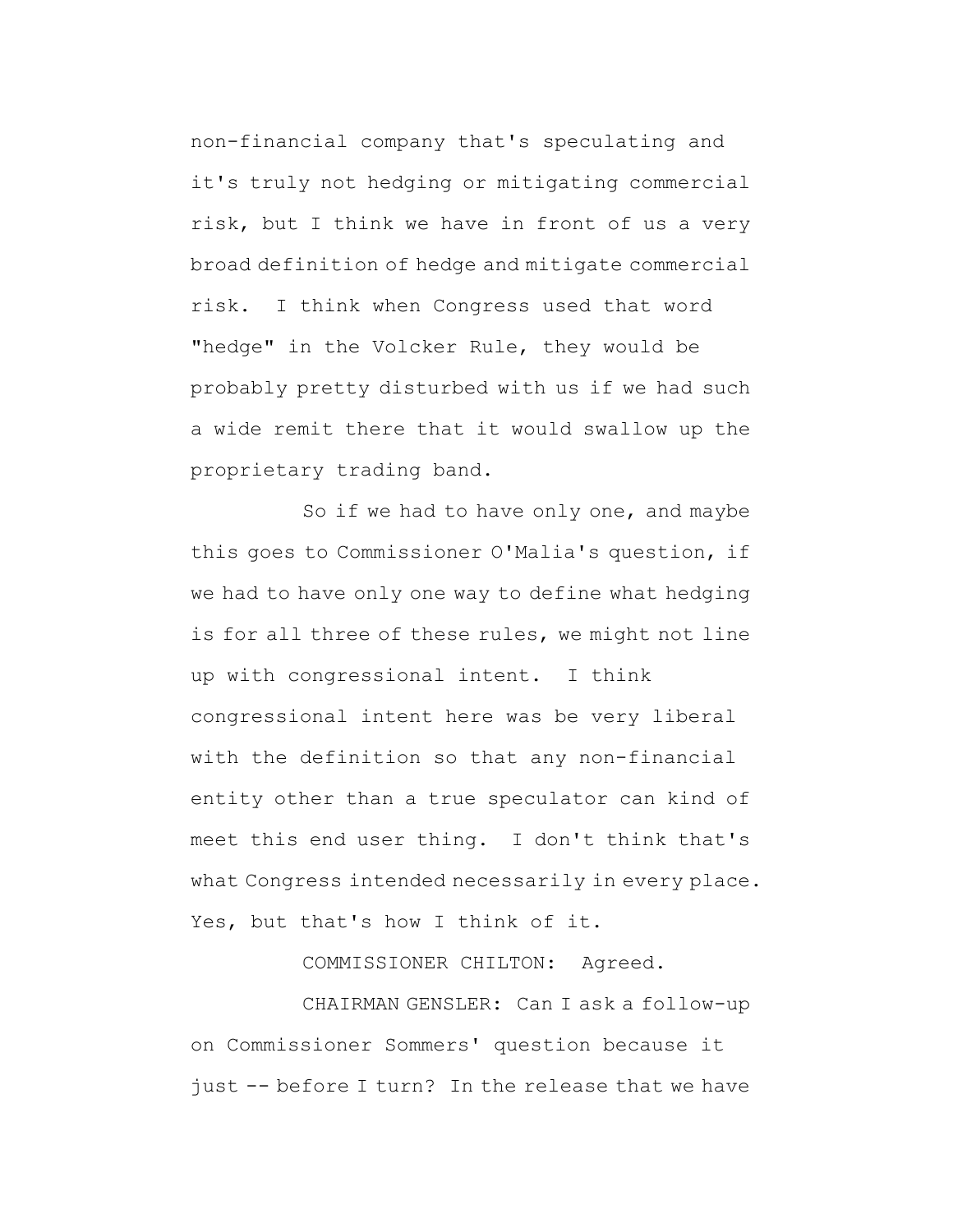non-financial company that's speculating and it's truly not hedging or mitigating commercial risk, but I think we have in front of us a very broad definition of hedge and mitigate commercial risk. I think when Congress used that word "hedge" in the Volcker Rule, they would be probably pretty disturbed with us if we had such a wide remit there that it would swallow up the proprietary trading band.

So if we had to have only one, and maybe this goes to Commissioner O'Malia's question, if we had to have only one way to define what hedging is for all three of these rules, we might not line up with congressional intent. I think congressional intent here was be very liberal with the definition so that any non-financial entity other than a true speculator can kind of meet this end user thing. I don't think that's what Congress intended necessarily in every place. Yes, but that's how I think of it.

COMMISSIONER CHILTON: Agreed.

CHAIRMAN GENSLER: Can I ask a follow-up on Commissioner Sommers' question because it just -- before I turn? In the release that we have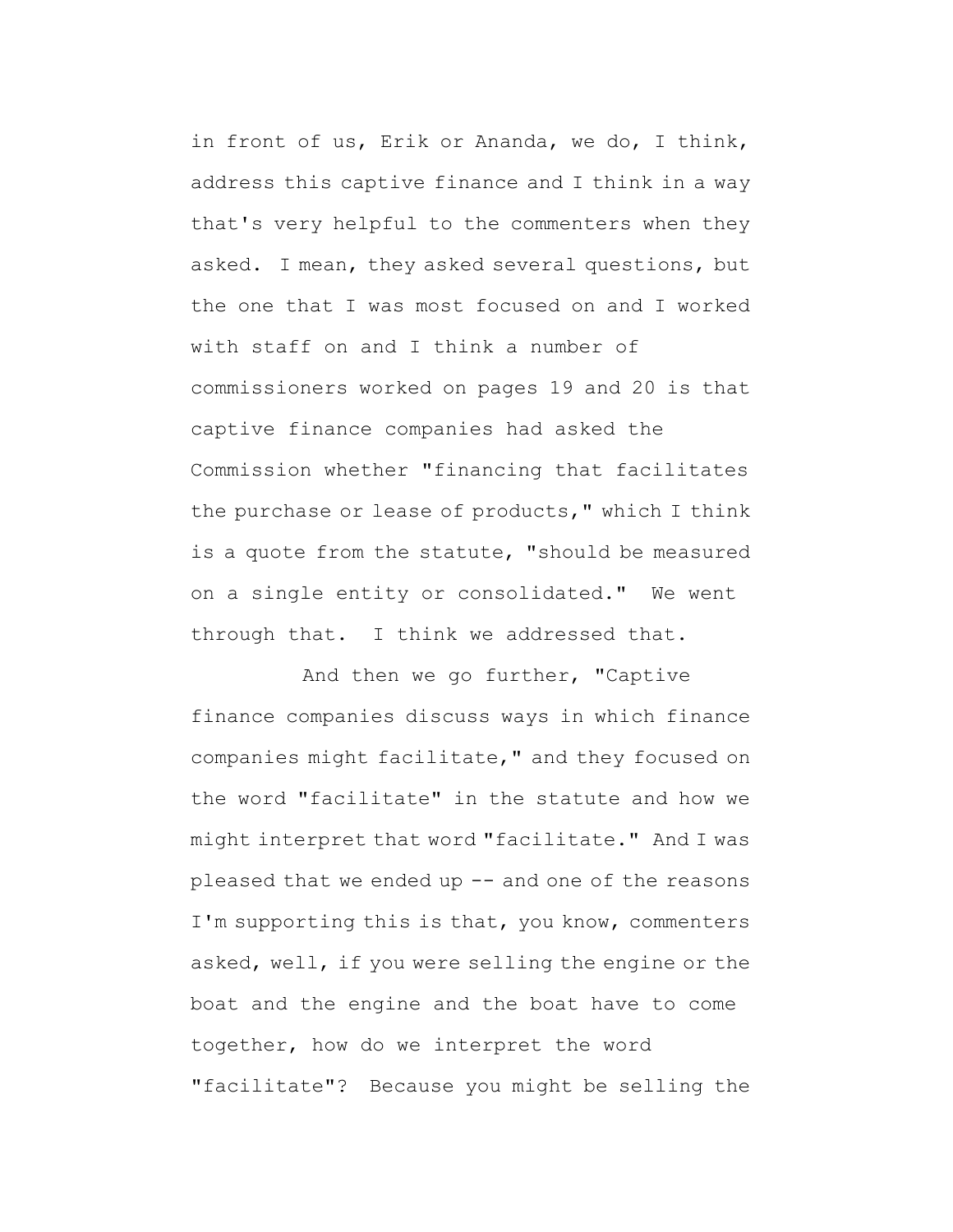in front of us, Erik or Ananda, we do, I think, address this captive finance and I think in a way that's very helpful to the commenters when they asked. I mean, they asked several questions, but the one that I was most focused on and I worked with staff on and I think a number of commissioners worked on pages 19 and 20 is that captive finance companies had asked the Commission whether "financing that facilitates the purchase or lease of products," which I think is a quote from the statute, "should be measured on a single entity or consolidated." We went through that. I think we addressed that.

And then we go further, "Captive finance companies discuss ways in which finance companies might facilitate," and they focused on the word "facilitate" in the statute and how we might interpret that word "facilitate." And I was pleased that we ended up  $--$  and one of the reasons I'm supporting this is that, you know, commenters asked, well, if you were selling the engine or the boat and the engine and the boat have to come together, how do we interpret the word "facilitate"? Because you might be selling the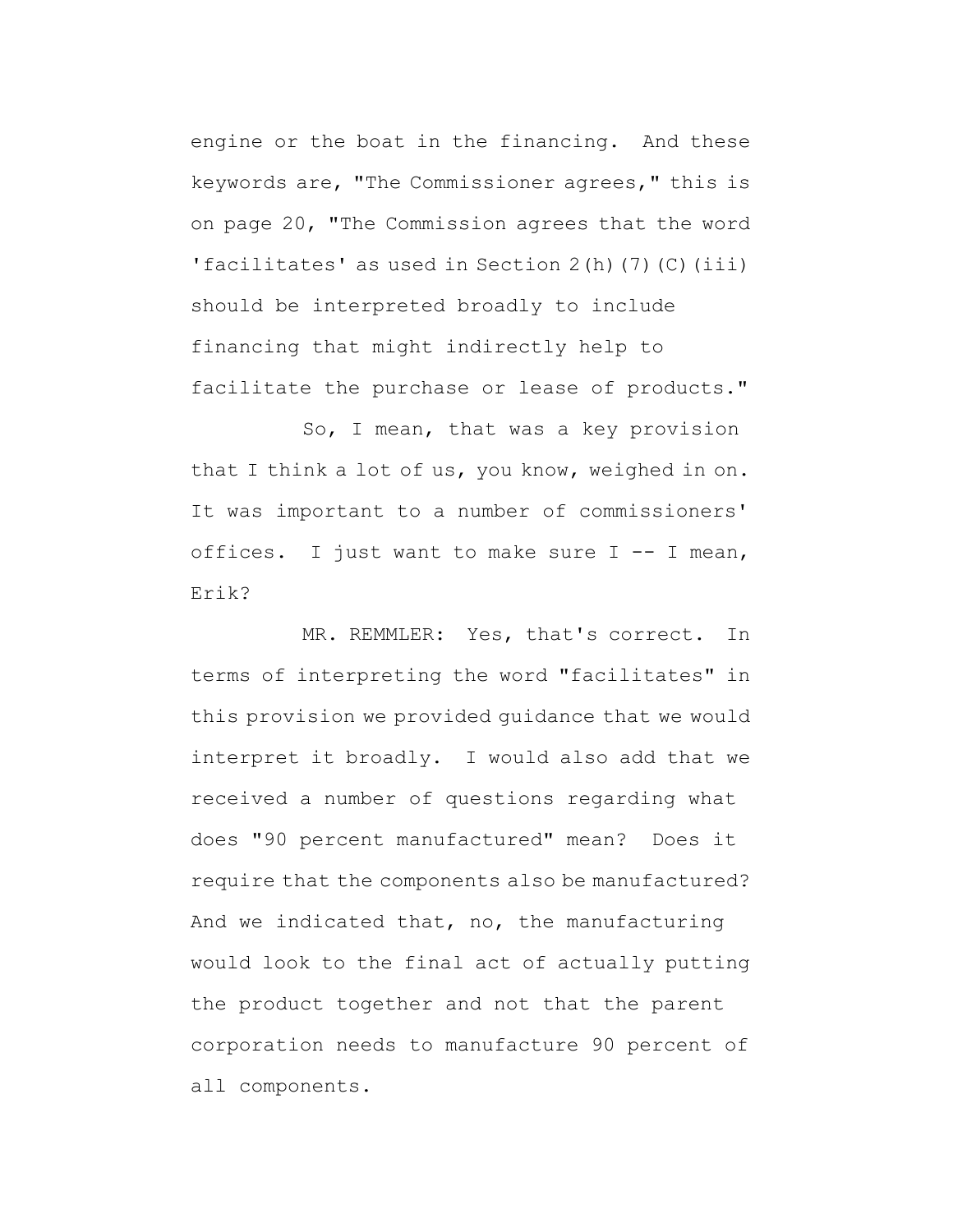engine or the boat in the financing. And these keywords are, "The Commissioner agrees," this is on page 20, "The Commission agrees that the word 'facilitates' as used in Section 2(h)(7)(C)(iii) should be interpreted broadly to include financing that might indirectly help to facilitate the purchase or lease of products."

So, I mean, that was a key provision that I think a lot of us, you know, weighed in on. It was important to a number of commissioners' offices. I just want to make sure I -- I mean, Erik?

MR. REMMLER: Yes, that's correct. In terms of interpreting the word "facilitates" in this provision we provided guidance that we would interpret it broadly. I would also add that we received a number of questions regarding what does "90 percent manufactured" mean? Does it require that the components also be manufactured? And we indicated that, no, the manufacturing would look to the final act of actually putting the product together and not that the parent corporation needs to manufacture 90 percent of all components.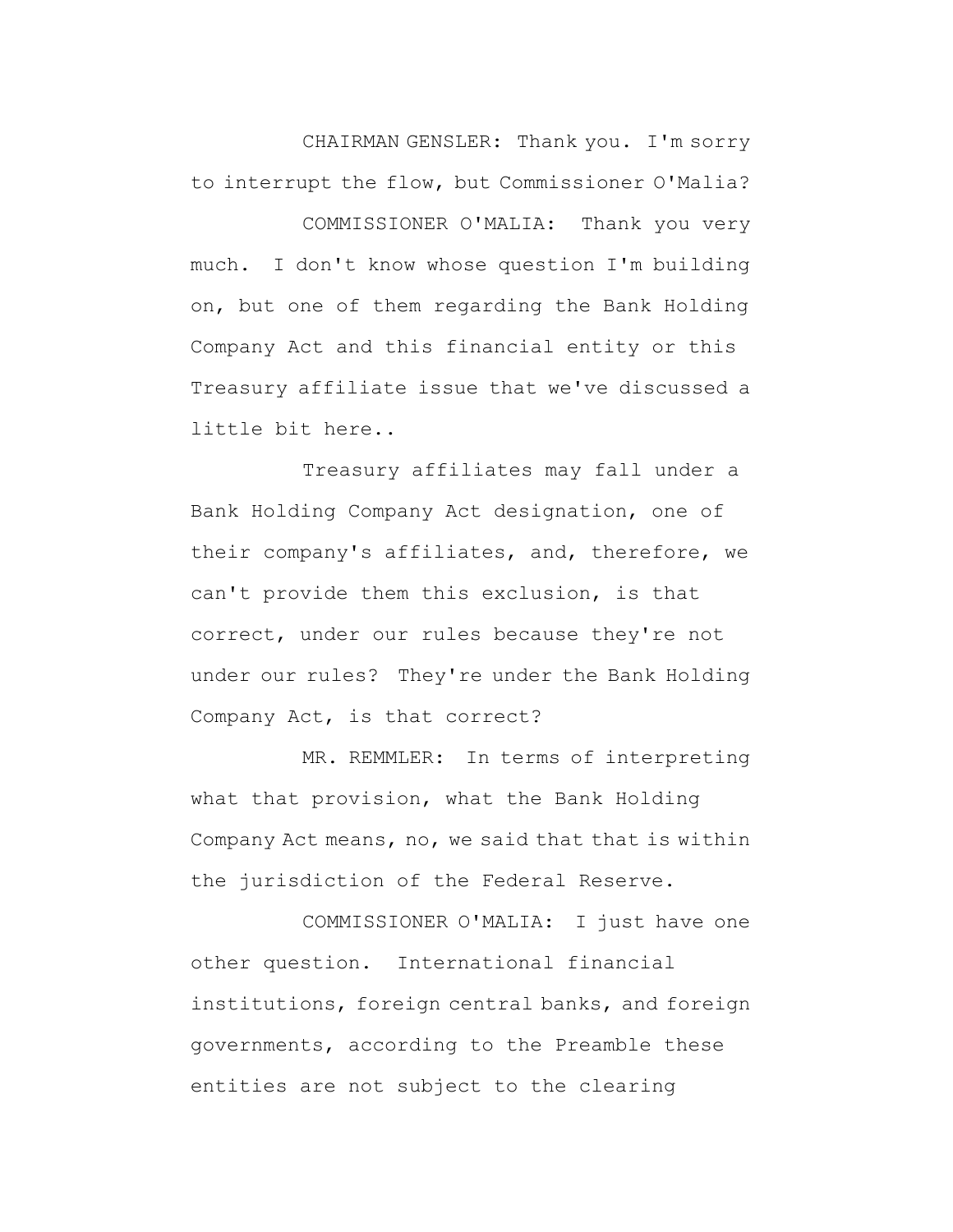CHAIRMAN GENSLER: Thank you. I'm sorry to interrupt the flow, but Commissioner O'Malia? COMMISSIONER O'MALIA: Thank you very much. I don't know whose question I'm building on, but one of them regarding the Bank Holding Company Act and this financial entity or this Treasury affiliate issue that we've discussed a little bit here..

Treasury affiliates may fall under a Bank Holding Company Act designation, one of their company's affiliates, and, therefore, we can't provide them this exclusion, is that correct, under our rules because they're not under our rules? They're under the Bank Holding Company Act, is that correct?

MR. REMMLER: In terms of interpreting what that provision, what the Bank Holding Company Act means, no, we said that that is within the jurisdiction of the Federal Reserve.

COMMISSIONER O'MALIA: I just have one other question. International financial institutions, foreign central banks, and foreign governments, according to the Preamble these entities are not subject to the clearing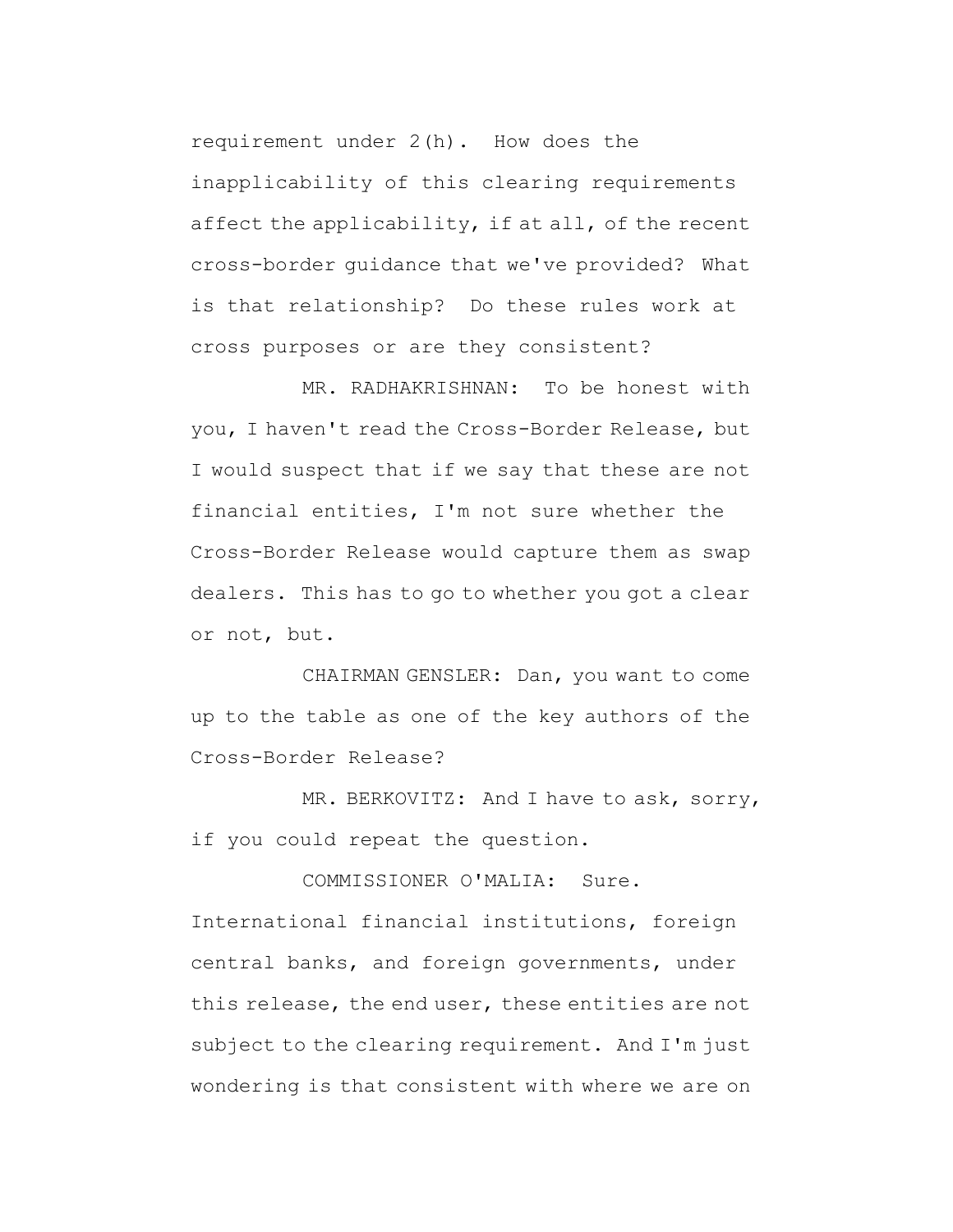requirement under 2(h). How does the inapplicability of this clearing requirements affect the applicability, if at all, of the recent cross-border guidance that we've provided? What is that relationship? Do these rules work at cross purposes or are they consistent?

MR. RADHAKRISHNAN: To be honest with you, I haven't read the Cross-Border Release, but I would suspect that if we say that these are not financial entities, I'm not sure whether the Cross-Border Release would capture them as swap dealers. This has to go to whether you got a clear or not, but.

CHAIRMAN GENSLER: Dan, you want to come up to the table as one of the key authors of the Cross-Border Release?

MR. BERKOVITZ: And I have to ask, sorry, if you could repeat the question.

COMMISSIONER O'MALIA: Sure. International financial institutions, foreign central banks, and foreign governments, under this release, the end user, these entities are not subject to the clearing requirement. And I'm just wondering is that consistent with where we are on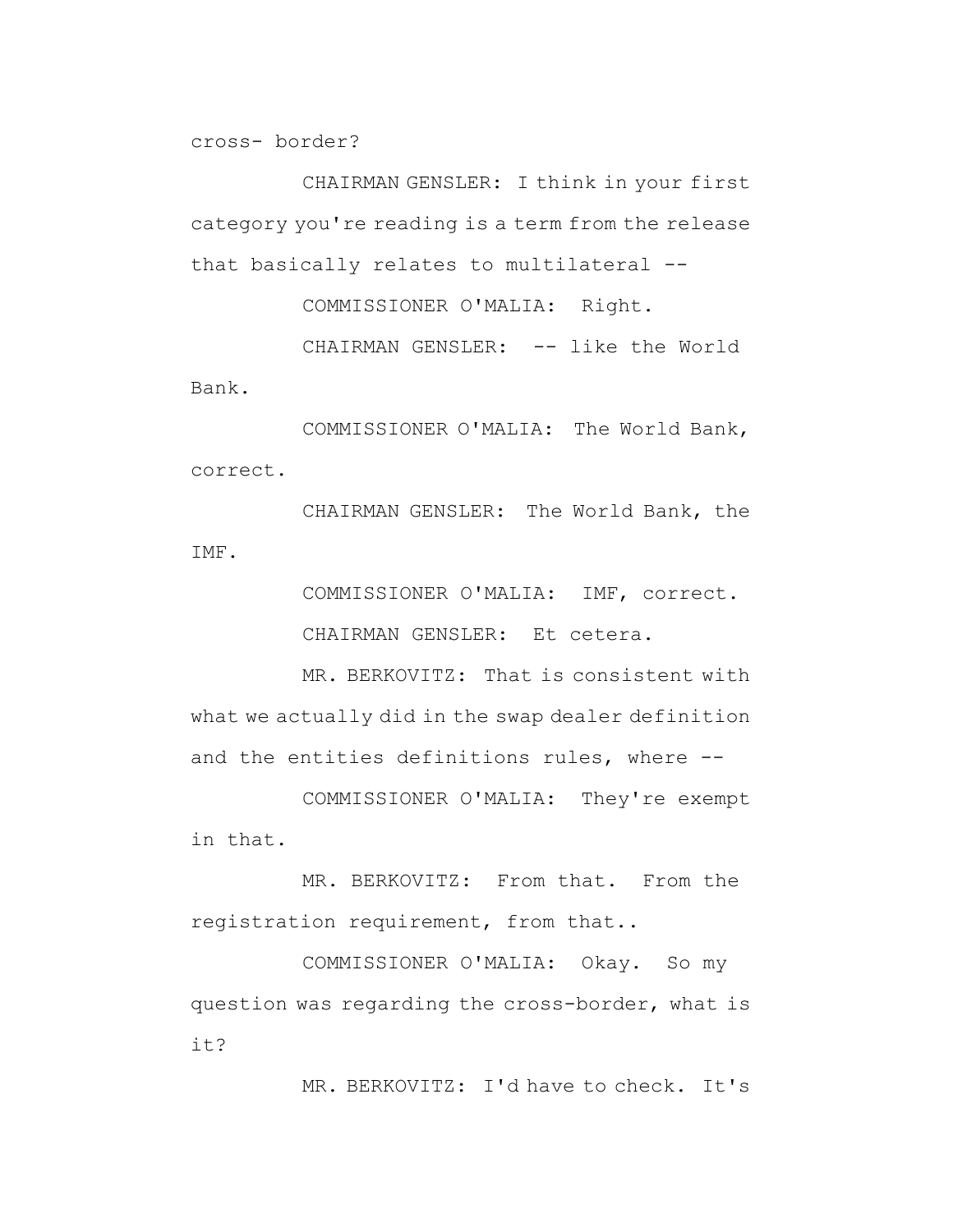cross- border?

CHAIRMAN GENSLER: I think in your first category you're reading is a term from the release that basically relates to multilateral --

COMMISSIONER O'MALIA: Right.

CHAIRMAN GENSLER: -- like the World Bank.

COMMISSIONER O'MALIA: The World Bank, correct.

CHAIRMAN GENSLER: The World Bank, the IMF.

> COMMISSIONER O'MALIA: IMF, correct. CHAIRMAN GENSLER: Et cetera.

MR. BERKOVITZ: That is consistent with what we actually did in the swap dealer definition and the entities definitions rules, where --

COMMISSIONER O'MALIA: They're exempt in that.

MR. BERKOVITZ: From that. From the registration requirement, from that..

COMMISSIONER O'MALIA: Okay. So my question was regarding the cross-border, what is it?

MR. BERKOVITZ: I'd have to check. It's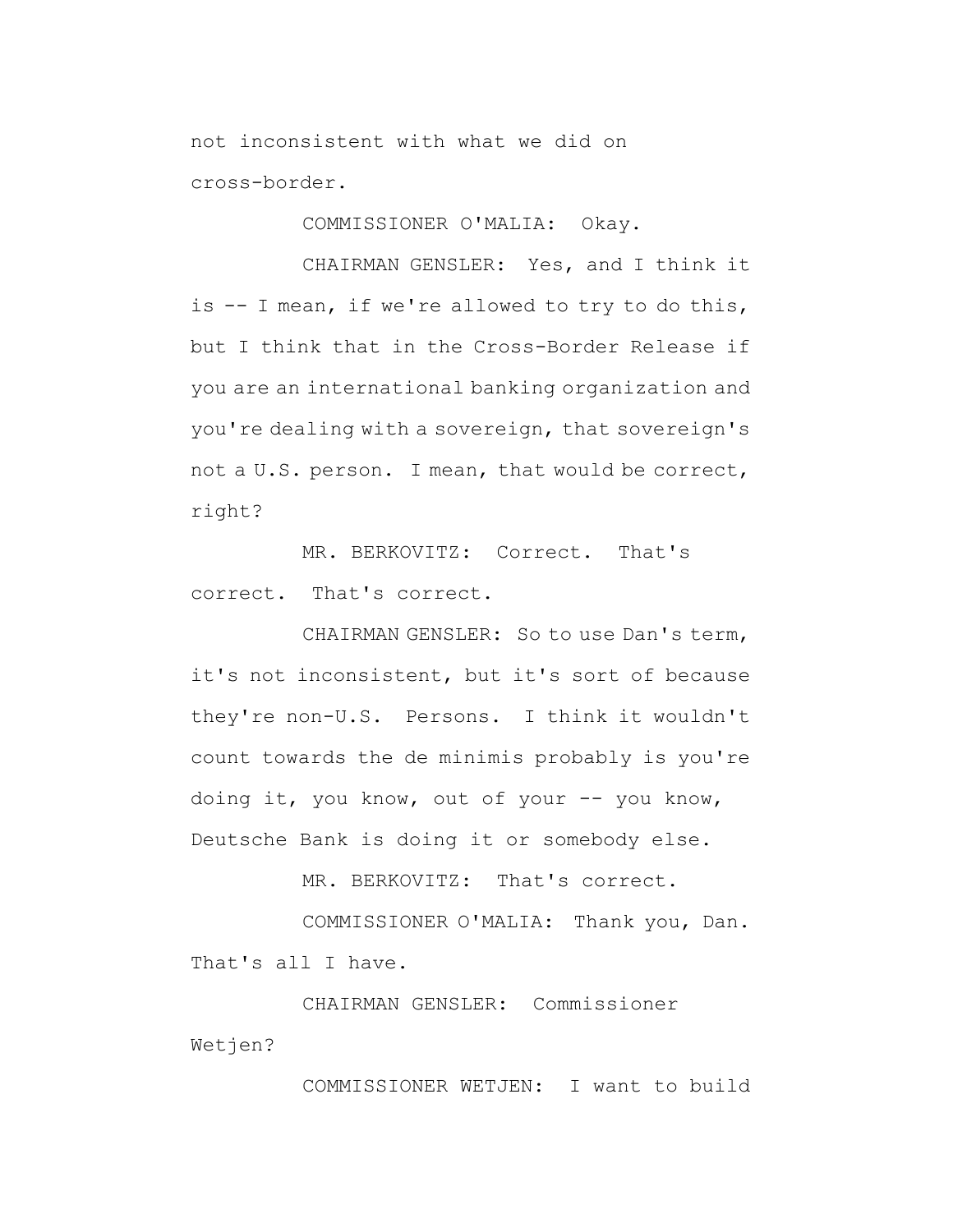not inconsistent with what we did on cross-border.

COMMISSIONER O'MALIA: Okay.

CHAIRMAN GENSLER: Yes, and I think it is -- I mean, if we're allowed to try to do this, but I think that in the Cross-Border Release if you are an international banking organization and you're dealing with a sovereign, that sovereign's not a U.S. person. I mean, that would be correct, right?

MR. BERKOVITZ: Correct. That's correct. That's correct.

CHAIRMAN GENSLER: So to use Dan's term, it's not inconsistent, but it's sort of because they're non-U.S. Persons. I think it wouldn't count towards the de minimis probably is you're doing it, you know, out of your -- you know, Deutsche Bank is doing it or somebody else.

MR. BERKOVITZ: That's correct.

COMMISSIONER O'MALIA: Thank you, Dan. That's all I have.

CHAIRMAN GENSLER: Commissioner Wetjen?

COMMISSIONER WETJEN: I want to build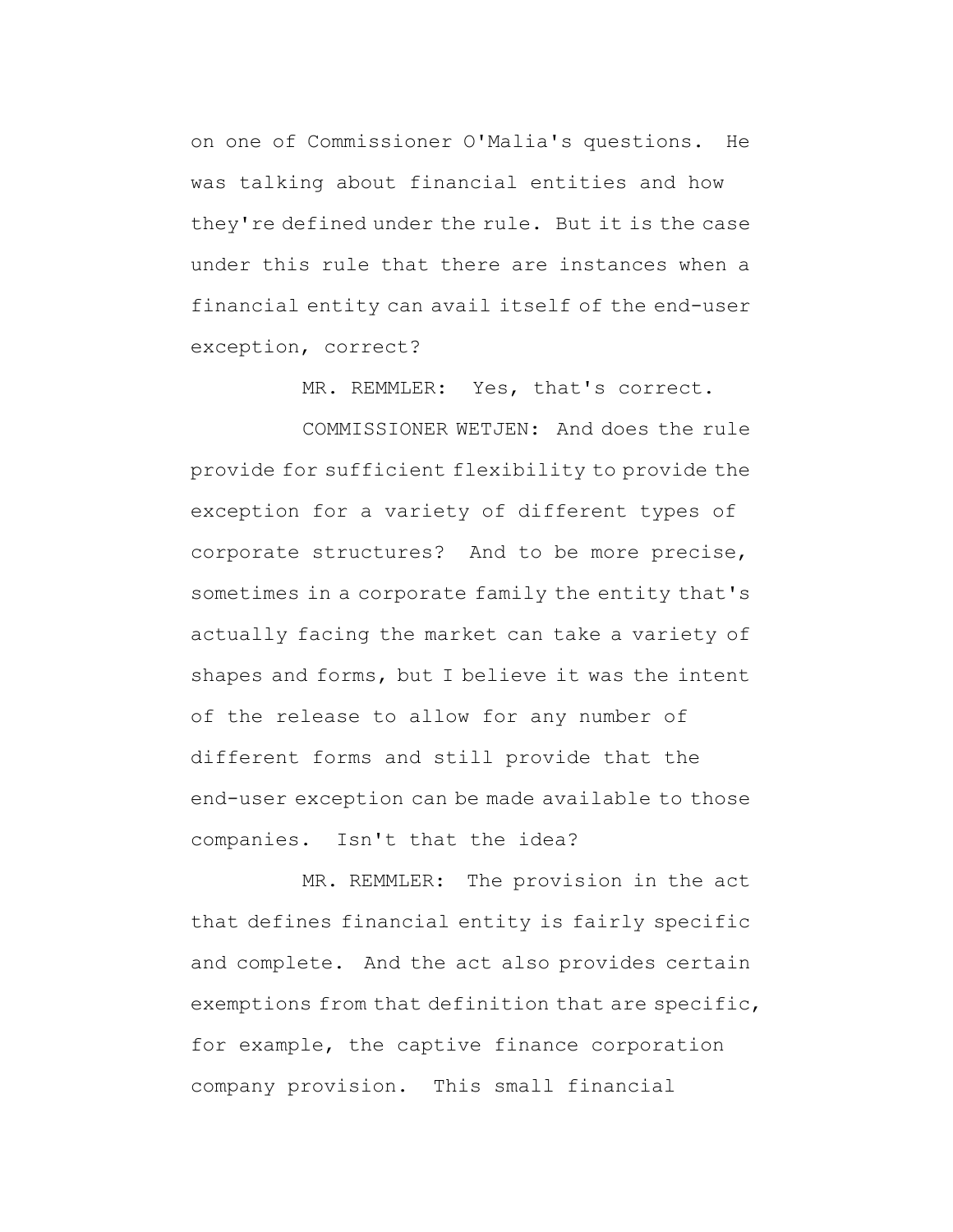on one of Commissioner O'Malia's questions. He was talking about financial entities and how they're defined under the rule. But it is the case under this rule that there are instances when a financial entity can avail itself of the end-user exception, correct?

MR. REMMLER: Yes, that's correct.

COMMISSIONER WETJEN: And does the rule provide for sufficient flexibility to provide the exception for a variety of different types of corporate structures? And to be more precise, sometimes in a corporate family the entity that's actually facing the market can take a variety of shapes and forms, but I believe it was the intent of the release to allow for any number of different forms and still provide that the end-user exception can be made available to those companies. Isn't that the idea?

MR. REMMLER: The provision in the act that defines financial entity is fairly specific and complete. And the act also provides certain exemptions from that definition that are specific, for example, the captive finance corporation company provision. This small financial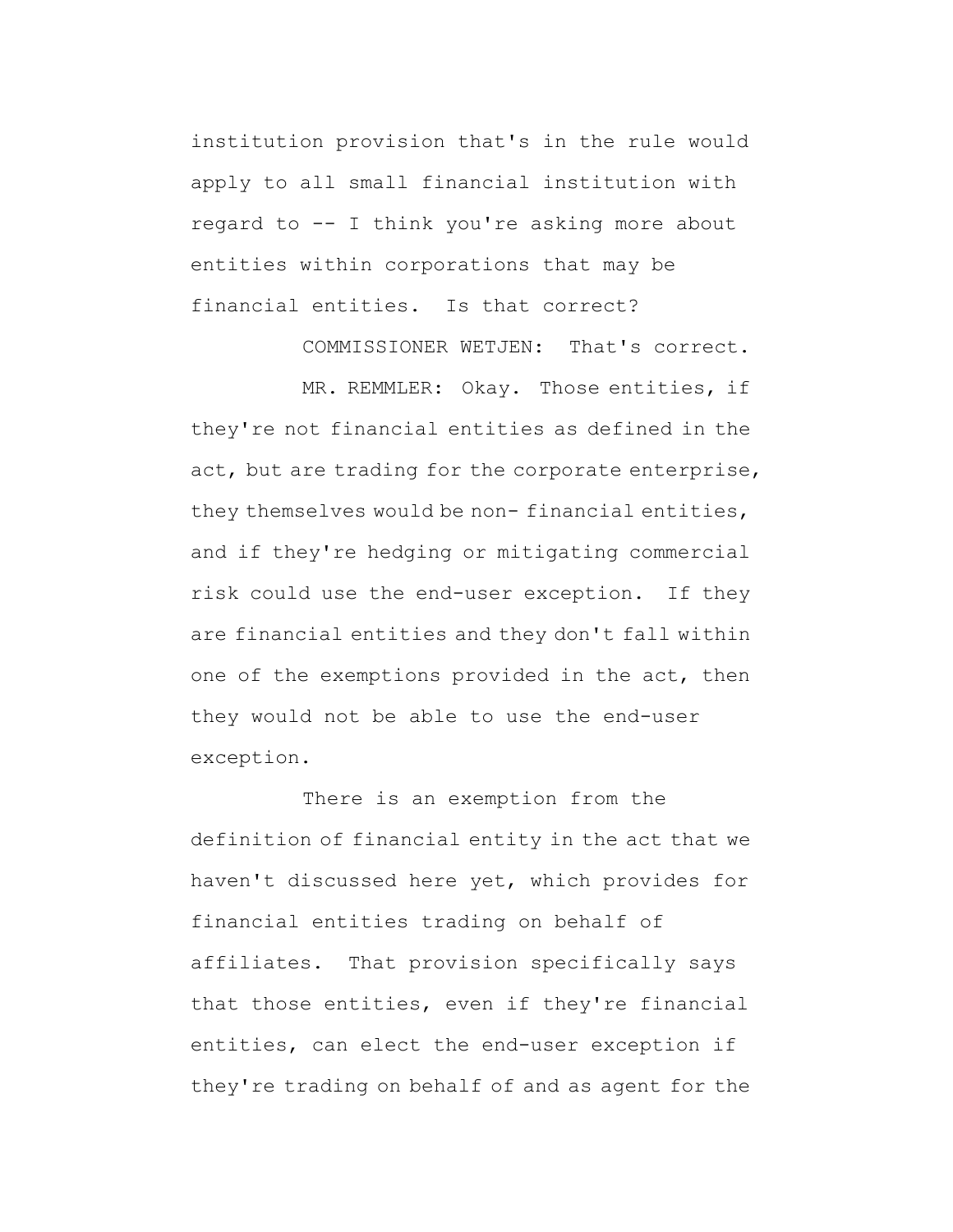institution provision that's in the rule would apply to all small financial institution with regard to -- I think you're asking more about entities within corporations that may be financial entities. Is that correct?

COMMISSIONER WETJEN: That's correct.

MR. REMMLER: Okay. Those entities, if they're not financial entities as defined in the act, but are trading for the corporate enterprise, they themselves would be non- financial entities, and if they're hedging or mitigating commercial risk could use the end-user exception. If they are financial entities and they don't fall within one of the exemptions provided in the act, then they would not be able to use the end-user exception.

There is an exemption from the definition of financial entity in the act that we haven't discussed here yet, which provides for financial entities trading on behalf of affiliates. That provision specifically says that those entities, even if they're financial entities, can elect the end-user exception if they're trading on behalf of and as agent for the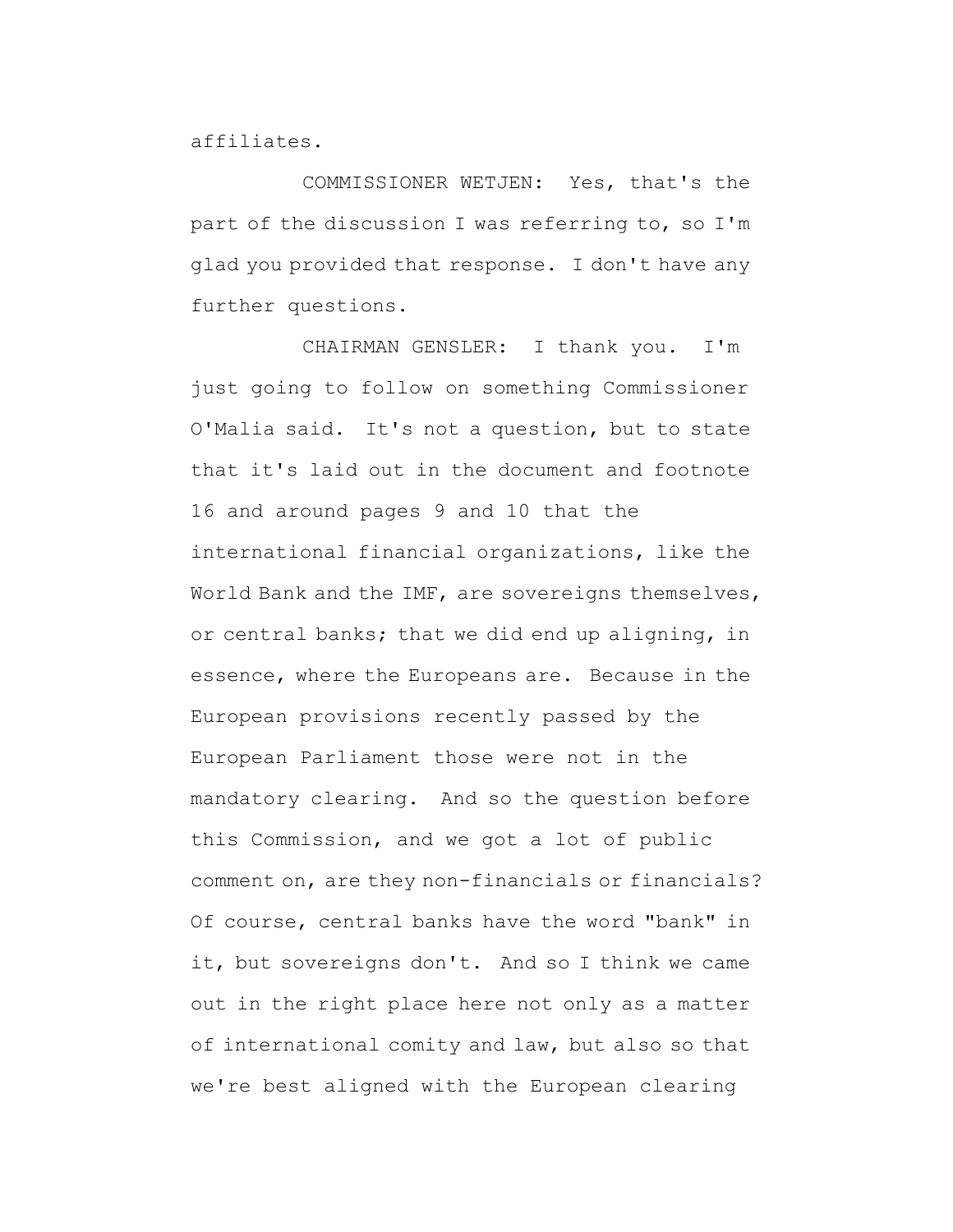affiliates.

COMMISSIONER WETJEN: Yes, that's the part of the discussion I was referring to, so I'm glad you provided that response. I don't have any further questions.

CHAIRMAN GENSLER: I thank you. I'm just going to follow on something Commissioner O'Malia said. It's not a question, but to state that it's laid out in the document and footnote 16 and around pages 9 and 10 that the international financial organizations, like the World Bank and the IMF, are sovereigns themselves, or central banks; that we did end up aligning, in essence, where the Europeans are. Because in the European provisions recently passed by the European Parliament those were not in the mandatory clearing. And so the question before this Commission, and we got a lot of public comment on, are they non-financials or financials? Of course, central banks have the word "bank" in it, but sovereigns don't. And so I think we came out in the right place here not only as a matter of international comity and law, but also so that we're best aligned with the European clearing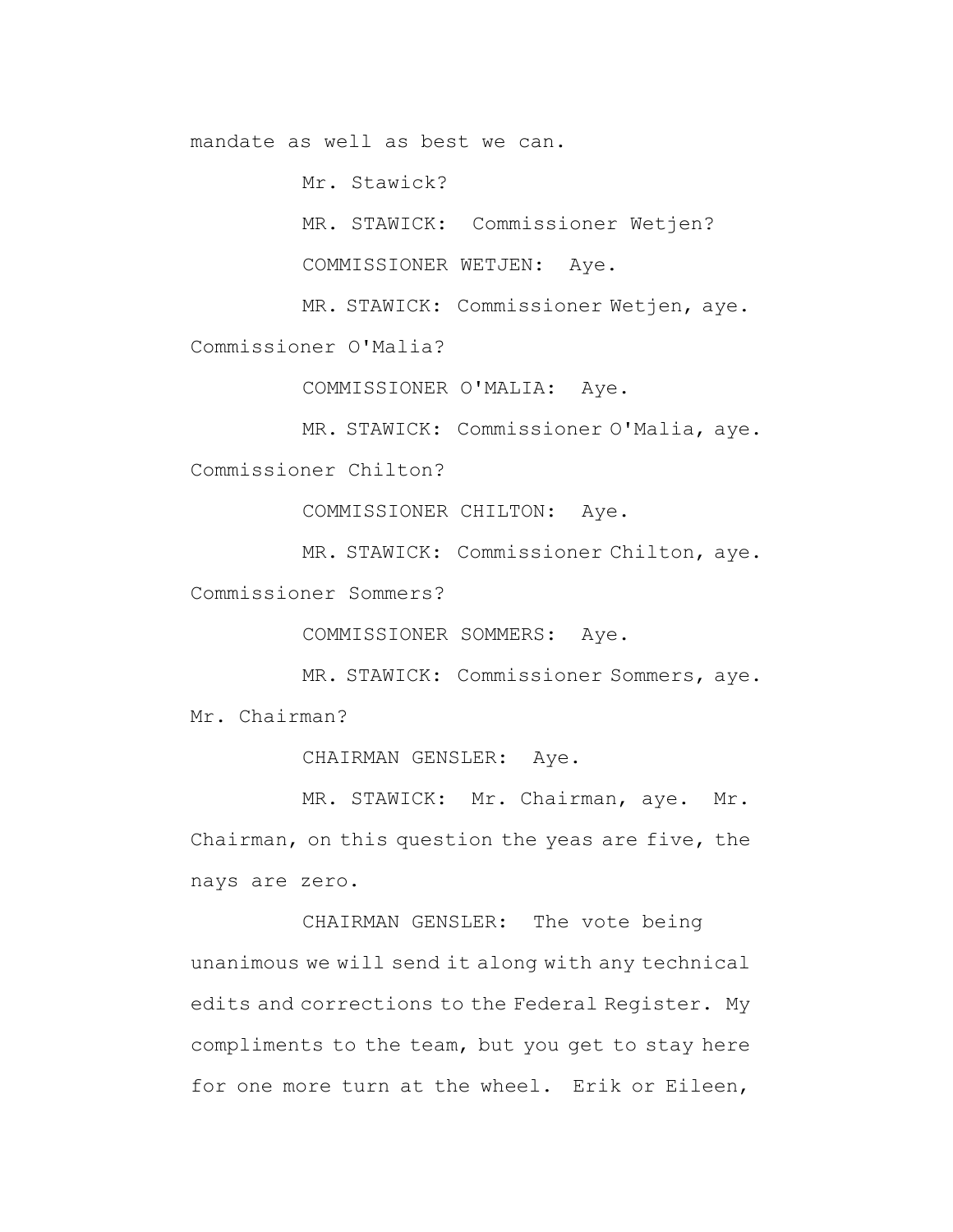mandate as well as best we can.

Mr. Stawick?

MR. STAWICK: Commissioner Wetjen?

COMMISSIONER WETJEN: Aye.

MR. STAWICK: Commissioner Wetjen, aye.

Commissioner O'Malia?

COMMISSIONER O'MALIA: Aye.

MR. STAWICK: Commissioner O'Malia, aye.

Commissioner Chilton?

COMMISSIONER CHILTON: Aye.

MR. STAWICK: Commissioner Chilton, aye.

Commissioner Sommers?

COMMISSIONER SOMMERS: Aye.

MR. STAWICK: Commissioner Sommers, aye. Mr. Chairman?

CHAIRMAN GENSLER: Aye.

MR. STAWICK: Mr. Chairman, aye. Mr. Chairman, on this question the yeas are five, the nays are zero.

CHAIRMAN GENSLER: The vote being unanimous we will send it along with any technical edits and corrections to the Federal Register. My compliments to the team, but you get to stay here for one more turn at the wheel. Erik or Eileen,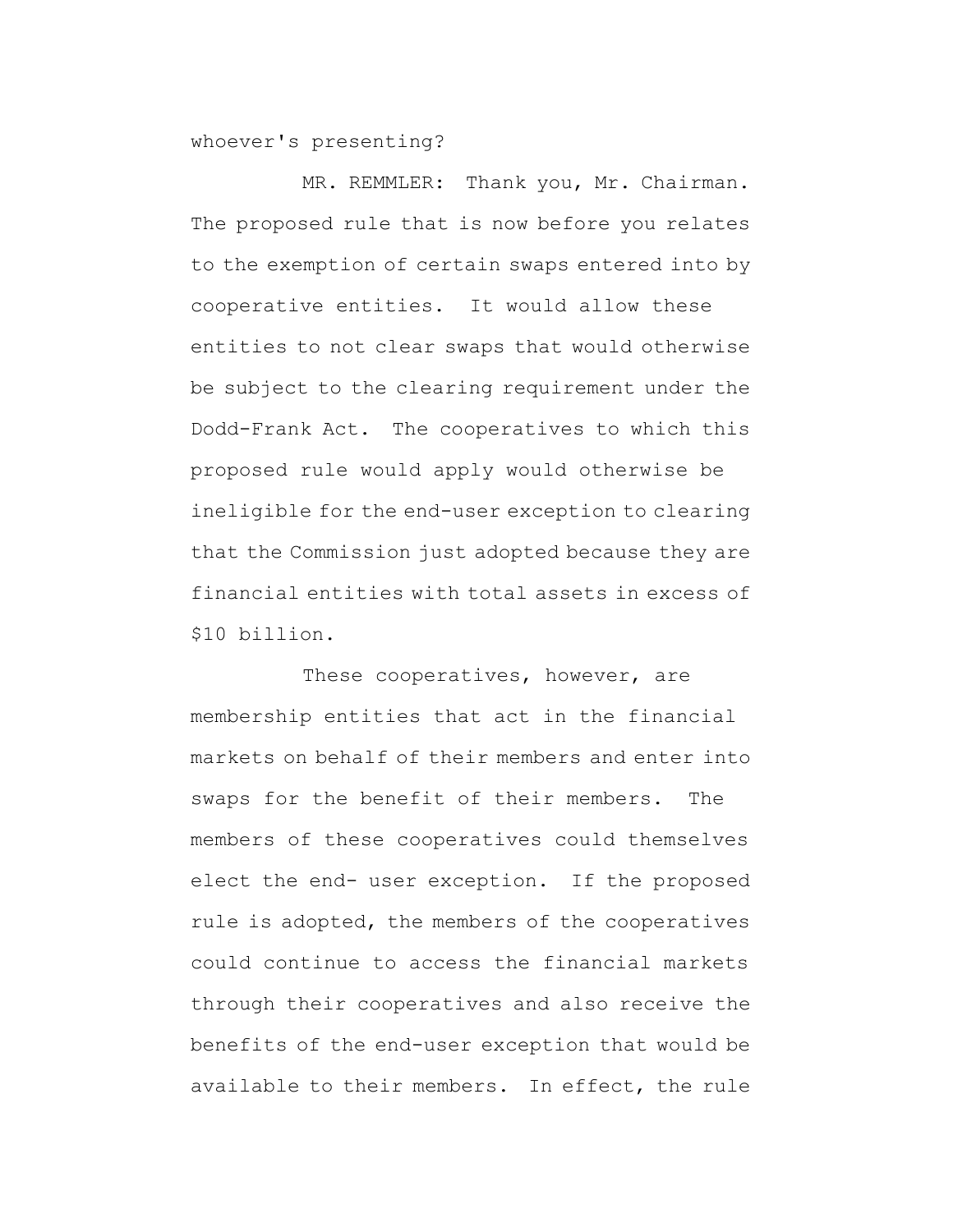whoever's presenting?

MR. REMMLER: Thank you, Mr. Chairman. The proposed rule that is now before you relates to the exemption of certain swaps entered into by cooperative entities. It would allow these entities to not clear swaps that would otherwise be subject to the clearing requirement under the Dodd-Frank Act. The cooperatives to which this proposed rule would apply would otherwise be ineligible for the end-user exception to clearing that the Commission just adopted because they are financial entities with total assets in excess of \$10 billion.

These cooperatives, however, are membership entities that act in the financial markets on behalf of their members and enter into swaps for the benefit of their members. The members of these cooperatives could themselves elect the end- user exception. If the proposed rule is adopted, the members of the cooperatives could continue to access the financial markets through their cooperatives and also receive the benefits of the end-user exception that would be available to their members. In effect, the rule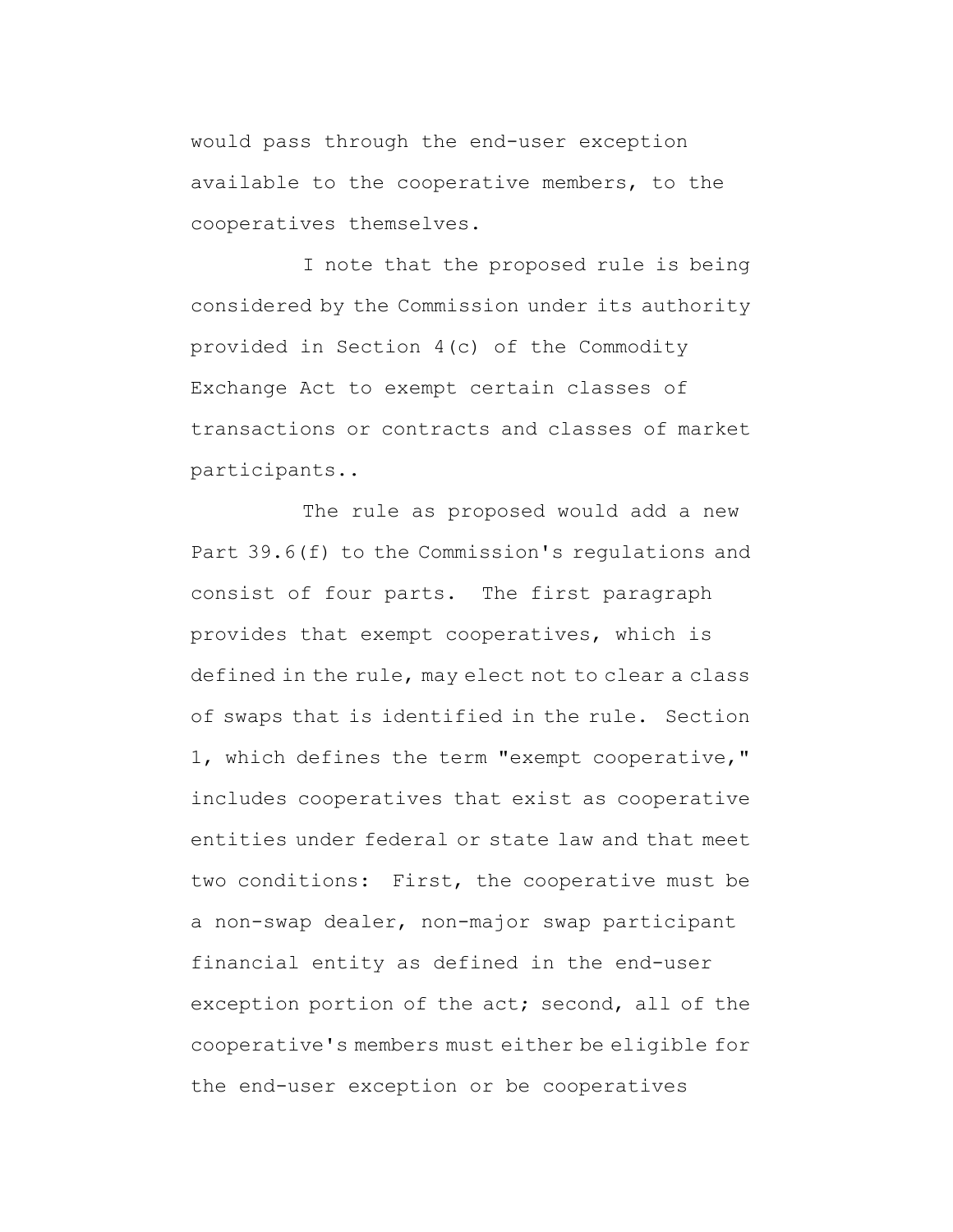would pass through the end-user exception available to the cooperative members, to the cooperatives themselves.

I note that the proposed rule is being considered by the Commission under its authority provided in Section 4(c) of the Commodity Exchange Act to exempt certain classes of transactions or contracts and classes of market participants..

The rule as proposed would add a new Part 39.6(f) to the Commission's regulations and consist of four parts. The first paragraph provides that exempt cooperatives, which is defined in the rule, may elect not to clear a class of swaps that is identified in the rule. Section 1, which defines the term "exempt cooperative," includes cooperatives that exist as cooperative entities under federal or state law and that meet two conditions: First, the cooperative must be a non-swap dealer, non-major swap participant financial entity as defined in the end-user exception portion of the act; second, all of the cooperative's members must either be eligible for the end-user exception or be cooperatives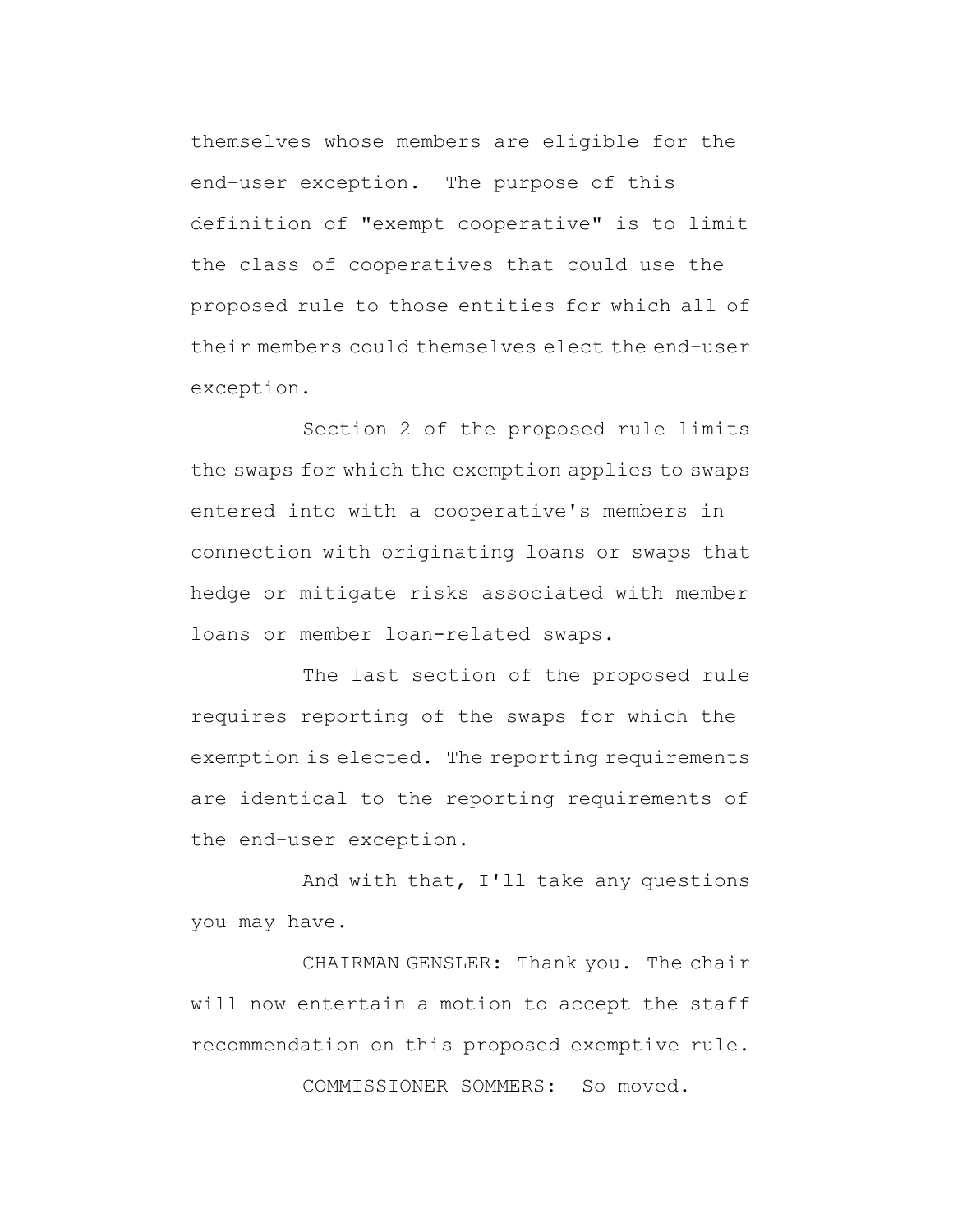themselves whose members are eligible for the end-user exception. The purpose of this definition of "exempt cooperative" is to limit the class of cooperatives that could use the proposed rule to those entities for which all of their members could themselves elect the end-user exception.

Section 2 of the proposed rule limits the swaps for which the exemption applies to swaps entered into with a cooperative's members in connection with originating loans or swaps that hedge or mitigate risks associated with member loans or member loan-related swaps.

The last section of the proposed rule requires reporting of the swaps for which the exemption is elected. The reporting requirements are identical to the reporting requirements of the end-user exception.

And with that, I'll take any questions you may have.

CHAIRMAN GENSLER: Thank you. The chair will now entertain a motion to accept the staff recommendation on this proposed exemptive rule.

COMMISSIONER SOMMERS: So moved.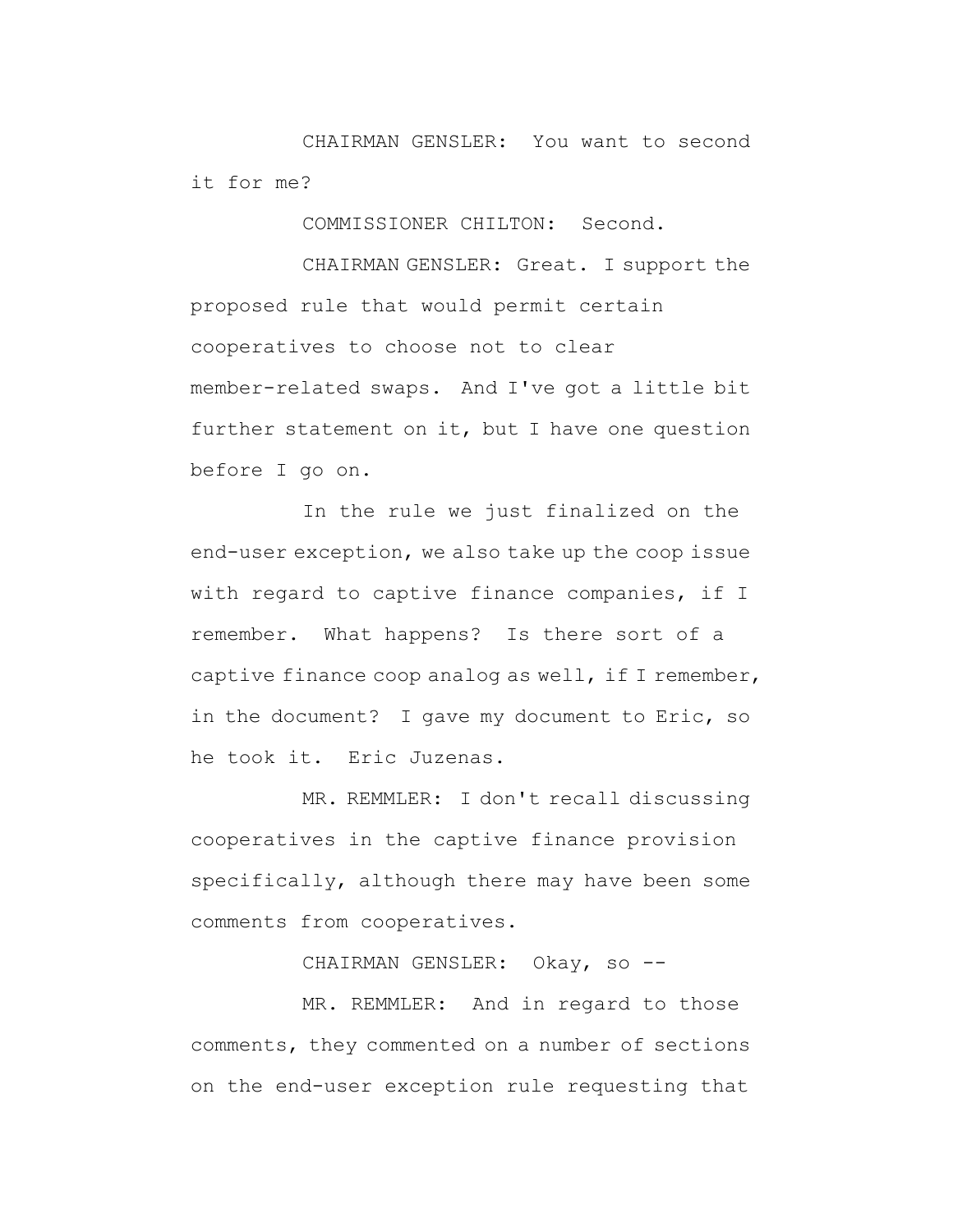CHAIRMAN GENSLER: You want to second it for me?

COMMISSIONER CHILTON: Second.

CHAIRMAN GENSLER: Great. I support the proposed rule that would permit certain cooperatives to choose not to clear member-related swaps. And I've got a little bit further statement on it, but I have one question before I go on.

In the rule we just finalized on the end-user exception, we also take up the coop issue with regard to captive finance companies, if I remember. What happens? Is there sort of a captive finance coop analog as well, if I remember, in the document? I gave my document to Eric, so he took it. Eric Juzenas.

MR. REMMLER: I don't recall discussing cooperatives in the captive finance provision specifically, although there may have been some comments from cooperatives.

CHAIRMAN GENSLER: Okay, so --

MR. REMMLER: And in regard to those comments, they commented on a number of sections on the end-user exception rule requesting that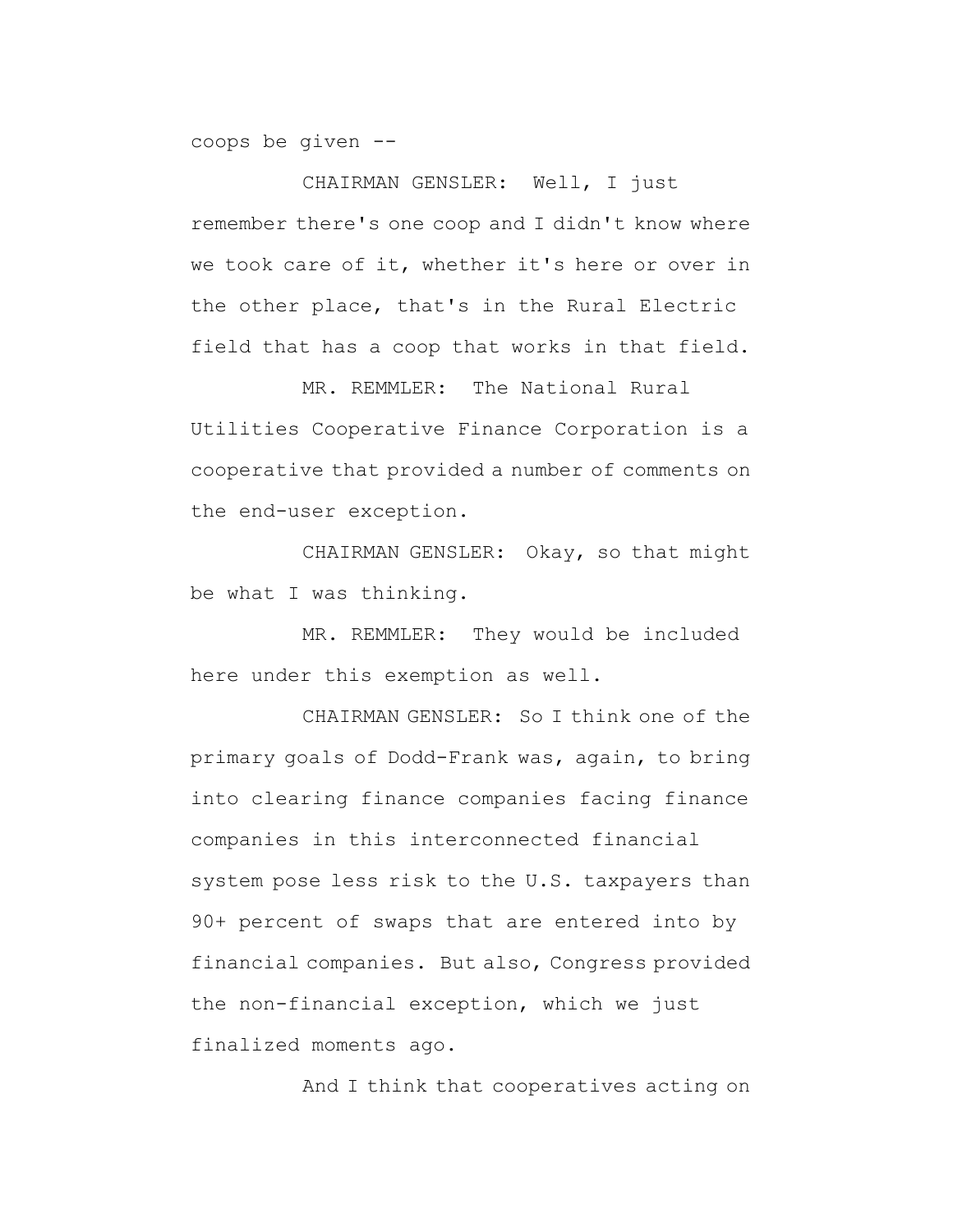coops be given --

CHAIRMAN GENSLER: Well, I just remember there's one coop and I didn't know where we took care of it, whether it's here or over in the other place, that's in the Rural Electric field that has a coop that works in that field.

MR. REMMLER: The National Rural Utilities Cooperative Finance Corporation is a cooperative that provided a number of comments on the end-user exception.

CHAIRMAN GENSLER: Okay, so that might be what I was thinking.

MR. REMMLER: They would be included here under this exemption as well.

CHAIRMAN GENSLER: So I think one of the primary goals of Dodd-Frank was, again, to bring into clearing finance companies facing finance companies in this interconnected financial system pose less risk to the U.S. taxpayers than 90+ percent of swaps that are entered into by financial companies. But also, Congress provided the non-financial exception, which we just finalized moments ago.

And I think that cooperatives acting on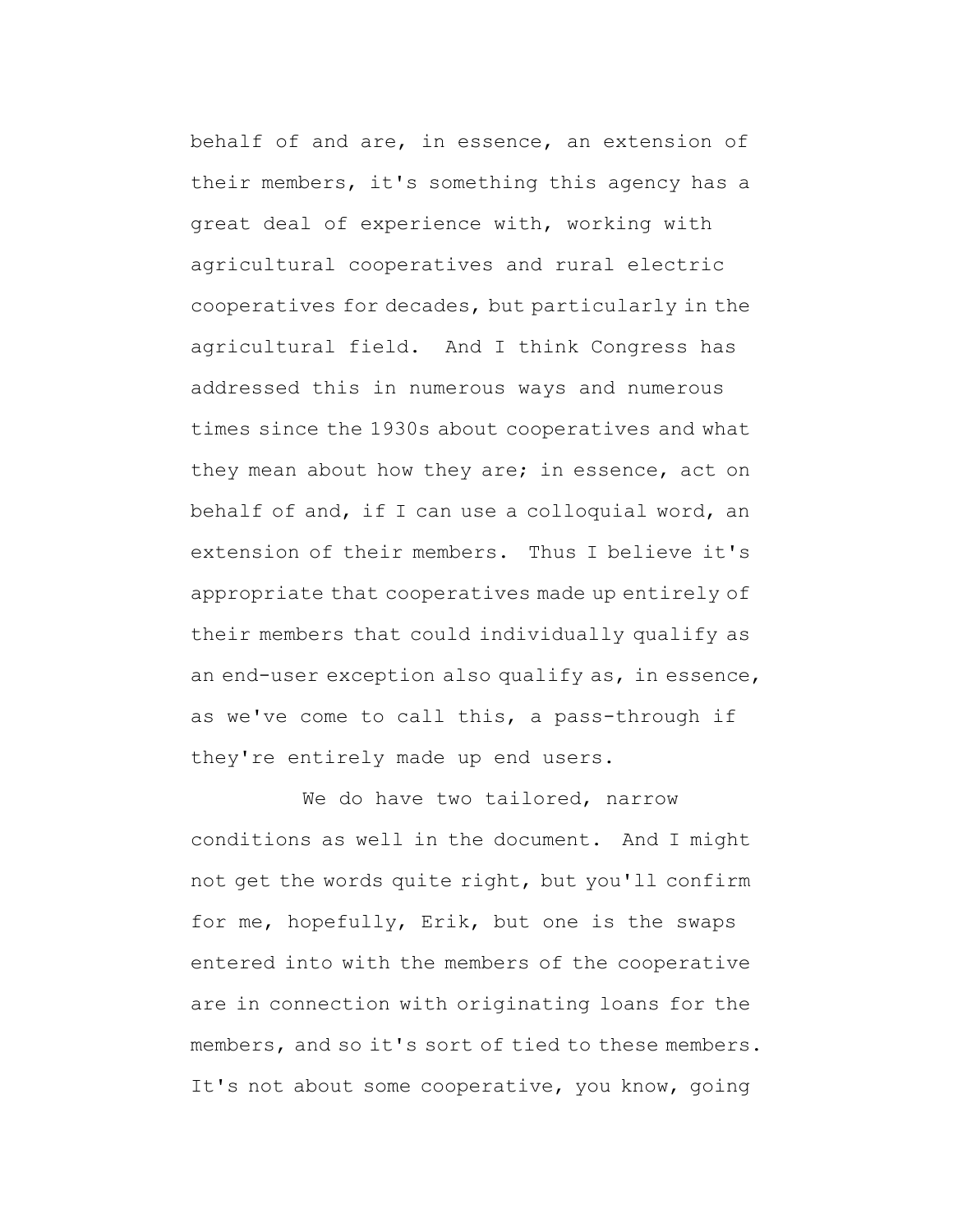behalf of and are, in essence, an extension of their members, it's something this agency has a great deal of experience with, working with agricultural cooperatives and rural electric cooperatives for decades, but particularly in the agricultural field. And I think Congress has addressed this in numerous ways and numerous times since the 1930s about cooperatives and what they mean about how they are; in essence, act on behalf of and, if I can use a colloquial word, an extension of their members. Thus I believe it's appropriate that cooperatives made up entirely of their members that could individually qualify as an end-user exception also qualify as, in essence, as we've come to call this, a pass-through if they're entirely made up end users.

We do have two tailored, narrow conditions as well in the document. And I might not get the words quite right, but you'll confirm for me, hopefully, Erik, but one is the swaps entered into with the members of the cooperative are in connection with originating loans for the members, and so it's sort of tied to these members. It's not about some cooperative, you know, going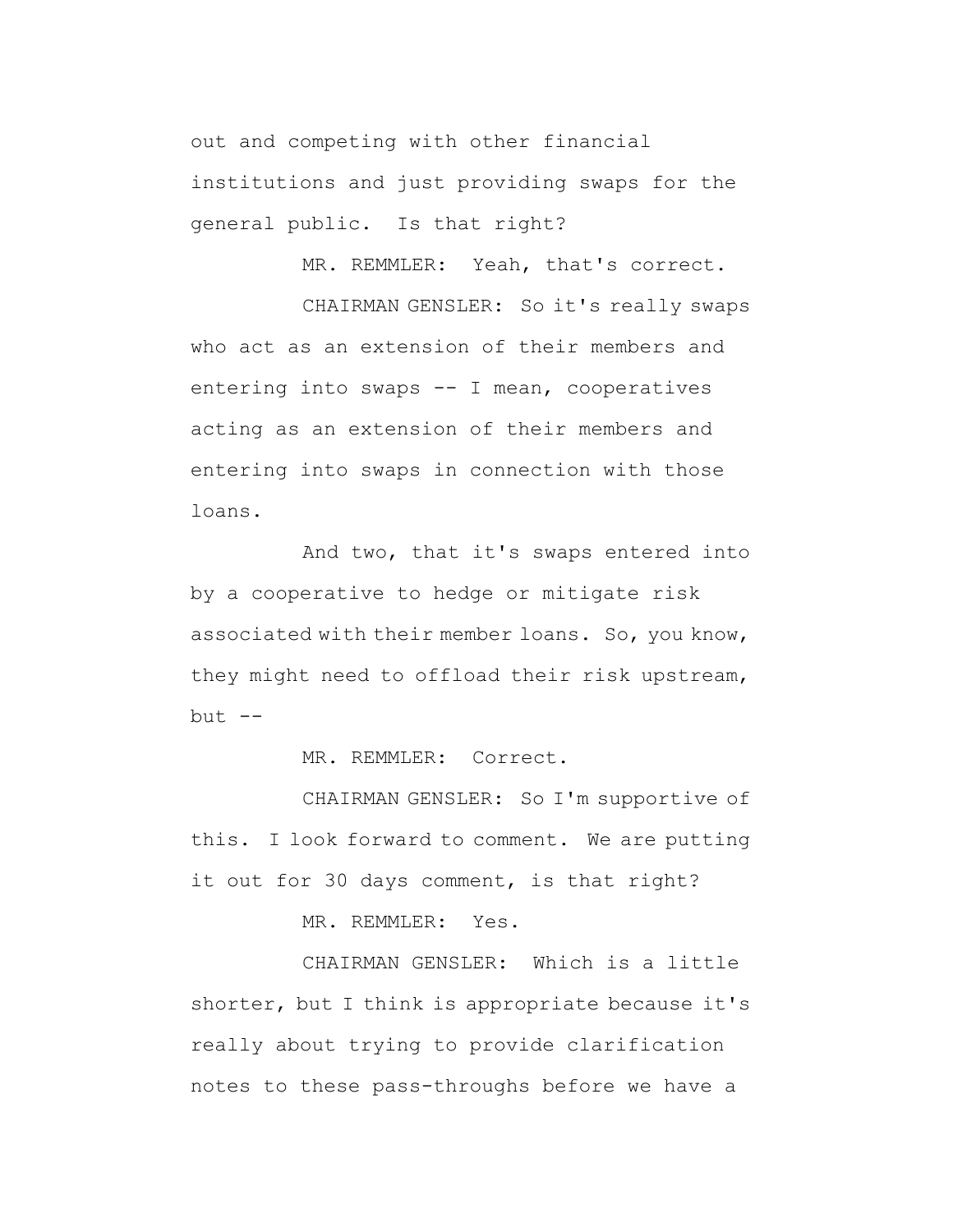out and competing with other financial institutions and just providing swaps for the general public. Is that right?

MR. REMMLER: Yeah, that's correct.

CHAIRMAN GENSLER: So it's really swaps who act as an extension of their members and entering into swaps -- I mean, cooperatives acting as an extension of their members and entering into swaps in connection with those loans.

And two, that it's swaps entered into by a cooperative to hedge or mitigate risk associated with their member loans. So, you know, they might need to offload their risk upstream,  $but --$ 

MR. REMMLER: Correct.

CHAIRMAN GENSLER: So I'm supportive of this. I look forward to comment. We are putting it out for 30 days comment, is that right?

MR. REMMLER: Yes.

CHAIRMAN GENSLER: Which is a little shorter, but I think is appropriate because it's really about trying to provide clarification notes to these pass-throughs before we have a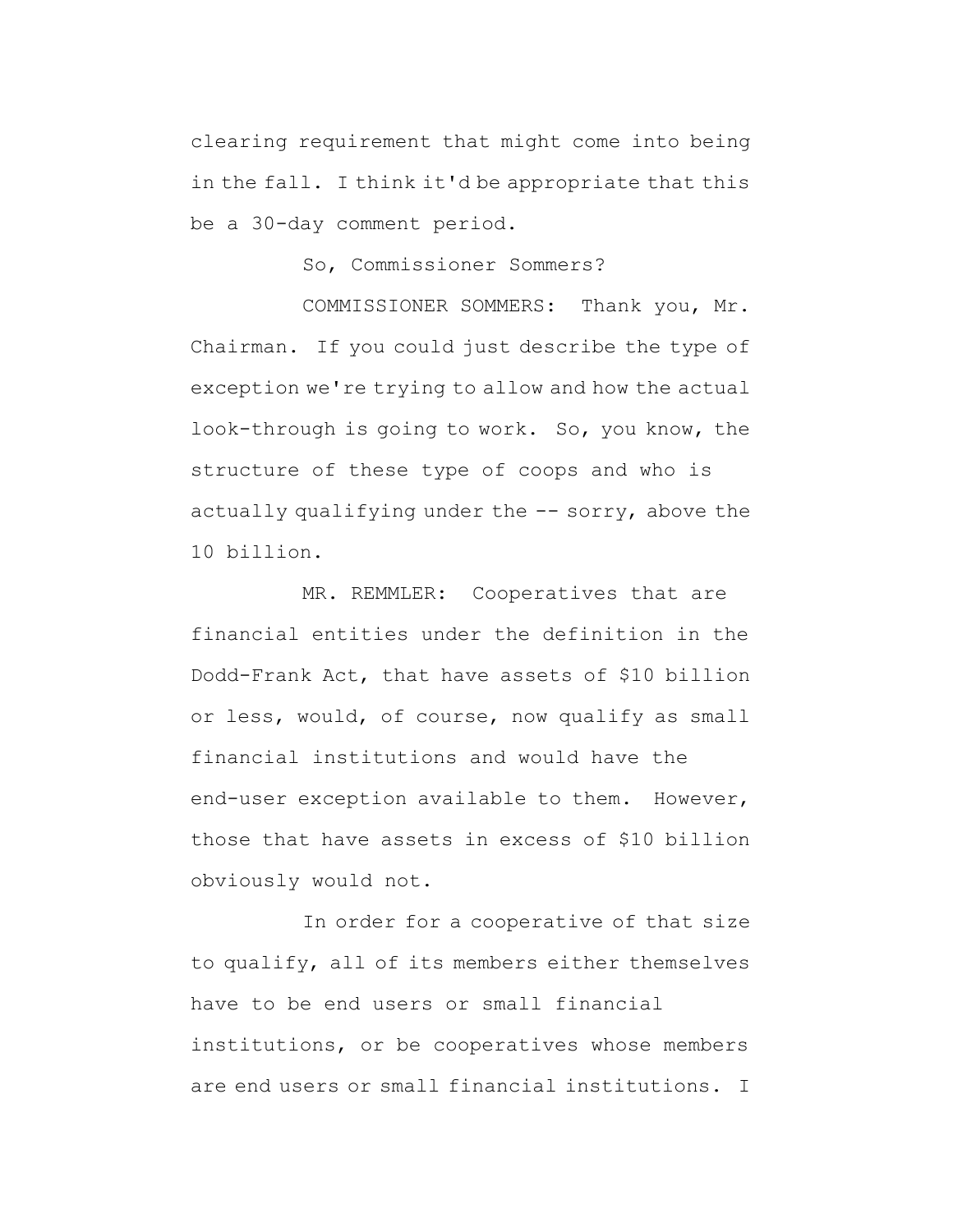clearing requirement that might come into being in the fall. I think it'd be appropriate that this be a 30-day comment period.

So, Commissioner Sommers?

COMMISSIONER SOMMERS: Thank you, Mr. Chairman. If you could just describe the type of exception we're trying to allow and how the actual look-through is going to work. So, you know, the structure of these type of coops and who is actually qualifying under the  $--$  sorry, above the 10 billion.

MR. REMMLER: Cooperatives that are financial entities under the definition in the Dodd-Frank Act, that have assets of \$10 billion or less, would, of course, now qualify as small financial institutions and would have the end-user exception available to them. However, those that have assets in excess of \$10 billion obviously would not.

In order for a cooperative of that size to qualify, all of its members either themselves have to be end users or small financial institutions, or be cooperatives whose members are end users or small financial institutions. I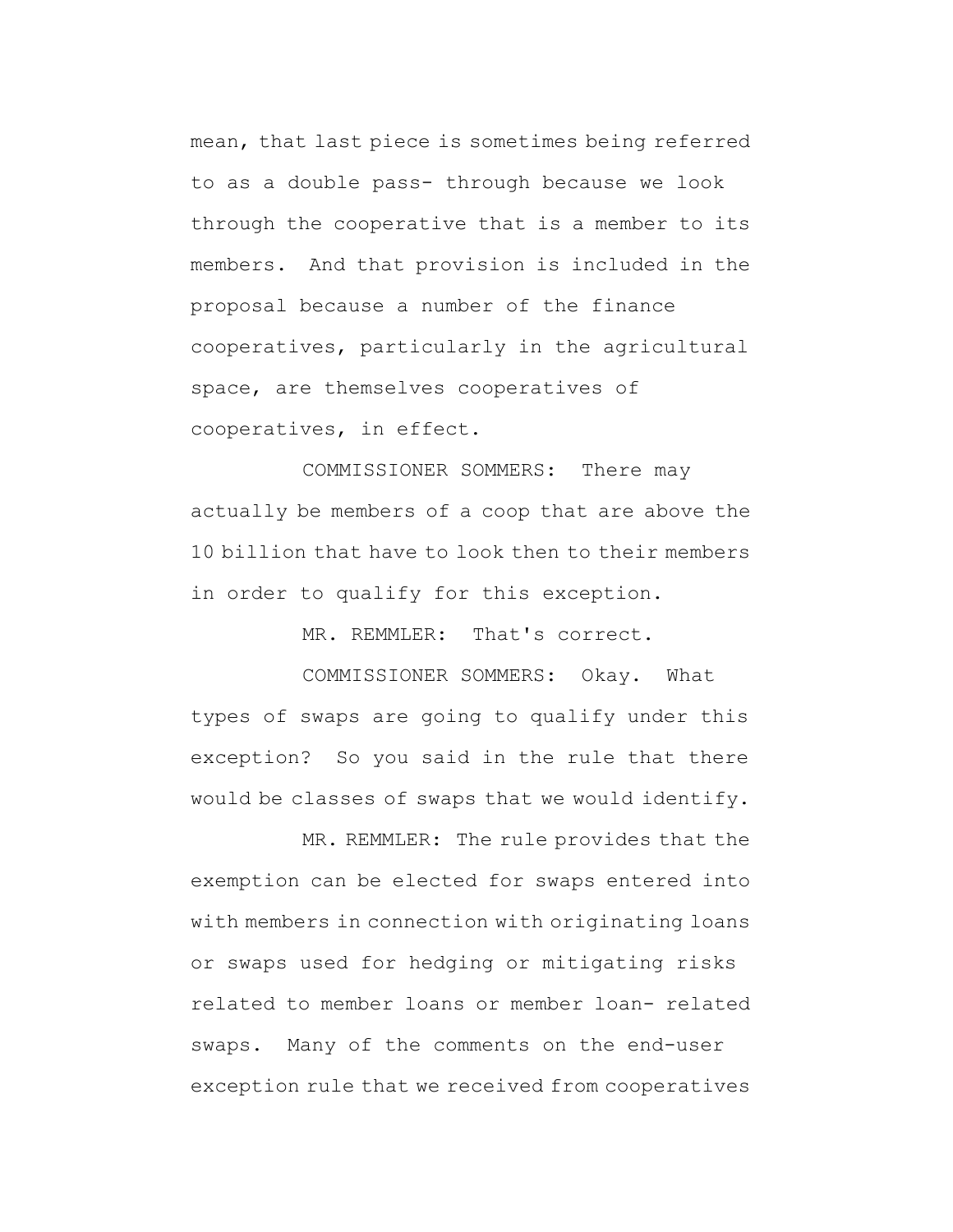mean, that last piece is sometimes being referred to as a double pass- through because we look through the cooperative that is a member to its members. And that provision is included in the proposal because a number of the finance cooperatives, particularly in the agricultural space, are themselves cooperatives of cooperatives, in effect.

COMMISSIONER SOMMERS: There may actually be members of a coop that are above the 10 billion that have to look then to their members in order to qualify for this exception.

MR. REMMLER: That's correct.

COMMISSIONER SOMMERS: Okay. What types of swaps are going to qualify under this exception? So you said in the rule that there would be classes of swaps that we would identify.

MR. REMMLER: The rule provides that the exemption can be elected for swaps entered into with members in connection with originating loans or swaps used for hedging or mitigating risks related to member loans or member loan- related swaps. Many of the comments on the end-user exception rule that we received from cooperatives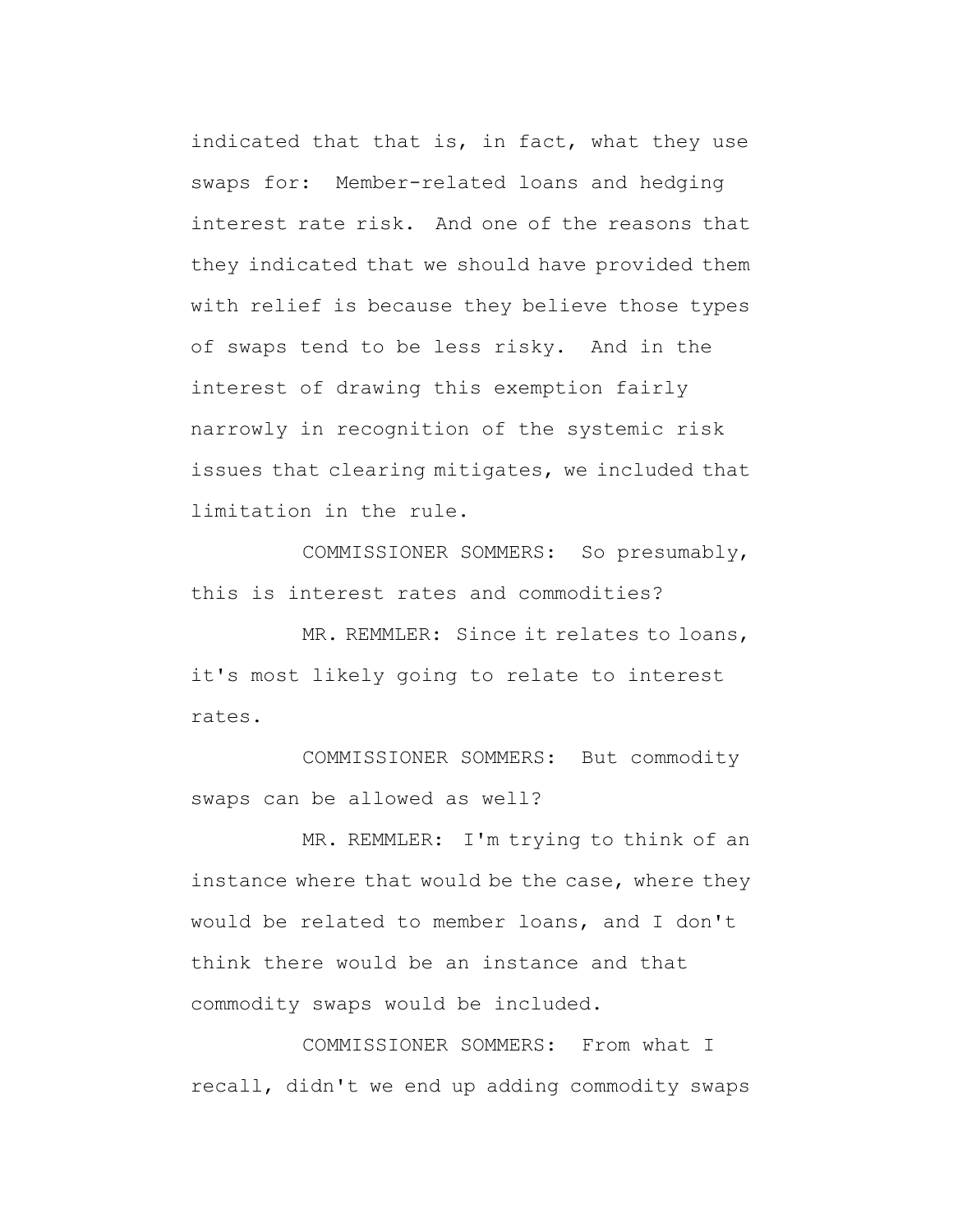indicated that that is, in fact, what they use swaps for: Member-related loans and hedging interest rate risk. And one of the reasons that they indicated that we should have provided them with relief is because they believe those types of swaps tend to be less risky. And in the interest of drawing this exemption fairly narrowly in recognition of the systemic risk issues that clearing mitigates, we included that limitation in the rule.

COMMISSIONER SOMMERS: So presumably, this is interest rates and commodities?

MR. REMMLER: Since it relates to loans, it's most likely going to relate to interest rates.

COMMISSIONER SOMMERS: But commodity swaps can be allowed as well?

MR. REMMLER: I'm trying to think of an instance where that would be the case, where they would be related to member loans, and I don't think there would be an instance and that commodity swaps would be included.

COMMISSIONER SOMMERS: From what I recall, didn't we end up adding commodity swaps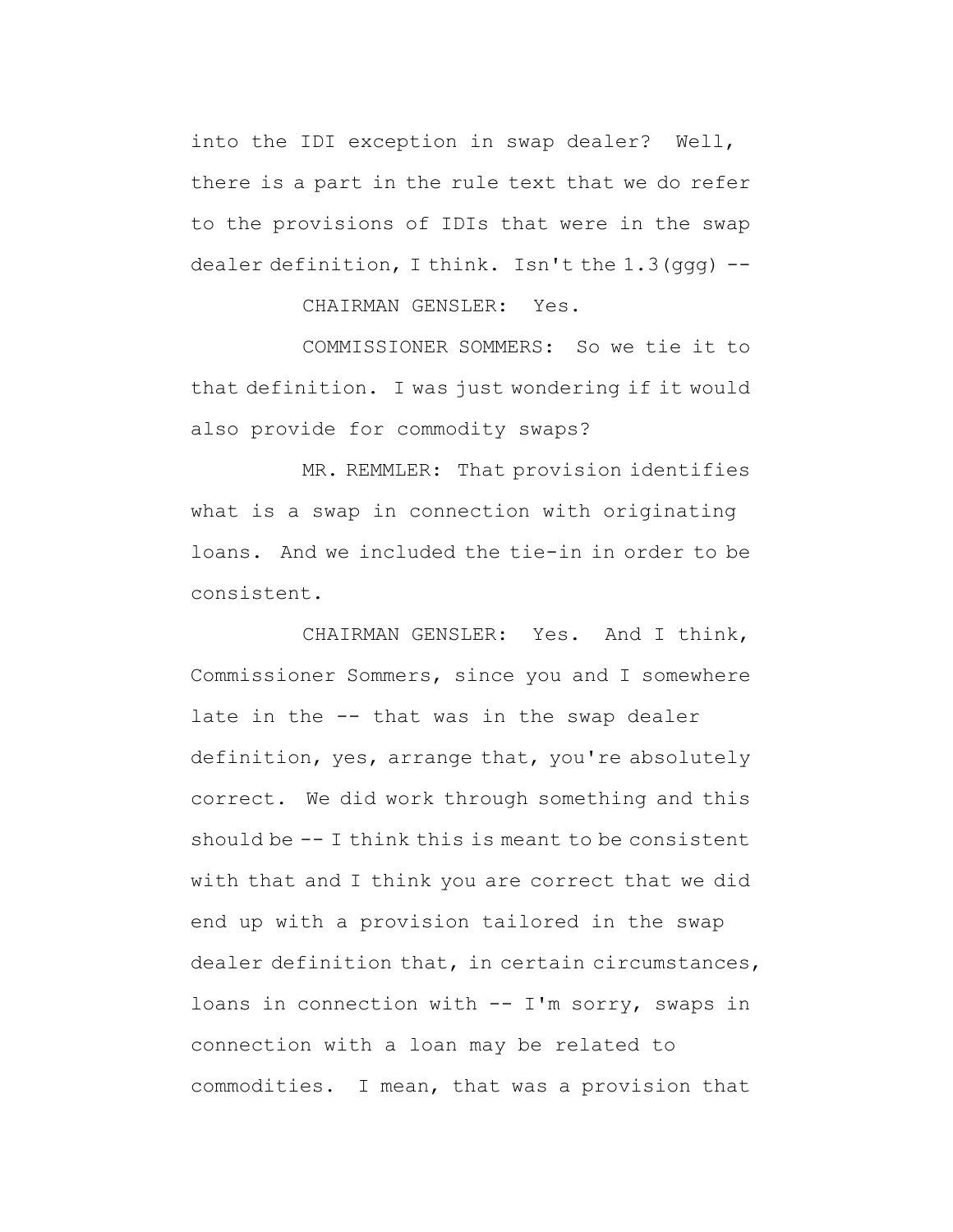into the IDI exception in swap dealer? Well, there is a part in the rule text that we do refer to the provisions of IDIs that were in the swap dealer definition, I think. Isn't the  $1.3$  (ggg)  $-$ -

CHAIRMAN GENSLER: Yes.

COMMISSIONER SOMMERS: So we tie it to that definition. I was just wondering if it would also provide for commodity swaps?

MR. REMMLER: That provision identifies what is a swap in connection with originating loans. And we included the tie-in in order to be consistent.

CHAIRMAN GENSLER: Yes. And I think, Commissioner Sommers, since you and I somewhere late in the -- that was in the swap dealer definition, yes, arrange that, you're absolutely correct. We did work through something and this should be -- I think this is meant to be consistent with that and I think you are correct that we did end up with a provision tailored in the swap dealer definition that, in certain circumstances, loans in connection with -- I'm sorry, swaps in connection with a loan may be related to commodities. I mean, that was a provision that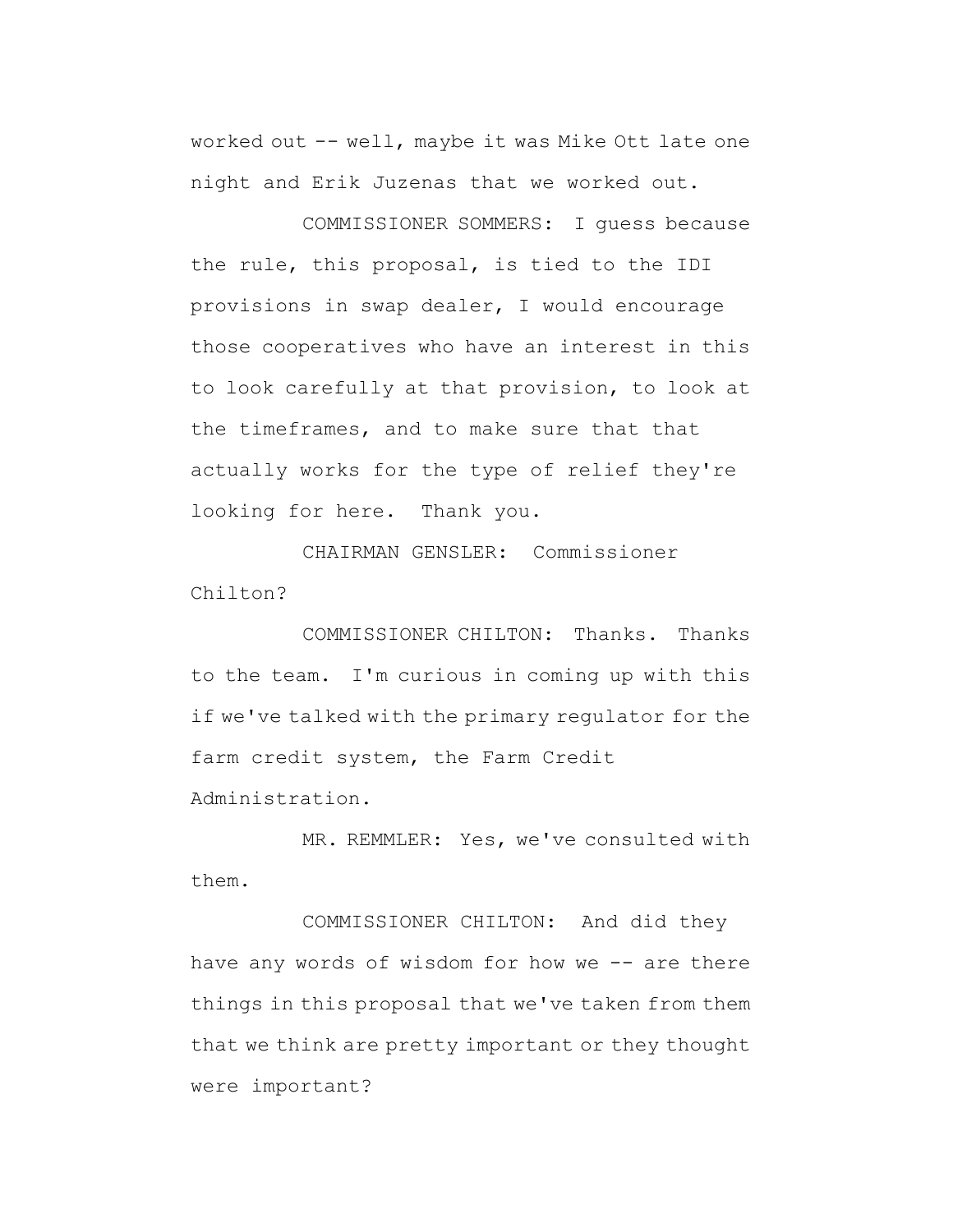worked out -- well, maybe it was Mike Ott late one night and Erik Juzenas that we worked out.

COMMISSIONER SOMMERS: I guess because the rule, this proposal, is tied to the IDI provisions in swap dealer, I would encourage those cooperatives who have an interest in this to look carefully at that provision, to look at the timeframes, and to make sure that that actually works for the type of relief they're looking for here. Thank you.

CHAIRMAN GENSLER: Commissioner Chilton?

COMMISSIONER CHILTON: Thanks. Thanks to the team. I'm curious in coming up with this if we've talked with the primary regulator for the farm credit system, the Farm Credit Administration.

MR. REMMLER: Yes, we've consulted with them.

COMMISSIONER CHILTON: And did they have any words of wisdom for how we -- are there things in this proposal that we've taken from them that we think are pretty important or they thought were important?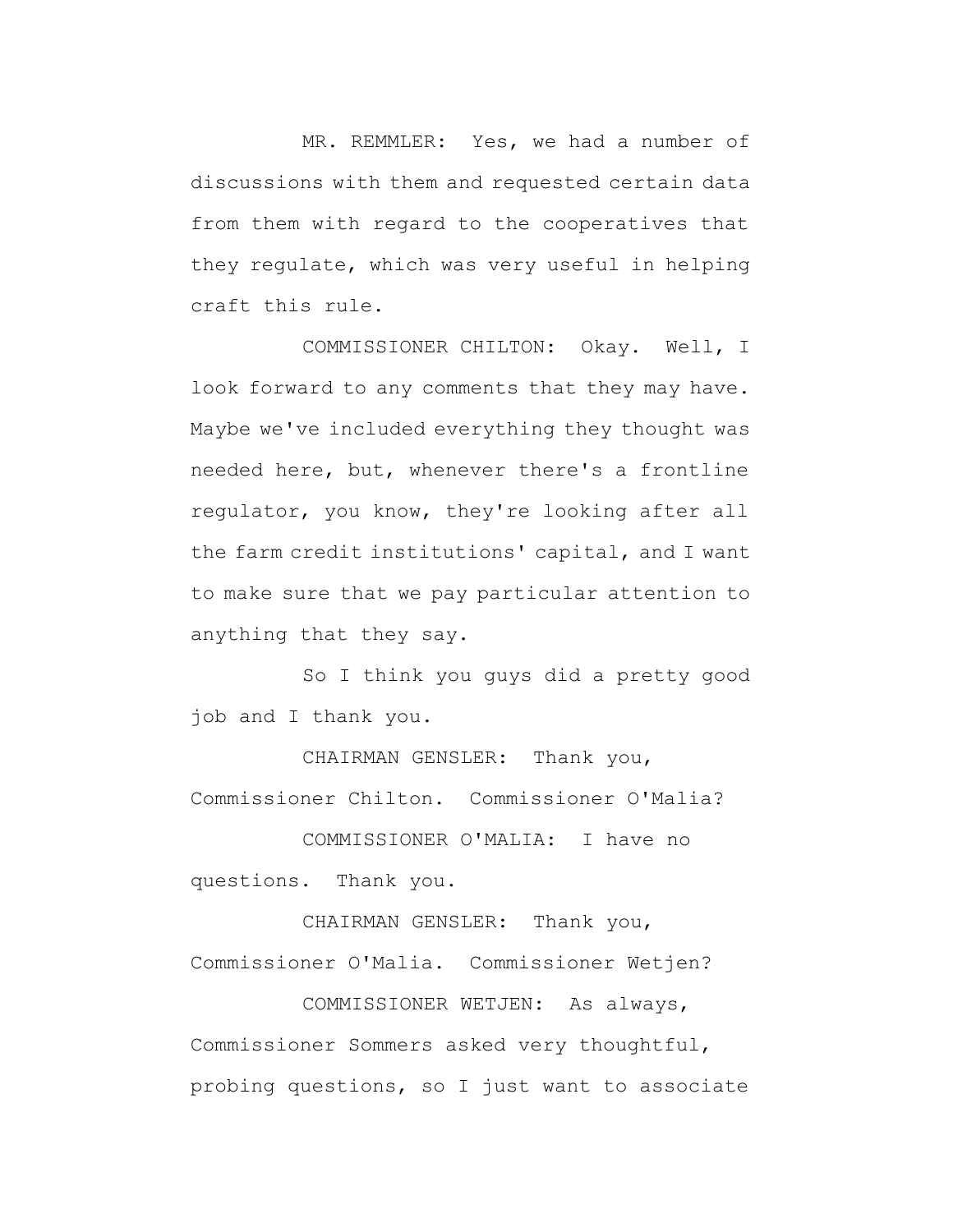MR. REMMLER: Yes, we had a number of discussions with them and requested certain data from them with regard to the cooperatives that they regulate, which was very useful in helping craft this rule.

COMMISSIONER CHILTON: Okay. Well, I look forward to any comments that they may have. Maybe we've included everything they thought was needed here, but, whenever there's a frontline regulator, you know, they're looking after all the farm credit institutions' capital, and I want to make sure that we pay particular attention to anything that they say.

So I think you guys did a pretty good job and I thank you.

CHAIRMAN GENSLER: Thank you, Commissioner Chilton. Commissioner O'Malia?

COMMISSIONER O'MALIA: I have no questions. Thank you.

CHAIRMAN GENSLER: Thank you, Commissioner O'Malia. Commissioner Wetjen?

COMMISSIONER WETJEN: As always, Commissioner Sommers asked very thoughtful, probing questions, so I just want to associate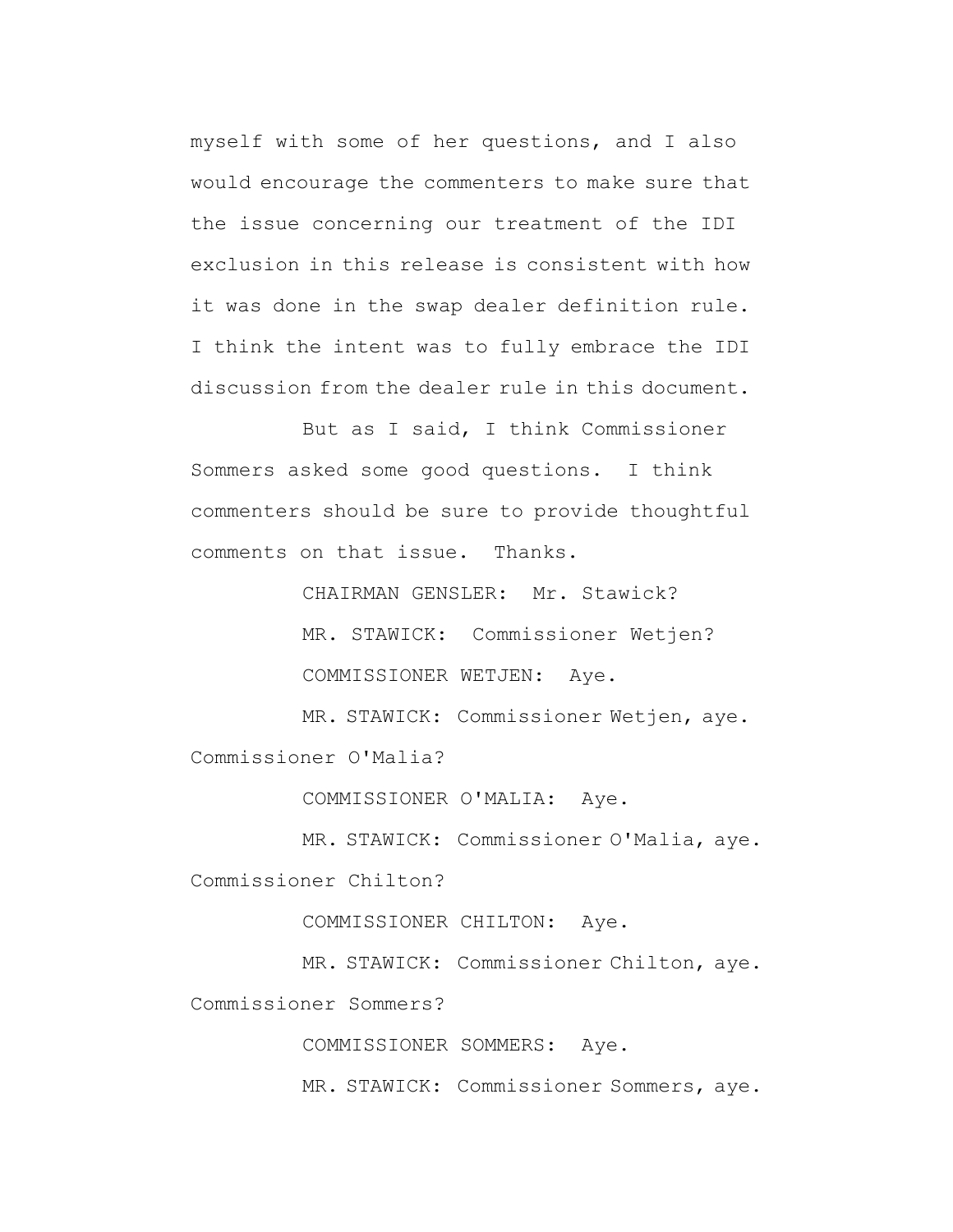myself with some of her questions, and I also would encourage the commenters to make sure that the issue concerning our treatment of the IDI exclusion in this release is consistent with how it was done in the swap dealer definition rule. I think the intent was to fully embrace the IDI discussion from the dealer rule in this document.

But as I said, I think Commissioner Sommers asked some good questions. I think commenters should be sure to provide thoughtful comments on that issue. Thanks.

> CHAIRMAN GENSLER: Mr. Stawick? MR. STAWICK: Commissioner Wetjen? COMMISSIONER WETJEN: Aye.

MR. STAWICK: Commissioner Wetjen, aye. Commissioner O'Malia?

COMMISSIONER O'MALIA: Aye.

MR. STAWICK: Commissioner O'Malia, aye. Commissioner Chilton?

COMMISSIONER CHILTON: Aye.

MR. STAWICK: Commissioner Chilton, aye.

Commissioner Sommers?

COMMISSIONER SOMMERS: Aye.

MR. STAWICK: Commissioner Sommers, aye.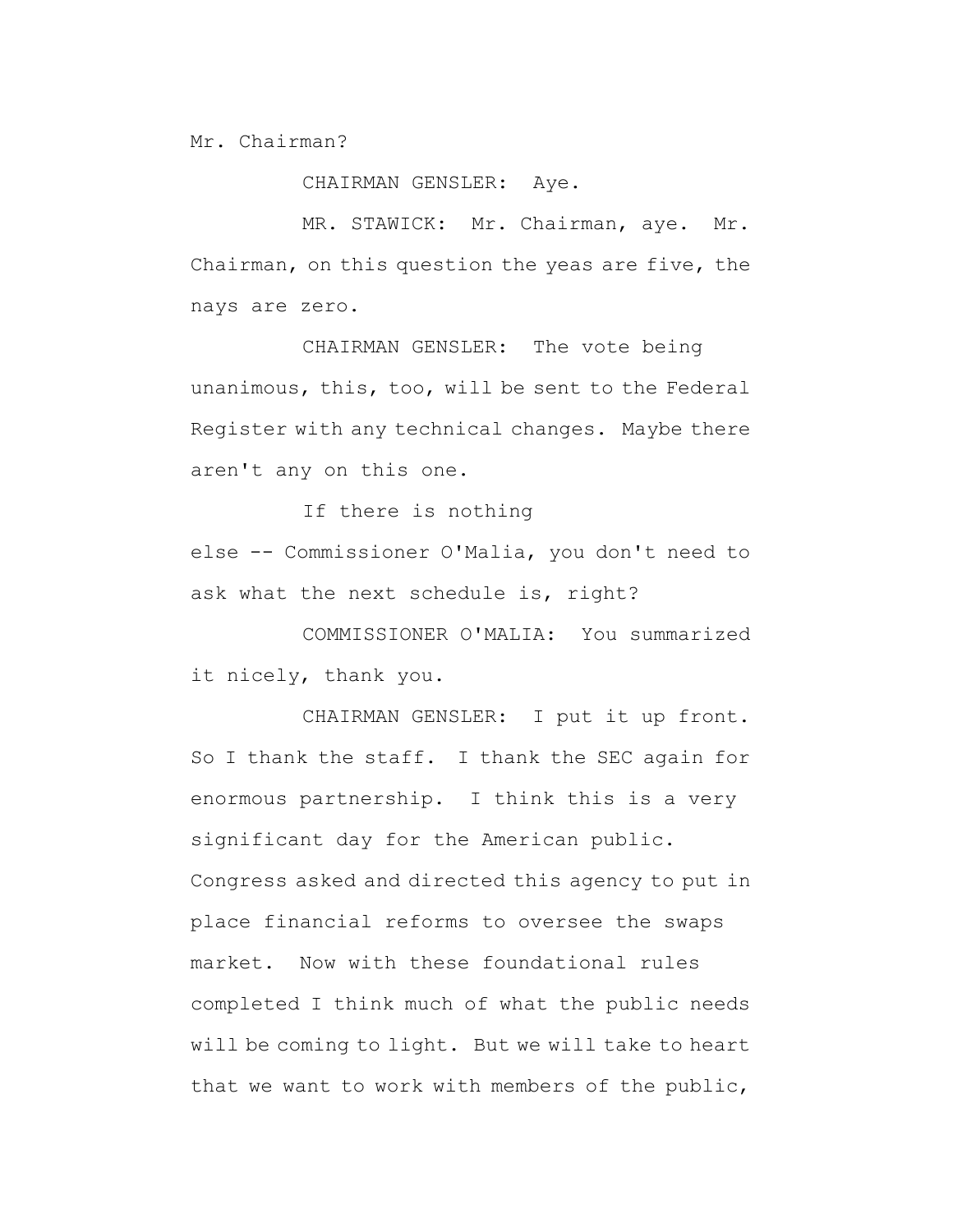Mr. Chairman?

CHAIRMAN GENSLER: Aye.

MR. STAWICK: Mr. Chairman, aye. Mr. Chairman, on this question the yeas are five, the nays are zero.

CHAIRMAN GENSLER: The vote being unanimous, this, too, will be sent to the Federal Register with any technical changes. Maybe there aren't any on this one.

If there is nothing else -- Commissioner O'Malia, you don't need to ask what the next schedule is, right?

COMMISSIONER O'MALIA: You summarized it nicely, thank you.

CHAIRMAN GENSLER: I put it up front. So I thank the staff. I thank the SEC again for enormous partnership. I think this is a very significant day for the American public. Congress asked and directed this agency to put in place financial reforms to oversee the swaps market. Now with these foundational rules completed I think much of what the public needs will be coming to light. But we will take to heart that we want to work with members of the public,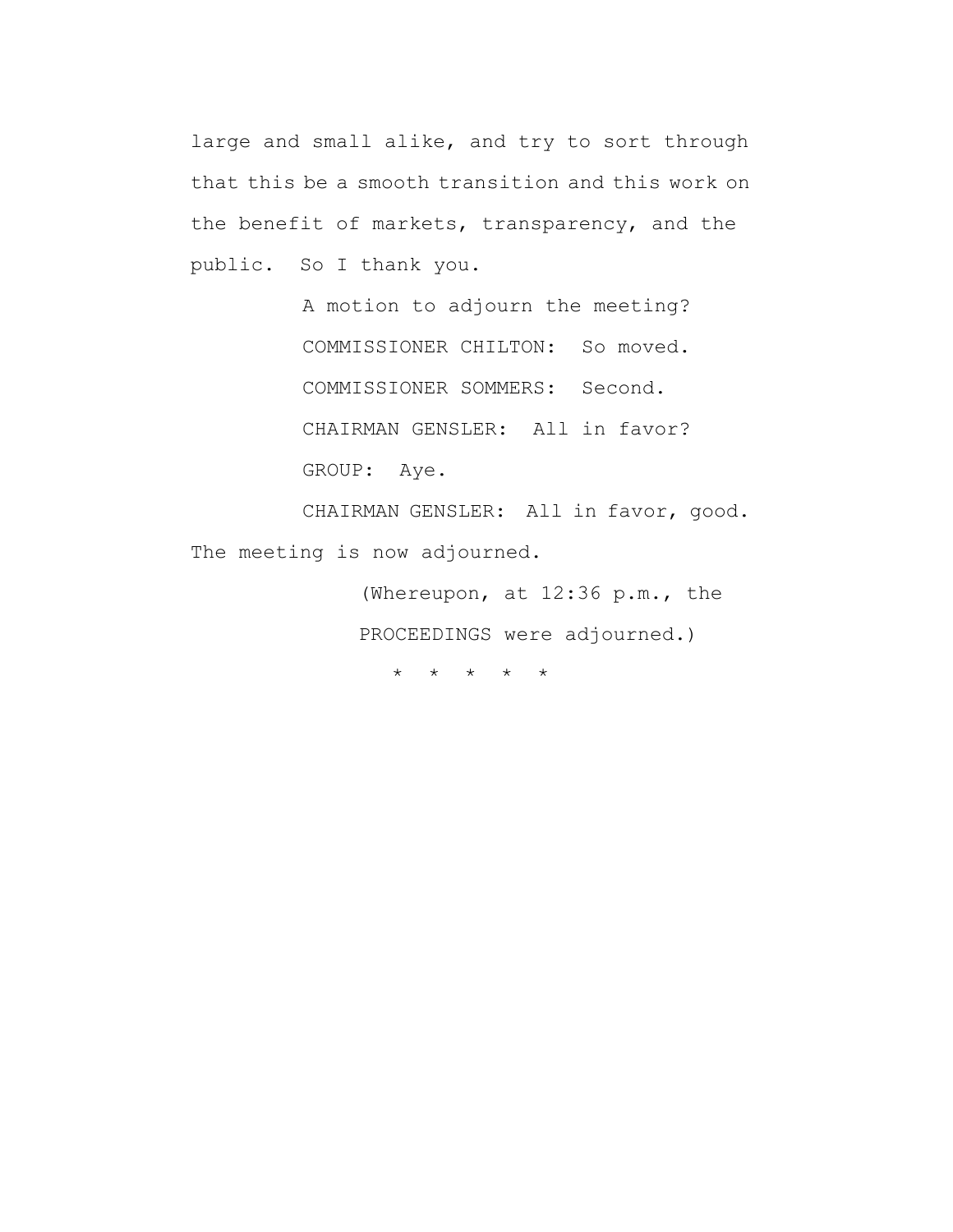large and small alike, and try to sort through that this be a smooth transition and this work on the benefit of markets, transparency, and the public. So I thank you.

> A motion to adjourn the meeting? COMMISSIONER CHILTON: So moved. COMMISSIONER SOMMERS: Second. CHAIRMAN GENSLER: All in favor? GROUP: Aye.

CHAIRMAN GENSLER: All in favor, good. The meeting is now adjourned.

> (Whereupon, at 12:36 p.m., the PROCEEDINGS were adjourned.)

\* \* \* \* \*